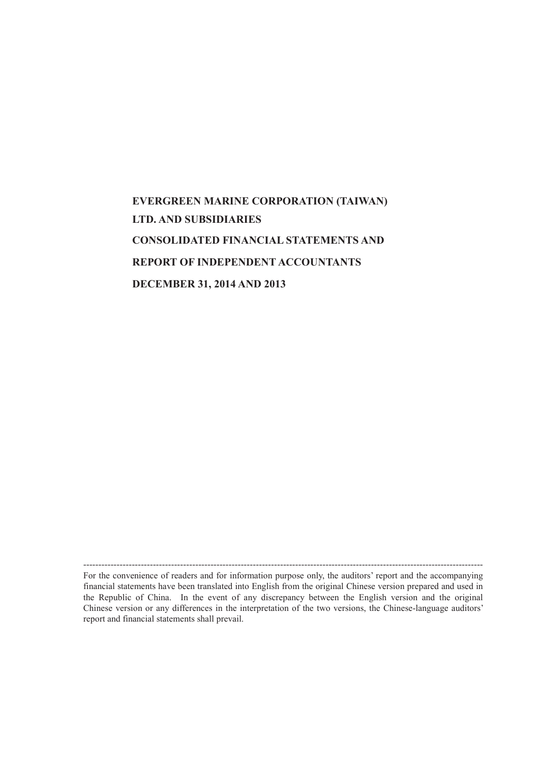# **EVERGREEN MARINE CORPORATION (TAIWAN) LTD. AND SUBSIDIARIES CONSOLIDATED FINANCIAL STATEMENTS AND REPORT OF INDEPENDENT ACCOUNTANTS DECEMBER 31, 2014 AND 2013**

------------------------------------------------------------------------------------------------------------------------------------ For the convenience of readers and for information purpose only, the auditors' report and the accompanying financial statements have been translated into English from the original Chinese version prepared and used in the Republic of China. In the event of any discrepancy between the English version and the original Chinese version or any differences in the interpretation of the two versions, the Chinese-language auditors' report and financial statements shall prevail.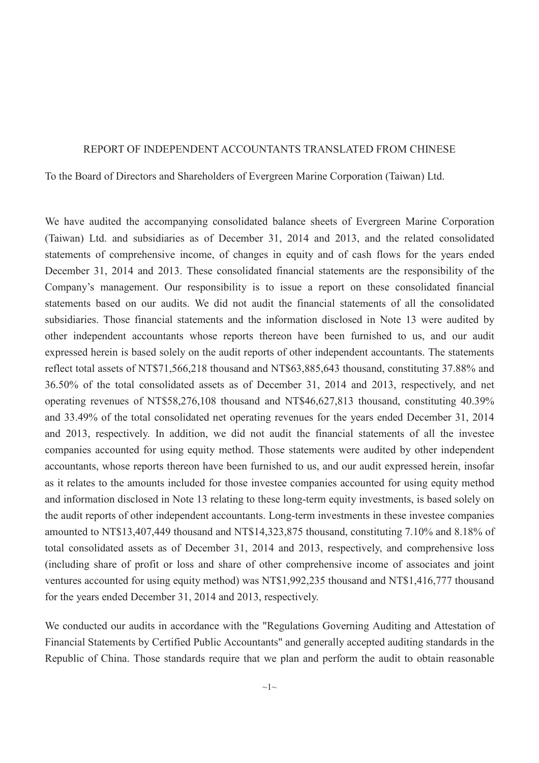#### REPORT OF INDEPENDENT ACCOUNTANTS TRANSLATED FROM CHINESE

To the Board of Directors and Shareholders of Evergreen Marine Corporation (Taiwan) Ltd.

We have audited the accompanying consolidated balance sheets of Evergreen Marine Corporation (Taiwan) Ltd. and subsidiaries as of December 31, 2014 and 2013, and the related consolidated statements of comprehensive income, of changes in equity and of cash flows for the years ended December 31, 2014 and 2013. These consolidated financial statements are the responsibility of the Company's management. Our responsibility is to issue a report on these consolidated financial statements based on our audits. We did not audit the financial statements of all the consolidated subsidiaries. Those financial statements and the information disclosed in Note 13 were audited by other independent accountants whose reports thereon have been furnished to us, and our audit expressed herein is based solely on the audit reports of other independent accountants. The statements reflect total assets of NT\$71,566,218 thousand and NT\$63,885,643 thousand, constituting 37.88% and 36.50% of the total consolidated assets as of December 31, 2014 and 2013, respectively, and net operating revenues of NT\$58,276,108 thousand and NT\$46,627,813 thousand, constituting 40.39% and 33.49% of the total consolidated net operating revenues for the years ended December 31, 2014 and 2013, respectively. In addition, we did not audit the financial statements of all the investee companies accounted for using equity method. Those statements were audited by other independent accountants, whose reports thereon have been furnished to us, and our audit expressed herein, insofar as it relates to the amounts included for those investee companies accounted for using equity method and information disclosed in Note 13 relating to these long-term equity investments, is based solely on the audit reports of other independent accountants. Long-term investments in these investee companies amounted to NT\$13,407,449 thousand and NT\$14,323,875 thousand, constituting 7.10% and 8.18% of total consolidated assets as of December 31, 2014 and 2013, respectively, and comprehensive loss (including share of profit or loss and share of other comprehensive income of associates and joint ventures accounted for using equity method) was NT\$1,992,235 thousand and NT\$1,416,777 thousand for the years ended December 31, 2014 and 2013, respectively.

We conducted our audits in accordance with the "Regulations Governing Auditing and Attestation of Financial Statements by Certified Public Accountants" and generally accepted auditing standards in the Republic of China. Those standards require that we plan and perform the audit to obtain reasonable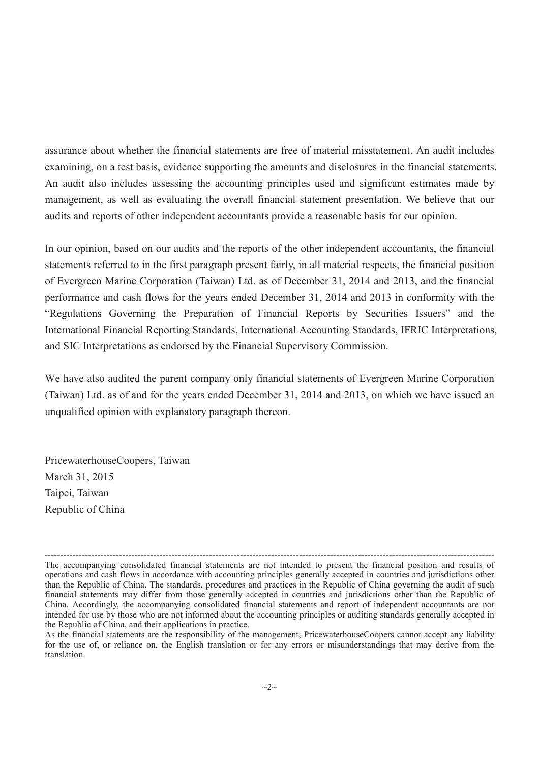assurance about whether the financial statements are free of material misstatement. An audit includes examining, on a test basis, evidence supporting the amounts and disclosures in the financial statements. An audit also includes assessing the accounting principles used and significant estimates made by management, as well as evaluating the overall financial statement presentation. We believe that our audits and reports of other independent accountants provide a reasonable basis for our opinion.

In our opinion, based on our audits and the reports of the other independent accountants, the financial statements referred to in the first paragraph present fairly, in all material respects, the financial position of Evergreen Marine Corporation (Taiwan) Ltd. as of December 31, 2014 and 2013, and the financial performance and cash flows for the years ended December 31, 2014 and 2013 in conformity with the "Regulations Governing the Preparation of Financial Reports by Securities Issuers" and the International Financial Reporting Standards, International Accounting Standards, IFRIC Interpretations, and SIC Interpretations as endorsed by the Financial Supervisory Commission.

We have also audited the parent company only financial statements of Evergreen Marine Corporation (Taiwan) Ltd. as of and for the years ended December 31, 2014 and 2013, on which we have issued an unqualified opinion with explanatory paragraph thereon.

PricewaterhouseCoopers, Taiwan March 31, 2015 Taipei, Taiwan Republic of China

<sup>-------------------------------------------------------------------------------------------------------------------------------------------------</sup> The accompanying consolidated financial statements are not intended to present the financial position and results of operations and cash flows in accordance with accounting principles generally accepted in countries and jurisdictions other than the Republic of China. The standards, procedures and practices in the Republic of China governing the audit of such financial statements may differ from those generally accepted in countries and jurisdictions other than the Republic of China. Accordingly, the accompanying consolidated financial statements and report of independent accountants are not intended for use by those who are not informed about the accounting principles or auditing standards generally accepted in the Republic of China, and their applications in practice.

As the financial statements are the responsibility of the management, PricewaterhouseCoopers cannot accept any liability for the use of, or reliance on, the English translation or for any errors or misunderstandings that may derive from the translation.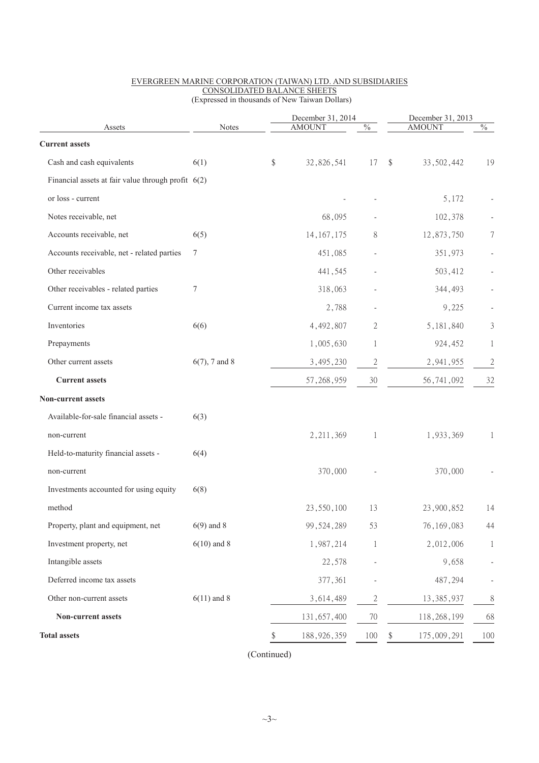|                                                      | <b>Notes</b>     | December 31, 2014<br><b>AMOUNT</b><br>$\frac{0}{6}$ |              |    | December 31, 2013<br><b>AMOUNT</b><br>$\frac{0}{6}$ |                |  |
|------------------------------------------------------|------------------|-----------------------------------------------------|--------------|----|-----------------------------------------------------|----------------|--|
| Assets                                               |                  |                                                     |              |    |                                                     |                |  |
| <b>Current assets</b>                                |                  |                                                     |              |    |                                                     |                |  |
| Cash and cash equivalents                            | 6(1)             | \$<br>32,826,541                                    | 17           | \$ | 33, 502, 442                                        | 19             |  |
| Financial assets at fair value through profit $6(2)$ |                  |                                                     |              |    |                                                     |                |  |
| or loss - current                                    |                  |                                                     |              |    | 5,172                                               |                |  |
| Notes receivable, net                                |                  | 68,095                                              |              |    | 102,378                                             |                |  |
| Accounts receivable, net                             | 6(5)             | 14, 167, 175                                        | 8            |    | 12,873,750                                          | 7              |  |
| Accounts receivable, net - related parties           | 7                | 451,085                                             |              |    | 351,973                                             |                |  |
| Other receivables                                    |                  | 441,545                                             |              |    | 503,412                                             |                |  |
| Other receivables - related parties                  | 7                | 318,063                                             |              |    | 344,493                                             |                |  |
| Current income tax assets                            |                  | 2,788                                               |              |    | 9,225                                               |                |  |
| Inventories                                          | 6(6)             | 4,492,807                                           | 2            |    | 5, 181, 840                                         | 3              |  |
| Prepayments                                          |                  | 1,005,630                                           | 1            |    | 924,452                                             | 1              |  |
| Other current assets                                 | $6(7)$ , 7 and 8 | 3,495,230                                           | $\mathbf{2}$ |    | 2,941,955                                           | $\mathfrak{2}$ |  |
| <b>Current assets</b>                                |                  | 57, 268, 959                                        | 30           |    | 56,741,092                                          | 32             |  |
| Non-current assets                                   |                  |                                                     |              |    |                                                     |                |  |
| Available-for-sale financial assets -                | 6(3)             |                                                     |              |    |                                                     |                |  |
| non-current                                          |                  | 2, 211, 369                                         | 1            |    | 1,933,369                                           | $\mathbf{I}$   |  |
| Held-to-maturity financial assets -                  | 6(4)             |                                                     |              |    |                                                     |                |  |
| non-current                                          |                  | 370,000                                             |              |    | 370,000                                             |                |  |
| Investments accounted for using equity               | 6(8)             |                                                     |              |    |                                                     |                |  |
| method                                               |                  | 23,550,100                                          | 13           |    | 23,900,852                                          | 14             |  |
| Property, plant and equipment, net                   | $6(9)$ and 8     | 99, 524, 289                                        | 53           |    | 76, 169, 083                                        | 44             |  |
| Investment property, net                             | $6(10)$ and 8    | 1,987,214                                           | 1            |    | 2,012,006                                           | 1              |  |
| Intangible assets                                    |                  | 22,578                                              |              |    | 9,658                                               |                |  |
| Deferred income tax assets                           |                  | 377,361                                             |              |    | 487,294                                             |                |  |
| Other non-current assets                             | $6(11)$ and 8    | 3,614,489                                           | 2            |    | 13, 385, 937                                        | 8              |  |
| Non-current assets                                   |                  | 131, 657, 400                                       | 70           |    | 118,268,199                                         | 68             |  |
| <b>Total assets</b>                                  |                  |                                                     |              |    |                                                     |                |  |
|                                                      |                  | \$<br>188, 926, 359                                 | 100          | \$ | 175,009,291                                         | 100            |  |

#### EVERGREEN MARINE CORPORATION (TAIWAN) LTD. AND SUBSIDIARIES CONSOLIDATED BALANCE SHEETS (Expressed in thousands of New Taiwan Dollars)

(Continued)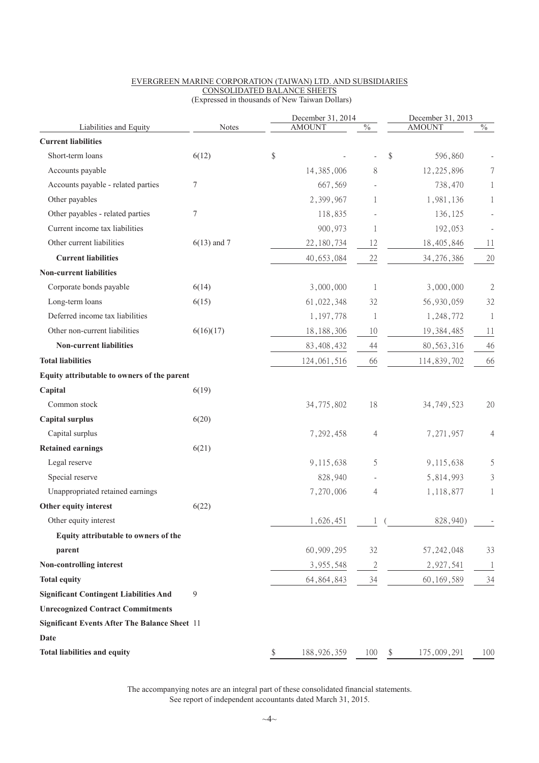|                                                      |               | December 31, 2014   |                           | December 31, 2013 |                           |
|------------------------------------------------------|---------------|---------------------|---------------------------|-------------------|---------------------------|
| Liabilities and Equity                               | Notes         | <b>AMOUNT</b>       | $\sqrt[0]{\phantom{0}}_0$ | <b>AMOUNT</b>     | $\sqrt[0]{\phantom{0}}_0$ |
| <b>Current liabilities</b>                           |               |                     |                           |                   |                           |
| Short-term loans                                     | 6(12)         | \$                  |                           | \$<br>596,860     |                           |
| Accounts payable                                     |               | 14, 385, 006        | 8                         | 12, 225, 896      |                           |
| Accounts payable - related parties                   | 7             | 667,569             |                           | 738,470           |                           |
| Other payables                                       |               | 2,399,967           | 1                         | 1,981,136         |                           |
| Other payables - related parties                     | $\tau$        | 118,835             |                           | 136,125           |                           |
| Current income tax liabilities                       |               | 900,973             | 1                         | 192,053           |                           |
| Other current liabilities                            | $6(13)$ and 7 | 22, 180, 734        | 12                        | 18,405,846        | 11                        |
| <b>Current liabilities</b>                           |               | 40,653,084          | 22                        | 34, 276, 386      | 20                        |
| <b>Non-current liabilities</b>                       |               |                     |                           |                   |                           |
| Corporate bonds payable                              | 6(14)         | 3,000,000           | 1                         | 3,000,000         | $\mathfrak{2}$            |
| Long-term loans                                      | 6(15)         | 61,022,348          | 32                        | 56,930,059        | 32                        |
| Deferred income tax liabilities                      |               | 1,197,778           | 1                         | 1,248,772         | 1                         |
| Other non-current liabilities                        | 6(16)(17)     | 18, 188, 306        | 10                        | 19, 384, 485      | 11                        |
| <b>Non-current liabilities</b>                       |               | 83, 408, 432        | 44                        | 80, 563, 316      | 46                        |
| <b>Total liabilities</b>                             |               | 124,061,516         | 66                        | 114,839,702       | 66                        |
| Equity attributable to owners of the parent          |               |                     |                           |                   |                           |
| Capital                                              | 6(19)         |                     |                           |                   |                           |
| Common stock                                         |               | 34,775,802          | 18                        | 34, 749, 523      | 20                        |
| <b>Capital surplus</b>                               | 6(20)         |                     |                           |                   |                           |
| Capital surplus                                      |               | 7,292,458           | 4                         | 7,271,957         | 4                         |
| <b>Retained earnings</b>                             | 6(21)         |                     |                           |                   |                           |
| Legal reserve                                        |               | 9,115,638           | 5                         | 9,115,638         | 5                         |
| Special reserve                                      |               | 828,940             |                           | 5,814,993         | 3                         |
| Unappropriated retained earnings                     |               | 7,270,006           | 4                         | 1,118,877         | 1                         |
| Other equity interest                                | 6(22)         |                     |                           |                   |                           |
| Other equity interest                                |               | 1,626,451           |                           | 828,940)          | $\overline{\phantom{a}}$  |
| Equity attributable to owners of the                 |               |                     |                           |                   |                           |
| parent                                               |               | 60,909,295          | 32                        | 57, 242, 048      | 33                        |
| Non-controlling interest                             |               | 3,955,548           | 2                         | 2,927,541         |                           |
| <b>Total equity</b>                                  |               | 64, 864, 843        | 34                        | 60, 169, 589      | 34                        |
| <b>Significant Contingent Liabilities And</b>        | 9             |                     |                           |                   |                           |
| <b>Unrecognized Contract Commitments</b>             |               |                     |                           |                   |                           |
| <b>Significant Events After The Balance Sheet 11</b> |               |                     |                           |                   |                           |
| Date                                                 |               |                     |                           |                   |                           |
| Total liabilities and equity                         |               | \$<br>188, 926, 359 | 100                       | \$<br>175,009,291 | 100                       |
|                                                      |               |                     |                           |                   |                           |

#### EVERGREEN MARINE CORPORATION (TAIWAN) LTD. AND SUBSIDIARIES CONSOLIDATED BALANCE SHEETS (Expressed in thousands of New Taiwan Dollars)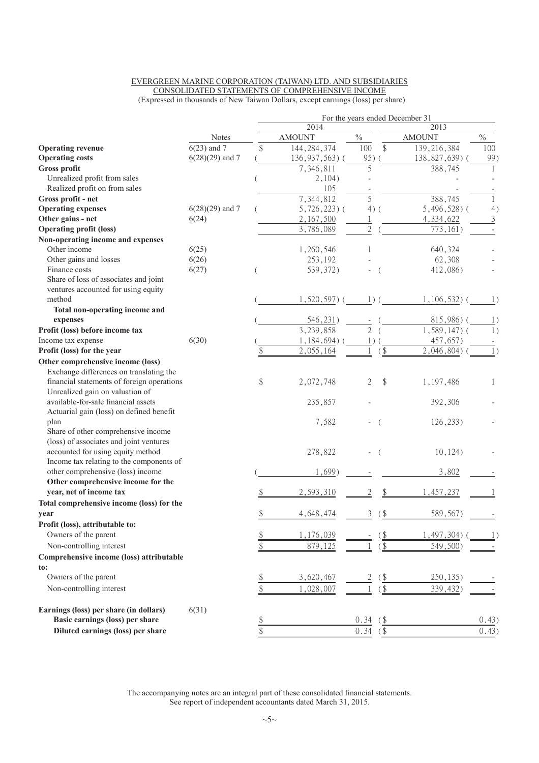#### EVERGREEN MARINE CORPORATION (TAIWAN) LTD. AND SUBSIDIARIES CONSOLIDATED STATEMENTS OF COMPREHENSIVE INCOME (Expressed in thousands of New Taiwan Dollars, except earnings (loss) per share)

|                                            |                   | For the years ended December 31 |                        |                  |               |                            |                    |
|--------------------------------------------|-------------------|---------------------------------|------------------------|------------------|---------------|----------------------------|--------------------|
|                                            |                   |                                 | 2014                   |                  |               | 2013                       |                    |
|                                            | <b>Notes</b>      |                                 | <b>AMOUNT</b>          | $\frac{0}{0}$    |               | <b>AMOUNT</b>              | $\%$               |
| <b>Operating revenue</b>                   | $6(23)$ and 7     | \$                              | 144, 284, 374          | 100              | \$            | 139, 216, 384              | 100                |
| <b>Operating costs</b>                     | $6(28)(29)$ and 7 |                                 | 136, 937, 563)         | 95)              |               | 138,827,639)               | 99)                |
| <b>Gross profit</b>                        |                   |                                 | 7,346,811              | 5                |               | 388,745                    | 1                  |
| Unrealized profit from sales               |                   |                                 | 2,104)                 |                  |               |                            |                    |
| Realized profit on from sales              |                   |                                 | 105                    |                  |               |                            |                    |
| Gross profit - net                         |                   |                                 | 7,344,812              | 5                |               | 388,745                    | 1                  |
| <b>Operating expenses</b>                  | $6(28)(29)$ and 7 |                                 | $5,726,223$ ) (        | $4)$ (           |               | $5,496,528$ ) (            | 4)                 |
| Other gains - net                          | 6(24)             |                                 | 2,167,500              |                  |               | 4,334,622                  | $\mathfrak{Z}$     |
| <b>Operating profit (loss)</b>             |                   |                                 | 3,786,089              | $\overline{2}$   |               | 773, 161)                  |                    |
| Non-operating income and expenses          |                   |                                 |                        |                  |               |                            |                    |
| Other income                               | 6(25)             |                                 | 1,260,546              | 1                |               | 640,324                    |                    |
| Other gains and losses<br>Finance costs    | 6(26)             |                                 | 253,192                |                  |               | 62,308                     |                    |
| Share of loss of associates and joint      | 6(27)             |                                 | 539, 372)              |                  |               | 412,086)                   |                    |
| ventures accounted for using equity        |                   |                                 |                        |                  |               |                            |                    |
| method                                     |                   |                                 | $1,520,597$ ) (        | $\left  \right $ |               | 1,106,532)                 | $\lfloor$ .)       |
| Total non-operating income and             |                   |                                 |                        |                  |               |                            |                    |
| expenses                                   |                   |                                 | 546, 231)              |                  |               | 815,986)(                  | $\left  \ \right $ |
| Profit (loss) before income tax            |                   |                                 | $\overline{3,239,858}$ | $\overline{2}$   |               | $\overline{1,}589,147$ ) ( | 1)                 |
| Income tax expense                         | 6(30)             |                                 | $1,184,694)$ (         |                  |               | 457,657)                   |                    |
| Profit (loss) for the year                 |                   | \$                              | 2,055,164              |                  | $($ \$        | 2,046,804)                 | 1)                 |
| Other comprehensive income (loss)          |                   |                                 |                        |                  |               |                            |                    |
| Exchange differences on translating the    |                   |                                 |                        |                  |               |                            |                    |
| financial statements of foreign operations |                   | \$                              | 2,072,748              | 2                | \$            | 1,197,486                  | 1                  |
| Unrealized gain on valuation of            |                   |                                 |                        |                  |               |                            |                    |
| available-for-sale financial assets        |                   |                                 | 235,857                |                  |               | 392,306                    |                    |
| Actuarial gain (loss) on defined benefit   |                   |                                 |                        |                  |               |                            |                    |
| plan                                       |                   |                                 | 7,582                  |                  |               | 126, 233)                  |                    |
| Share of other comprehensive income        |                   |                                 |                        |                  |               |                            |                    |
| (loss) of associates and joint ventures    |                   |                                 |                        |                  |               |                            |                    |
| accounted for using equity method          |                   |                                 | 278,822                |                  |               | 10, 124)                   |                    |
| Income tax relating to the components of   |                   |                                 |                        |                  |               |                            |                    |
| other comprehensive (loss) income          |                   |                                 | 1,699)                 |                  |               | 3,802                      |                    |
| Other comprehensive income for the         |                   |                                 |                        |                  |               |                            |                    |
| year, net of income tax                    |                   |                                 | 2,593,310              | 2                |               | 1,457,237                  |                    |
| Total comprehensive income (loss) for the  |                   |                                 |                        |                  |               |                            |                    |
| year                                       |                   | \$                              | 4,648,474              | 3                | $\frac{1}{2}$ | 589,567)                   |                    |
| Profit (loss), attributable to:            |                   |                                 |                        |                  |               |                            |                    |
| Owners of the parent                       |                   | $\frac{\$}{}$                   | 1,176,039              |                  | $($ \$        | $1,497,304$ )              |                    |
| Non-controlling interest                   |                   | $\$\,$                          | 879,125                |                  | $\frac{1}{2}$ | 549,500)                   |                    |
| Comprehensive income (loss) attributable   |                   |                                 |                        |                  |               |                            |                    |
| to:                                        |                   |                                 |                        |                  |               |                            |                    |
| Owners of the parent                       |                   |                                 | 3,620,467              |                  | <u>(\$</u>    | 250, 135)                  |                    |
| Non-controlling interest                   |                   | $rac{1}{3}$                     | 1,028,007              |                  | $\sqrt{\$}$   | 339,432)                   |                    |
| Earnings (loss) per share (in dollars)     | 6(31)             |                                 |                        |                  |               |                            |                    |
| Basic earnings (loss) per share            |                   | $\frac{1}{2}$                   |                        | 0.34             | $($ \$        |                            | 0.43)              |
| Diluted earnings (loss) per share          |                   | \$                              |                        | 0.34             | $\frac{1}{2}$ |                            | 0.43)              |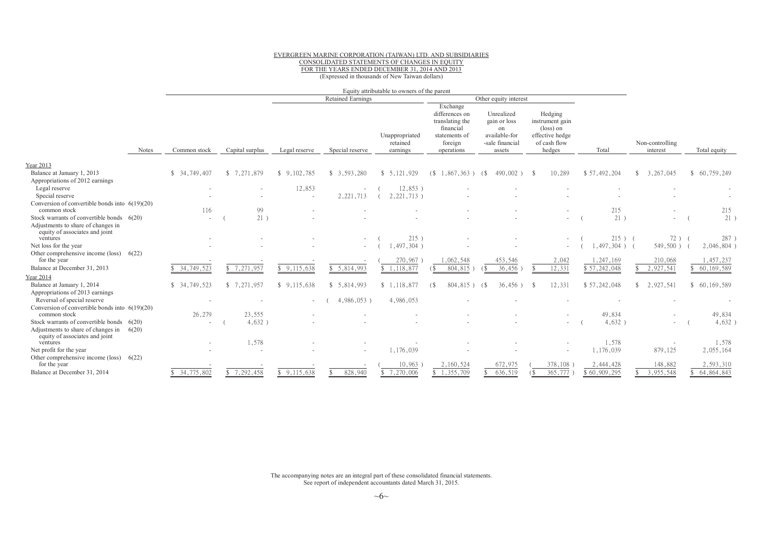#### EVERGREEN MARINE CORPORATION (TAIWAN) LTD. AND SUBSIDIARIES CONSOLIDATED STATEMENTS OF CHANGES IN EQUITY FOR THE YEARS ENDED DECEMBER 31, <sup>2014</sup> AND <sup>2013</sup> (Expressed in thousands of New Taiwan dollars)

|                                                                      |       |               | Equity attributable to owners of the parent |                          |                          |                                        |                                                                                                      |                                                                                |                                                                                               |                |                             |                     |
|----------------------------------------------------------------------|-------|---------------|---------------------------------------------|--------------------------|--------------------------|----------------------------------------|------------------------------------------------------------------------------------------------------|--------------------------------------------------------------------------------|-----------------------------------------------------------------------------------------------|----------------|-----------------------------|---------------------|
|                                                                      |       |               |                                             |                          | <b>Retained Earnings</b> |                                        |                                                                                                      | Other equity interest                                                          |                                                                                               |                |                             |                     |
|                                                                      | Notes | Common stock  | Capital surplus                             | Legal reserve            | Special reserve          | Unappropriated<br>retained<br>earnings | Exchange<br>differences on<br>translating the<br>financial<br>statements of<br>foreign<br>operations | Unrealized<br>gain or loss<br>on<br>available-for<br>-sale financial<br>assets | Hedging<br>instrument gain<br>$(\text{loss})$ on<br>effective hedge<br>of cash flow<br>hedges | Total          | Non-controlling<br>interest | Total equity        |
| Year 2013                                                            |       |               |                                             |                          |                          |                                        |                                                                                                      |                                                                                |                                                                                               |                |                             |                     |
| Balance at January 1, 2013<br>Appropriations of 2012 earnings        |       | \$34.749.407  | \$7,271,879                                 | \$9,102,785              | \$3,593,280              | \$5,121,929                            | (S<br>$1,867,363$ )                                                                                  | $490,002$ )<br>68                                                              | 10,289<br>- \$                                                                                | \$57,492,204   | 3, 267, 045<br>£.           | \$60,759,249        |
| Legal reserve                                                        |       |               |                                             | 12,853                   |                          | $12,853$ )                             |                                                                                                      |                                                                                |                                                                                               |                |                             |                     |
| Special reserve<br>Conversion of convertible bonds into $6(19)(20)$  |       |               |                                             | $\overline{\phantom{a}}$ | 2, 221, 713              | 2, 221, 713)                           |                                                                                                      |                                                                                |                                                                                               |                |                             |                     |
| common stock                                                         |       | 116           | 99                                          |                          |                          |                                        |                                                                                                      |                                                                                |                                                                                               | 215            |                             | 215                 |
| Stock warrants of convertible bonds 6(20)                            |       | $\sim$        | 21)                                         |                          |                          |                                        |                                                                                                      |                                                                                | $\sim$                                                                                        | 21)            |                             | 21)                 |
| Adjustments to share of changes in<br>equity of associates and joint |       |               |                                             |                          |                          |                                        |                                                                                                      |                                                                                |                                                                                               |                |                             |                     |
| ventures                                                             |       |               |                                             |                          |                          | 215)                                   |                                                                                                      |                                                                                |                                                                                               | $215$ ) (      | $72)$ (                     | 287)                |
| Net loss for the year<br>Other comprehensive income (loss) $6(22)$   |       |               |                                             |                          |                          | $1.497.304$ )                          |                                                                                                      |                                                                                |                                                                                               | $.497.304$ ) ( | $549,500$ ) (               | 2,046,804)          |
| for the year                                                         |       |               |                                             |                          |                          | 270,967                                | .062,548                                                                                             | 453,546                                                                        | 2,042                                                                                         | 1,247,169      | 210,068                     | ,457,237            |
| Balance at December 31, 2013                                         |       | \$34,749,523  | \$7,271,957                                 | \$9.115.638              | \$5,814,993              | \$1,118,877                            | 804,815                                                                                              | 36,456                                                                         | 12,331                                                                                        | \$57,242,048   | 2,927,541                   | 60, 169, 589        |
| <b>Year 2014</b>                                                     |       |               |                                             |                          |                          |                                        |                                                                                                      |                                                                                |                                                                                               |                |                             |                     |
| Balance at January 1, 2014                                           |       | \$ 34,749,523 | \$7.271.957                                 | \$9.115.638              | \$5.814.993              | \$1,118,877                            | 804,815)<br>6                                                                                        | $36.456$ )<br>( S                                                              | 12.331                                                                                        | \$57,242,048   | 2,927,541                   | \$60,169,589        |
| Appropriations of 2013 earnings<br>Reversal of special reserve       |       |               |                                             |                          | 4,986,053)               | 4,986,053                              |                                                                                                      |                                                                                |                                                                                               |                |                             |                     |
| Conversion of convertible bonds into $6(19)(20)$<br>common stock     |       |               |                                             |                          |                          |                                        |                                                                                                      |                                                                                |                                                                                               | 49,834         |                             |                     |
| Stock warrants of convertible bonds 6(20)                            |       | 26,279        | 23,555<br>$4,632$ )                         |                          |                          |                                        |                                                                                                      |                                                                                |                                                                                               | 4,632          | $\overline{\phantom{a}}$    | 49,834<br>$4,632$ ) |
| Adjustments to share of changes in                                   | 6(20) |               |                                             |                          |                          |                                        |                                                                                                      |                                                                                |                                                                                               |                |                             |                     |
| equity of associates and joint<br>ventures                           |       |               | 1,578                                       |                          |                          |                                        |                                                                                                      |                                                                                |                                                                                               | 1,578          | $\sim$                      | 1,578               |
| Net profit for the year                                              |       |               |                                             |                          |                          | 1,176,039                              |                                                                                                      |                                                                                |                                                                                               | 1,176,039      | 879,125                     | 2,055,164           |
| Other comprehensive income (loss) $6(22)$                            |       |               |                                             |                          |                          |                                        |                                                                                                      |                                                                                |                                                                                               |                |                             |                     |
| for the year                                                         |       |               |                                             |                          |                          | 10,963                                 | 2,160,524                                                                                            | 672,975                                                                        | 378,108                                                                                       | 2,444,428      | 148,882                     | 2,593,310           |
| Balance at December 31, 2014                                         |       | \$34,775,802  | 7,292,458                                   | \$9,115,638              | 828,940                  | 7,270,006                              | 1,355,709                                                                                            | 636,519                                                                        | 365,777<br>$\left( \text{\textdegree}\right)$                                                 | \$60,909,295   | 3,955,548                   | 64,864,843          |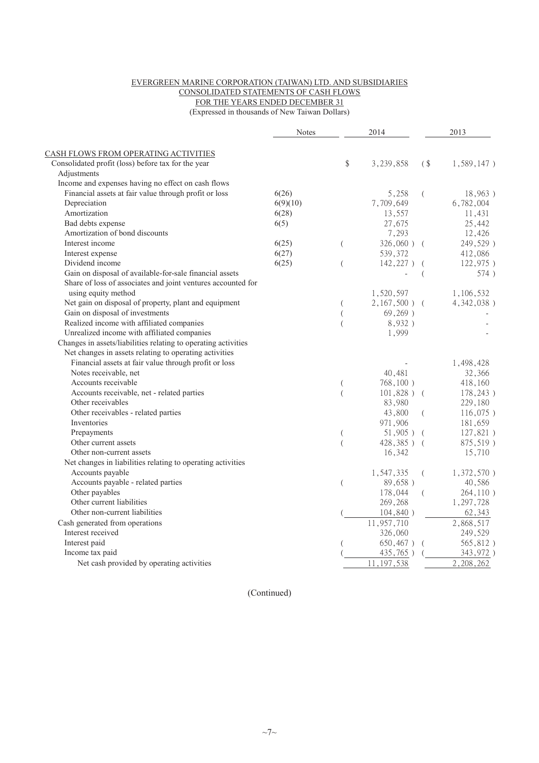#### EVERGREEN MARINE CORPORATION (TAIWAN) LTD. AND SUBSIDIARIES CONSOLIDATED STATEMENTS OF CASH FLOWS FOR THE YEARS ENDED DECEMBER 31

(Expressed in thousands of New Taiwan Dollars)

|                                                                | <b>Notes</b> | 2014                |                 | 2013           |               |
|----------------------------------------------------------------|--------------|---------------------|-----------------|----------------|---------------|
| CASH FLOWS FROM OPERATING ACTIVITIES                           |              |                     |                 |                |               |
| Consolidated profit (loss) before tax for the year             |              | \$                  | 3,239,858       | (              | $1,589,147$ ) |
| Adjustments                                                    |              |                     |                 |                |               |
| Income and expenses having no effect on cash flows             |              |                     |                 |                |               |
| Financial assets at fair value through profit or loss          | 6(26)        |                     | 5,258           | $\left($       | 18,963)       |
| Depreciation                                                   | 6(9)(10)     |                     | 7,709,649       |                | 6,782,004     |
| Amortization                                                   | 6(28)        |                     | 13,557          |                | 11,431        |
| Bad debts expense                                              | 6(5)         |                     | 27,675          |                | 25,442        |
| Amortization of bond discounts                                 |              |                     | 7,293           |                | 12,426        |
| Interest income                                                | 6(25)        | $\left($            | $326,060$ ) (   |                | 249,529)      |
| Interest expense                                               | 6(27)        |                     | 539,372         |                | 412,086       |
| Dividend income                                                | 6(25)        | $\left($            | $142,227$ )     |                | 122,975)      |
| Gain on disposal of available-for-sale financial assets        |              |                     |                 | $\overline{ }$ | 574)          |
| Share of loss of associates and joint ventures accounted for   |              |                     |                 |                |               |
| using equity method                                            |              |                     | 1,520,597       |                | 1,106,532     |
| Net gain on disposal of property, plant and equipment          |              | (                   | $2,167,500$ ) ( |                | 4,342,038)    |
| Gain on disposal of investments                                |              |                     | 69,269)         |                |               |
| Realized income with affiliated companies                      |              |                     | 8,932)          |                |               |
| Unrealized income with affiliated companies                    |              |                     | 1,999           |                |               |
| Changes in assets/liabilities relating to operating activities |              |                     |                 |                |               |
| Net changes in assets relating to operating activities         |              |                     |                 |                |               |
| Financial assets at fair value through profit or loss          |              |                     |                 |                | 1,498,428     |
| Notes receivable, net                                          |              |                     | 40,481          |                | 32,366        |
| Accounts receivable                                            |              |                     | $768, 100$ )    |                | 418,160       |
| Accounts receivable, net - related parties                     |              | (<br>$\overline{(}$ | $101,828$ ) (   |                | 178,243)      |
| Other receivables                                              |              |                     | 83,980          |                | 229,180       |
| Other receivables - related parties                            |              |                     | 43,800          | (              | $116,075$ )   |
| Inventories                                                    |              |                     | 971,906         |                | 181,659       |
| Prepayments                                                    |              | (                   | $51,905$ ) (    |                | 127,821)      |
| Other current assets                                           |              |                     | 428,385) (      |                | 875,519)      |
| Other non-current assets                                       |              |                     | 16,342          |                | 15,710        |
| Net changes in liabilities relating to operating activities    |              |                     |                 |                |               |
| Accounts payable                                               |              |                     | 1,547,335       | $\left($       | $1,372,570$ ) |
| Accounts payable - related parties                             |              | $\left($            | 89,658)         |                | 40,586        |
| Other payables                                                 |              |                     | 178,044         | (              | 264,110)      |
| Other current liabilities                                      |              |                     | 269,268         |                | 1,297,728     |
| Other non-current liabilities                                  |              |                     | 104,840)        |                | 62,343        |
| Cash generated from operations                                 |              |                     | 11,957,710      |                | 2,868,517     |
| Interest received                                              |              |                     |                 |                |               |
|                                                                |              |                     | 326,060         |                | 249,529       |
| Interest paid                                                  |              |                     | $650,467$ )     |                | 565,812)      |
| Income tax paid                                                |              |                     | $435,765$ )     |                | 343,972)      |
| Net cash provided by operating activities                      |              |                     | 11, 197, 538    |                | 2,208,262     |

(Continued)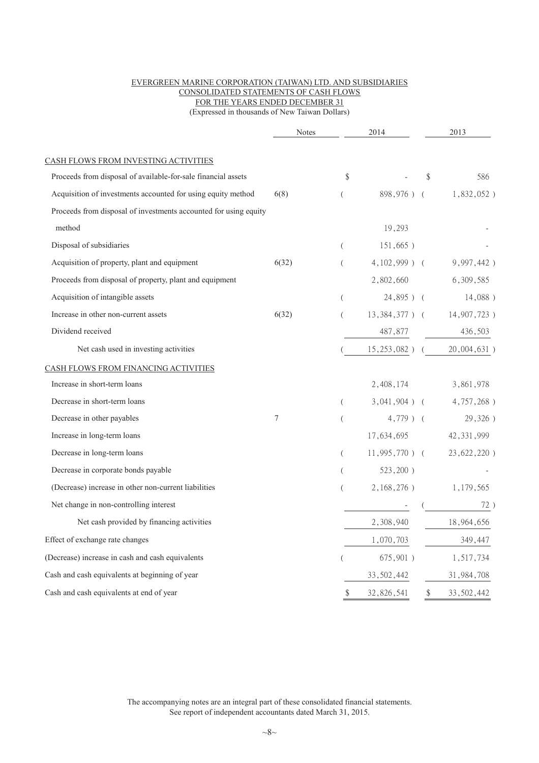#### EVERGREEN MARINE CORPORATION (TAIWAN) LTD. AND SUBSIDIARIES CONSOLIDATED STATEMENTS OF CASH FLOWS FOR THE YEARS ENDED DECEMBER 31

(Expressed in thousands of New Taiwan Dollars)

|                                                                  | Notes |                  | 2014             | 2013                            |
|------------------------------------------------------------------|-------|------------------|------------------|---------------------------------|
| CASH FLOWS FROM INVESTING ACTIVITIES                             |       |                  |                  |                                 |
| Proceeds from disposal of available-for-sale financial assets    |       | \$               |                  | \$<br>586                       |
| Acquisition of investments accounted for using equity method     | 6(8)  | $\overline{(\ }$ | 898,976) (       | $1,832,052$ )                   |
| Proceeds from disposal of investments accounted for using equity |       |                  |                  |                                 |
| method                                                           |       |                  | 19,293           |                                 |
| Disposal of subsidiaries                                         |       | $\left($         | $151,665$ )      |                                 |
| Acquisition of property, plant and equipment                     | 6(32) | $\overline{(\ }$ | $4,102,999$ ) (  | 9,997,442)                      |
| Proceeds from disposal of property, plant and equipment          |       |                  | 2,802,660        | 6,309,585                       |
| Acquisition of intangible assets                                 |       | $\overline{(\ }$ | $24,895$ ) (     | $14,088$ )                      |
| Increase in other non-current assets                             | 6(32) | $\overline{(\ }$ |                  | 13, 384, 377 ) ( 14, 907, 723 ) |
| Dividend received                                                |       |                  | 487,877          | 436,503                         |
| Net cash used in investing activities                            |       |                  | $15,253,082$ )   | 20,004,631)                     |
| CASH FLOWS FROM FINANCING ACTIVITIES                             |       |                  |                  |                                 |
| Increase in short-term loans                                     |       |                  | 2,408,174        | 3,861,978                       |
| Decrease in short-term loans                                     |       | $\overline{(\ }$ |                  | $3,041,904$ ) ( $4,757,268$ )   |
| Decrease in other payables                                       | 7     | $\overline{(\ }$ | $4,779$ ) (      | 29,326)                         |
| Increase in long-term loans                                      |       |                  |                  | 17,634,695 42,331,999           |
| Decrease in long-term loans                                      |       | $\overline{(\ }$ | $11,995,770$ ) ( | 23, 622, 220)                   |
| Decrease in corporate bonds payable                              |       | $\left($         | $523,200$ )      |                                 |
| (Decrease) increase in other non-current liabilities             |       | $\overline{(\ }$ | $2,168,276$ )    | 1,179,565                       |
| Net change in non-controlling interest                           |       |                  |                  | 72)                             |
| Net cash provided by financing activities                        |       |                  | 2,308,940        | 18,964,656                      |
| Effect of exchange rate changes                                  |       |                  | 1,070,703        | 349,447                         |
| (Decrease) increase in cash and cash equivalents                 |       |                  | $675,901$ )      | 1,517,734                       |
| Cash and cash equivalents at beginning of year                   |       |                  | 33, 502, 442     | 31,984,708                      |
| Cash and cash equivalents at end of year                         |       | \$               | 32,826,541       | \$<br>33, 502, 442              |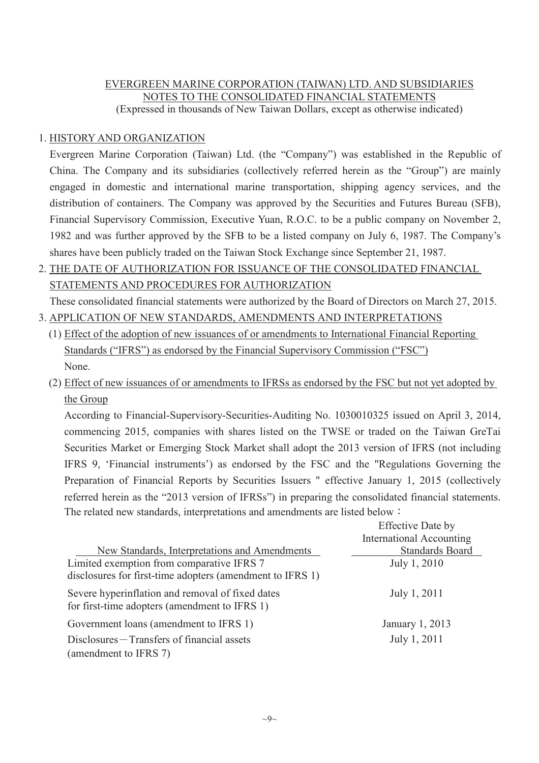# EVERGREEN MARINE CORPORATION (TAIWAN) LTD. AND SUBSIDIARIES NOTES TO THE CONSOLIDATED FINANCIAL STATEMENTS (Expressed in thousands of New Taiwan Dollars, except as otherwise indicated)

# 1. HISTORY AND ORGANIZATION

Evergreen Marine Corporation (Taiwan) Ltd. (the "Company") was established in the Republic of China. The Company and its subsidiaries (collectively referred herein as the "Group") are mainly engaged in domestic and international marine transportation, shipping agency services, and the distribution of containers. The Company was approved by the Securities and Futures Bureau (SFB), Financial Supervisory Commission, Executive Yuan, R.O.C. to be a public company on November 2, 1982 and was further approved by the SFB to be a listed company on July 6, 1987. The Company's shares have been publicly traded on the Taiwan Stock Exchange since September 21, 1987.

2. THE DATE OF AUTHORIZATION FOR ISSUANCE OF THE CONSOLIDATED FINANCIAL STATEMENTS AND PROCEDURES FOR AUTHORIZATION

These consolidated financial statements were authorized by the Board of Directors on March 27, 2015.

- 3. APPLICATION OF NEW STANDARDS, AMENDMENTS AND INTERPRETATIONS
	- (1) Effect of the adoption of new issuances of or amendments to International Financial Reporting Standards ("IFRS") as endorsed by the Financial Supervisory Commission ("FSC") None.
	- (2) Effect of new issuances of or amendments to IFRSs as endorsed by the FSC but not yet adopted by the Group

According to Financial-Supervisory-Securities-Auditing No. 1030010325 issued on April 3, 2014, commencing 2015, companies with shares listed on the TWSE or traded on the Taiwan GreTai Securities Market or Emerging Stock Market shall adopt the 2013 version of IFRS (not including IFRS 9, 'Financial instruments') as endorsed by the FSC and the "Regulations Governing the Preparation of Financial Reports by Securities Issuers " effective January 1, 2015 (collectively referred herein as the "2013 version of IFRSs") in preparing the consolidated financial statements. The related new standards, interpretations and amendments are listed below  $\colon$ 

|                                                           | <b>Effective Date by</b>        |
|-----------------------------------------------------------|---------------------------------|
|                                                           | <b>International Accounting</b> |
| New Standards, Interpretations and Amendments             | <b>Standards Board</b>          |
| Limited exemption from comparative IFRS 7                 | July 1, 2010                    |
| disclosures for first-time adopters (amendment to IFRS 1) |                                 |
| Severe hyperinflation and removal of fixed dates          | July 1, 2011                    |
| for first-time adopters (amendment to IFRS 1)             |                                 |
| Government loans (amendment to IFRS 1)                    | January 1, 2013                 |
| Disclosures – Transfers of financial assets               | July 1, 2011                    |
| (amendment to IFRS 7)                                     |                                 |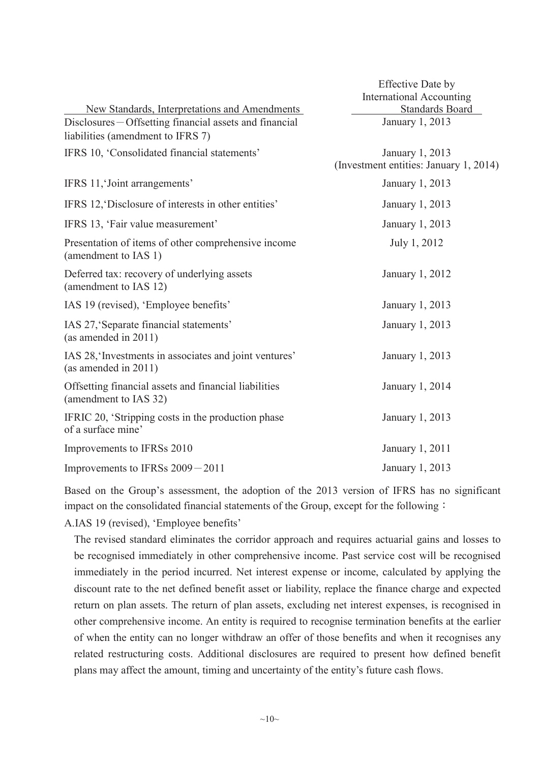|                                                                                              | <b>Effective Date by</b>                                  |
|----------------------------------------------------------------------------------------------|-----------------------------------------------------------|
|                                                                                              | <b>International Accounting</b>                           |
| New Standards, Interpretations and Amendments                                                | Standards Board                                           |
| Disclosures – Offsetting financial assets and financial<br>liabilities (amendment to IFRS 7) | January 1, 2013                                           |
| IFRS 10, 'Consolidated financial statements'                                                 | January 1, 2013<br>(Investment entities: January 1, 2014) |
| IFRS 11, Joint arrangements'                                                                 | January 1, 2013                                           |
| IFRS 12, Disclosure of interests in other entities'                                          | January 1, 2013                                           |
| IFRS 13, 'Fair value measurement'                                                            | January 1, 2013                                           |
| Presentation of items of other comprehensive income<br>(amendment to IAS 1)                  | July 1, 2012                                              |
| Deferred tax: recovery of underlying assets<br>(amendment to IAS 12)                         | January 1, 2012                                           |
| IAS 19 (revised), 'Employee benefits'                                                        | January 1, 2013                                           |
| IAS 27, 'Separate financial statements'<br>(as amended in $2011$ )                           | January 1, 2013                                           |
| IAS 28, Investments in associates and joint ventures'<br>(as amended in $2011$ )             | January 1, 2013                                           |
| Offsetting financial assets and financial liabilities<br>(amendment to IAS 32)               | January 1, 2014                                           |
| IFRIC 20, 'Stripping costs in the production phase<br>of a surface mine'                     | January 1, 2013                                           |
| Improvements to IFRSs 2010                                                                   | January 1, 2011                                           |
| Improvements to IFRSs 2009 - 2011                                                            | January 1, 2013                                           |

Based on the Group's assessment, the adoption of the 2013 version of IFRS has no significant impact on the consolidated financial statements of the Group, except for the following :

A.IAS 19 (revised), 'Employee benefits'

The revised standard eliminates the corridor approach and requires actuarial gains and losses to be recognised immediately in other comprehensive income. Past service cost will be recognised immediately in the period incurred. Net interest expense or income, calculated by applying the discount rate to the net defined benefit asset or liability, replace the finance charge and expected return on plan assets. The return of plan assets, excluding net interest expenses, is recognised in other comprehensive income. An entity is required to recognise termination benefits at the earlier of when the entity can no longer withdraw an offer of those benefits and when it recognises any related restructuring costs. Additional disclosures are required to present how defined benefit plans may affect the amount, timing and uncertainty of the entity's future cash flows.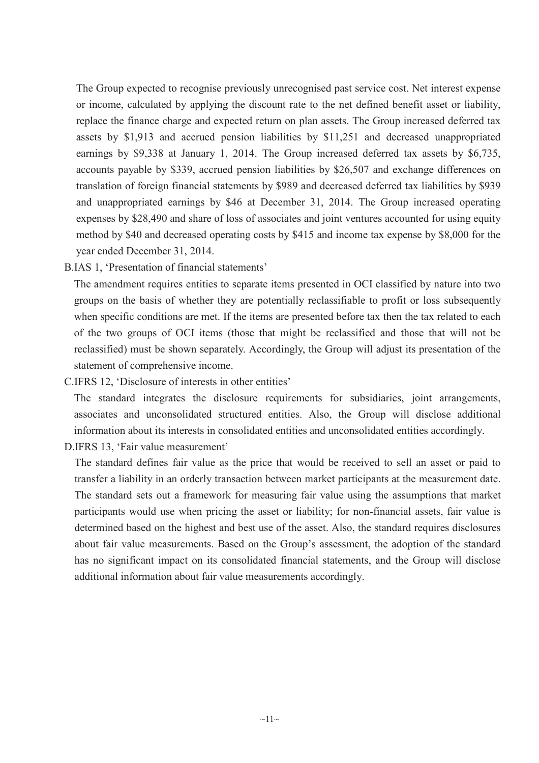The Group expected to recognise previously unrecognised past service cost. Net interest expense or income, calculated by applying the discount rate to the net defined benefit asset or liability, replace the finance charge and expected return on plan assets. The Group increased deferred tax assets by \$1,913 and accrued pension liabilities by \$11,251 and decreased unappropriated earnings by \$9,338 at January 1, 2014. The Group increased deferred tax assets by \$6,735, accounts payable by \$339, accrued pension liabilities by \$26,507 and exchange differences on translation of foreign financial statements by \$989 and decreased deferred tax liabilities by \$939 and unappropriated earnings by \$46 at December 31, 2014. The Group increased operating expenses by \$28,490 and share of loss of associates and joint ventures accounted for using equity method by \$40 and decreased operating costs by \$415 and income tax expense by \$8,000 for the year ended December 31, 2014.

B.IAS 1, 'Presentation of financial statements'

The amendment requires entities to separate items presented in OCI classified by nature into two groups on the basis of whether they are potentially reclassifiable to profit or loss subsequently when specific conditions are met. If the items are presented before tax then the tax related to each of the two groups of OCI items (those that might be reclassified and those that will not be reclassified) must be shown separately. Accordingly, the Group will adjust its presentation of the statement of comprehensive income.

C.IFRS 12, 'Disclosure of interests in other entities'

The standard integrates the disclosure requirements for subsidiaries, joint arrangements, associates and unconsolidated structured entities. Also, the Group will disclose additional information about its interests in consolidated entities and unconsolidated entities accordingly.

D.IFRS 13, 'Fair value measurement'

The standard defines fair value as the price that would be received to sell an asset or paid to transfer a liability in an orderly transaction between market participants at the measurement date. The standard sets out a framework for measuring fair value using the assumptions that market participants would use when pricing the asset or liability; for non-financial assets, fair value is determined based on the highest and best use of the asset. Also, the standard requires disclosures about fair value measurements. Based on the Group's assessment, the adoption of the standard has no significant impact on its consolidated financial statements, and the Group will disclose additional information about fair value measurements accordingly.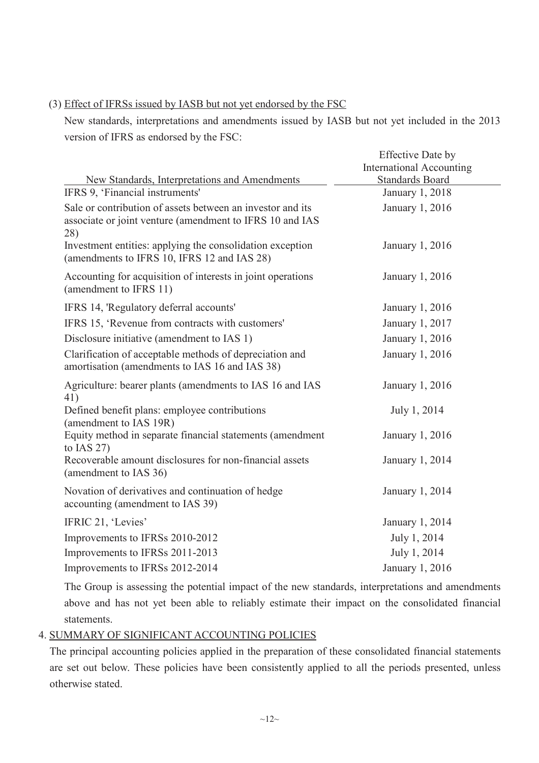# (3) Effect of IFRSs issued by IASB but not yet endorsed by the FSC

New standards, interpretations and amendments issued by IASB but not yet included in the 2013 version of IFRS as endorsed by the FSC:

|                                                                                                                               | <b>Effective Date by</b>        |
|-------------------------------------------------------------------------------------------------------------------------------|---------------------------------|
|                                                                                                                               | <b>International Accounting</b> |
| New Standards, Interpretations and Amendments                                                                                 | <b>Standards Board</b>          |
| IFRS 9, 'Financial instruments'                                                                                               | January 1, 2018                 |
| Sale or contribution of assets between an investor and its<br>associate or joint venture (amendment to IFRS 10 and IAS<br>28) | January 1, 2016                 |
| Investment entities: applying the consolidation exception<br>(amendments to IFRS 10, IFRS 12 and IAS 28)                      | January 1, 2016                 |
| Accounting for acquisition of interests in joint operations<br>(amendment to IFRS 11)                                         | January 1, 2016                 |
| IFRS 14, 'Regulatory deferral accounts'                                                                                       | January 1, 2016                 |
| IFRS 15, 'Revenue from contracts with customers'                                                                              | January 1, 2017                 |
| Disclosure initiative (amendment to IAS 1)                                                                                    | January 1, 2016                 |
| Clarification of acceptable methods of depreciation and<br>amortisation (amendments to IAS 16 and IAS 38)                     | January 1, 2016                 |
| Agriculture: bearer plants (amendments to IAS 16 and IAS<br>41)                                                               | January 1, 2016                 |
| Defined benefit plans: employee contributions<br>(amendment to IAS 19R)                                                       | July 1, 2014                    |
| Equity method in separate financial statements (amendment<br>to IAS $27$ )                                                    | January 1, 2016                 |
| Recoverable amount disclosures for non-financial assets<br>(amendment to IAS 36)                                              | January 1, 2014                 |
| Novation of derivatives and continuation of hedge<br>accounting (amendment to IAS 39)                                         | January 1, 2014                 |
| IFRIC 21, 'Levies'                                                                                                            | January 1, 2014                 |
| Improvements to IFRSs 2010-2012                                                                                               | July 1, 2014                    |
| Improvements to IFRSs 2011-2013                                                                                               | July 1, 2014                    |
| Improvements to IFRSs 2012-2014                                                                                               | January 1, 2016                 |

The Group is assessing the potential impact of the new standards, interpretations and amendments above and has not yet been able to reliably estimate their impact on the consolidated financial statements.

### 4. SUMMARY OF SIGNIFICANT ACCOUNTING POLICIES

The principal accounting policies applied in the preparation of these consolidated financial statements are set out below. These policies have been consistently applied to all the periods presented, unless otherwise stated.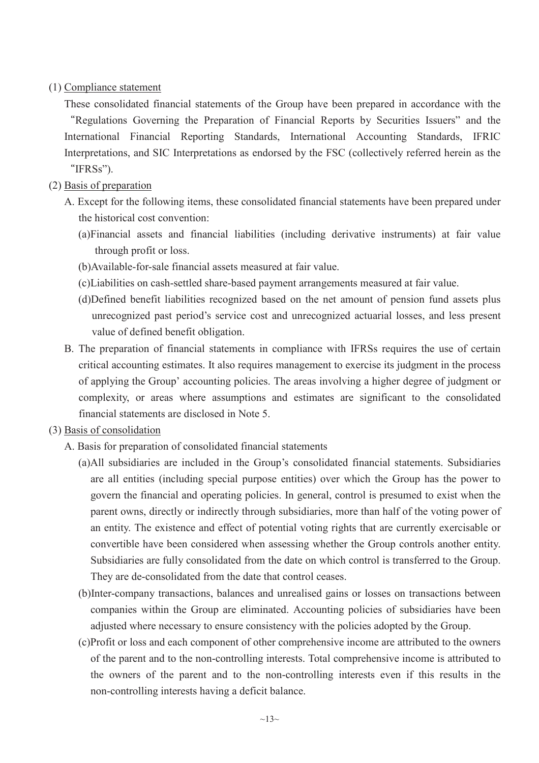### (1) Compliance statement

These consolidated financial statements of the Group have been prepared in accordance with the ȸRegulations Governing the Preparation of Financial Reports by Securities Issuers" and the International Financial Reporting Standards, International Accounting Standards, IFRIC Interpretations, and SIC Interpretations as endorsed by the FSC (collectively referred herein as the "IFRSs").

# (2) Basis of preparation

- A. Except for the following items, these consolidated financial statements have been prepared under the historical cost convention:
	- (a)Financial assets and financial liabilities (including derivative instruments) at fair value through profit or loss.
	- (b)Available-for-sale financial assets measured at fair value.
	- (c)Liabilities on cash-settled share-based payment arrangements measured at fair value.
	- (d)Defined benefit liabilities recognized based on the net amount of pension fund assets plus unrecognized past period's service cost and unrecognized actuarial losses, and less present value of defined benefit obligation.
- B. The preparation of financial statements in compliance with IFRSs requires the use of certain critical accounting estimates. It also requires management to exercise its judgment in the process of applying the Group' accounting policies. The areas involving a higher degree of judgment or complexity, or areas where assumptions and estimates are significant to the consolidated financial statements are disclosed in Note 5.
- (3) Basis of consolidation
	- A. Basis for preparation of consolidated financial statements
		- (a)All subsidiaries are included in the Group's consolidated financial statements. Subsidiaries are all entities (including special purpose entities) over which the Group has the power to govern the financial and operating policies. In general, control is presumed to exist when the parent owns, directly or indirectly through subsidiaries, more than half of the voting power of an entity. The existence and effect of potential voting rights that are currently exercisable or convertible have been considered when assessing whether the Group controls another entity. Subsidiaries are fully consolidated from the date on which control is transferred to the Group. They are de-consolidated from the date that control ceases.
		- (b)Inter-company transactions, balances and unrealised gains or losses on transactions between companies within the Group are eliminated. Accounting policies of subsidiaries have been adjusted where necessary to ensure consistency with the policies adopted by the Group.
		- (c)Profit or loss and each component of other comprehensive income are attributed to the owners of the parent and to the non-controlling interests. Total comprehensive income is attributed to the owners of the parent and to the non-controlling interests even if this results in the non-controlling interests having a deficit balance.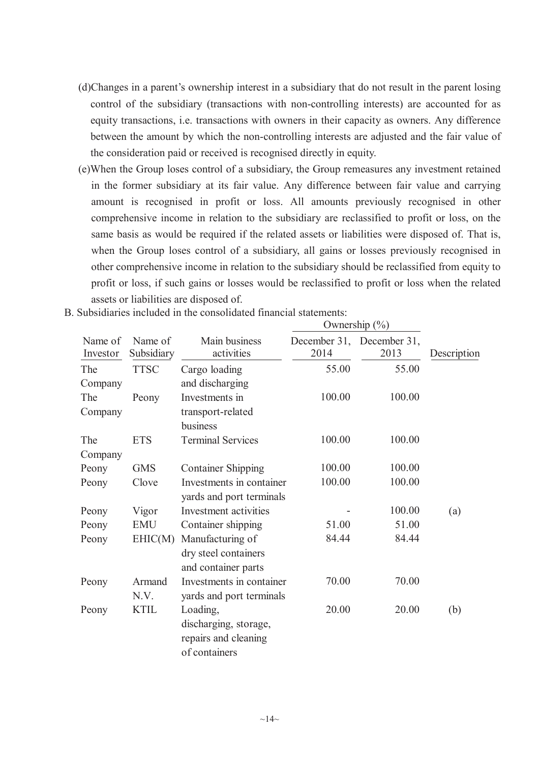- (d)Changes in a parent's ownership interest in a subsidiary that do not result in the parent losing control of the subsidiary (transactions with non-controlling interests) are accounted for as equity transactions, i.e. transactions with owners in their capacity as owners. Any difference between the amount by which the non-controlling interests are adjusted and the fair value of the consideration paid or received is recognised directly in equity.
- (e)When the Group loses control of a subsidiary, the Group remeasures any investment retained in the former subsidiary at its fair value. Any difference between fair value and carrying amount is recognised in profit or loss. All amounts previously recognised in other comprehensive income in relation to the subsidiary are reclassified to profit or loss, on the same basis as would be required if the related assets or liabilities were disposed of. That is, when the Group loses control of a subsidiary, all gains or losses previously recognised in other comprehensive income in relation to the subsidiary should be reclassified from equity to profit or loss, if such gains or losses would be reclassified to profit or loss when the related assets or liabilities are disposed of.

 $\overline{O}$ 

|                     |                       |                                                                            | Ownership $(\%)$ |                                   |             |
|---------------------|-----------------------|----------------------------------------------------------------------------|------------------|-----------------------------------|-------------|
| Name of<br>Investor | Name of<br>Subsidiary | Main business<br>activities                                                | 2014             | December 31, December 31,<br>2013 | Description |
| The                 | <b>TTSC</b>           | Cargo loading                                                              | 55.00            | 55.00                             |             |
| Company             |                       | and discharging                                                            |                  |                                   |             |
| The                 | Peony                 | Investments in                                                             | 100.00           | 100.00                            |             |
| Company             |                       | transport-related<br>business                                              |                  |                                   |             |
| The                 | <b>ETS</b>            | <b>Terminal Services</b>                                                   | 100.00           | 100.00                            |             |
| Company             |                       |                                                                            |                  |                                   |             |
| Peony               | <b>GMS</b>            | <b>Container Shipping</b>                                                  | 100.00           | 100.00                            |             |
| Peony               | Clove                 | Investments in container<br>yards and port terminals                       | 100.00           | 100.00                            |             |
| Peony               | Vigor                 | Investment activities                                                      |                  | 100.00                            | (a)         |
| Peony               | <b>EMU</b>            | Container shipping                                                         | 51.00            | 51.00                             |             |
| Peony               | EHIC(M)               | Manufacturing of<br>dry steel containers<br>and container parts            | 84.44            | 84.44                             |             |
| Peony               | Armand<br>N.V.        | Investments in container<br>yards and port terminals                       | 70.00            | 70.00                             |             |
| Peony               | <b>KTIL</b>           | Loading,<br>discharging, storage,<br>repairs and cleaning<br>of containers | 20.00            | 20.00                             | (b)         |

B. Subsidiaries included in the consolidated financial statements: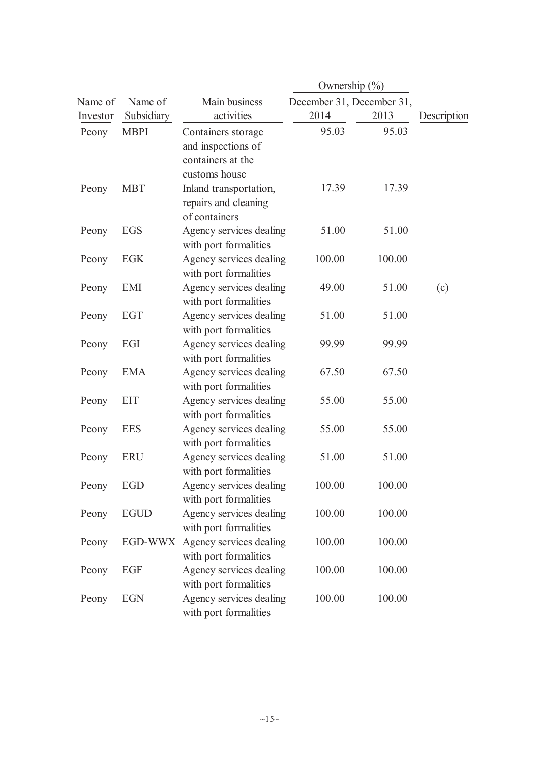| Name of  | Name of        | Main business                                                                  | December 31, December 31, |        |             |
|----------|----------------|--------------------------------------------------------------------------------|---------------------------|--------|-------------|
| Investor | Subsidiary     | activities                                                                     | 2014                      | 2013   | Description |
| Peony    | <b>MBPI</b>    | Containers storage<br>and inspections of<br>containers at the<br>customs house | 95.03                     | 95.03  |             |
| Peony    | <b>MBT</b>     | Inland transportation,<br>repairs and cleaning<br>of containers                | 17.39                     | 17.39  |             |
| Peony    | <b>EGS</b>     | Agency services dealing<br>with port formalities                               | 51.00                     | 51.00  |             |
| Peony    | <b>EGK</b>     | Agency services dealing<br>with port formalities                               | 100.00                    | 100.00 |             |
| Peony    | EMI            | Agency services dealing<br>with port formalities                               | 49.00                     | 51.00  | (c)         |
| Peony    | EGT            | Agency services dealing<br>with port formalities                               | 51.00                     | 51.00  |             |
| Peony    | EGI            | Agency services dealing<br>with port formalities                               | 99.99                     | 99.99  |             |
| Peony    | <b>EMA</b>     | Agency services dealing<br>with port formalities                               | 67.50                     | 67.50  |             |
| Peony    | <b>EIT</b>     | Agency services dealing<br>with port formalities                               | 55.00                     | 55.00  |             |
| Peony    | <b>EES</b>     | Agency services dealing<br>with port formalities                               | 55.00                     | 55.00  |             |
| Peony    | <b>ERU</b>     | Agency services dealing<br>with port formalities                               | 51.00                     | 51.00  |             |
| Peony    | EGD            | Agency services dealing<br>with port formalities                               | 100.00                    | 100.00 |             |
| Peony    | <b>EGUD</b>    | Agency services dealing<br>with port formalities                               | 100.00                    | 100.00 |             |
| Peony    | <b>EGD-WWX</b> | Agency services dealing<br>with port formalities                               | 100.00                    | 100.00 |             |
| Peony    | EGF            | Agency services dealing<br>with port formalities                               | 100.00                    | 100.00 |             |
| Peony    | <b>EGN</b>     | Agency services dealing<br>with port formalities                               | 100.00                    | 100.00 |             |
|          |                |                                                                                |                           |        |             |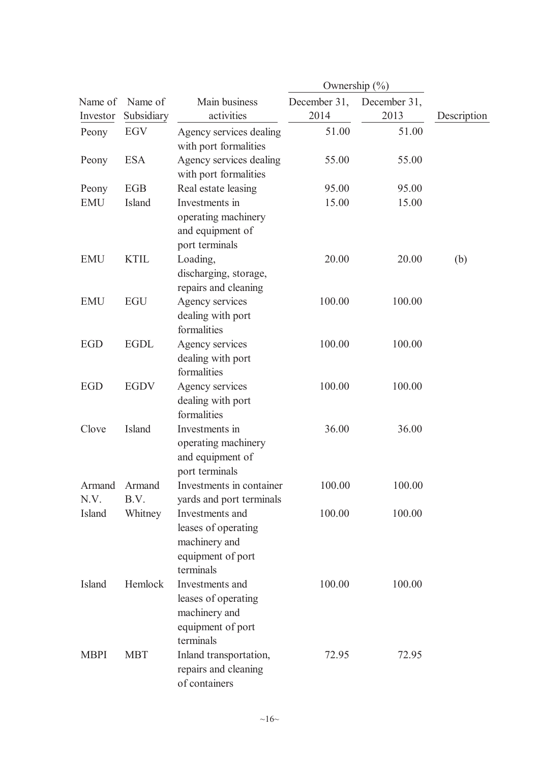|                |                |                                                                                           | Ownership $(\%)$ |              |             |
|----------------|----------------|-------------------------------------------------------------------------------------------|------------------|--------------|-------------|
| Name of        | Name of        | Main business                                                                             | December 31,     | December 31, |             |
| Investor       | Subsidiary     | activities                                                                                | 2014             | 2013         | Description |
| Peony          | EGV            | Agency services dealing<br>with port formalities                                          | 51.00            | 51.00        |             |
| Peony          | <b>ESA</b>     | Agency services dealing<br>with port formalities                                          | 55.00            | 55.00        |             |
| Peony          | <b>EGB</b>     | Real estate leasing                                                                       | 95.00            | 95.00        |             |
| <b>EMU</b>     | Island         | Investments in<br>operating machinery<br>and equipment of<br>port terminals               | 15.00            | 15.00        |             |
| <b>EMU</b>     | <b>KTIL</b>    | Loading,<br>discharging, storage,<br>repairs and cleaning                                 | 20.00            | 20.00        | (b)         |
| <b>EMU</b>     | <b>EGU</b>     | Agency services<br>dealing with port<br>formalities                                       | 100.00           | 100.00       |             |
| <b>EGD</b>     | <b>EGDL</b>    | Agency services<br>dealing with port<br>formalities                                       | 100.00           | 100.00       |             |
| <b>EGD</b>     | <b>EGDV</b>    | Agency services<br>dealing with port<br>formalities                                       | 100.00           | 100.00       |             |
| Clove          | Island         | Investments in<br>operating machinery<br>and equipment of<br>port terminals               | 36.00            | 36.00        |             |
| Armand<br>N.V. | Armand<br>B.V. | Investments in container<br>yards and port terminals                                      | 100.00           | 100.00       |             |
| Island         | Whitney        | Investments and<br>leases of operating<br>machinery and<br>equipment of port<br>terminals | 100.00           | 100.00       |             |
| Island         | Hemlock        | Investments and<br>leases of operating<br>machinery and<br>equipment of port<br>terminals | 100.00           | 100.00       |             |
| <b>MBPI</b>    | <b>MBT</b>     | Inland transportation,<br>repairs and cleaning<br>of containers                           | 72.95            | 72.95        |             |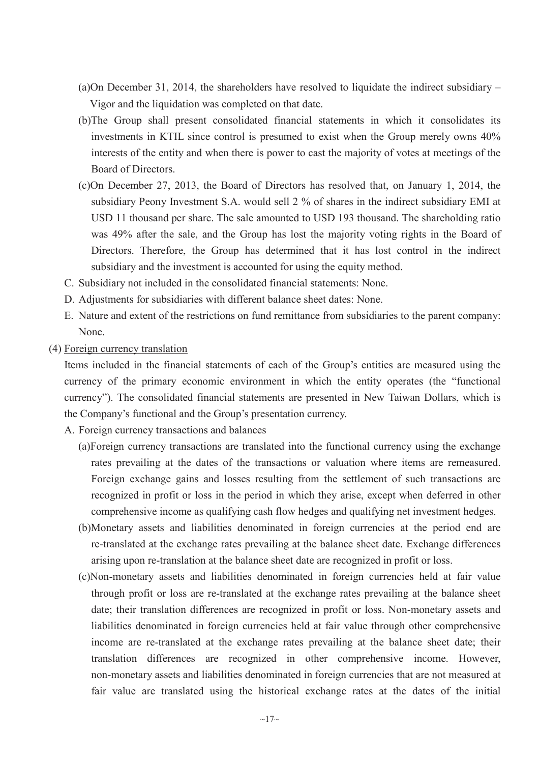- (a)On December 31, 2014, the shareholders have resolved to liquidate the indirect subsidiary Vigor and the liquidation was completed on that date.
- (b)The Group shall present consolidated financial statements in which it consolidates its investments in KTIL since control is presumed to exist when the Group merely owns 40% interests of the entity and when there is power to cast the majority of votes at meetings of the Board of Directors.
- (c)On December 27, 2013, the Board of Directors has resolved that, on January 1, 2014, the subsidiary Peony Investment S.A. would sell 2 % of shares in the indirect subsidiary EMI at USD 11 thousand per share. The sale amounted to USD 193 thousand. The shareholding ratio was 49% after the sale, and the Group has lost the majority voting rights in the Board of Directors. Therefore, the Group has determined that it has lost control in the indirect subsidiary and the investment is accounted for using the equity method.
- C. Subsidiary not included in the consolidated financial statements: None.
- D. Adjustments for subsidiaries with different balance sheet dates: None.
- E. Nature and extent of the restrictions on fund remittance from subsidiaries to the parent company: None.
- (4) Foreign currency translation

Items included in the financial statements of each of the Group's entities are measured using the currency of the primary economic environment in which the entity operates (the "functional currency"). The consolidated financial statements are presented in New Taiwan Dollars, which is the Company's functional and the Group's presentation currency.

- A. Foreign currency transactions and balances
	- (a)Foreign currency transactions are translated into the functional currency using the exchange rates prevailing at the dates of the transactions or valuation where items are remeasured. Foreign exchange gains and losses resulting from the settlement of such transactions are recognized in profit or loss in the period in which they arise, except when deferred in other comprehensive income as qualifying cash flow hedges and qualifying net investment hedges.
	- (b)Monetary assets and liabilities denominated in foreign currencies at the period end are re-translated at the exchange rates prevailing at the balance sheet date. Exchange differences arising upon re-translation at the balance sheet date are recognized in profit or loss.
	- (c)Non-monetary assets and liabilities denominated in foreign currencies held at fair value through profit or loss are re-translated at the exchange rates prevailing at the balance sheet date; their translation differences are recognized in profit or loss. Non-monetary assets and liabilities denominated in foreign currencies held at fair value through other comprehensive income are re-translated at the exchange rates prevailing at the balance sheet date; their translation differences are recognized in other comprehensive income. However, non-monetary assets and liabilities denominated in foreign currencies that are not measured at fair value are translated using the historical exchange rates at the dates of the initial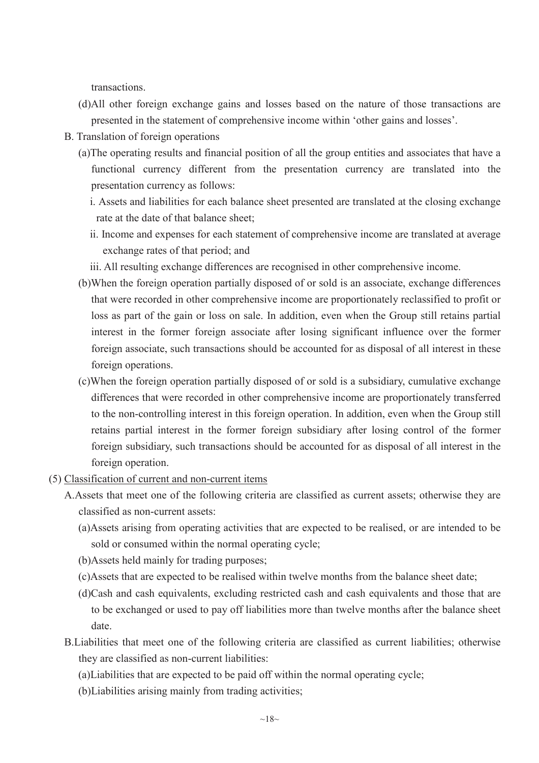transactions.

- (d)All other foreign exchange gains and losses based on the nature of those transactions are presented in the statement of comprehensive income within 'other gains and losses'.
- B. Translation of foreign operations
	- (a)The operating results and financial position of all the group entities and associates that have a functional currency different from the presentation currency are translated into the presentation currency as follows:
		- i. Assets and liabilities for each balance sheet presented are translated at the closing exchange rate at the date of that balance sheet;
		- ii. Income and expenses for each statement of comprehensive income are translated at average exchange rates of that period; and
		- iii. All resulting exchange differences are recognised in other comprehensive income.
	- (b)When the foreign operation partially disposed of or sold is an associate, exchange differences that were recorded in other comprehensive income are proportionately reclassified to profit or loss as part of the gain or loss on sale. In addition, even when the Group still retains partial interest in the former foreign associate after losing significant influence over the former foreign associate, such transactions should be accounted for as disposal of all interest in these foreign operations.
	- (c)When the foreign operation partially disposed of or sold is a subsidiary, cumulative exchange differences that were recorded in other comprehensive income are proportionately transferred to the non-controlling interest in this foreign operation. In addition, even when the Group still retains partial interest in the former foreign subsidiary after losing control of the former foreign subsidiary, such transactions should be accounted for as disposal of all interest in the foreign operation.
- (5) Classification of current and non-current items
	- A.Assets that meet one of the following criteria are classified as current assets; otherwise they are classified as non-current assets:
		- (a)Assets arising from operating activities that are expected to be realised, or are intended to be sold or consumed within the normal operating cycle;
		- (b)Assets held mainly for trading purposes;
		- (c)Assets that are expected to be realised within twelve months from the balance sheet date;
		- (d)Cash and cash equivalents, excluding restricted cash and cash equivalents and those that are to be exchanged or used to pay off liabilities more than twelve months after the balance sheet date.
	- B.Liabilities that meet one of the following criteria are classified as current liabilities; otherwise they are classified as non-current liabilities:
		- (a)Liabilities that are expected to be paid off within the normal operating cycle;
		- (b)Liabilities arising mainly from trading activities;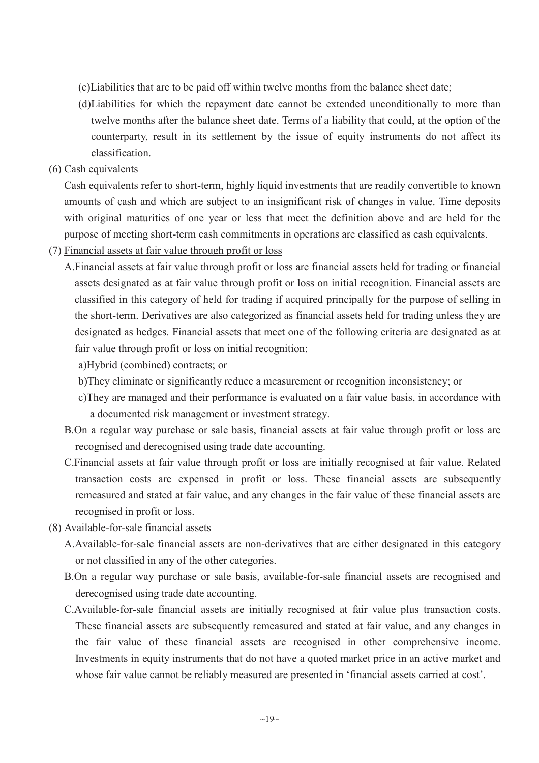- (c)Liabilities that are to be paid off within twelve months from the balance sheet date;
- (d)Liabilities for which the repayment date cannot be extended unconditionally to more than twelve months after the balance sheet date. Terms of a liability that could, at the option of the counterparty, result in its settlement by the issue of equity instruments do not affect its classification.
- (6) Cash equivalents

Cash equivalents refer to short-term, highly liquid investments that are readily convertible to known amounts of cash and which are subject to an insignificant risk of changes in value. Time deposits with original maturities of one year or less that meet the definition above and are held for the purpose of meeting short-term cash commitments in operations are classified as cash equivalents.

(7) Financial assets at fair value through profit or loss

A.Financial assets at fair value through profit or loss are financial assets held for trading or financial assets designated as at fair value through profit or loss on initial recognition. Financial assets are classified in this category of held for trading if acquired principally for the purpose of selling in the short-term. Derivatives are also categorized as financial assets held for trading unless they are designated as hedges. Financial assets that meet one of the following criteria are designated as at fair value through profit or loss on initial recognition:

a)Hybrid (combined) contracts; or

- b)They eliminate or significantly reduce a measurement or recognition inconsistency; or
- c)They are managed and their performance is evaluated on a fair value basis, in accordance with a documented risk management or investment strategy.
- B.On a regular way purchase or sale basis, financial assets at fair value through profit or loss are recognised and derecognised using trade date accounting.
- C.Financial assets at fair value through profit or loss are initially recognised at fair value. Related transaction costs are expensed in profit or loss. These financial assets are subsequently remeasured and stated at fair value, and any changes in the fair value of these financial assets are recognised in profit or loss.
- (8) Available-for-sale financial assets
	- A.Available-for-sale financial assets are non-derivatives that are either designated in this category or not classified in any of the other categories.
	- B.On a regular way purchase or sale basis, available-for-sale financial assets are recognised and derecognised using trade date accounting.
	- C.Available-for-sale financial assets are initially recognised at fair value plus transaction costs. These financial assets are subsequently remeasured and stated at fair value, and any changes in the fair value of these financial assets are recognised in other comprehensive income. Investments in equity instruments that do not have a quoted market price in an active market and whose fair value cannot be reliably measured are presented in 'financial assets carried at cost'.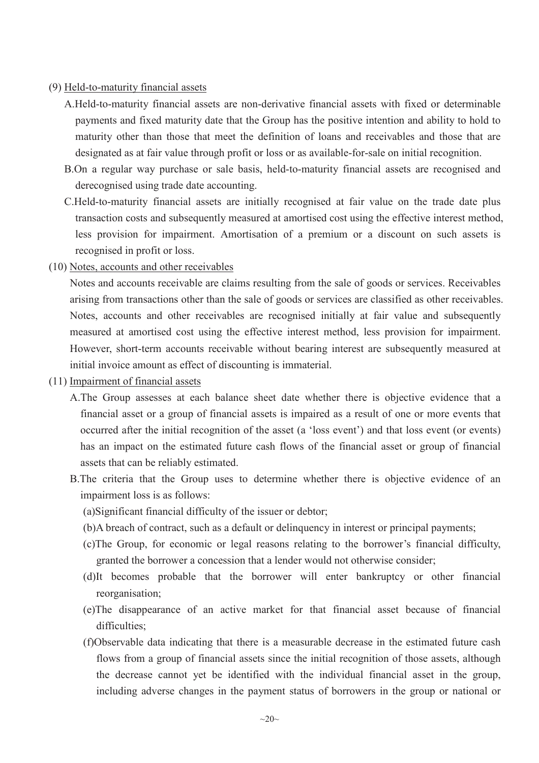#### (9) Held-to-maturity financial assets

- A.Held-to-maturity financial assets are non-derivative financial assets with fixed or determinable payments and fixed maturity date that the Group has the positive intention and ability to hold to maturity other than those that meet the definition of loans and receivables and those that are designated as at fair value through profit or loss or as available-for-sale on initial recognition.
- B.On a regular way purchase or sale basis, held-to-maturity financial assets are recognised and derecognised using trade date accounting.
- C.Held-to-maturity financial assets are initially recognised at fair value on the trade date plus transaction costs and subsequently measured at amortised cost using the effective interest method, less provision for impairment. Amortisation of a premium or a discount on such assets is recognised in profit or loss.
- (10) Notes, accounts and other receivables

Notes and accounts receivable are claims resulting from the sale of goods or services. Receivables arising from transactions other than the sale of goods or services are classified as other receivables. Notes, accounts and other receivables are recognised initially at fair value and subsequently measured at amortised cost using the effective interest method, less provision for impairment. However, short-term accounts receivable without bearing interest are subsequently measured at initial invoice amount as effect of discounting is immaterial.

#### (11) Impairment of financial assets

- A.The Group assesses at each balance sheet date whether there is objective evidence that a financial asset or a group of financial assets is impaired as a result of one or more events that occurred after the initial recognition of the asset (a 'loss event') and that loss event (or events) has an impact on the estimated future cash flows of the financial asset or group of financial assets that can be reliably estimated.
- B.The criteria that the Group uses to determine whether there is objective evidence of an impairment loss is as follows:
	- (a)Significant financial difficulty of the issuer or debtor;
	- (b)A breach of contract, such as a default or delinquency in interest or principal payments;
	- (c)The Group, for economic or legal reasons relating to the borrower's financial difficulty, granted the borrower a concession that a lender would not otherwise consider;
	- (d)It becomes probable that the borrower will enter bankruptcy or other financial reorganisation;
	- (e)The disappearance of an active market for that financial asset because of financial difficulties;
	- (f)Observable data indicating that there is a measurable decrease in the estimated future cash flows from a group of financial assets since the initial recognition of those assets, although the decrease cannot yet be identified with the individual financial asset in the group, including adverse changes in the payment status of borrowers in the group or national or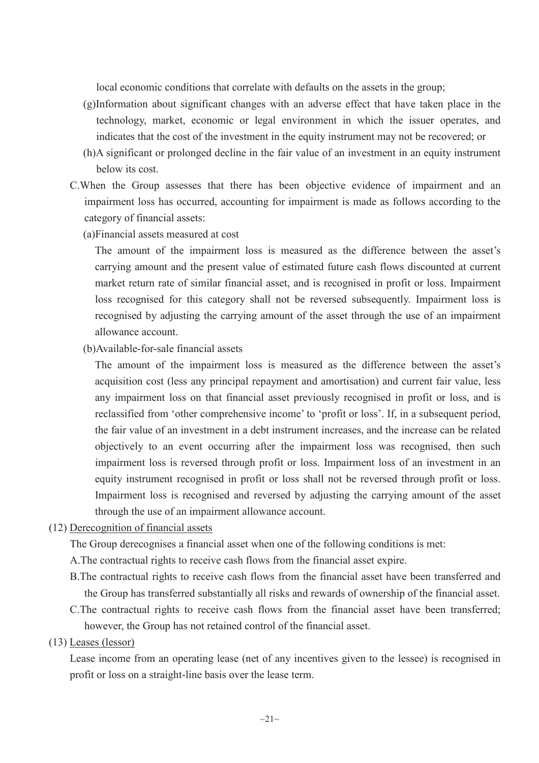local economic conditions that correlate with defaults on the assets in the group;

- (g)Information about significant changes with an adverse effect that have taken place in the technology, market, economic or legal environment in which the issuer operates, and indicates that the cost of the investment in the equity instrument may not be recovered; or
- (h)A significant or prolonged decline in the fair value of an investment in an equity instrument below its cost.
- C.When the Group assesses that there has been objective evidence of impairment and an impairment loss has occurred, accounting for impairment is made as follows according to the category of financial assets:
	- (a)Financial assets measured at cost

The amount of the impairment loss is measured as the difference between the asset's carrying amount and the present value of estimated future cash flows discounted at current market return rate of similar financial asset, and is recognised in profit or loss. Impairment loss recognised for this category shall not be reversed subsequently. Impairment loss is recognised by adjusting the carrying amount of the asset through the use of an impairment allowance account.

(b)Available-for-sale financial assets

The amount of the impairment loss is measured as the difference between the asset's acquisition cost (less any principal repayment and amortisation) and current fair value, less any impairment loss on that financial asset previously recognised in profit or loss, and is reclassified from 'other comprehensive income' to 'profit or loss'. If, in a subsequent period, the fair value of an investment in a debt instrument increases, and the increase can be related objectively to an event occurring after the impairment loss was recognised, then such impairment loss is reversed through profit or loss. Impairment loss of an investment in an equity instrument recognised in profit or loss shall not be reversed through profit or loss. Impairment loss is recognised and reversed by adjusting the carrying amount of the asset through the use of an impairment allowance account.

#### (12) Derecognition of financial assets

The Group derecognises a financial asset when one of the following conditions is met:

- A.The contractual rights to receive cash flows from the financial asset expire.
- B.The contractual rights to receive cash flows from the financial asset have been transferred and the Group has transferred substantially all risks and rewards of ownership of the financial asset.
- C.The contractual rights to receive cash flows from the financial asset have been transferred; however, the Group has not retained control of the financial asset.

#### (13) Leases (lessor)

Lease income from an operating lease (net of any incentives given to the lessee) is recognised in profit or loss on a straight-line basis over the lease term.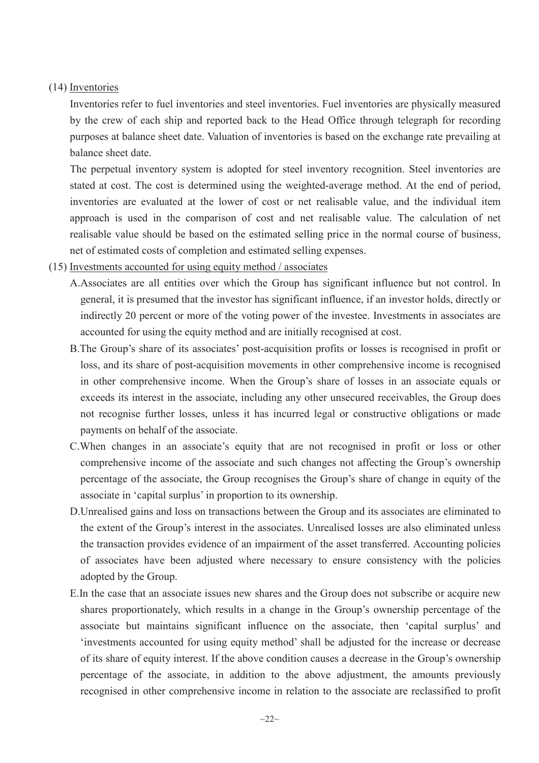#### (14) Inventories

Inventories refer to fuel inventories and steel inventories. Fuel inventories are physically measured by the crew of each ship and reported back to the Head Office through telegraph for recording purposes at balance sheet date. Valuation of inventories is based on the exchange rate prevailing at balance sheet date.

The perpetual inventory system is adopted for steel inventory recognition. Steel inventories are stated at cost. The cost is determined using the weighted-average method. At the end of period, inventories are evaluated at the lower of cost or net realisable value, and the individual item approach is used in the comparison of cost and net realisable value. The calculation of net realisable value should be based on the estimated selling price in the normal course of business, net of estimated costs of completion and estimated selling expenses.

#### (15) Investments accounted for using equity method / associates

- A.Associates are all entities over which the Group has significant influence but not control. In general, it is presumed that the investor has significant influence, if an investor holds, directly or indirectly 20 percent or more of the voting power of the investee. Investments in associates are accounted for using the equity method and are initially recognised at cost.
- B.The Group's share of its associates' post-acquisition profits or losses is recognised in profit or loss, and its share of post-acquisition movements in other comprehensive income is recognised in other comprehensive income. When the Group's share of losses in an associate equals or exceeds its interest in the associate, including any other unsecured receivables, the Group does not recognise further losses, unless it has incurred legal or constructive obligations or made payments on behalf of the associate.
- C.When changes in an associate's equity that are not recognised in profit or loss or other comprehensive income of the associate and such changes not affecting the Group's ownership percentage of the associate, the Group recognises the Group's share of change in equity of the associate in 'capital surplus' in proportion to its ownership.
- D.Unrealised gains and loss on transactions between the Group and its associates are eliminated to the extent of the Group's interest in the associates. Unrealised losses are also eliminated unless the transaction provides evidence of an impairment of the asset transferred. Accounting policies of associates have been adjusted where necessary to ensure consistency with the policies adopted by the Group.
- E.In the case that an associate issues new shares and the Group does not subscribe or acquire new shares proportionately, which results in a change in the Group's ownership percentage of the associate but maintains significant influence on the associate, then 'capital surplus' and 'investments accounted for using equity method' shall be adjusted for the increase or decrease of its share of equity interest. If the above condition causes a decrease in the Group's ownership percentage of the associate, in addition to the above adjustment, the amounts previously recognised in other comprehensive income in relation to the associate are reclassified to profit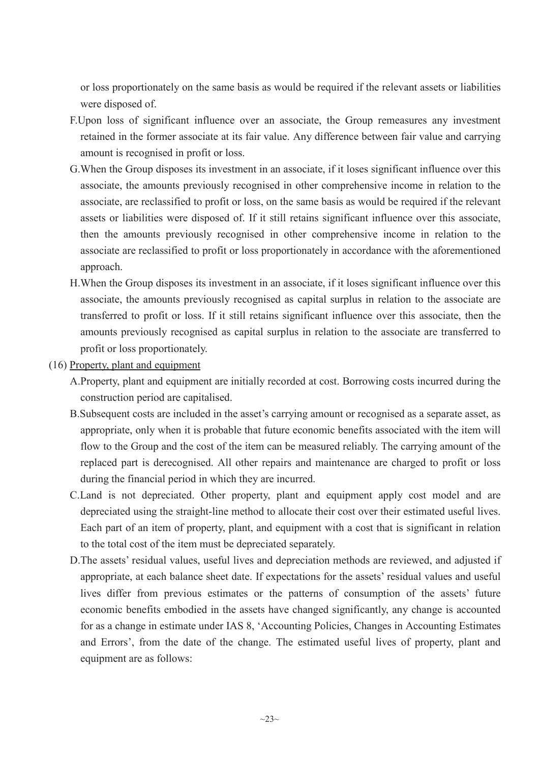or loss proportionately on the same basis as would be required if the relevant assets or liabilities were disposed of.

- F.Upon loss of significant influence over an associate, the Group remeasures any investment retained in the former associate at its fair value. Any difference between fair value and carrying amount is recognised in profit or loss.
- G.When the Group disposes its investment in an associate, if it loses significant influence over this associate, the amounts previously recognised in other comprehensive income in relation to the associate, are reclassified to profit or loss, on the same basis as would be required if the relevant assets or liabilities were disposed of. If it still retains significant influence over this associate, then the amounts previously recognised in other comprehensive income in relation to the associate are reclassified to profit or loss proportionately in accordance with the aforementioned approach.
- H.When the Group disposes its investment in an associate, if it loses significant influence over this associate, the amounts previously recognised as capital surplus in relation to the associate are transferred to profit or loss. If it still retains significant influence over this associate, then the amounts previously recognised as capital surplus in relation to the associate are transferred to profit or loss proportionately.
- (16) Property, plant and equipment
	- A.Property, plant and equipment are initially recorded at cost. Borrowing costs incurred during the construction period are capitalised.
	- B.Subsequent costs are included in the asset's carrying amount or recognised as a separate asset, as appropriate, only when it is probable that future economic benefits associated with the item will flow to the Group and the cost of the item can be measured reliably. The carrying amount of the replaced part is derecognised. All other repairs and maintenance are charged to profit or loss during the financial period in which they are incurred.
	- C.Land is not depreciated. Other property, plant and equipment apply cost model and are depreciated using the straight-line method to allocate their cost over their estimated useful lives. Each part of an item of property, plant, and equipment with a cost that is significant in relation to the total cost of the item must be depreciated separately.
	- D.The assets' residual values, useful lives and depreciation methods are reviewed, and adjusted if appropriate, at each balance sheet date. If expectations for the assets' residual values and useful lives differ from previous estimates or the patterns of consumption of the assets' future economic benefits embodied in the assets have changed significantly, any change is accounted for as a change in estimate under IAS 8, 'Accounting Policies, Changes in Accounting Estimates and Errors', from the date of the change. The estimated useful lives of property, plant and equipment are as follows: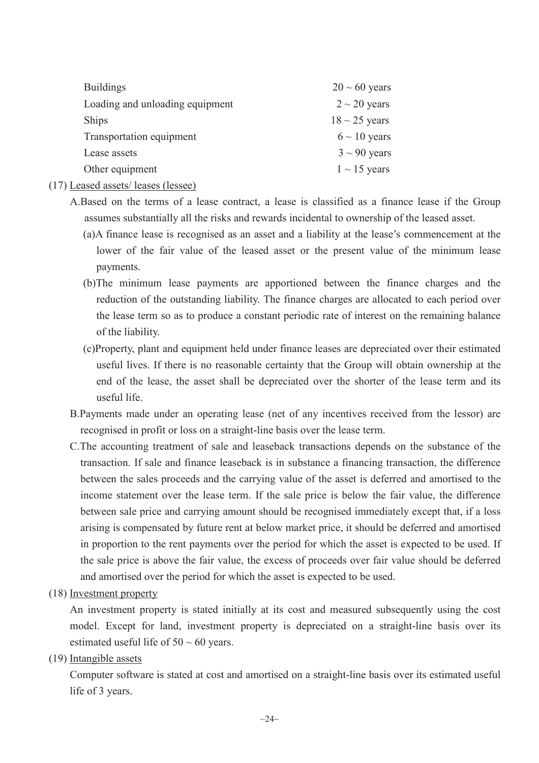| $20 \sim 60$ years |
|--------------------|
| $2 \sim 20$ years  |
| $18 \sim 25$ years |
| $6 \sim 10$ years  |
| $3 \sim 90$ years  |
| $1 \sim 15$ years  |
|                    |

- (17) Leased assets/ leases (lessee)
	- A.Based on the terms of a lease contract, a lease is classified as a finance lease if the Group assumes substantially all the risks and rewards incidental to ownership of the leased asset.
		- (a)A finance lease is recognised as an asset and a liability at the lease's commencement at the lower of the fair value of the leased asset or the present value of the minimum lease payments.
		- (b)The minimum lease payments are apportioned between the finance charges and the reduction of the outstanding liability. The finance charges are allocated to each period over the lease term so as to produce a constant periodic rate of interest on the remaining balance of the liability.
		- (c)Property, plant and equipment held under finance leases are depreciated over their estimated useful lives. If there is no reasonable certainty that the Group will obtain ownership at the end of the lease, the asset shall be depreciated over the shorter of the lease term and its useful life.
	- B.Payments made under an operating lease (net of any incentives received from the lessor) are recognised in profit or loss on a straight-line basis over the lease term.
	- C.The accounting treatment of sale and leaseback transactions depends on the substance of the transaction. If sale and finance leaseback is in substance a financing transaction, the difference between the sales proceeds and the carrying value of the asset is deferred and amortised to the income statement over the lease term. If the sale price is below the fair value, the difference between sale price and carrying amount should be recognised immediately except that, if a loss arising is compensated by future rent at below market price, it should be deferred and amortised in proportion to the rent payments over the period for which the asset is expected to be used. If the sale price is above the fair value, the excess of proceeds over fair value should be deferred and amortised over the period for which the asset is expected to be used.
- (18) Investment property

An investment property is stated initially at its cost and measured subsequently using the cost model. Except for land, investment property is depreciated on a straight-line basis over its estimated useful life of  $50 \sim 60$  years.

(19) Intangible assets

Computer software is stated at cost and amortised on a straight-line basis over its estimated useful life of 3 years.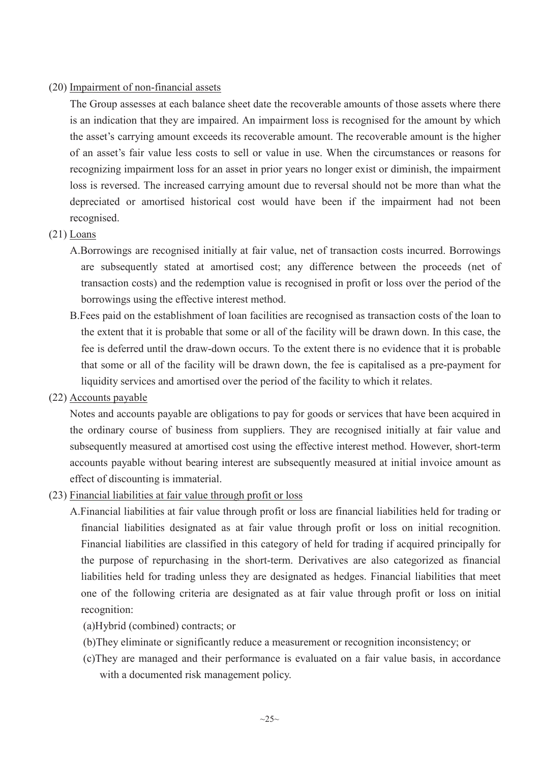### (20) Impairment of non-financial assets

The Group assesses at each balance sheet date the recoverable amounts of those assets where there is an indication that they are impaired. An impairment loss is recognised for the amount by which the asset's carrying amount exceeds its recoverable amount. The recoverable amount is the higher of an asset's fair value less costs to sell or value in use. When the circumstances or reasons for recognizing impairment loss for an asset in prior years no longer exist or diminish, the impairment loss is reversed. The increased carrying amount due to reversal should not be more than what the depreciated or amortised historical cost would have been if the impairment had not been recognised.

#### (21) Loans

- A.Borrowings are recognised initially at fair value, net of transaction costs incurred. Borrowings are subsequently stated at amortised cost; any difference between the proceeds (net of transaction costs) and the redemption value is recognised in profit or loss over the period of the borrowings using the effective interest method.
- B.Fees paid on the establishment of loan facilities are recognised as transaction costs of the loan to the extent that it is probable that some or all of the facility will be drawn down. In this case, the fee is deferred until the draw-down occurs. To the extent there is no evidence that it is probable that some or all of the facility will be drawn down, the fee is capitalised as a pre-payment for liquidity services and amortised over the period of the facility to which it relates.
- (22) Accounts payable

Notes and accounts payable are obligations to pay for goods or services that have been acquired in the ordinary course of business from suppliers. They are recognised initially at fair value and subsequently measured at amortised cost using the effective interest method. However, short-term accounts payable without bearing interest are subsequently measured at initial invoice amount as effect of discounting is immaterial.

- (23) Financial liabilities at fair value through profit or loss
	- A.Financial liabilities at fair value through profit or loss are financial liabilities held for trading or financial liabilities designated as at fair value through profit or loss on initial recognition. Financial liabilities are classified in this category of held for trading if acquired principally for the purpose of repurchasing in the short-term. Derivatives are also categorized as financial liabilities held for trading unless they are designated as hedges. Financial liabilities that meet one of the following criteria are designated as at fair value through profit or loss on initial recognition:
		- (a)Hybrid (combined) contracts; or
		- (b)They eliminate or significantly reduce a measurement or recognition inconsistency; or
		- (c)They are managed and their performance is evaluated on a fair value basis, in accordance with a documented risk management policy.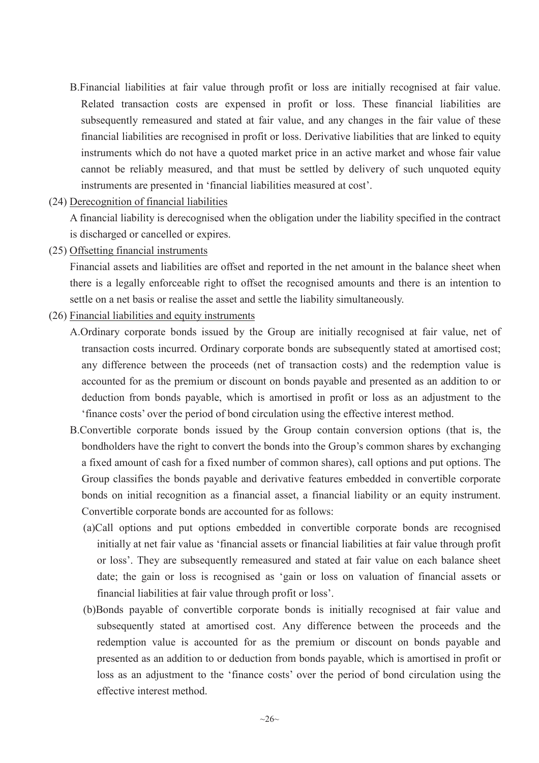- B.Financial liabilities at fair value through profit or loss are initially recognised at fair value. Related transaction costs are expensed in profit or loss. These financial liabilities are subsequently remeasured and stated at fair value, and any changes in the fair value of these financial liabilities are recognised in profit or loss. Derivative liabilities that are linked to equity instruments which do not have a quoted market price in an active market and whose fair value cannot be reliably measured, and that must be settled by delivery of such unquoted equity instruments are presented in 'financial liabilities measured at cost'.
- (24) Derecognition of financial liabilities

A financial liability is derecognised when the obligation under the liability specified in the contract is discharged or cancelled or expires.

(25) Offsetting financial instruments

Financial assets and liabilities are offset and reported in the net amount in the balance sheet when there is a legally enforceable right to offset the recognised amounts and there is an intention to settle on a net basis or realise the asset and settle the liability simultaneously.

- (26) Financial liabilities and equity instruments
	- A.Ordinary corporate bonds issued by the Group are initially recognised at fair value, net of transaction costs incurred. Ordinary corporate bonds are subsequently stated at amortised cost; any difference between the proceeds (net of transaction costs) and the redemption value is accounted for as the premium or discount on bonds payable and presented as an addition to or deduction from bonds payable, which is amortised in profit or loss as an adjustment to the 'finance costs' over the period of bond circulation using the effective interest method.
	- B.Convertible corporate bonds issued by the Group contain conversion options (that is, the bondholders have the right to convert the bonds into the Group's common shares by exchanging a fixed amount of cash for a fixed number of common shares), call options and put options. The Group classifies the bonds payable and derivative features embedded in convertible corporate bonds on initial recognition as a financial asset, a financial liability or an equity instrument. Convertible corporate bonds are accounted for as follows:
		- (a)Call options and put options embedded in convertible corporate bonds are recognised initially at net fair value as 'financial assets or financial liabilities at fair value through profit or loss'. They are subsequently remeasured and stated at fair value on each balance sheet date; the gain or loss is recognised as 'gain or loss on valuation of financial assets or financial liabilities at fair value through profit or loss'.
		- (b)Bonds payable of convertible corporate bonds is initially recognised at fair value and subsequently stated at amortised cost. Any difference between the proceeds and the redemption value is accounted for as the premium or discount on bonds payable and presented as an addition to or deduction from bonds payable, which is amortised in profit or loss as an adjustment to the 'finance costs' over the period of bond circulation using the effective interest method.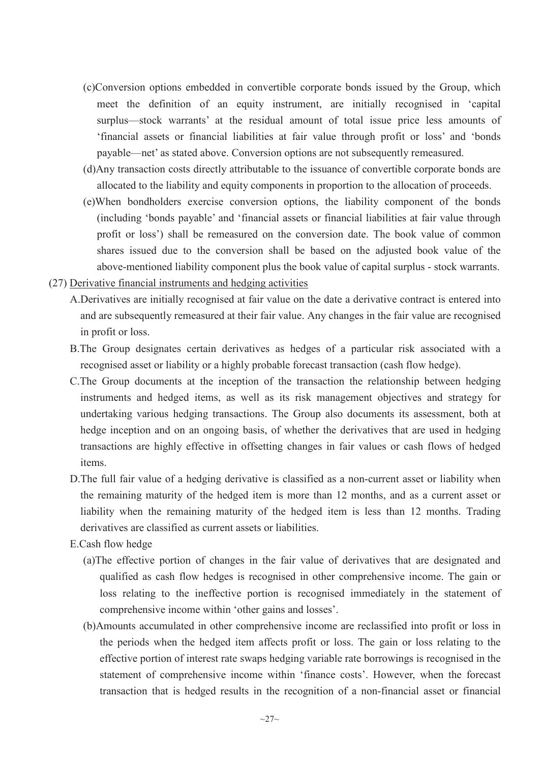- (c)Conversion options embedded in convertible corporate bonds issued by the Group, which meet the definition of an equity instrument, are initially recognised in 'capital surplus—stock warrants' at the residual amount of total issue price less amounts of 'financial assets or financial liabilities at fair value through profit or loss' and 'bonds payable—net' as stated above. Conversion options are not subsequently remeasured.
- (d)Any transaction costs directly attributable to the issuance of convertible corporate bonds are allocated to the liability and equity components in proportion to the allocation of proceeds.
- (e)When bondholders exercise conversion options, the liability component of the bonds (including 'bonds payable' and 'financial assets or financial liabilities at fair value through profit or loss') shall be remeasured on the conversion date. The book value of common shares issued due to the conversion shall be based on the adjusted book value of the above-mentioned liability component plus the book value of capital surplus - stock warrants.
- (27) Derivative financial instruments and hedging activities
	- A.Derivatives are initially recognised at fair value on the date a derivative contract is entered into and are subsequently remeasured at their fair value. Any changes in the fair value are recognised in profit or loss.
	- B.The Group designates certain derivatives as hedges of a particular risk associated with a recognised asset or liability or a highly probable forecast transaction (cash flow hedge).
	- C.The Group documents at the inception of the transaction the relationship between hedging instruments and hedged items, as well as its risk management objectives and strategy for undertaking various hedging transactions. The Group also documents its assessment, both at hedge inception and on an ongoing basis, of whether the derivatives that are used in hedging transactions are highly effective in offsetting changes in fair values or cash flows of hedged items.
	- D.The full fair value of a hedging derivative is classified as a non-current asset or liability when the remaining maturity of the hedged item is more than 12 months, and as a current asset or liability when the remaining maturity of the hedged item is less than 12 months. Trading derivatives are classified as current assets or liabilities.
	- E.Cash flow hedge
		- (a)The effective portion of changes in the fair value of derivatives that are designated and qualified as cash flow hedges is recognised in other comprehensive income. The gain or loss relating to the ineffective portion is recognised immediately in the statement of comprehensive income within 'other gains and losses'.
		- (b)Amounts accumulated in other comprehensive income are reclassified into profit or loss in the periods when the hedged item affects profit or loss. The gain or loss relating to the effective portion of interest rate swaps hedging variable rate borrowings is recognised in the statement of comprehensive income within 'finance costs'. However, when the forecast transaction that is hedged results in the recognition of a non-financial asset or financial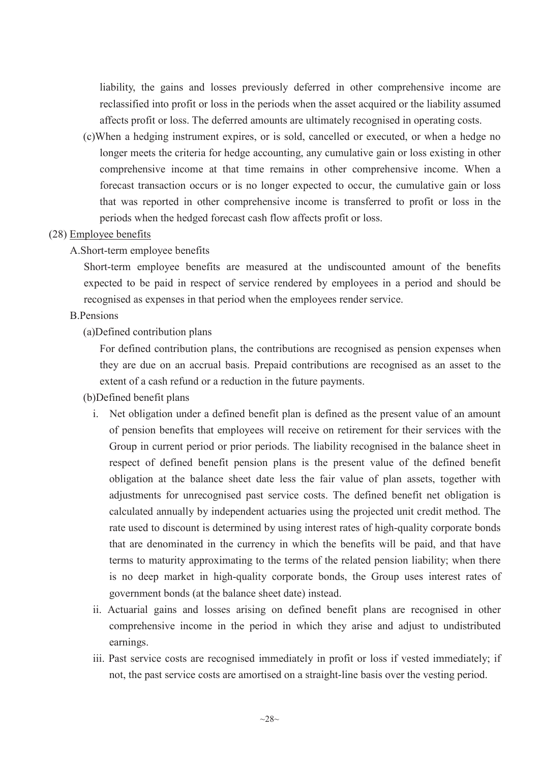liability, the gains and losses previously deferred in other comprehensive income are reclassified into profit or loss in the periods when the asset acquired or the liability assumed affects profit or loss. The deferred amounts are ultimately recognised in operating costs.

(c)When a hedging instrument expires, or is sold, cancelled or executed, or when a hedge no longer meets the criteria for hedge accounting, any cumulative gain or loss existing in other comprehensive income at that time remains in other comprehensive income. When a forecast transaction occurs or is no longer expected to occur, the cumulative gain or loss that was reported in other comprehensive income is transferred to profit or loss in the periods when the hedged forecast cash flow affects profit or loss.

### (28) Employee benefits

# A.Short-term employee benefits

Short-term employee benefits are measured at the undiscounted amount of the benefits expected to be paid in respect of service rendered by employees in a period and should be recognised as expenses in that period when the employees render service.

### B.Pensions

(a)Defined contribution plans

For defined contribution plans, the contributions are recognised as pension expenses when they are due on an accrual basis. Prepaid contributions are recognised as an asset to the extent of a cash refund or a reduction in the future payments.

- (b)Defined benefit plans
	- i. Net obligation under a defined benefit plan is defined as the present value of an amount of pension benefits that employees will receive on retirement for their services with the Group in current period or prior periods. The liability recognised in the balance sheet in respect of defined benefit pension plans is the present value of the defined benefit obligation at the balance sheet date less the fair value of plan assets, together with adjustments for unrecognised past service costs. The defined benefit net obligation is calculated annually by independent actuaries using the projected unit credit method. The rate used to discount is determined by using interest rates of high-quality corporate bonds that are denominated in the currency in which the benefits will be paid, and that have terms to maturity approximating to the terms of the related pension liability; when there is no deep market in high-quality corporate bonds, the Group uses interest rates of government bonds (at the balance sheet date) instead.
	- ii. Actuarial gains and losses arising on defined benefit plans are recognised in other comprehensive income in the period in which they arise and adjust to undistributed earnings.
	- iii. Past service costs are recognised immediately in profit or loss if vested immediately; if not, the past service costs are amortised on a straight-line basis over the vesting period.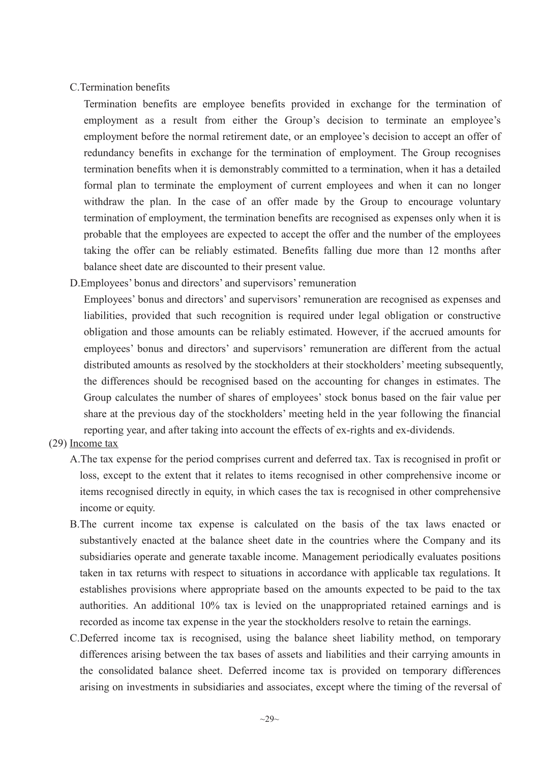#### C.Termination benefits

Termination benefits are employee benefits provided in exchange for the termination of employment as a result from either the Group's decision to terminate an employee's employment before the normal retirement date, or an employee's decision to accept an offer of redundancy benefits in exchange for the termination of employment. The Group recognises termination benefits when it is demonstrably committed to a termination, when it has a detailed formal plan to terminate the employment of current employees and when it can no longer withdraw the plan. In the case of an offer made by the Group to encourage voluntary termination of employment, the termination benefits are recognised as expenses only when it is probable that the employees are expected to accept the offer and the number of the employees taking the offer can be reliably estimated. Benefits falling due more than 12 months after balance sheet date are discounted to their present value.

D.Employees' bonus and directors' and supervisors' remuneration

Employees' bonus and directors' and supervisors' remuneration are recognised as expenses and liabilities, provided that such recognition is required under legal obligation or constructive obligation and those amounts can be reliably estimated. However, if the accrued amounts for employees' bonus and directors' and supervisors' remuneration are different from the actual distributed amounts as resolved by the stockholders at their stockholders' meeting subsequently, the differences should be recognised based on the accounting for changes in estimates. The Group calculates the number of shares of employees' stock bonus based on the fair value per share at the previous day of the stockholders' meeting held in the year following the financial reporting year, and after taking into account the effects of ex-rights and ex-dividends.

### (29) Income tax

- A.The tax expense for the period comprises current and deferred tax. Tax is recognised in profit or loss, except to the extent that it relates to items recognised in other comprehensive income or items recognised directly in equity, in which cases the tax is recognised in other comprehensive income or equity.
- B.The current income tax expense is calculated on the basis of the tax laws enacted or substantively enacted at the balance sheet date in the countries where the Company and its subsidiaries operate and generate taxable income. Management periodically evaluates positions taken in tax returns with respect to situations in accordance with applicable tax regulations. It establishes provisions where appropriate based on the amounts expected to be paid to the tax authorities. An additional 10% tax is levied on the unappropriated retained earnings and is recorded as income tax expense in the year the stockholders resolve to retain the earnings.
- C.Deferred income tax is recognised, using the balance sheet liability method, on temporary differences arising between the tax bases of assets and liabilities and their carrying amounts in the consolidated balance sheet. Deferred income tax is provided on temporary differences arising on investments in subsidiaries and associates, except where the timing of the reversal of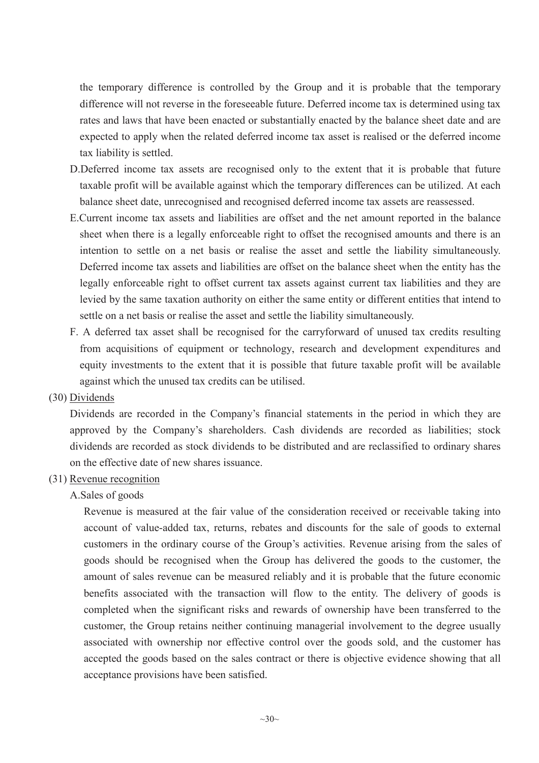the temporary difference is controlled by the Group and it is probable that the temporary difference will not reverse in the foreseeable future. Deferred income tax is determined using tax rates and laws that have been enacted or substantially enacted by the balance sheet date and are expected to apply when the related deferred income tax asset is realised or the deferred income tax liability is settled.

- D.Deferred income tax assets are recognised only to the extent that it is probable that future taxable profit will be available against which the temporary differences can be utilized. At each balance sheet date, unrecognised and recognised deferred income tax assets are reassessed.
- E.Current income tax assets and liabilities are offset and the net amount reported in the balance sheet when there is a legally enforceable right to offset the recognised amounts and there is an intention to settle on a net basis or realise the asset and settle the liability simultaneously. Deferred income tax assets and liabilities are offset on the balance sheet when the entity has the legally enforceable right to offset current tax assets against current tax liabilities and they are levied by the same taxation authority on either the same entity or different entities that intend to settle on a net basis or realise the asset and settle the liability simultaneously.
- F. A deferred tax asset shall be recognised for the carryforward of unused tax credits resulting from acquisitions of equipment or technology, research and development expenditures and equity investments to the extent that it is possible that future taxable profit will be available against which the unused tax credits can be utilised.
- (30) Dividends

Dividends are recorded in the Company's financial statements in the period in which they are approved by the Company's shareholders. Cash dividends are recorded as liabilities; stock dividends are recorded as stock dividends to be distributed and are reclassified to ordinary shares on the effective date of new shares issuance.

- (31) Revenue recognition
	- A.Sales of goods

Revenue is measured at the fair value of the consideration received or receivable taking into account of value-added tax, returns, rebates and discounts for the sale of goods to external customers in the ordinary course of the Group's activities. Revenue arising from the sales of goods should be recognised when the Group has delivered the goods to the customer, the amount of sales revenue can be measured reliably and it is probable that the future economic benefits associated with the transaction will flow to the entity. The delivery of goods is completed when the significant risks and rewards of ownership have been transferred to the customer, the Group retains neither continuing managerial involvement to the degree usually associated with ownership nor effective control over the goods sold, and the customer has accepted the goods based on the sales contract or there is objective evidence showing that all acceptance provisions have been satisfied.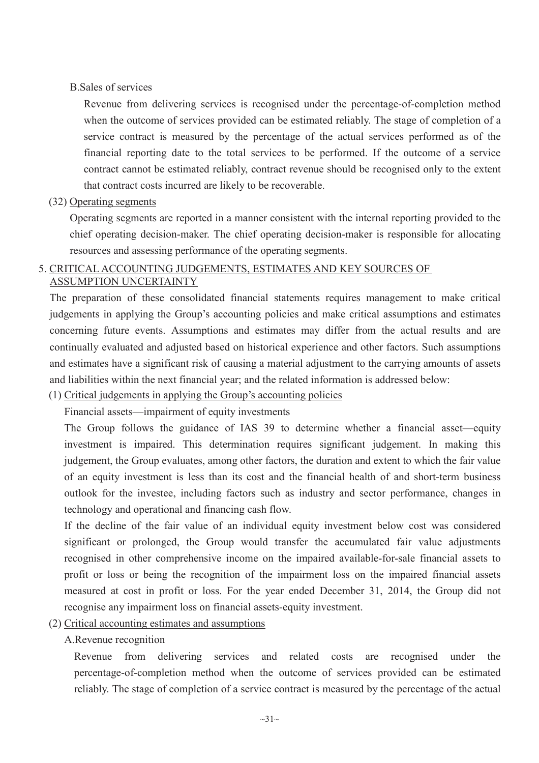# B.Sales of services

Revenue from delivering services is recognised under the percentage-of-completion method when the outcome of services provided can be estimated reliably. The stage of completion of a service contract is measured by the percentage of the actual services performed as of the financial reporting date to the total services to be performed. If the outcome of a service contract cannot be estimated reliably, contract revenue should be recognised only to the extent that contract costs incurred are likely to be recoverable.

# (32) Operating segments

Operating segments are reported in a manner consistent with the internal reporting provided to the chief operating decision-maker. The chief operating decision-maker is responsible for allocating resources and assessing performance of the operating segments.

#### 5. CRITICAL ACCOUNTING JUDGEMENTS, ESTIMATES AND KEY SOURCES OF ASSUMPTION UNCERTAINTY

The preparation of these consolidated financial statements requires management to make critical judgements in applying the Group's accounting policies and make critical assumptions and estimates concerning future events. Assumptions and estimates may differ from the actual results and are continually evaluated and adjusted based on historical experience and other factors. Such assumptions and estimates have a significant risk of causing a material adjustment to the carrying amounts of assets and liabilities within the next financial year; and the related information is addressed below:

(1) Critical judgements in applying the Group's accounting policies

Financial assets—impairment of equity investments

The Group follows the guidance of IAS 39 to determine whether a financial asset—equity investment is impaired. This determination requires significant judgement. In making this judgement, the Group evaluates, among other factors, the duration and extent to which the fair value of an equity investment is less than its cost and the financial health of and short-term business outlook for the investee, including factors such as industry and sector performance, changes in technology and operational and financing cash flow.

If the decline of the fair value of an individual equity investment below cost was considered significant or prolonged, the Group would transfer the accumulated fair value adjustments recognised in other comprehensive income on the impaired available-for-sale financial assets to profit or loss or being the recognition of the impairment loss on the impaired financial assets measured at cost in profit or loss. For the year ended December 31, 2014, the Group did not recognise any impairment loss on financial assets-equity investment.

- (2) Critical accounting estimates and assumptions
	- A.Revenue recognition

Revenue from delivering services and related costs are recognised under the percentage-of-completion method when the outcome of services provided can be estimated reliably. The stage of completion of a service contract is measured by the percentage of the actual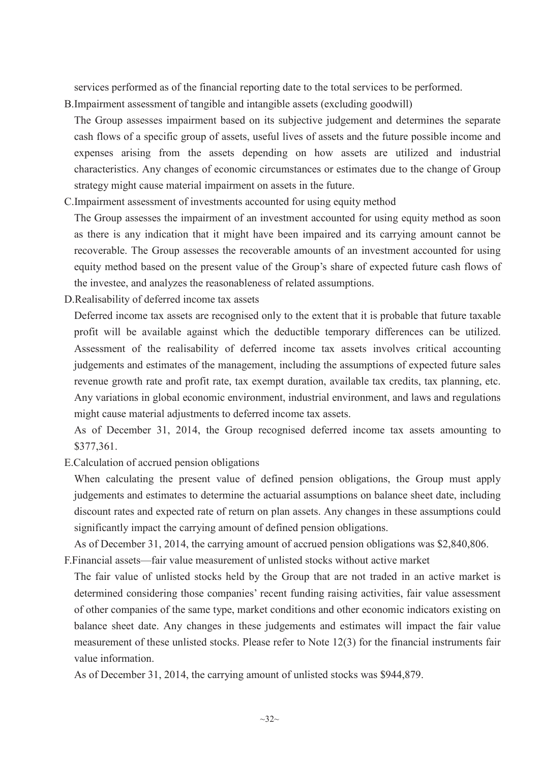services performed as of the financial reporting date to the total services to be performed.

- B.Impairment assessment of tangible and intangible assets (excluding goodwill)
- The Group assesses impairment based on its subjective judgement and determines the separate cash flows of a specific group of assets, useful lives of assets and the future possible income and expenses arising from the assets depending on how assets are utilized and industrial characteristics. Any changes of economic circumstances or estimates due to the change of Group strategy might cause material impairment on assets in the future.
- C.Impairment assessment of investments accounted for using equity method

The Group assesses the impairment of an investment accounted for using equity method as soon as there is any indication that it might have been impaired and its carrying amount cannot be recoverable. The Group assesses the recoverable amounts of an investment accounted for using equity method based on the present value of the Group's share of expected future cash flows of the investee, and analyzes the reasonableness of related assumptions.

D.Realisability of deferred income tax assets

Deferred income tax assets are recognised only to the extent that it is probable that future taxable profit will be available against which the deductible temporary differences can be utilized. Assessment of the realisability of deferred income tax assets involves critical accounting judgements and estimates of the management, including the assumptions of expected future sales revenue growth rate and profit rate, tax exempt duration, available tax credits, tax planning, etc. Any variations in global economic environment, industrial environment, and laws and regulations might cause material adjustments to deferred income tax assets.

As of December 31, 2014, the Group recognised deferred income tax assets amounting to \$377,361.

E.Calculation of accrued pension obligations

When calculating the present value of defined pension obligations, the Group must apply judgements and estimates to determine the actuarial assumptions on balance sheet date, including discount rates and expected rate of return on plan assets. Any changes in these assumptions could significantly impact the carrying amount of defined pension obligations.

As of December 31, 2014, the carrying amount of accrued pension obligations was \$2,840,806.

- F.Financial assets—fair value measurement of unlisted stocks without active market
	- The fair value of unlisted stocks held by the Group that are not traded in an active market is determined considering those companies' recent funding raising activities, fair value assessment of other companies of the same type, market conditions and other economic indicators existing on balance sheet date. Any changes in these judgements and estimates will impact the fair value measurement of these unlisted stocks. Please refer to Note 12(3) for the financial instruments fair value information.

As of December 31, 2014, the carrying amount of unlisted stocks was \$944,879.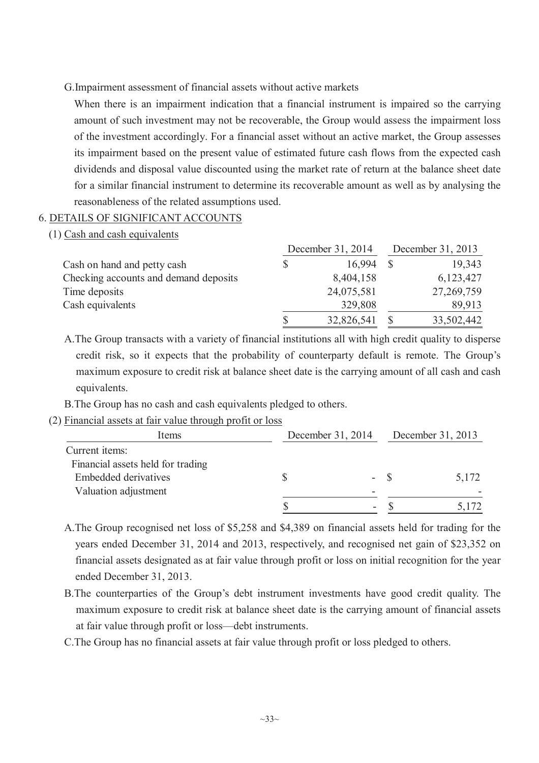#### G.Impairment assessment of financial assets without active markets

When there is an impairment indication that a financial instrument is impaired so the carrying amount of such investment may not be recoverable, the Group would assess the impairment loss of the investment accordingly. For a financial asset without an active market, the Group assesses its impairment based on the present value of estimated future cash flows from the expected cash dividends and disposal value discounted using the market rate of return at the balance sheet date for a similar financial instrument to determine its recoverable amount as well as by analysing the reasonableness of the related assumptions used.

# 6. DETAILS OF SIGNIFICANT ACCOUNTS

(1) Cash and cash equivalents

|                                       | December 31, 2014 | December 31, 2013 |            |  |
|---------------------------------------|-------------------|-------------------|------------|--|
| Cash on hand and petty cash           | 16.994            |                   | 19,343     |  |
| Checking accounts and demand deposits | 8,404,158         |                   | 6,123,427  |  |
| Time deposits                         | 24,075,581        |                   | 27,269,759 |  |
| Cash equivalents                      | 329,808           |                   | 89,913     |  |
|                                       | 32,826,541        |                   | 33,502,442 |  |

A.The Group transacts with a variety of financial institutions all with high credit quality to disperse credit risk, so it expects that the probability of counterparty default is remote. The Group's maximum exposure to credit risk at balance sheet date is the carrying amount of all cash and cash equivalents.

B.The Group has no cash and cash equivalents pledged to others.

### (2) Financial assets at fair value through profit or loss

| Items                             | December 31, 2014 |      | December 31, 2013 |       |
|-----------------------------------|-------------------|------|-------------------|-------|
| Current items:                    |                   |      |                   |       |
| Financial assets held for trading |                   |      |                   |       |
| <b>Embedded derivatives</b>       |                   | - \$ |                   | 5,172 |
| Valuation adjustment              |                   |      |                   |       |
|                                   |                   |      |                   |       |

A.The Group recognised net loss of \$5,258 and \$4,389 on financial assets held for trading for the years ended December 31, 2014 and 2013, respectively, and recognised net gain of \$23,352 on financial assets designated as at fair value through profit or loss on initial recognition for the year ended December 31, 2013.

B.The counterparties of the Group's debt instrument investments have good credit quality. The maximum exposure to credit risk at balance sheet date is the carrying amount of financial assets at fair value through profit or loss—debt instruments.

C.The Group has no financial assets at fair value through profit or loss pledged to others.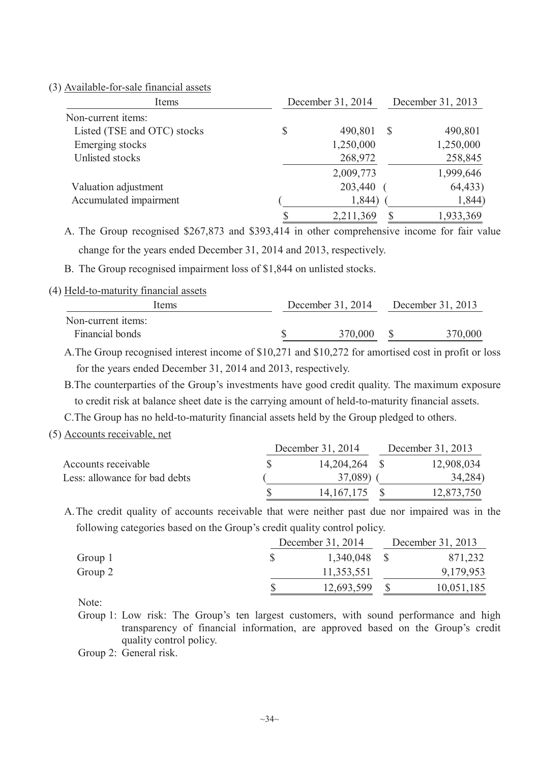(3) Available-for-sale financial assets

| Items                       | December 31, 2014 | December 31, 2013 |           |  |
|-----------------------------|-------------------|-------------------|-----------|--|
| Non-current items:          |                   |                   |           |  |
| Listed (TSE and OTC) stocks | \$<br>490,801     | S                 | 490,801   |  |
| Emerging stocks             | 1,250,000         |                   | 1,250,000 |  |
| Unlisted stocks             | 268,972           |                   | 258,845   |  |
|                             | 2,009,773         |                   | 1,999,646 |  |
| Valuation adjustment        | 203,440           |                   | 64,433)   |  |
| Accumulated impairment      | 1,844)            |                   | 1,844)    |  |
|                             | 2,211,369         |                   | 1,933,369 |  |

A. The Group recognised \$267,873 and \$393,414 in other comprehensive income for fair value change for the years ended December 31, 2014 and 2013, respectively.

B. The Group recognised impairment loss of \$1,844 on unlisted stocks.

#### (4) Held-to-maturity financial assets

| Items              | December 31, 2014 |         | December 31, 2013 |
|--------------------|-------------------|---------|-------------------|
| Non-current items: |                   |         |                   |
| Financial bonds    |                   | 370,000 | 370,000           |

A.The Group recognised interest income of \$10,271 and \$10,272 for amortised cost in profit or loss for the years ended December 31, 2014 and 2013, respectively.

B.The counterparties of the Group's investments have good credit quality. The maximum exposure to credit risk at balance sheet date is the carrying amount of held-to-maturity financial assets.

C.The Group has no held-to-maturity financial assets held by the Group pledged to others.

(5) Accounts receivable, net

|                               | December 31, 2014 | December 31, 2013 |  |  |
|-------------------------------|-------------------|-------------------|--|--|
| Accounts receivable           | 14,204,264 \$     | 12,908,034        |  |  |
| Less: allowance for bad debts | 37,089)           | 34,284)           |  |  |
|                               | 14, 167, 175      | 12,873,750        |  |  |

A.The credit quality of accounts receivable that were neither past due nor impaired was in the following categories based on the Group's credit quality control policy.

|         | December 31, 2014 |  | December 31, 2013 |  |  |
|---------|-------------------|--|-------------------|--|--|
| Group 1 | 1,340,048         |  | 871,232           |  |  |
| Group 2 | 11,353,551        |  | 9,179,953         |  |  |
|         | 12,693,599        |  | 10,051,185        |  |  |

Note:

Group 1: Low risk: The Group's ten largest customers, with sound performance and high transparency of financial information, are approved based on the Group's credit quality control policy.

Group 2: General risk.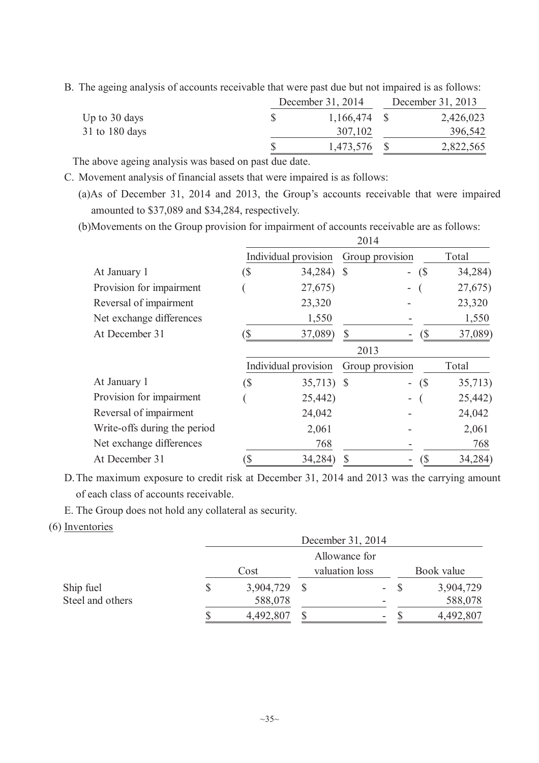B. The ageing analysis of accounts receivable that were past due but not impaired is as follows:

|                  | December 31, 2014 |  | December 31, 2013 |  |  |
|------------------|-------------------|--|-------------------|--|--|
| Up to $30$ days  | $1,166,474$ \$    |  | 2,426,023         |  |  |
| $31$ to 180 days | 307,102           |  | 396,542           |  |  |
|                  | 1,473,576 \$      |  | 2,822,565         |  |  |

The above ageing analysis was based on past due date.

C. Movement analysis of financial assets that were impaired is as follows:

(a)As of December 31, 2014 and 2013, the Group's accounts receivable that were impaired amounted to \$37,089 and \$34,284, respectively.

(b)Movements on the Group provision for impairment of accounts receivable are as follows:  $2014$ 

|                              | 2014 |                      |               |                          |     |         |  |
|------------------------------|------|----------------------|---------------|--------------------------|-----|---------|--|
|                              |      | Individual provision |               | Group provision          |     | Total   |  |
| At January 1                 | (S   | 34,284)              | $\mathcal{S}$ | $\overline{\phantom{a}}$ | (S) | 34,284) |  |
| Provision for impairment     |      | 27,675)              |               |                          |     | 27,675) |  |
| Reversal of impairment       |      | 23,320               |               |                          |     | 23,320  |  |
| Net exchange differences     |      | 1,550                |               |                          |     | 1,550   |  |
| At December 31               |      | 37,089)              |               |                          | (S  | 37,089) |  |
|                              |      |                      | 2013          |                          |     |         |  |
|                              |      | Individual provision |               | Group provision          |     | Total   |  |
| At January 1                 | (\$  | 35,713) \$           |               | $\overline{\phantom{0}}$ | (\$ | 35,713) |  |
| Provision for impairment     |      | 25,442)              |               |                          |     | 25,442) |  |
| Reversal of impairment       |      | 24,042               |               |                          |     | 24,042  |  |
| Write-offs during the period |      | 2,061                |               |                          |     | 2,061   |  |
| Net exchange differences     |      | 768                  |               |                          |     | 768     |  |
| At December 31               |      | 34,284)              |               |                          | (S  | 34,284) |  |
|                              |      |                      |               |                          |     |         |  |

D.The maximum exposure to credit risk at December 31, 2014 and 2013 was the carrying amount of each class of accounts receivable.

E. The Group does not hold any collateral as security.

(6) Inventories

|                  |                        |               |  | December 31, 2014        |            |           |
|------------------|------------------------|---------------|--|--------------------------|------------|-----------|
|                  |                        | Allowance for |  |                          |            |           |
|                  | valuation loss<br>Cost |               |  |                          | Book value |           |
| Ship fuel        | \$                     | 3,904,729     |  | $\overline{\phantom{a}}$ |            | 3,904,729 |
| Steel and others |                        | 588,078       |  |                          |            | 588,078   |
|                  |                        | 4,492,807     |  | -                        |            | 4,492,807 |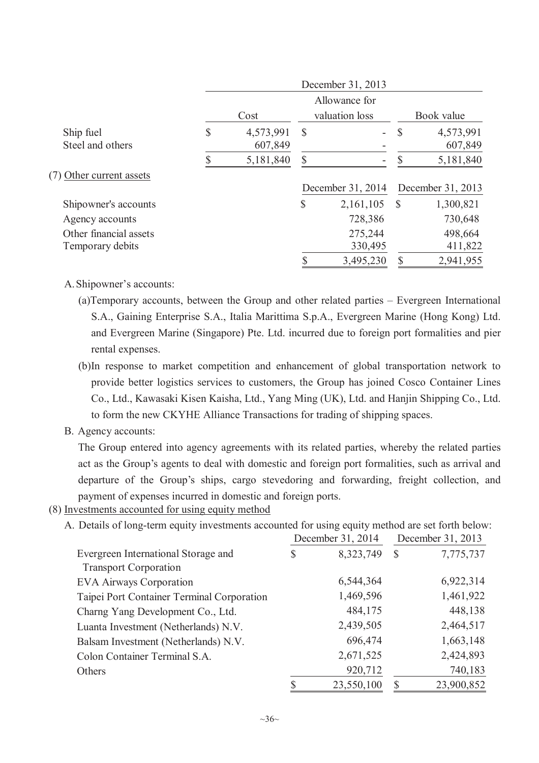|                          | December 31, 2013 |           |               |                          |            |                   |  |
|--------------------------|-------------------|-----------|---------------|--------------------------|------------|-------------------|--|
|                          |                   |           |               | Allowance for            |            |                   |  |
|                          | Cost              |           |               | valuation loss           | Book value |                   |  |
| Ship fuel                | \$                | 4,573,991 | $\mathcal{S}$ | $\overline{\phantom{0}}$ | S          | 4,573,991         |  |
| Steel and others         |                   | 607,849   |               |                          |            | 607,849           |  |
|                          |                   | 5,181,840 | $\mathbb{S}$  | -                        |            | 5,181,840         |  |
| (7) Other current assets |                   |           |               |                          |            |                   |  |
|                          |                   |           |               | December 31, 2014        |            | December 31, 2013 |  |
| Shipowner's accounts     |                   |           | \$            | 2,161,105                | -S         | 1,300,821         |  |
| Agency accounts          |                   |           |               | 728,386                  |            | 730,648           |  |
| Other financial assets   |                   |           |               | 275,244                  |            | 498,664           |  |
| Temporary debits         |                   |           |               | 330,495                  |            | 411,822           |  |
|                          |                   |           |               | 3,495,230                | \$         | 2,941,955         |  |

# A.Shipowner's accounts:

- (a)Temporary accounts, between the Group and other related parties Evergreen International S.A., Gaining Enterprise S.A., Italia Marittima S.p.A., Evergreen Marine (Hong Kong) Ltd. and Evergreen Marine (Singapore) Pte. Ltd. incurred due to foreign port formalities and pier rental expenses.
- (b)In response to market competition and enhancement of global transportation network to provide better logistics services to customers, the Group has joined Cosco Container Lines Co., Ltd., Kawasaki Kisen Kaisha, Ltd., Yang Ming (UK), Ltd. and Hanjin Shipping Co., Ltd. to form the new CKYHE Alliance Transactions for trading of shipping spaces.
- B. Agency accounts:

The Group entered into agency agreements with its related parties, whereby the related parties act as the Group's agents to deal with domestic and foreign port formalities, such as arrival and departure of the Group's ships, cargo stevedoring and forwarding, freight collection, and payment of expenses incurred in domestic and foreign ports.

(8) Investments accounted for using equity method

A. Details of long-term equity investments accounted for using equity method are set forth below:

|                                            |    | December 31, 2014 | December 31, 2013 |            |  |
|--------------------------------------------|----|-------------------|-------------------|------------|--|
| Evergreen International Storage and        | S  | 8,323,749         | $\mathcal{S}$     | 7,775,737  |  |
| <b>Transport Corporation</b>               |    |                   |                   |            |  |
| <b>EVA Airways Corporation</b>             |    | 6,544,364         |                   | 6,922,314  |  |
| Taipei Port Container Terminal Corporation |    | 1,469,596         |                   | 1,461,922  |  |
| Charng Yang Development Co., Ltd.          |    | 484,175           |                   | 448,138    |  |
| Luanta Investment (Netherlands) N.V.       |    | 2,439,505         |                   | 2,464,517  |  |
| Balsam Investment (Netherlands) N.V.       |    | 696,474           |                   | 1,663,148  |  |
| Colon Container Terminal S.A.              |    | 2,671,525         |                   | 2,424,893  |  |
| Others                                     |    | 920,712           |                   | 740,183    |  |
|                                            | \$ | 23,550,100        | S                 | 23,900,852 |  |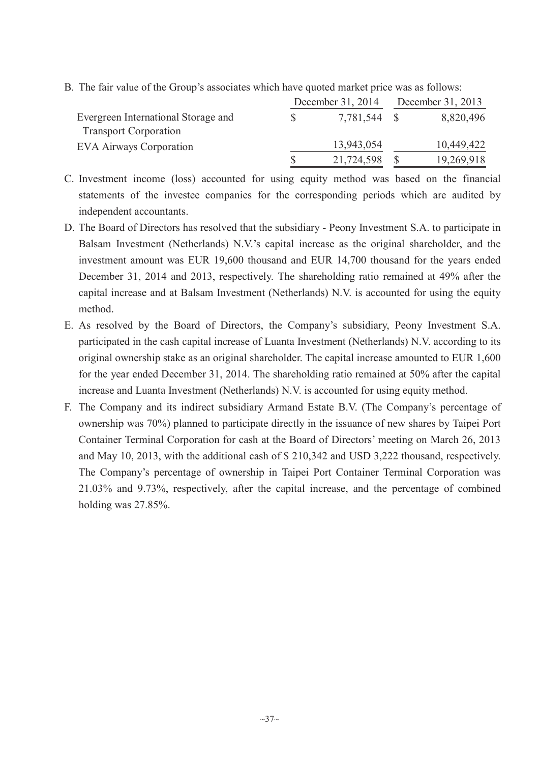|                                     |    | December 31, 2014 | December 31, 2013 |            |  |
|-------------------------------------|----|-------------------|-------------------|------------|--|
| Evergreen International Storage and | S. | 7,781,544         |                   | 8,820,496  |  |
| <b>Transport Corporation</b>        |    |                   |                   |            |  |
| <b>EVA Airways Corporation</b>      |    | 13,943,054        |                   | 10,449,422 |  |
|                                     |    | 21,724,598        |                   | 19,269,918 |  |

B. The fair value of the Group's associates which have quoted market price was as follows:

- C. Investment income (loss) accounted for using equity method was based on the financial statements of the investee companies for the corresponding periods which are audited by independent accountants.
- D. The Board of Directors has resolved that the subsidiary Peony Investment S.A. to participate in Balsam Investment (Netherlands) N.V.'s capital increase as the original shareholder, and the investment amount was EUR 19,600 thousand and EUR 14,700 thousand for the years ended December 31, 2014 and 2013, respectively. The shareholding ratio remained at 49% after the capital increase and at Balsam Investment (Netherlands) N.V. is accounted for using the equity method.
- E. As resolved by the Board of Directors, the Company's subsidiary, Peony Investment S.A. participated in the cash capital increase of Luanta Investment (Netherlands) N.V. according to its original ownership stake as an original shareholder. The capital increase amounted to EUR 1,600 for the year ended December 31, 2014. The shareholding ratio remained at 50% after the capital increase and Luanta Investment (Netherlands) N.V. is accounted for using equity method.
- F. The Company and its indirect subsidiary Armand Estate B.V. (The Company's percentage of ownership was 70%) planned to participate directly in the issuance of new shares by Taipei Port Container Terminal Corporation for cash at the Board of Directors' meeting on March 26, 2013 and May 10, 2013, with the additional cash of \$ 210,342 and USD 3,222 thousand, respectively. The Company's percentage of ownership in Taipei Port Container Terminal Corporation was 21.03% and 9.73%, respectively, after the capital increase, and the percentage of combined holding was 27.85%.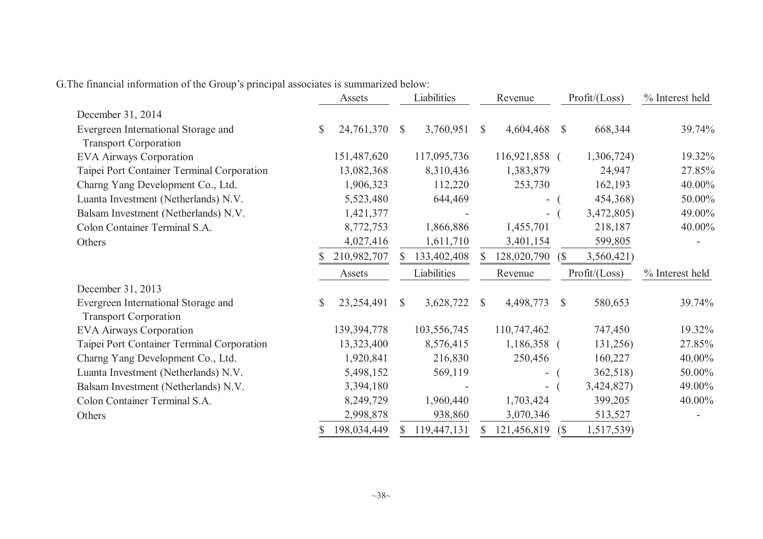|                                                                     | Assets        |             |              | Liabilities |              | Revenue                  |              | Profit / (Loss) | % Interest held |
|---------------------------------------------------------------------|---------------|-------------|--------------|-------------|--------------|--------------------------|--------------|-----------------|-----------------|
| December 31, 2014                                                   |               |             |              |             |              |                          |              |                 |                 |
| Evergreen International Storage and                                 | $\mathcal{S}$ | 24,761,370  | $\mathbb{S}$ | 3,760,951   | $\mathbb{S}$ | 4,604,468                | $\mathbb{S}$ | 668,344         | 39.74%          |
| <b>Transport Corporation</b>                                        |               |             |              |             |              |                          |              |                 |                 |
| <b>EVA Airways Corporation</b>                                      |               | 151,487,620 |              | 117,095,736 |              | 116,921,858 (            |              | 1,306,724)      | 19.32%          |
| Taipei Port Container Terminal Corporation                          |               | 13,082,368  |              | 8,310,436   |              | 1,383,879                |              | 24,947          | 27.85%          |
| Charng Yang Development Co., Ltd.                                   |               | 1,906,323   |              | 112,220     |              | 253,730                  |              | 162,193         | 40.00%          |
| Luanta Investment (Netherlands) N.V.                                |               | 5,523,480   |              | 644,469     |              |                          |              | 454,368)        | 50.00%          |
| Balsam Investment (Netherlands) N.V.                                |               | 1,421,377   |              |             |              | $\overline{\phantom{a}}$ |              | 3,472,805)      | 49.00%          |
| Colon Container Terminal S.A.                                       |               | 8,772,753   |              | 1,866,886   |              | 1,455,701                |              | 218,187         | 40.00%          |
| Others                                                              |               | 4,027,416   |              | 1,611,710   |              | 3,401,154                |              | 599,805         |                 |
|                                                                     |               | 210,982,707 |              | 133,402,408 |              | 128,020,790              | (S           | 3,560,421)      |                 |
|                                                                     |               | Assets      |              | Liabilities |              | Revenue                  |              | Profit / (Loss) | % Interest held |
| December 31, 2013                                                   |               |             |              |             |              |                          |              |                 |                 |
| Evergreen International Storage and<br><b>Transport Corporation</b> | $\mathbb{S}$  | 23,254,491  | <sup>S</sup> | 3,628,722   | $\mathbb{S}$ | 4,498,773                | <sup>S</sup> | 580,653         | 39.74%          |
| <b>EVA Airways Corporation</b>                                      |               | 139,394,778 |              | 103,556,745 |              | 110,747,462              |              | 747,450         | 19.32%          |
| Taipei Port Container Terminal Corporation                          |               | 13,323,400  |              | 8,576,415   |              | 1,186,358 (              |              | 131,256)        | 27.85%          |
| Charng Yang Development Co., Ltd.                                   |               | 1,920,841   |              | 216,830     |              | 250,456                  |              | 160,227         | 40.00%          |
| Luanta Investment (Netherlands) N.V.                                |               | 5,498,152   |              | 569,119     |              | -                        |              | 362,518)        | 50.00%          |
| Balsam Investment (Netherlands) N.V.                                |               | 3,394,180   |              |             |              | Ξ.                       |              | 3,424,827)      | 49.00%          |
| Colon Container Terminal S.A.                                       |               | 8,249,729   |              | 1,960,440   |              | 1,703,424                |              | 399,205         | 40.00%          |
| Others                                                              |               | 2,998,878   |              | 938,860     |              | 3,070,346                |              | 513,527         |                 |
|                                                                     |               | 198,034,449 |              | 119,447,131 |              | 121,456,819              | $\sqrt{S}$   | 1,517,539)      |                 |
|                                                                     |               |             |              |             |              |                          |              |                 |                 |

G.The financial information of the Group's principal associates is summarized below: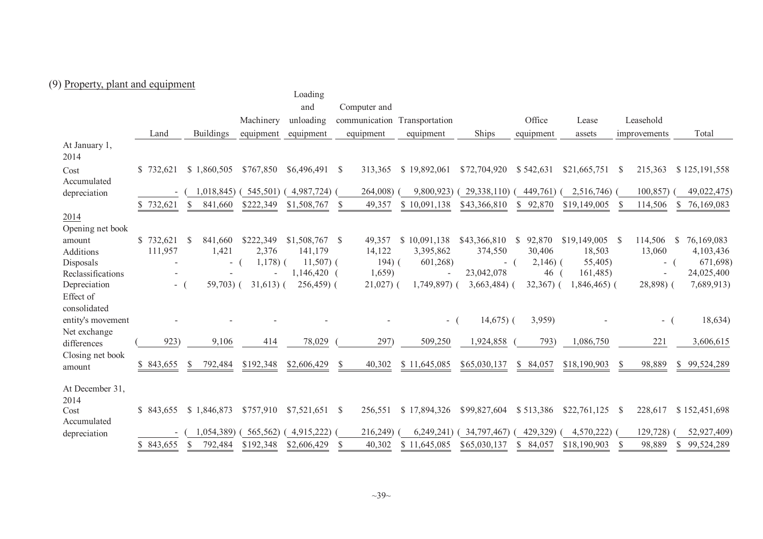# (9) Property, <sup>p</sup>lant and equipment

|                            |            |               |                  |             | Loading       |              |              |                              |               |                        |               |                        |                            |          |
|----------------------------|------------|---------------|------------------|-------------|---------------|--------------|--------------|------------------------------|---------------|------------------------|---------------|------------------------|----------------------------|----------|
|                            |            |               |                  |             | and           |              | Computer and |                              |               |                        |               |                        |                            |          |
|                            |            |               |                  | Machinery   | unloading     |              |              | communication Transportation |               | Office                 | Lease         | Leasehold              |                            |          |
|                            | Land       |               | <b>Buildings</b> | equipment   | equipment     |              | equipment    | equipment                    | Ships         | equipment              | assets        | improvements           | Total                      |          |
| At January 1,<br>2014      |            |               |                  |             |               |              |              |                              |               |                        |               |                        |                            |          |
| Cost<br>Accumulated        | \$732,621  |               | \$1,860,505      | \$767,850   | \$6,496,491   | <sup>S</sup> | 313,365      | \$19,892,061                 | \$72,704,920  | \$542,631              | \$21,665,751  | 215,363<br>- S         | \$125,191,558              |          |
| depreciation               |            |               | 1,018,845)       | 545,501)    | $4,987,724$ ) |              | 264,008)     | 9,800,923)                   | 29,338,110)   | 449,761)               | 2,516,746)    | 100,857                | 49,022,475)                |          |
|                            | 732,621    |               | 841,660          | \$222,349   | \$1,508,767   |              | 49,357       | \$10,091,138                 | \$43,366,810  | 92,870                 | \$19,149,005  | 114,506                | 76,169,083<br><sup>S</sup> |          |
| 2014<br>Opening net book   |            |               |                  |             |               |              |              |                              |               |                        |               |                        |                            |          |
| amount                     | \$732,621  | <sup>\$</sup> | 841,660          | \$222,349   | \$1,508,767   | <sup>S</sup> | 49,357       | \$10,091,138                 | \$43,366,810  | 92,870<br>$\mathbb{S}$ | \$19,149,005  | 114,506<br>-S          | 76,169,083<br>\$           |          |
| <b>Additions</b>           | 111,957    |               | 1,421            | 2,376       | 141,179       |              | 14,122       | 3,395,862                    | 374,550       | 30,406                 | 18,503        | 13,060                 | 4,103,436                  |          |
| Disposals                  |            |               | $\blacksquare$   | $1,178$ ) ( | $11,507$ ) (  |              | $194)$ (     | 601,268)                     | $-$ (         | $2,146$ ) (            | 55,405)       | $\sim$                 |                            | 671,698) |
| Reclassifications          |            |               |                  |             | 1,146,420 (   |              | 1,659        |                              | 23,042,078    | 46                     | 161,485       |                        | 24,025,400                 |          |
| Depreciation<br>Effect of  | - (        |               | 59,703) (        | $31,613)$ ( | $256,459$ (   |              | $21,027$ ) ( | 1,749,897) (                 | $3,663,484$ ) | $32,367$ ) (           | $1,846,465$ ( | 28,898) (              | 7,689,913)                 |          |
| consolidated               |            |               |                  |             |               |              |              |                              |               |                        |               |                        |                            |          |
| entity's movement          |            |               |                  |             |               |              |              | - 1                          | $14,675$ (    | 3,959)                 |               | $-$ (                  |                            | 18,634)  |
| Net exchange               |            |               |                  |             |               |              |              |                              |               |                        |               |                        |                            |          |
| differences                | 923)       |               | 9,106            | 414         | 78,029        |              | 297)         | 509,250                      | 1,924,858     | 793)                   | 1,086,750     | 221                    | 3,606,615                  |          |
| Closing net book<br>amount | \$843,655  | <sup>8</sup>  | 792,484          | \$192,348   | \$2,606,429   | $\mathbb{S}$ | 40,302       | \$11,645,085                 | \$65,030,137  | \$84,057               | \$18,190,903  | 98,889<br><sup>S</sup> | \$99,524,289               |          |
| At December 31,            |            |               |                  |             |               |              |              |                              |               |                        |               |                        |                            |          |
| 2014<br>Cost               | \$ 843,655 |               | \$1,846,873      | \$757,910   | \$7,521,651   | <sup>S</sup> | 256,551      | \$17,894,326                 | \$99,827,604  | \$513,386              | \$22,761,125  | 228,617<br>- S         | \$152,451,698              |          |
| Accumulated                |            |               | 1,054,389        | 565,562)    | 4,915,222)    |              | 216,249)     | 6,249,241                    | 34,797,467)   | 429,329)               | 4,570,222)    | 129,728)               | 52,927,409)                |          |
| depreciation               |            |               |                  |             |               |              |              |                              |               |                        |               |                        |                            |          |
|                            | \$843,655  | <sup>\$</sup> | 792,484          | \$192,348   | \$2,606,429   |              | 40,302       | \$11,645,085                 | \$65,030,137  | 84,057                 | \$18,190,903  | 98,889                 | 99,524,289<br>S.           |          |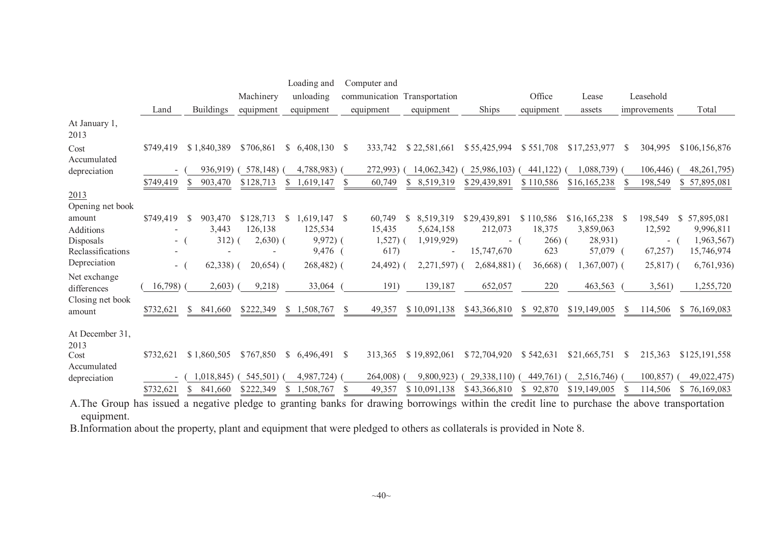|                                                      |                     |                                           |                                    | Loading and                                             | Computer and                    |                                                      |                                  |                                 |                                            |                             |                                         |
|------------------------------------------------------|---------------------|-------------------------------------------|------------------------------------|---------------------------------------------------------|---------------------------------|------------------------------------------------------|----------------------------------|---------------------------------|--------------------------------------------|-----------------------------|-----------------------------------------|
|                                                      |                     |                                           | Machinery                          | unloading                                               | communication Transportation    |                                                      |                                  | Office                          | Lease                                      | Leasehold                   |                                         |
|                                                      | Land                | <b>Buildings</b>                          | equipment                          | equipment                                               | equipment                       | equipment                                            | Ships                            | equipment                       | assets                                     | improvements                | Total                                   |
| At January 1,<br>2013                                |                     |                                           |                                    |                                                         |                                 |                                                      |                                  |                                 |                                            |                             |                                         |
| Cost<br>Accumulated                                  | \$749,419           | \$1,840,389                               | \$706,861                          | \$6,408,130                                             | <sup>S</sup><br>333,742         | \$22,581,661                                         | \$55,425,994                     | \$551,708                       | \$17,253,977                               | 304,995<br><sup>\$</sup>    | \$106,156,876                           |
| depreciation                                         | \$749,419           | 936,919)<br>903,470<br>\$                 | 578,148)<br>\$128,713              | 4,788,983)<br>S<br>1.619.147                            | 272,993)<br>60,749              | 14,062,342)<br>S<br>8,519,319                        | 25,986,103)<br>\$29,439,891      | 441,122)<br>\$110,586           | 1,088,739)<br>\$16,165,238                 | 106,446)<br>198,549         | 48,261,795)<br>\$57,895,081             |
| 2013                                                 |                     |                                           |                                    |                                                         |                                 |                                                      |                                  |                                 |                                            |                             |                                         |
| Opening net book<br>amount<br>Additions<br>Disposals | \$749,419<br>$\sim$ | 903,470<br><sup>\$</sup><br>3,443<br>312) | \$128,713<br>126,138<br>$2,630)$ ( | <sup>S</sup><br>$1,619,147$ \$<br>125,534<br>$9,972)$ ( | 60,749<br>15,435<br>$1,527$ ) ( | 8,519,319<br><sup>S</sup><br>5,624,158<br>1,919,929) | \$29,439,891<br>212,073<br>$-$ ( | \$110,586<br>18,375<br>$266)$ ( | $$16,165,238$ \ \$<br>3,859,063<br>28,931) | 198,549<br>12,592<br>$\sim$ | \$57,895,081<br>9,996,811<br>1,963,567) |
| Reclassifications<br>Depreciation                    | $\sim 100$          | $62,338$ ) (                              | $20,654$ (                         | 9,476<br>$268,482$ (                                    | 617)<br>24,492)                 | $\overline{\phantom{a}}$<br>$2,271,597$ (            | 15,747,670<br>$2,684,881$ (      | 623<br>$36,668$ )               | 57,079 (<br>$1,367,007$ (                  | 67,257<br>$25,817$ ) (      | 15,746,974<br>6,761,936                 |
| Net exchange<br>differences                          | 16,798)             | 2,603)                                    | 9,218)                             | 33,064                                                  | 191)                            | 139,187                                              | 652,057                          | 220                             | 463,563                                    | 3,561)                      | 1,255,720                               |
| Closing net book<br>amount                           | \$732,621           | 841,660<br><sup>S</sup>                   | \$222,349                          |                                                         | 49,357                          | \$10,091,138                                         | \$43,366,810                     | \$92,870                        | \$19,149,005                               | 114,506<br><sup>S</sup>     | \$76,169,083                            |
| At December 31,<br>2013                              |                     |                                           |                                    |                                                         |                                 |                                                      |                                  |                                 |                                            |                             |                                         |
| Cost<br>Accumulated                                  | \$732,621           | \$1,860,505                               | \$767,850                          | \$6,496,491                                             | <sup>\$</sup><br>313,365        | \$19,892,061                                         | \$72,704,920                     | \$542,631                       | \$21,665,751                               | <sup>\$</sup><br>215,363    | \$125,191,558                           |
| depreciation                                         | \$732,621           | 1,018,845)<br>841,660<br>S                | 545,501)<br>\$222,349              | 4,987,724)<br>1,508,767                                 | 264,008)<br>49,357              | 9,800,923)<br>\$10,091,138                           | 29,338,110)<br>\$43,366,810      | 449,761)<br>92,870              | 2,516,746)<br>\$19,149,005                 | 100,857<br>114,506          | 49,022,475)<br>\$76,169,083             |
|                                                      |                     |                                           |                                    |                                                         |                                 |                                                      |                                  |                                 |                                            |                             |                                         |

A.The Group has issued <sup>a</sup> negative <sup>p</sup>ledge to granting banks for drawing borrowings within the credit line to purchase the above transportation equipment.

B.Information about the property, <sup>p</sup>lant and equipment that were <sup>p</sup>ledged to others as collaterals is provided in Note 8.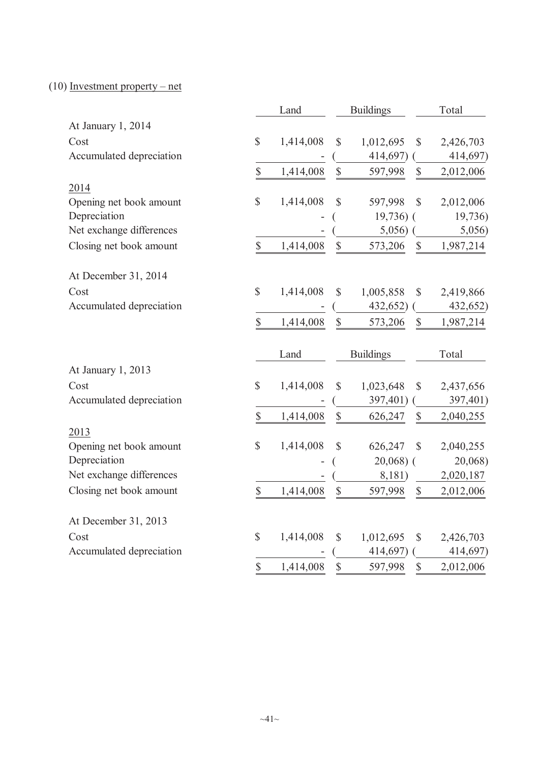# (10) Investment property – net

|                          |                           | Land      |                           | <b>Buildings</b> |               | Total     |
|--------------------------|---------------------------|-----------|---------------------------|------------------|---------------|-----------|
| At January 1, 2014       |                           |           |                           |                  |               |           |
| Cost                     | $\mathbb{S}$              | 1,414,008 | $\mathbb{S}$              | 1,012,695        | $\mathbb{S}$  | 2,426,703 |
| Accumulated depreciation |                           |           |                           | 414,697)         |               | 414,697)  |
|                          | $\mathbb S$               | 1,414,008 | $\mathbb{S}$              | 597,998          | \$            | 2,012,006 |
| 2014                     |                           |           |                           |                  |               |           |
| Opening net book amount  | \$                        | 1,414,008 | \$                        | 597,998          | \$            | 2,012,006 |
| Depreciation             |                           |           |                           | $19,736$ ) (     |               | 19,736)   |
| Net exchange differences |                           |           |                           | 5,056)           |               | 5,056)    |
| Closing net book amount  | $\boldsymbol{\mathsf{S}}$ | 1,414,008 | $\mathbb{S}$              | 573,206          | \$            | 1,987,214 |
| At December 31, 2014     |                           |           |                           |                  |               |           |
| Cost                     | $\mathbb{S}$              | 1,414,008 | \$                        | 1,005,858        | \$            | 2,419,866 |
| Accumulated depreciation |                           |           |                           | 432,652)         |               | 432,652)  |
|                          | $\boldsymbol{\mathsf{S}}$ | 1,414,008 | $\mathbb{S}$              | 573,206          | \$            | 1,987,214 |
|                          |                           | Land      |                           | <b>Buildings</b> |               | Total     |
| At January 1, 2013       |                           |           |                           |                  |               |           |
| Cost                     | $\mathbb{S}$              | 1,414,008 | \$                        | 1,023,648        | \$            | 2,437,656 |
| Accumulated depreciation |                           |           |                           | 397,401)         |               | 397,401)  |
|                          | \$                        | 1,414,008 | $\boldsymbol{\mathsf{S}}$ | 626,247          | \$            | 2,040,255 |
| 2013                     |                           |           |                           |                  |               |           |
| Opening net book amount  | $\mathbb{S}$              | 1,414,008 | \$                        | 626,247          | $\mathcal{S}$ | 2,040,255 |
| Depreciation             |                           |           |                           | $20,068$ ) (     |               | 20,068)   |
| Net exchange differences |                           |           |                           | 8,181)           |               | 2,020,187 |
| Closing net book amount  | $\mathbb{S}$              | 1,414,008 | $\mathbb{S}$              | 597,998          | $\mathbb{S}$  | 2,012,006 |
| At December 31, 2013     |                           |           |                           |                  |               |           |
| Cost                     | $\mathbb{S}$              | 1,414,008 | \$                        | 1,012,695        | \$            | 2,426,703 |
| Accumulated depreciation |                           |           |                           | 414,697)         |               | 414,697)  |
|                          | $\mathsf{\$}$             | 1,414,008 | \$                        | 597,998          | \$            | 2,012,006 |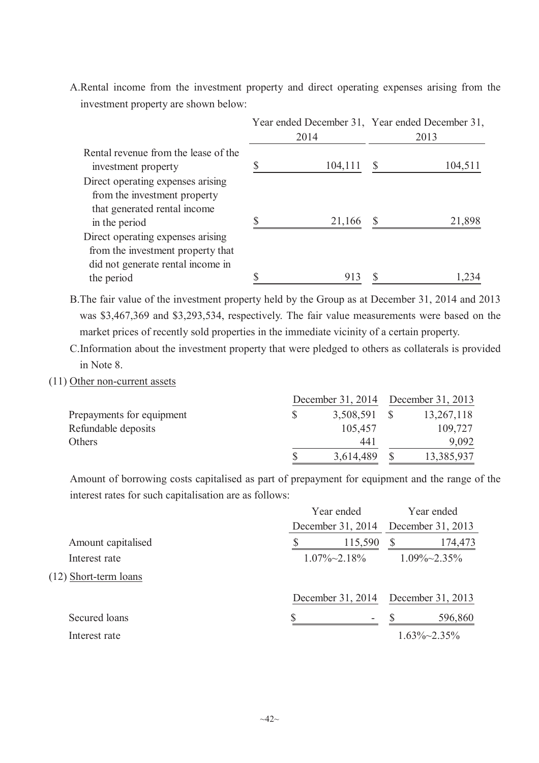A.Rental income from the investment property and direct operating expenses arising from the investment property are shown below:

|                                                                                                             | Year ended December 31, Year ended December 31, |         |      |         |  |
|-------------------------------------------------------------------------------------------------------------|-------------------------------------------------|---------|------|---------|--|
|                                                                                                             |                                                 | 2014    | 2013 |         |  |
| Rental revenue from the lease of the<br>investment property                                                 |                                                 | 104,111 | S    | 104,511 |  |
| Direct operating expenses arising<br>from the investment property<br>that generated rental income           |                                                 |         |      |         |  |
| in the period                                                                                               |                                                 | 21,166  |      | 21,898  |  |
| Direct operating expenses arising<br>from the investment property that<br>did not generate rental income in |                                                 |         |      |         |  |
| the period                                                                                                  |                                                 | 913     |      |         |  |

B.The fair value of the investment property held by the Group as at December 31, 2014 and 2013 was \$3,467,369 and \$3,293,534, respectively. The fair value measurements were based on the market prices of recently sold properties in the immediate vicinity of a certain property.

C.Information about the investment property that were pledged to others as collaterals is provided in Note 8.

(11) Other non-current assets

|                           |  | December 31, 2014 December 31, 2013 |  |            |
|---------------------------|--|-------------------------------------|--|------------|
| Prepayments for equipment |  | 3,508,591                           |  | 13,267,118 |
| Refundable deposits       |  | 105,457                             |  | 109,727    |
| Others                    |  | 441                                 |  | 9,092      |
|                           |  | 3,614,489                           |  | 13,385,937 |

Amount of borrowing costs capitalised as part of prepayment for equipment and the range of the interest rates for such capitalisation are as follows:

|                       | Year ended                     | Year ended           |
|-----------------------|--------------------------------|----------------------|
|                       | December 31, 2014              | December 31, 2013    |
| Amount capitalised    | 115,590                        | 174,473              |
| Interest rate         | $1.07\% \sim 2.18\%$           | $1.09\% \sim 2.35\%$ |
| (12) Short-term loans |                                |                      |
|                       | December 31, 2014              | December 31, 2013    |
| Secured loans         | \$<br>$\overline{\phantom{a}}$ | 596,860              |
| Interest rate         |                                | $1.63\% \sim 2.35\%$ |
|                       |                                |                      |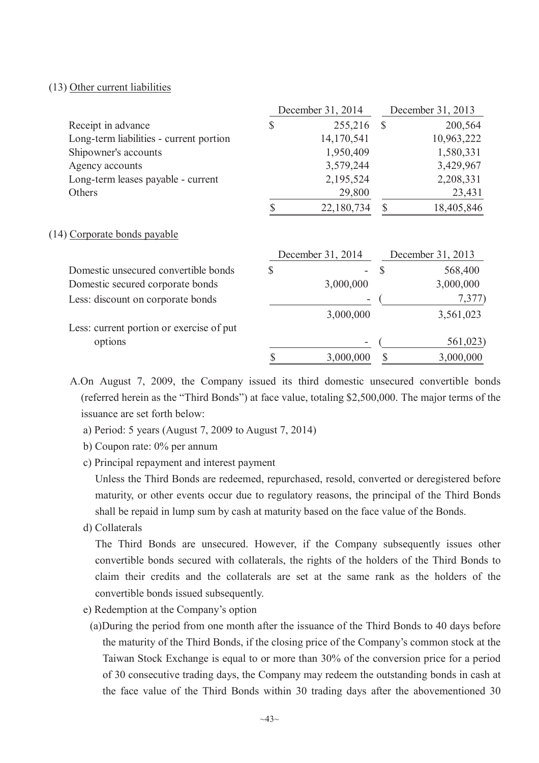# (13) Other current liabilities

|                                          |              | December 31, 2014 | December 31, 2013 |                   |  |
|------------------------------------------|--------------|-------------------|-------------------|-------------------|--|
| Receipt in advance                       | \$           | 255,216           | $\mathcal{S}$     | 200,564           |  |
| Long-term liabilities - current portion  |              | 14,170,541        |                   | 10,963,222        |  |
| Shipowner's accounts                     |              | 1,950,409         |                   | 1,580,331         |  |
| Agency accounts                          |              | 3,579,244         |                   | 3,429,967         |  |
| Long-term leases payable - current       |              | 2,195,524         |                   | 2,208,331         |  |
| Others                                   |              | 29,800            |                   | 23,431            |  |
|                                          |              | 22,180,734        | $\mathbb{S}$      | 18,405,846        |  |
| (14) Corporate bonds payable             |              |                   |                   |                   |  |
|                                          |              | December 31, 2014 |                   | December 31, 2013 |  |
| Domestic unsecured convertible bonds     | $\mathbb{S}$ |                   | $\mathcal{S}$     | 568,400           |  |
| Domestic secured corporate bonds         |              | 3,000,000         |                   | 3,000,000         |  |
| Less: discount on corporate bonds        |              |                   |                   | 7,377             |  |
|                                          |              | 3,000,000         |                   | 3,561,023         |  |
| Less: current portion or exercise of put |              |                   |                   |                   |  |
| options                                  |              |                   |                   | 561,023)          |  |
|                                          | \$           | 3,000,000         | \$                | 3,000,000         |  |

A.On August 7, 2009, the Company issued its third domestic unsecured convertible bonds (referred herein as the "Third Bonds") at face value, totaling \$2,500,000. The major terms of the issuance are set forth below:

- a) Period: 5 years (August 7, 2009 to August 7, 2014)
- b) Coupon rate: 0% per annum
- c) Principal repayment and interest payment

Unless the Third Bonds are redeemed, repurchased, resold, converted or deregistered before maturity, or other events occur due to regulatory reasons, the principal of the Third Bonds shall be repaid in lump sum by cash at maturity based on the face value of the Bonds.

d) Collaterals

The Third Bonds are unsecured. However, if the Company subsequently issues other convertible bonds secured with collaterals, the rights of the holders of the Third Bonds to claim their credits and the collaterals are set at the same rank as the holders of the convertible bonds issued subsequently.

- e) Redemption at the Company's option
	- (a)During the period from one month after the issuance of the Third Bonds to 40 days before the maturity of the Third Bonds, if the closing price of the Company's common stock at the Taiwan Stock Exchange is equal to or more than 30% of the conversion price for a period of 30 consecutive trading days, the Company may redeem the outstanding bonds in cash at the face value of the Third Bonds within 30 trading days after the abovementioned 30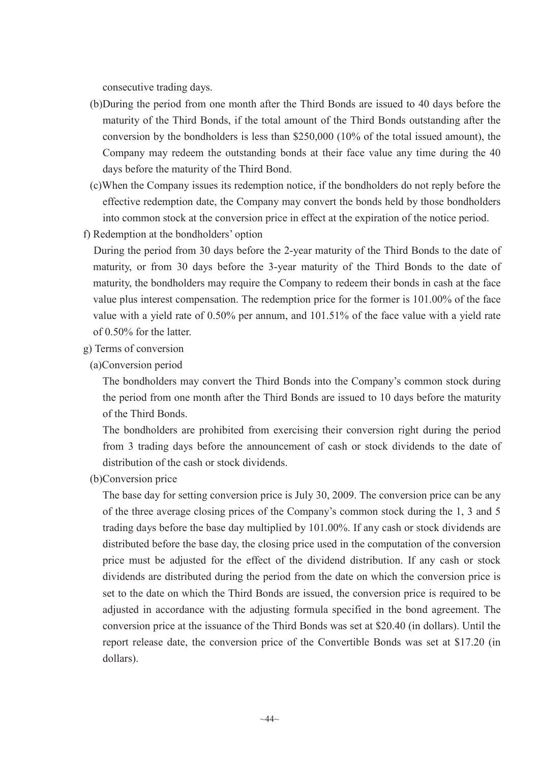consecutive trading days.

- (b)During the period from one month after the Third Bonds are issued to 40 days before the maturity of the Third Bonds, if the total amount of the Third Bonds outstanding after the conversion by the bondholders is less than \$250,000 (10% of the total issued amount), the Company may redeem the outstanding bonds at their face value any time during the 40 days before the maturity of the Third Bond.
- (c)When the Company issues its redemption notice, if the bondholders do not reply before the effective redemption date, the Company may convert the bonds held by those bondholders into common stock at the conversion price in effect at the expiration of the notice period.
- f) Redemption at the bondholders' option
	- During the period from 30 days before the 2-year maturity of the Third Bonds to the date of maturity, or from 30 days before the 3-year maturity of the Third Bonds to the date of maturity, the bondholders may require the Company to redeem their bonds in cash at the face value plus interest compensation. The redemption price for the former is 101.00% of the face value with a yield rate of 0.50% per annum, and 101.51% of the face value with a yield rate of 0.50% for the latter.
- g) Terms of conversion
	- (a)Conversion period

The bondholders may convert the Third Bonds into the Company's common stock during the period from one month after the Third Bonds are issued to 10 days before the maturity of the Third Bonds.

The bondholders are prohibited from exercising their conversion right during the period from 3 trading days before the announcement of cash or stock dividends to the date of distribution of the cash or stock dividends.

(b)Conversion price

The base day for setting conversion price is July 30, 2009. The conversion price can be any of the three average closing prices of the Company's common stock during the 1, 3 and 5 trading days before the base day multiplied by 101.00%. If any cash or stock dividends are distributed before the base day, the closing price used in the computation of the conversion price must be adjusted for the effect of the dividend distribution. If any cash or stock dividends are distributed during the period from the date on which the conversion price is set to the date on which the Third Bonds are issued, the conversion price is required to be adjusted in accordance with the adjusting formula specified in the bond agreement. The conversion price at the issuance of the Third Bonds was set at \$20.40 (in dollars). Until the report release date, the conversion price of the Convertible Bonds was set at \$17.20 (in dollars).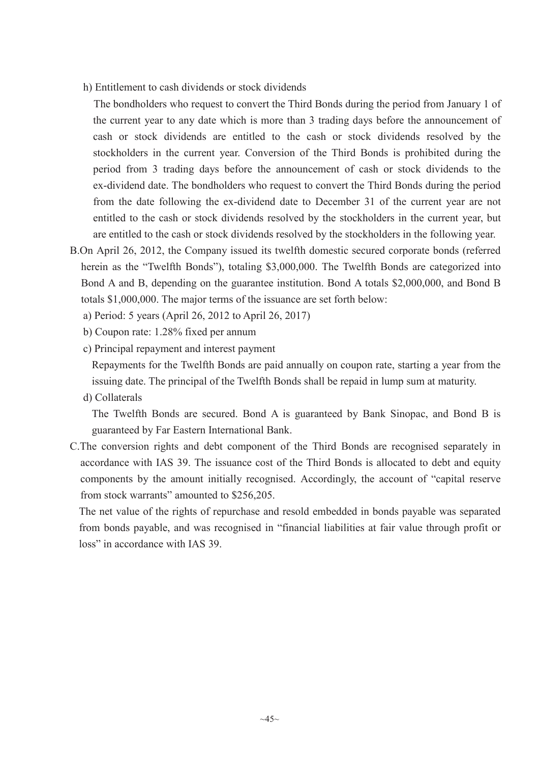h) Entitlement to cash dividends or stock dividends

The bondholders who request to convert the Third Bonds during the period from January 1 of the current year to any date which is more than 3 trading days before the announcement of cash or stock dividends are entitled to the cash or stock dividends resolved by the stockholders in the current year. Conversion of the Third Bonds is prohibited during the period from 3 trading days before the announcement of cash or stock dividends to the ex-dividend date. The bondholders who request to convert the Third Bonds during the period from the date following the ex-dividend date to December 31 of the current year are not entitled to the cash or stock dividends resolved by the stockholders in the current year, but are entitled to the cash or stock dividends resolved by the stockholders in the following year.

- B.On April 26, 2012, the Company issued its twelfth domestic secured corporate bonds (referred herein as the "Twelfth Bonds"), totaling \$3,000,000. The Twelfth Bonds are categorized into Bond A and B, depending on the guarantee institution. Bond A totals \$2,000,000, and Bond B totals \$1,000,000. The major terms of the issuance are set forth below:
	- a) Period: 5 years (April 26, 2012 to April 26, 2017)
	- b) Coupon rate: 1.28% fixed per annum
	- c) Principal repayment and interest payment

Repayments for the Twelfth Bonds are paid annually on coupon rate, starting a year from the issuing date. The principal of the Twelfth Bonds shall be repaid in lump sum at maturity.

d) Collaterals

The Twelfth Bonds are secured. Bond A is guaranteed by Bank Sinopac, and Bond B is guaranteed by Far Eastern International Bank.

C.The conversion rights and debt component of the Third Bonds are recognised separately in accordance with IAS 39. The issuance cost of the Third Bonds is allocated to debt and equity components by the amount initially recognised. Accordingly, the account of "capital reserve from stock warrants" amounted to \$256,205.

The net value of the rights of repurchase and resold embedded in bonds payable was separated from bonds payable, and was recognised in "financial liabilities at fair value through profit or loss" in accordance with IAS 39.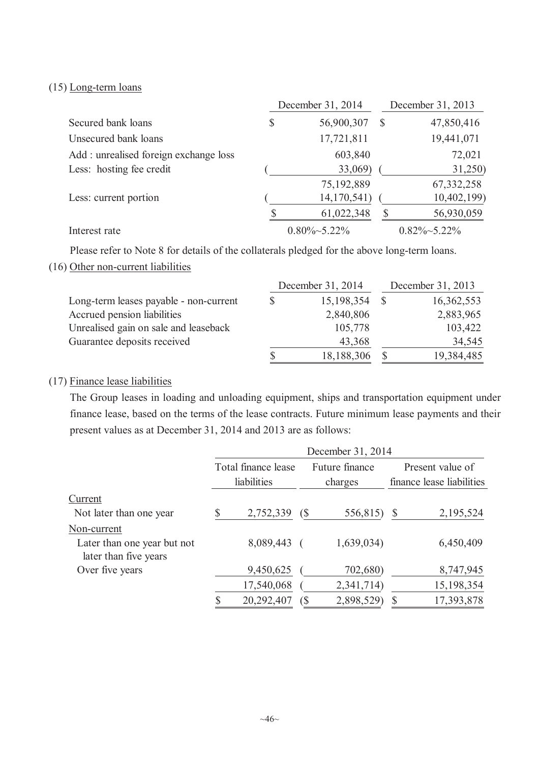# (15) Long-term loans

|                                       | December 31, 2014 |                      |   | December 31, 2013    |  |  |
|---------------------------------------|-------------------|----------------------|---|----------------------|--|--|
| Secured bank loans                    | \$                | 56,900,307           | S | 47,850,416           |  |  |
| Unsecured bank loans                  |                   | 17,721,811           |   | 19,441,071           |  |  |
| Add: unrealised foreign exchange loss |                   | 603,840              |   | 72,021               |  |  |
| Less: hosting fee credit              |                   | 33,069)              |   | 31,250)              |  |  |
|                                       |                   | 75,192,889           |   | 67, 332, 258         |  |  |
| Less: current portion                 |                   | 14,170,541)          |   | 10,402,199)          |  |  |
|                                       |                   | 61,022,348           |   | 56,930,059           |  |  |
| Interest rate                         |                   | $0.80\% \sim 5.22\%$ |   | $0.82\% \sim 5.22\%$ |  |  |

Please refer to Note 8 for details of the collaterals pledged for the above long-term loans.

### (16) Other non-current liabilities

|                                        |    | December 31, 2014 | December 31, 2013 |            |  |
|----------------------------------------|----|-------------------|-------------------|------------|--|
| Long-term leases payable - non-current | S  | 15,198,354        |                   | 16,362,553 |  |
| Accrued pension liabilities            |    | 2,840,806         |                   | 2,883,965  |  |
| Unrealised gain on sale and leaseback  |    | 105,778           |                   | 103,422    |  |
| Guarantee deposits received            |    | 43,368            |                   | 34,545     |  |
|                                        | \$ | 18,188,306        |                   | 19,384,485 |  |

# (17) Finance lease liabilities

The Group leases in loading and unloading equipment, ships and transportation equipment under finance lease, based on the terms of the lease contracts. Future minimum lease payments and their present values as at December 31, 2014 and 2013 are as follows:

|                                                      | December 31, 2014 |                     |                              |                |              |                           |  |  |  |
|------------------------------------------------------|-------------------|---------------------|------------------------------|----------------|--------------|---------------------------|--|--|--|
|                                                      |                   | Total finance lease |                              | Future finance |              | Present value of          |  |  |  |
|                                                      |                   | liabilities         |                              | charges        |              | finance lease liabilities |  |  |  |
| Current                                              |                   |                     |                              |                |              |                           |  |  |  |
| Not later than one year                              | \$                | 2,752,339           | $\left( \S \right)$          | 556,815)       | <sup>S</sup> | 2,195,524                 |  |  |  |
| Non-current                                          |                   |                     |                              |                |              |                           |  |  |  |
| Later than one year but not<br>later than five years |                   | 8,089,443           |                              | 1,639,034)     |              | 6,450,409                 |  |  |  |
| Over five years                                      |                   | 9,450,625           |                              | 702,680)       |              | 8,747,945                 |  |  |  |
|                                                      |                   | 17,540,068          |                              | 2,341,714)     |              | 15,198,354                |  |  |  |
|                                                      |                   | 20,292,407          | $\left( \mathsf{\$} \right)$ | 2,898,529)     | S            | 17,393,878                |  |  |  |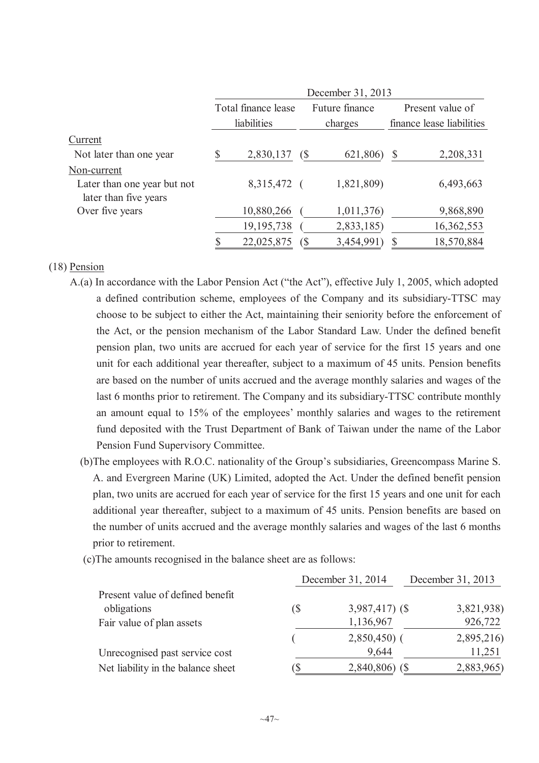|                                                      | December 31, 2013 |                     |                             |                           |    |                           |  |  |  |
|------------------------------------------------------|-------------------|---------------------|-----------------------------|---------------------------|----|---------------------------|--|--|--|
|                                                      |                   | Total finance lease |                             | Future finance<br>charges |    | Present value of          |  |  |  |
|                                                      |                   | liabilities         |                             |                           |    | finance lease liabilities |  |  |  |
| Current                                              |                   |                     |                             |                           |    |                           |  |  |  |
| Not later than one year                              |                   | 2,830,137           | (S                          | 621,806)                  | \$ | 2,208,331                 |  |  |  |
| Non-current                                          |                   |                     |                             |                           |    |                           |  |  |  |
| Later than one year but not<br>later than five years |                   | 8,315,472 (         |                             | 1,821,809)                |    | 6,493,663                 |  |  |  |
| Over five years                                      |                   | 10,880,266          |                             | 1,011,376)                |    | 9,868,890                 |  |  |  |
|                                                      |                   | 19, 195, 738        |                             | 2,833,185)                |    | 16,362,553                |  |  |  |
|                                                      |                   | 22,025,875          | $\left( \mathcal{S}\right)$ | 3,454,991                 |    | 18,570,884                |  |  |  |

#### (18) Pension

- A.(a) In accordance with the Labor Pension Act ("the Act"), effective July 1, 2005, which adopted a defined contribution scheme, employees of the Company and its subsidiary-TTSC may choose to be subject to either the Act, maintaining their seniority before the enforcement of the Act, or the pension mechanism of the Labor Standard Law. Under the defined benefit pension plan, two units are accrued for each year of service for the first 15 years and one unit for each additional year thereafter, subject to a maximum of 45 units. Pension benefits are based on the number of units accrued and the average monthly salaries and wages of the last 6 months prior to retirement. The Company and its subsidiary-TTSC contribute monthly an amount equal to 15% of the employees' monthly salaries and wages to the retirement fund deposited with the Trust Department of Bank of Taiwan under the name of the Labor Pension Fund Supervisory Committee.
	- (b)The employees with R.O.C. nationality of the Group's subsidiaries, Greencompass Marine S. A. and Evergreen Marine (UK) Limited, adopted the Act. Under the defined benefit pension plan, two units are accrued for each year of service for the first 15 years and one unit for each additional year thereafter, subject to a maximum of 45 units. Pension benefits are based on the number of units accrued and the average monthly salaries and wages of the last 6 months prior to retirement.
	- (c)The amounts recognised in the balance sheet are as follows:

|                                                 |     | December 31, 2014 | December 31, 2013 |  |  |
|-------------------------------------------------|-----|-------------------|-------------------|--|--|
| Present value of defined benefit<br>obligations | (\$ | $3,987,417$ (\$)  | 3,821,938)        |  |  |
| Fair value of plan assets                       |     | 1,136,967         | 926,722           |  |  |
|                                                 |     | $2,850,450$ (     | 2,895,216)        |  |  |
| Unrecognised past service cost                  |     | 9,644             | 11,251            |  |  |
| Net liability in the balance sheet              | Ъ   | $2,840,806$ (\$)  | 2,883,965)        |  |  |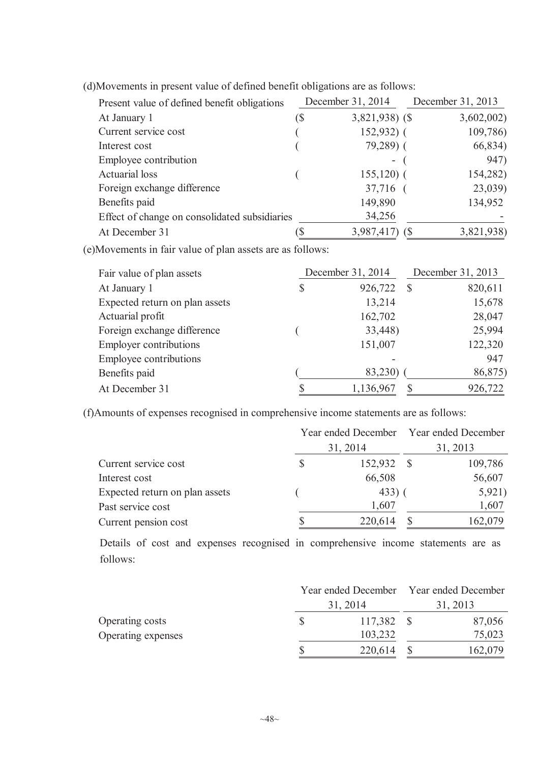| Present value of defined benefit obligations  |     | December 31, 2014 | December 31, 2013 |
|-----------------------------------------------|-----|-------------------|-------------------|
| At January 1                                  | (\$ | $3,821,938$ (\$)  | 3,602,002)        |
| Current service cost                          |     | $152,932$ (       | 109,786)          |
| Interest cost                                 |     | 79,289) (         | 66,834)           |
| Employee contribution                         |     | Ξ.                | 947)              |
| <b>Actuarial</b> loss                         |     | $155,120$ (       | 154,282)          |
| Foreign exchange difference                   |     | 37,716 (          | 23,039)           |
| Benefits paid                                 |     | 149,890           | 134,952           |
| Effect of change on consolidated subsidiaries |     | 34,256            |                   |
| At December 31                                |     | 3,987,417)        | 3,821,938)        |

(d)Movements in present value of defined benefit obligations are as follows:

(e)Movements in fair value of plan assets are as follows:

| Fair value of plan assets      | December 31, 2014 | December 31, 2013 |         |  |
|--------------------------------|-------------------|-------------------|---------|--|
| At January 1                   | \$<br>926,722     | -S                | 820,611 |  |
| Expected return on plan assets | 13,214            |                   | 15,678  |  |
| Actuarial profit               | 162,702           |                   | 28,047  |  |
| Foreign exchange difference    | 33,448)           |                   | 25,994  |  |
| <b>Employer contributions</b>  | 151,007           |                   | 122,320 |  |
| Employee contributions         |                   |                   | 947     |  |
| Benefits paid                  | 83,230)           |                   | 86,875) |  |
| At December 31                 | 1,136,967         |                   | 926,722 |  |

(f)Amounts of expenses recognised in comprehensive income statements are as follows:

|                                |          | Year ended December Year ended December<br>31, 2013 |         |  |
|--------------------------------|----------|-----------------------------------------------------|---------|--|
|                                | 31, 2014 |                                                     |         |  |
| Current service cost           | 152,932  |                                                     | 109,786 |  |
| Interest cost                  | 66,508   |                                                     | 56,607  |  |
| Expected return on plan assets | 433)     |                                                     | 5,921)  |  |
| Past service cost              | 1,607    |                                                     | 1,607   |  |
| Current pension cost           | 220,614  |                                                     | 162,079 |  |

Details of cost and expenses recognised in comprehensive income statements are as follows:

|                    |          | Year ended December Year ended December |  |         |
|--------------------|----------|-----------------------------------------|--|---------|
|                    | 31, 2014 | 31, 2013                                |  |         |
| Operating costs    |          | 117,382 \$                              |  | 87,056  |
| Operating expenses |          | 103,232                                 |  | 75,023  |
|                    |          | 220,614                                 |  | 162,079 |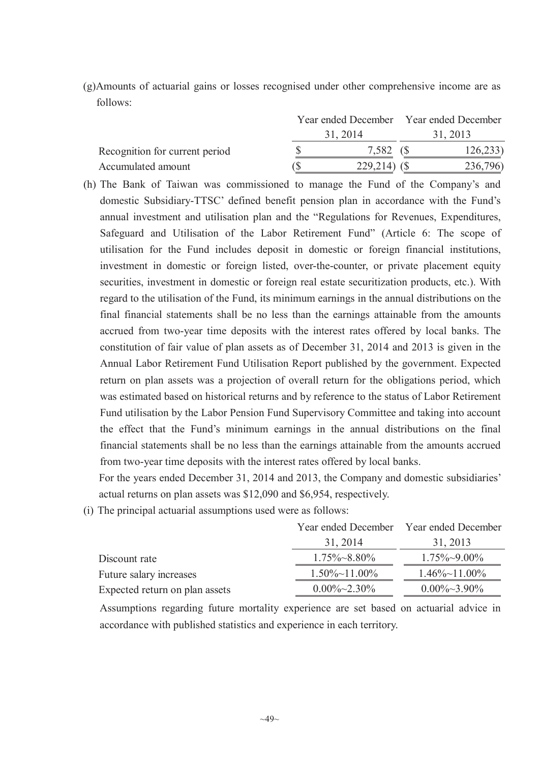(g)Amounts of actuarial gains or losses recognised under other comprehensive income are as follows:

|                                |             | Year ended December Year ended December |          |  |
|--------------------------------|-------------|-----------------------------------------|----------|--|
|                                | 31, 2014    |                                         | 31, 2013 |  |
| Recognition for current period | 7,582       |                                         | 126,233  |  |
| Accumulated amount             | 229,214) (S |                                         | 236,796) |  |

(h) The Bank of Taiwan was commissioned to manage the Fund of the Company's and domestic Subsidiary-TTSC' defined benefit pension plan in accordance with the Fund's annual investment and utilisation plan and the "Regulations for Revenues, Expenditures, Safeguard and Utilisation of the Labor Retirement Fund" (Article 6: The scope of utilisation for the Fund includes deposit in domestic or foreign financial institutions, investment in domestic or foreign listed, over-the-counter, or private placement equity securities, investment in domestic or foreign real estate securitization products, etc.). With regard to the utilisation of the Fund, its minimum earnings in the annual distributions on the final financial statements shall be no less than the earnings attainable from the amounts accrued from two-year time deposits with the interest rates offered by local banks. The constitution of fair value of plan assets as of December 31, 2014 and 2013 is given in the Annual Labor Retirement Fund Utilisation Report published by the government. Expected return on plan assets was a projection of overall return for the obligations period, which was estimated based on historical returns and by reference to the status of Labor Retirement Fund utilisation by the Labor Pension Fund Supervisory Committee and taking into account the effect that the Fund's minimum earnings in the annual distributions on the final financial statements shall be no less than the earnings attainable from the amounts accrued from two-year time deposits with the interest rates offered by local banks.

For the years ended December 31, 2014 and 2013, the Company and domestic subsidiaries' actual returns on plan assets was \$12,090 and \$6,954, respectively.

(i) The principal actuarial assumptions used were as follows:

|                                | Year ended December Year ended December |                       |
|--------------------------------|-----------------------------------------|-----------------------|
|                                | 31, 2014                                | 31, 2013              |
| Discount rate                  | $1.75\% \sim 8.80\%$                    | $1.75\% \sim 9.00\%$  |
| Future salary increases        | $1.50\% \sim 11.00\%$                   | $1.46\% \sim 11.00\%$ |
| Expected return on plan assets | $0.00\% \sim 2.30\%$                    | $0.00\% \sim 3.90\%$  |

Assumptions regarding future mortality experience are set based on actuarial advice in accordance with published statistics and experience in each territory.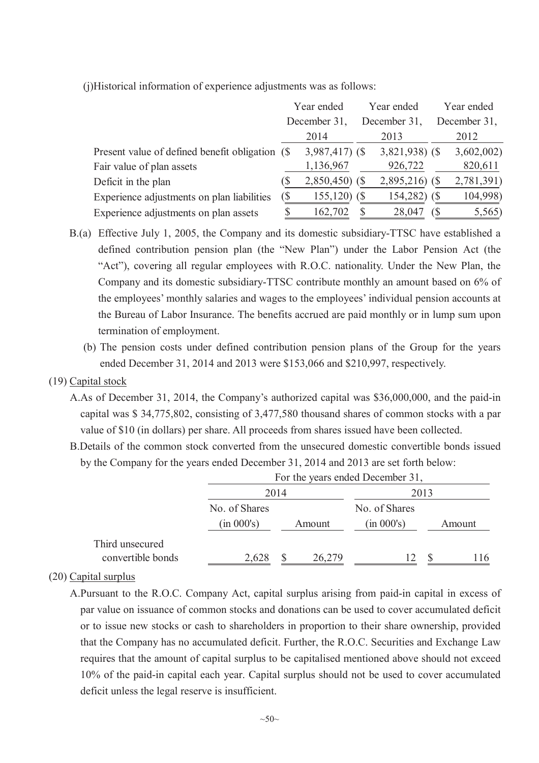(j)Historical information of experience adjustments was as follows:

|                                                 | Year ended                  |                  | Year ended   |                  | Year ended   |
|-------------------------------------------------|-----------------------------|------------------|--------------|------------------|--------------|
|                                                 | December 31                 |                  | December 31. |                  | December 31, |
|                                                 |                             | 2014             |              | 2013             | 2012         |
| Present value of defined benefit obligation (\$ |                             | $3,987,417$ (\$) |              | $3,821,938$ (\$) | 3,602,002    |
| Fair value of plan assets                       |                             | 1,136,967        |              | 926,722          | 820,611      |
| Deficit in the plan                             |                             | $2,850,450$ (\$) |              | 2,895,216)       | 2,781,391)   |
| Experience adjustments on plan liabilities      | $\left( \mathcal{S}\right)$ | $155,120$ (\$)   |              | 154,282)         | 104,998)     |
| Experience adjustments on plan assets           |                             | 162,702          |              | 28,047           | 5,565)       |

- B.(a) Effective July 1, 2005, the Company and its domestic subsidiary-TTSC have established a defined contribution pension plan (the "New Plan") under the Labor Pension Act (the "Act"), covering all regular employees with R.O.C. nationality. Under the New Plan, the Company and its domestic subsidiary-TTSC contribute monthly an amount based on 6% of the employees' monthly salaries and wages to the employees' individual pension accounts at the Bureau of Labor Insurance. The benefits accrued are paid monthly or in lump sum upon termination of employment.
	- (b) The pension costs under defined contribution pension plans of the Group for the years ended December 31, 2014 and 2013 were \$153,066 and \$210,997, respectively.

# (19) Capital stock

- A.As of December 31, 2014, the Company's authorized capital was \$36,000,000, and the paid-in capital was \$ 34,775,802, consisting of 3,477,580 thousand shares of common stocks with a par value of \$10 (in dollars) per share. All proceeds from shares issued have been collected.
- B.Details of the common stock converted from the unsecured domestic convertible bonds issued by the Company for the years ended December 31, 2014 and 2013 are set forth below:

|                   | For the years ended December 31, |      |        |               |  |        |  |  |
|-------------------|----------------------------------|------|--------|---------------|--|--------|--|--|
|                   |                                  | 2014 |        |               |  |        |  |  |
|                   | No. of Shares                    |      |        | No. of Shares |  |        |  |  |
|                   | (in 000's)                       |      | Amount | (in 000's)    |  | Amount |  |  |
| Third unsecured   |                                  |      |        |               |  |        |  |  |
| convertible bonds | 2,628                            |      | 26,279 | 12            |  | 116    |  |  |

# (20) Capital surplus

A.Pursuant to the R.O.C. Company Act, capital surplus arising from paid-in capital in excess of par value on issuance of common stocks and donations can be used to cover accumulated deficit or to issue new stocks or cash to shareholders in proportion to their share ownership, provided that the Company has no accumulated deficit. Further, the R.O.C. Securities and Exchange Law requires that the amount of capital surplus to be capitalised mentioned above should not exceed 10% of the paid-in capital each year. Capital surplus should not be used to cover accumulated deficit unless the legal reserve is insufficient.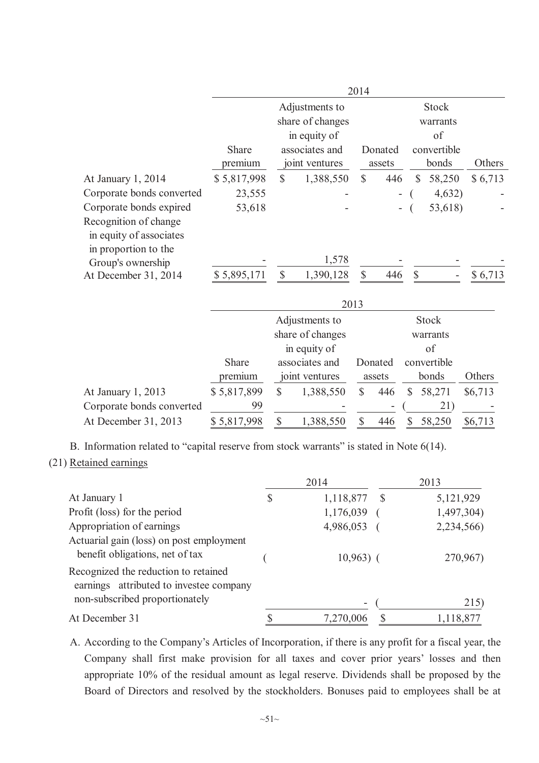|                                                                          |                         |                                  |                                                    | 2014         |                   |              |                                |         |
|--------------------------------------------------------------------------|-------------------------|----------------------------------|----------------------------------------------------|--------------|-------------------|--------------|--------------------------------|---------|
|                                                                          |                         |                                  | Adjustments to<br>share of changes<br>in equity of |              |                   |              | <b>Stock</b><br>warrants<br>of |         |
|                                                                          | <b>Share</b><br>premium | associates and<br>joint ventures |                                                    |              | Donated<br>assets |              | convertible<br>bonds           | Others  |
| At January 1, 2014                                                       | \$5,817,998             | $\mathbb{S}$                     | 1,388,550                                          | $\mathbb{S}$ | 446               | $\mathbb{S}$ | 58,250                         | \$6,713 |
| Corporate bonds converted                                                | 23,555                  |                                  |                                                    |              | Ξ.                |              | 4,632)                         |         |
| Corporate bonds expired                                                  | 53,618                  |                                  |                                                    |              |                   |              | 53,618)                        |         |
| Recognition of change<br>in equity of associates<br>in proportion to the |                         |                                  | 1,578                                              |              |                   |              |                                |         |
| Group's ownership                                                        |                         |                                  |                                                    |              |                   |              |                                |         |
| At December 31, 2014                                                     | \$5,895,171             | $\mathcal{S}$                    | 1,390,128<br>2013                                  | \$           | 446               | $\mathbf S$  |                                | \$6,713 |

|                           |             |   |                  | $\sim$ 0 1 $\sim$ |         |              |         |
|---------------------------|-------------|---|------------------|-------------------|---------|--------------|---------|
|                           |             |   | Adjustments to   |                   |         | <b>Stock</b> |         |
|                           |             |   | share of changes |                   |         | warrants     |         |
|                           |             |   | in equity of     |                   |         | of           |         |
|                           | Share       |   | associates and   |                   | Donated | convertible  |         |
|                           | premium     |   | joint ventures   |                   | assets  | bonds        | Others  |
| At January 1, 2013        | \$5,817,899 | S | 1,388,550        | \$                | 446     | 58,271       | \$6,713 |
| Corporate bonds converted | 99          |   |                  |                   | ۰       | 21           |         |
| At December 31, 2013      | \$5,817,998 |   | 1,388,550        |                   | 446     | 58,250       | \$6,713 |

B. Information related to "capital reserve from stock warrants" is stated in Note 6(14).

#### (21) Retained earnings

|                                                                                                                   | 2014            |    | 2013       |
|-------------------------------------------------------------------------------------------------------------------|-----------------|----|------------|
| At January 1                                                                                                      | \$<br>1,118,877 | -S | 5,121,929  |
| Profit (loss) for the period                                                                                      | 1,176,039       |    | 1,497,304) |
| Appropriation of earnings                                                                                         | 4,986,053       |    | 2,234,566) |
| Actuarial gain (loss) on post employment<br>benefit obligations, net of tax                                       | $10,963)$ (     |    | 270,967)   |
| Recognized the reduction to retained<br>earnings attributed to investee company<br>non-subscribed proportionately | -               |    | 215)       |
| At December 31                                                                                                    | 7,270,006       |    | 1,118,877  |
|                                                                                                                   |                 |    |            |

A. According to the Company's Articles of Incorporation, if there is any profit for a fiscal year, the Company shall first make provision for all taxes and cover prior years' losses and then appropriate 10% of the residual amount as legal reserve. Dividends shall be proposed by the Board of Directors and resolved by the stockholders. Bonuses paid to employees shall be at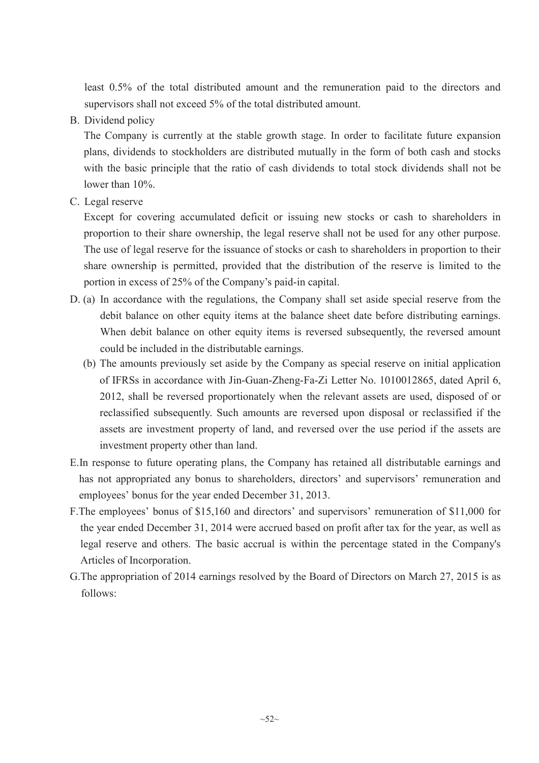least 0.5% of the total distributed amount and the remuneration paid to the directors and supervisors shall not exceed 5% of the total distributed amount.

B. Dividend policy

The Company is currently at the stable growth stage. In order to facilitate future expansion plans, dividends to stockholders are distributed mutually in the form of both cash and stocks with the basic principle that the ratio of cash dividends to total stock dividends shall not be lower than 10%.

C. Legal reserve

Except for covering accumulated deficit or issuing new stocks or cash to shareholders in proportion to their share ownership, the legal reserve shall not be used for any other purpose. The use of legal reserve for the issuance of stocks or cash to shareholders in proportion to their share ownership is permitted, provided that the distribution of the reserve is limited to the portion in excess of 25% of the Company's paid-in capital.

- D. (a) In accordance with the regulations, the Company shall set aside special reserve from the debit balance on other equity items at the balance sheet date before distributing earnings. When debit balance on other equity items is reversed subsequently, the reversed amount could be included in the distributable earnings.
	- (b) The amounts previously set aside by the Company as special reserve on initial application of IFRSs in accordance with Jin-Guan-Zheng-Fa-Zi Letter No. 1010012865, dated April 6, 2012, shall be reversed proportionately when the relevant assets are used, disposed of or reclassified subsequently. Such amounts are reversed upon disposal or reclassified if the assets are investment property of land, and reversed over the use period if the assets are investment property other than land.
- E.In response to future operating plans, the Company has retained all distributable earnings and has not appropriated any bonus to shareholders, directors' and supervisors' remuneration and employees' bonus for the year ended December 31, 2013.
- F.The employees' bonus of \$15,160 and directors' and supervisors' remuneration of \$11,000 for the year ended December 31, 2014 were accrued based on profit after tax for the year, as well as legal reserve and others. The basic accrual is within the percentage stated in the Company's Articles of Incorporation.
- G.The appropriation of 2014 earnings resolved by the Board of Directors on March 27, 2015 is as follows: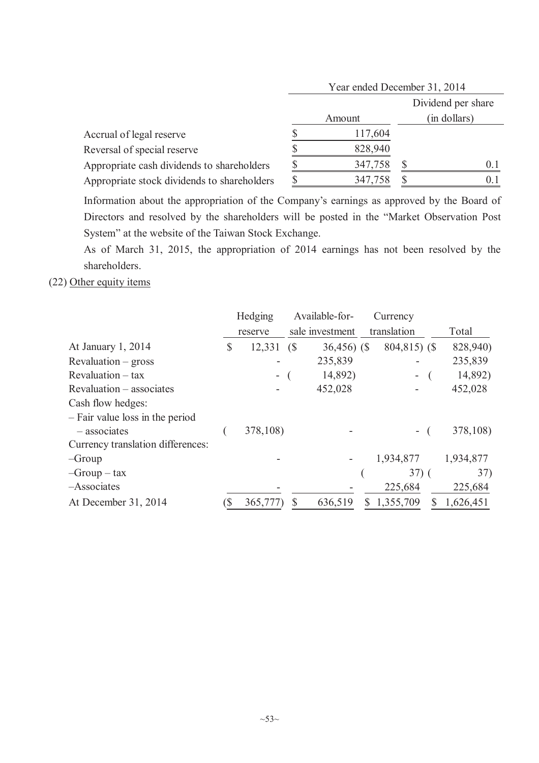|                                             | Year ended December 31, 2014 |  |                    |  |  |
|---------------------------------------------|------------------------------|--|--------------------|--|--|
|                                             |                              |  | Dividend per share |  |  |
|                                             | Amount                       |  | (in dollars)       |  |  |
| Accrual of legal reserve                    | 117,604                      |  |                    |  |  |
| Reversal of special reserve                 | 828,940                      |  |                    |  |  |
| Appropriate cash dividends to shareholders  | 347,758                      |  | $()$ 1             |  |  |
| Appropriate stock dividends to shareholders | 347,758                      |  |                    |  |  |

Information about the appropriation of the Company's earnings as approved by the Board of Directors and resolved by the shareholders will be posted in the "Market Observation Post System" at the website of the Taiwan Stock Exchange.

As of March 31, 2015, the appropriation of 2014 earnings has not been resolved by the shareholders.

(22) Other equity items

|                                   | Hedging      |            | Available-for-  | Currency       |           |
|-----------------------------------|--------------|------------|-----------------|----------------|-----------|
|                                   | reserve      |            | sale investment | translation    | Total     |
| At January 1, 2014                | \$<br>12,331 | $\sqrt{S}$ | $36,456$ (\$)   | $804,815$ (\$) | 828,940)  |
| $Revaluation - gross$             |              |            | 235,839         |                | 235,839   |
| $Revaluation - tax$               |              |            | 14,892)         |                | 14,892)   |
| Revaluation – associates          |              |            | 452,028         |                | 452,028   |
| Cash flow hedges:                 |              |            |                 |                |           |
| - Fair value loss in the period   |              |            |                 |                |           |
| $-$ associates                    | 378,108)     |            |                 |                | 378,108)  |
| Currency translation differences: |              |            |                 |                |           |
| $-Group$                          |              |            |                 | 1,934,877      | 1,934,877 |
| $-Group - tax$                    |              |            |                 | $37)$ (        | 37)       |
| -Associates                       |              |            |                 | 225,684        | 225,684   |
| At December 31, 2014              | 365,777)     | S          | 636,519         | 1,355,709      | 1,626,451 |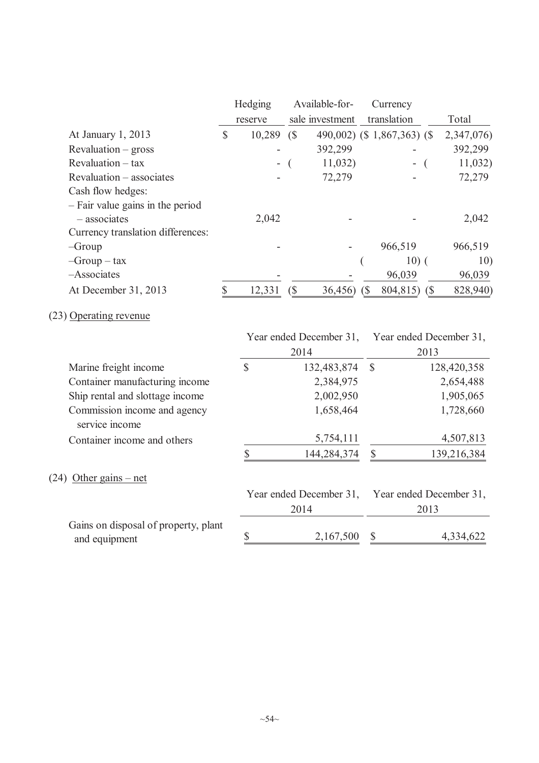|                                                |              | Hedging       |   | Available-for-          |               | Currency                    |             |
|------------------------------------------------|--------------|---------------|---|-------------------------|---------------|-----------------------------|-------------|
|                                                |              | reserve       |   | sale investment         |               | translation                 | Total       |
| At January 1, 2013                             | $\mathbb{S}$ | $10,289$ (\$) |   |                         |               | 490,002) (\$ 1,867,363) (\$ | 2,347,076)  |
| Revaluation – gross                            |              |               |   | 392,299                 |               |                             | 392,299     |
| Revaluation - tax                              |              |               |   | 11,032)                 |               | $\overline{\phantom{0}}$    | 11,032)     |
| Revaluation – associates                       |              |               |   | 72,279                  |               |                             | 72,279      |
| Cash flow hedges:                              |              |               |   |                         |               |                             |             |
| - Fair value gains in the period               |              |               |   |                         |               |                             |             |
| $-$ associates                                 |              | 2,042         |   |                         |               |                             | 2,042       |
| Currency translation differences:              |              |               |   |                         |               |                             |             |
| $-Group$                                       |              |               |   |                         |               | 966,519                     | 966,519     |
| $-Group - tax$                                 |              |               |   |                         |               | $10)$ (                     | 10)         |
| -Associates                                    |              |               |   |                         |               | 96,039                      | 96,039      |
| At December 31, 2013                           | $\mathbb{S}$ | 12,331        | ( | 36,456                  | (S)           | 804,815) (\$                | 828,940)    |
| (23) Operating revenue                         |              |               |   |                         |               |                             |             |
|                                                |              |               |   | Year ended December 31, |               | Year ended December 31,     |             |
|                                                |              |               |   | 2014                    |               | 2013                        |             |
| Marine freight income                          |              | $\mathbb{S}$  |   | 132,483,874             | $\mathcal{S}$ |                             | 128,420,358 |
| Container manufacturing income                 |              |               |   | 2,384,975               |               |                             | 2,654,488   |
| Ship rental and slottage income                |              |               |   | 2,002,950               |               |                             | 1,905,065   |
| Commission income and agency<br>service income |              |               |   | 1,658,464               |               |                             | 1,728,660   |
| Container income and others                    |              |               |   | 5,754,111               |               |                             | 4,507,813   |
|                                                |              | \$            |   | 144,284,374             |               | $\mathbb{S}$                | 139,216,384 |
| $(24)$ Other gains – net                       |              |               |   |                         |               |                             |             |

|                                      | Year ended December 31, Year ended December 31, |  |           |
|--------------------------------------|-------------------------------------------------|--|-----------|
|                                      | 2014                                            |  | 2013      |
| Gains on disposal of property, plant |                                                 |  |           |
| and equipment                        | 2,167,500 \$                                    |  | 4,334,622 |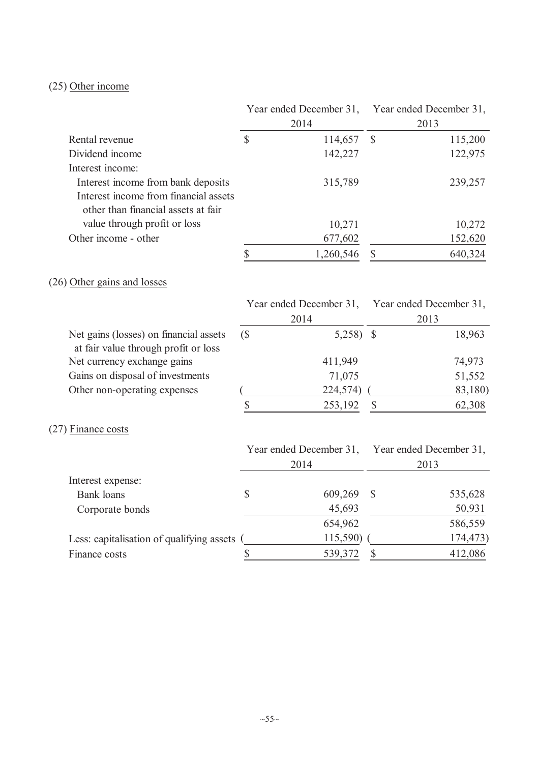# (25) Other income

|                                           |                           | Year ended December 31, |               | Year ended December 31, |
|-------------------------------------------|---------------------------|-------------------------|---------------|-------------------------|
|                                           |                           | 2014                    |               | 2013                    |
| Rental revenue                            | $\mathcal{S}$             | 114,657                 | $\mathbb{S}$  | 115,200                 |
| Dividend income                           |                           | 142,227                 |               | 122,975                 |
| Interest income:                          |                           |                         |               |                         |
| Interest income from bank deposits        |                           | 315,789                 |               | 239,257                 |
| Interest income from financial assets     |                           |                         |               |                         |
| other than financial assets at fair       |                           |                         |               |                         |
| value through profit or loss              |                           | 10,271                  |               | 10,272                  |
| Other income - other                      |                           | 677,602                 |               | 152,620                 |
|                                           | $\boldsymbol{\mathsf{S}}$ | 1,260,546               | $\mathbb{S}$  | 640,324                 |
| (26) Other gains and losses               |                           |                         |               |                         |
|                                           |                           | Year ended December 31, |               | Year ended December 31, |
|                                           |                           | 2014                    |               | 2013                    |
| Net gains (losses) on financial assets    | (S)                       | $5,258$ \$              |               | 18,963                  |
| at fair value through profit or loss      |                           |                         |               |                         |
| Net currency exchange gains               |                           | 411,949                 |               | 74,973                  |
| Gains on disposal of investments          |                           | 71,075                  |               | 51,552                  |
| Other non-operating expenses              |                           | 224,574)                |               | 83,180)                 |
|                                           | \$                        | 253,192                 | $\mathcal{S}$ | 62,308                  |
| $(27)$ Finance costs                      |                           |                         |               |                         |
|                                           |                           | Year ended December 31, |               | Year ended December 31, |
|                                           |                           | 2014                    |               | 2013                    |
| Interest expense:                         |                           |                         |               |                         |
| <b>Bank</b> loans                         | \$                        | 609,269                 | \$            | 535,628                 |
| Corporate bonds                           |                           | 45,693                  |               | 50,931                  |
|                                           |                           | 654,962                 |               | 586,559                 |
| Less: capitalisation of qualifying assets |                           | 115,590)                |               | 174,473)                |
| Finance costs                             | \$                        | 539,372                 | \$            | 412,086                 |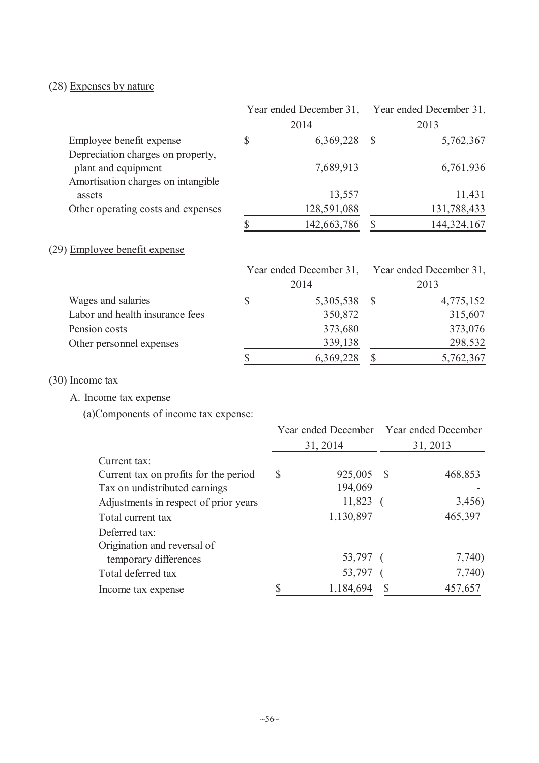# (28) Expenses by nature

|                                                                                                | 2014 |             |   | Year ended December 31, Year ended December 31,<br>2013 |
|------------------------------------------------------------------------------------------------|------|-------------|---|---------------------------------------------------------|
| Employee benefit expense                                                                       | S    | 6,369,228   | S | 5,762,367                                               |
| Depreciation charges on property,<br>plant and equipment<br>Amortisation charges on intangible |      | 7,689,913   |   | 6,761,936                                               |
| assets                                                                                         |      | 13,557      |   | 11,431                                                  |
| Other operating costs and expenses                                                             |      | 128,591,088 |   | 131,788,433                                             |
|                                                                                                |      | 142,663,786 |   | 144, 324, 167                                           |
| (29) Employee benefit expense                                                                  |      |             |   |                                                         |

|                                 | Year ended December 31, Year ended December 31, |           |
|---------------------------------|-------------------------------------------------|-----------|
|                                 | 2014                                            | 2013      |
| Wages and salaries              | \$<br>5,305,538 \$                              | 4,775,152 |
| Labor and health insurance fees | 350,872                                         | 315,607   |
| Pension costs                   | 373,680                                         | 373,076   |
| Other personnel expenses        | 339,138                                         | 298,532   |
|                                 | \$<br>6,369,228                                 | 5,762,367 |

(30) Income tax

A. Income tax expense

(a)Components of income tax expense:

|                                       | Year ended December Year ended December<br>31, 2014 |    | 31, 2013 |
|---------------------------------------|-----------------------------------------------------|----|----------|
| Current tax:                          |                                                     |    |          |
| Current tax on profits for the period | \$<br>925,005                                       | -S | 468,853  |
| Tax on undistributed earnings         | 194,069                                             |    |          |
| Adjustments in respect of prior years | 11,823                                              |    | 3,456)   |
| Total current tax                     | 1,130,897                                           |    | 465,397  |
| Deferred tax:                         |                                                     |    |          |
| Origination and reversal of           |                                                     |    |          |
| temporary differences                 | 53,797                                              |    | 7,740)   |
| Total deferred tax                    | 53,797                                              |    | 7,740)   |
| Income tax expense                    | 1,184,694                                           |    | 457,657  |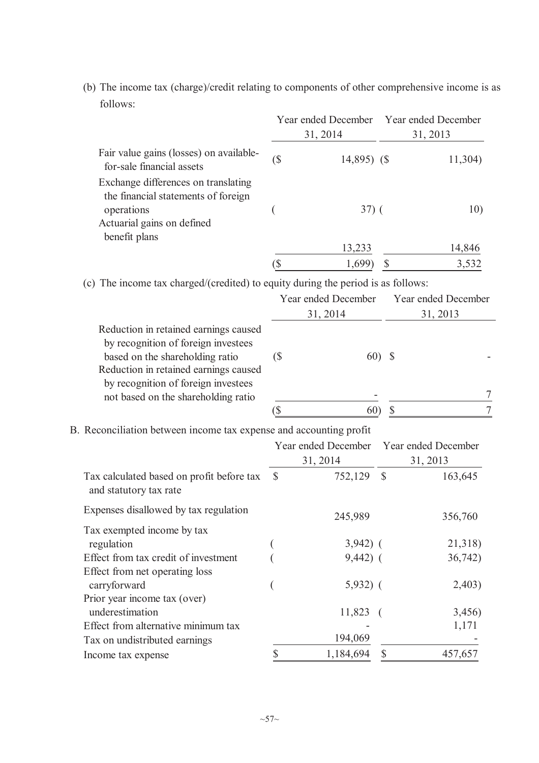|                                                                                                                                                                                                                                        |             | Year ended December Year ended December<br>31, 2014 |              | 31, 2013                        |
|----------------------------------------------------------------------------------------------------------------------------------------------------------------------------------------------------------------------------------------|-------------|-----------------------------------------------------|--------------|---------------------------------|
| Fair value gains (losses) on available-<br>for-sale financial assets                                                                                                                                                                   | $(\$\)$     | 14,895) (\$                                         |              | 11,304)                         |
| Exchange differences on translating<br>the financial statements of foreign<br>operations<br>Actuarial gains on defined                                                                                                                 |             | $37)$ (                                             |              | 10)                             |
| benefit plans                                                                                                                                                                                                                          |             | 13,233                                              |              | 14,846                          |
|                                                                                                                                                                                                                                        | `\$         | 1,699)                                              |              | 3,532                           |
| (c) The income tax charged/(credited) to equity during the period is as follows:                                                                                                                                                       |             | Year ended December<br>31, 2014                     |              | Year ended December<br>31, 2013 |
| Reduction in retained earnings caused<br>by recognition of foreign investees<br>based on the shareholding ratio<br>Reduction in retained earnings caused<br>by recognition of foreign investees<br>not based on the shareholding ratio | (           |                                                     | $60)$ \$     |                                 |
|                                                                                                                                                                                                                                        | `\$         | 60)                                                 | $\mathbb{S}$ | 7                               |
| Reconciliation between income tax expense and accounting profit                                                                                                                                                                        |             |                                                     |              |                                 |
|                                                                                                                                                                                                                                        |             | Year ended December Year ended December<br>31, 2014 |              | 31, 2013                        |
|                                                                                                                                                                                                                                        | $\bigwedge$ | 750, 100, 0                                         |              | 1727                            |

(b) The income tax (charge)/credit relating to components of other comprehensive income is as follows:

B. Reconciliation between income tax expense and accounting profit

|                                                                     |          | 31, 2014   |              | 31, 2013 |
|---------------------------------------------------------------------|----------|------------|--------------|----------|
| Tax calculated based on profit before tax<br>and statutory tax rate | <b>S</b> | 752,129    | <sup>S</sup> | 163,645  |
| Expenses disallowed by tax regulation                               |          | 245,989    |              | 356,760  |
| Tax exempted income by tax                                          |          |            |              |          |
| regulation                                                          |          | $3,942)$ ( |              | 21,318)  |
| Effect from tax credit of investment                                |          | $9,442)$ ( |              | 36,742)  |
| Effect from net operating loss                                      |          |            |              |          |
| carryforward                                                        |          | $5,932)$ ( |              | 2,403)   |
| Prior year income tax (over)                                        |          |            |              |          |
| underestimation                                                     |          | 11,823     |              | 3,456)   |
| Effect from alternative minimum tax                                 |          |            |              | 1,171    |
| Tax on undistributed earnings                                       |          | 194,069    |              |          |
| Income tax expense                                                  |          | 1,184,694  |              | 457,657  |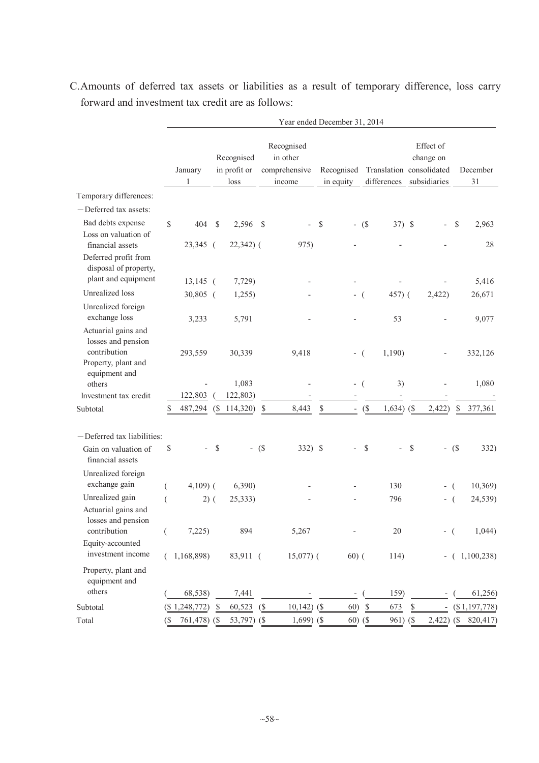|                                                                            |                            | Year ended December 31, 2014 |                                    |             |                                                   |                          |                         |                              |                                                                       |                                                                                |                                   |                          |              |               |
|----------------------------------------------------------------------------|----------------------------|------------------------------|------------------------------------|-------------|---------------------------------------------------|--------------------------|-------------------------|------------------------------|-----------------------------------------------------------------------|--------------------------------------------------------------------------------|-----------------------------------|--------------------------|--------------|---------------|
|                                                                            |                            | January<br>1                 | Recognised<br>in profit or<br>loss |             | Recognised<br>in other<br>comprehensive<br>income |                          | Recognised<br>in equity |                              |                                                                       | Effect of<br>change on<br>Translation consolidated<br>differences subsidiaries |                                   | December<br>31           |              |               |
| Temporary differences:                                                     |                            |                              |                                    |             |                                                   |                          |                         |                              |                                                                       |                                                                                |                                   |                          |              |               |
| -Deferred tax assets:                                                      |                            |                              |                                    |             |                                                   |                          |                         |                              |                                                                       |                                                                                |                                   |                          |              |               |
| Bad debts expense<br>Loss on valuation of                                  | $\mathbb{S}$               | 404                          | \$                                 | 2,596       | $\mathcal{S}$                                     | $\overline{\phantom{0}}$ | $\$$                    |                              | $-$ (\$)                                                              | $37)$ \$                                                                       |                                   | $\overline{\phantom{0}}$ | $\mathbb{S}$ | 2,963         |
| financial assets<br>Deferred profit from<br>disposal of property,          |                            | 23,345 (                     |                                    | $22,342)$ ( |                                                   | 975)                     |                         |                              |                                                                       |                                                                                |                                   |                          |              | 28            |
| plant and equipment                                                        |                            | $13,145$ (                   |                                    | 7,729)      |                                                   |                          |                         |                              |                                                                       |                                                                                |                                   |                          |              | 5,416         |
| Unrealized loss                                                            |                            | 30,805 (                     |                                    | 1,255)      |                                                   |                          |                         |                              | - (                                                                   | 457) (                                                                         |                                   | 2,422)                   |              | 26,671        |
| Unrealized foreign<br>exchange loss<br>Actuarial gains and                 |                            | 3,233                        |                                    | 5,791       |                                                   |                          |                         |                              |                                                                       | 53                                                                             |                                   |                          |              | 9,077         |
| losses and pension<br>contribution<br>Property, plant and<br>equipment and |                            | 293,559                      |                                    | 30,339      |                                                   | 9,418                    |                         |                              | - (                                                                   | 1,190)                                                                         |                                   |                          |              | 332,126       |
| others                                                                     |                            |                              |                                    | 1,083       |                                                   |                          |                         |                              | - (                                                                   | 3)                                                                             |                                   |                          |              | 1,080         |
| Investment tax credit                                                      |                            | 122,803                      |                                    | 122,803)    |                                                   |                          |                         |                              |                                                                       |                                                                                |                                   |                          |              |               |
| Subtotal                                                                   | S                          | 487,294                      | (S)                                | 114,320)    | S                                                 | 8,443                    | \$                      |                              | $($ \$                                                                | $1,634)$ (\$                                                                   |                                   | 2,422)                   | S            | 377,361       |
| -Deferred tax liabilities:                                                 |                            |                              |                                    |             |                                                   |                          |                         |                              |                                                                       |                                                                                |                                   |                          |              |               |
| Gain on valuation of<br>financial assets                                   | \$                         |                              | $\mathbb{S}$                       |             | $-$ (\$)                                          | 332) \$                  |                         |                              | $\mathcal{S}$                                                         |                                                                                | $\mathbb{S}$                      | $\overline{\phantom{0}}$ | (S           | 332)          |
| Unrealized foreign                                                         |                            |                              |                                    |             |                                                   |                          |                         |                              |                                                                       |                                                                                |                                   |                          |              |               |
| exchange gain                                                              | €                          | $4,109$ (                    |                                    | 6,390       |                                                   |                          |                         |                              |                                                                       | 130                                                                            |                                   | $-$ (                    |              | 10,369        |
| Unrealized gain<br>Actuarial gains and<br>losses and pension               |                            | $2)$ (                       |                                    | 25,333)     |                                                   |                          |                         |                              |                                                                       | 796                                                                            |                                   | - (                      |              | 24,539)       |
| contribution                                                               | €                          | 7,225                        |                                    | 894         |                                                   | 5,267                    |                         |                              |                                                                       | 20                                                                             |                                   | - (                      |              | 1,044)        |
| Equity-accounted<br>investment income                                      |                            | 1,168,898)                   |                                    | 83,911 (    |                                                   | $15,077$ ) (             |                         | $60)$ (                      |                                                                       | 114)                                                                           |                                   | -                        |              | (1,100,238)   |
| Property, plant and<br>equipment and                                       |                            |                              |                                    |             |                                                   |                          |                         |                              |                                                                       |                                                                                |                                   |                          |              |               |
| others                                                                     |                            | 68,538)                      |                                    | 7,441       |                                                   |                          |                         | $\qquad \qquad \blacksquare$ |                                                                       | 159)                                                                           |                                   |                          |              | 61,256)       |
| Subtotal                                                                   |                            | (\$1,248,772)                | \$                                 | 60,523      | $($ \$                                            | $10,142)$ (\$            |                         | 60)                          | $\mathbb{S}% _{t}\left( t\right) \equiv\mathbb{S}_{t}\left( t\right)$ | 673                                                                            | $\frac{\mathcal{S}}{\mathcal{S}}$ |                          |              | (\$1,197,778) |
| Total                                                                      | $\left( \text{\$} \right)$ | 761,478) (\$                 |                                    | 53,797) $($ |                                                   | $1,699$ (\$              |                         | 60) (\$                      |                                                                       | 961) (\$                                                                       |                                   | 2,422)                   | (S           | 820,417)      |

C.Amounts of deferred tax assets or liabilities as a result of temporary difference, loss carry forward and investment tax credit are as follows: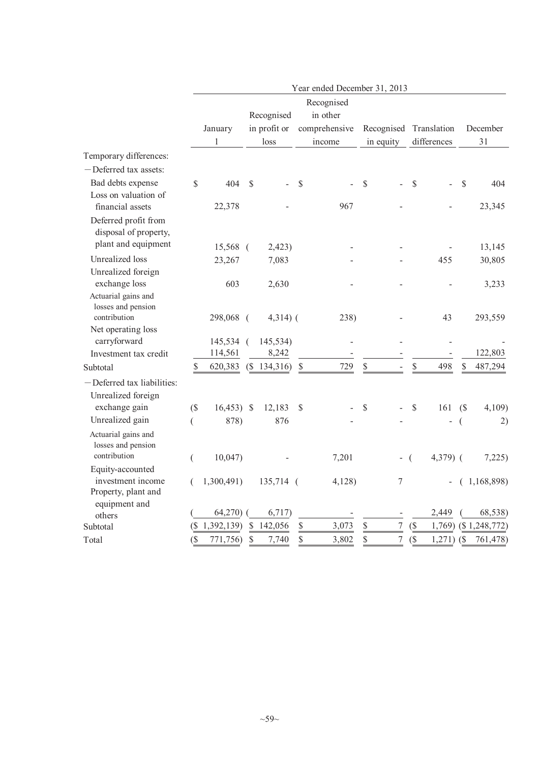|                            |          |                  |               |              |               | Year ended December 31, 2013 |               |                  |     |                          |               |               |
|----------------------------|----------|------------------|---------------|--------------|---------------|------------------------------|---------------|------------------|-----|--------------------------|---------------|---------------|
|                            |          |                  |               |              |               | Recognised                   |               |                  |     |                          |               |               |
|                            |          |                  |               | Recognised   |               | in other                     |               |                  |     |                          |               |               |
|                            |          | January          |               | in profit or |               | comprehensive                |               | Recognised       |     | Translation              |               | December      |
|                            |          | 1                |               | loss         |               | income                       |               | in equity        |     | differences              |               | 31            |
| Temporary differences:     |          |                  |               |              |               |                              |               |                  |     |                          |               |               |
| -Deferred tax assets:      |          |                  |               |              |               |                              |               |                  |     |                          |               |               |
| Bad debts expense          | \$       | 404              | $\mathcal{S}$ |              | \$            |                              | $\mathcal{S}$ |                  |     | \$                       | $\mathcal{S}$ | 404           |
| Loss on valuation of       |          |                  |               |              |               |                              |               |                  |     |                          |               |               |
| financial assets           |          | 22,378           |               |              |               | 967                          |               |                  |     |                          |               | 23,345        |
| Deferred profit from       |          |                  |               |              |               |                              |               |                  |     |                          |               |               |
| disposal of property,      |          |                  |               |              |               |                              |               |                  |     |                          |               |               |
| plant and equipment        |          | 15,568 (         |               | 2,423)       |               |                              |               |                  |     |                          |               | 13,145        |
| <b>Unrealized</b> loss     |          | 23,267           |               | 7,083        |               |                              |               |                  |     | 455                      |               | 30,805        |
| Unrealized foreign         |          |                  |               |              |               |                              |               |                  |     |                          |               |               |
| exchange loss              |          | 603              |               | 2,630        |               |                              |               |                  |     |                          |               | 3,233         |
| Actuarial gains and        |          |                  |               |              |               |                              |               |                  |     |                          |               |               |
| losses and pension         |          |                  |               |              |               |                              |               |                  |     |                          |               |               |
| contribution               |          | 298,068 (        |               | $4,314)$ (   |               | 238)                         |               |                  |     | 43                       |               | 293,559       |
| Net operating loss         |          |                  |               |              |               |                              |               |                  |     |                          |               |               |
| carryforward               |          | 145,534 (        |               | 145,534)     |               |                              |               |                  |     |                          |               |               |
| Investment tax credit      |          | 114,561          |               | 8,242        |               |                              |               |                  |     |                          |               | 122,803       |
| Subtotal                   | \$       | 620,383          |               | (\$134,316)  | $\mathbb{S}$  | 729                          | \$            |                  |     | \$<br>498                | \$            | 487,294       |
| -Deferred tax liabilities: |          |                  |               |              |               |                              |               |                  |     |                          |               |               |
| Unrealized foreign         |          |                  |               |              |               |                              |               |                  |     |                          |               |               |
| exchange gain              | $($ \$   | $16,453$ ) \$    |               | 12,183       | $\mathcal{S}$ |                              | $\mathbb{S}$  |                  |     | $\mathbb S$<br>161       | (S)           | 4,109)        |
| Unrealized gain            | $\left($ | 878)             |               | 876          |               |                              |               |                  |     |                          | (             | 2)            |
| Actuarial gains and        |          |                  |               |              |               |                              |               |                  |     |                          |               |               |
| losses and pension         |          |                  |               |              |               |                              |               |                  |     |                          |               |               |
| contribution               | €        | 10,047           |               |              |               | 7,201                        |               |                  | - ( | $4,379$ (                |               | 7,225)        |
| Equity-accounted           |          |                  |               |              |               |                              |               |                  |     |                          |               |               |
| investment income          | (        | 1,300,491)       |               | 135,714 (    |               | 4,128                        |               | 7                |     | $\overline{\phantom{0}}$ |               | (1,168,898)   |
| Property, plant and        |          |                  |               |              |               |                              |               |                  |     |                          |               |               |
| equipment and              |          | 64,270)          |               | 6,717)       |               |                              |               |                  |     | 2,449                    |               | 68,538)       |
| others                     |          |                  | $\mathcal{S}$ | 142,056      | \$            |                              | \$            | $\boldsymbol{7}$ |     |                          |               |               |
| Subtotal                   |          | $($ \$1,392,139) |               |              |               | 3,073                        |               |                  |     | $($ \$<br>1,769)         |               | (\$1,248,772) |
| Total                      | $($ \$   | 771,756)         | $\mathcal{S}$ | 7,740        | \$            | 3,802                        | \$            | $\boldsymbol{7}$ |     | $($ \$<br>$1,271)$ (\$   |               | 761,478)      |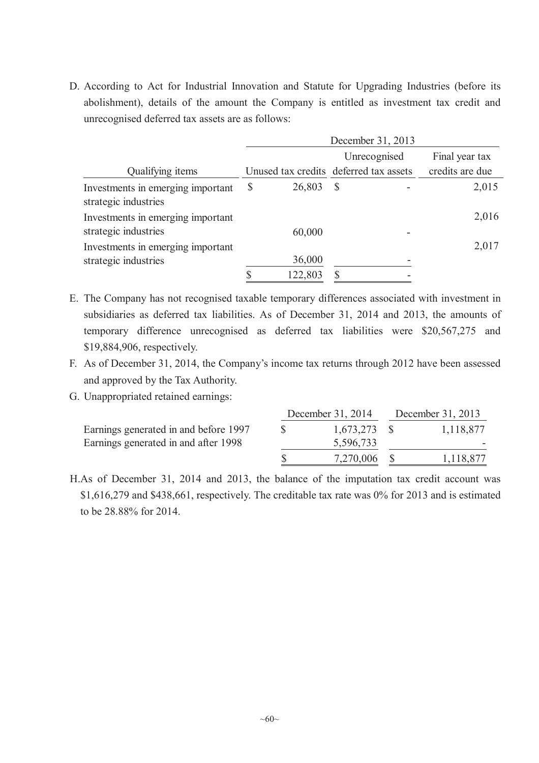D. According to Act for Industrial Innovation and Statute for Upgrading Industries (before its abolishment), details of the amount the Company is entitled as investment tax credit and unrecognised deferred tax assets are as follows:

|                                                           | December 31, 2013 |         |                                        |  |                 |  |  |  |
|-----------------------------------------------------------|-------------------|---------|----------------------------------------|--|-----------------|--|--|--|
|                                                           |                   |         | Unrecognised                           |  | Final year tax  |  |  |  |
| Qualifying items                                          |                   |         | Unused tax credits deferred tax assets |  | credits are due |  |  |  |
| Investments in emerging important<br>strategic industries | S                 | 26,803  | S                                      |  | 2,015           |  |  |  |
| Investments in emerging important<br>strategic industries |                   | 60,000  |                                        |  | 2,016           |  |  |  |
| Investments in emerging important<br>strategic industries |                   | 36,000  |                                        |  | 2,017           |  |  |  |
|                                                           |                   | 122,803 |                                        |  |                 |  |  |  |

- E. The Company has not recognised taxable temporary differences associated with investment in subsidiaries as deferred tax liabilities. As of December 31, 2014 and 2013, the amounts of temporary difference unrecognised as deferred tax liabilities were \$20,567,275 and \$19,884,906, respectively.
- F. As of December 31, 2014, the Company's income tax returns through 2012 have been assessed and approved by the Tax Authority.
- G. Unappropriated retained earnings:

|                                       | December 31, 2014 | December 31, 2013 |           |  |
|---------------------------------------|-------------------|-------------------|-----------|--|
| Earnings generated in and before 1997 | $1,673,273$ \$    |                   | 1,118,877 |  |
| Earnings generated in and after 1998  | 5,596,733         |                   |           |  |
|                                       | 7,270,006 \$      |                   | 1,118,877 |  |

H.As of December 31, 2014 and 2013, the balance of the imputation tax credit account was \$1,616,279 and \$438,661, respectively. The creditable tax rate was 0% for 2013 and is estimated to be 28.88% for 2014.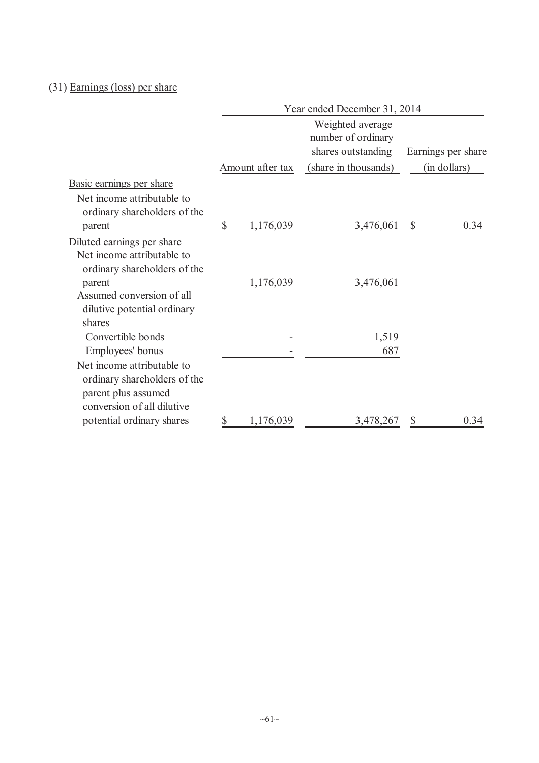# (31) Earnings (loss) per share

|                                                                                                                 | Year ended December 31, 2014 |                  |                                                              |    |                    |  |  |  |
|-----------------------------------------------------------------------------------------------------------------|------------------------------|------------------|--------------------------------------------------------------|----|--------------------|--|--|--|
|                                                                                                                 |                              |                  | Weighted average<br>number of ordinary<br>shares outstanding |    | Earnings per share |  |  |  |
|                                                                                                                 |                              | Amount after tax | (share in thousands)                                         |    | (in dollars)       |  |  |  |
| Basic earnings per share                                                                                        |                              |                  |                                                              |    |                    |  |  |  |
| Net income attributable to<br>ordinary shareholders of the<br>parent                                            | $\mathcal{S}$                | 1,176,039        | 3,476,061                                                    | \$ | 0.34               |  |  |  |
| Diluted earnings per share                                                                                      |                              |                  |                                                              |    |                    |  |  |  |
| Net income attributable to                                                                                      |                              |                  |                                                              |    |                    |  |  |  |
| ordinary shareholders of the<br>parent                                                                          |                              | 1,176,039        | 3,476,061                                                    |    |                    |  |  |  |
| Assumed conversion of all<br>dilutive potential ordinary                                                        |                              |                  |                                                              |    |                    |  |  |  |
| shares                                                                                                          |                              |                  |                                                              |    |                    |  |  |  |
| Convertible bonds<br>Employees' bonus                                                                           |                              |                  | 1,519<br>687                                                 |    |                    |  |  |  |
| Net income attributable to<br>ordinary shareholders of the<br>parent plus assumed<br>conversion of all dilutive |                              |                  |                                                              |    |                    |  |  |  |
| potential ordinary shares                                                                                       | \$                           | 1,176,039        | 3,478,267                                                    |    | 0.34               |  |  |  |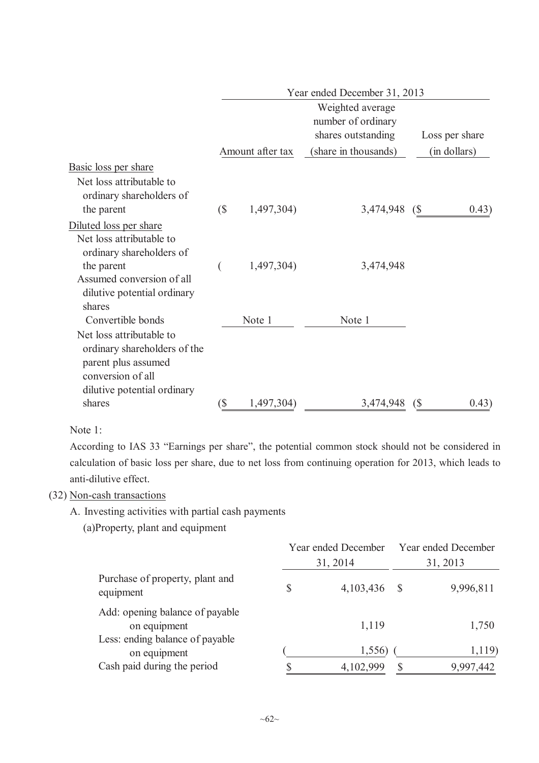|                                                                                                                                                                    | Year ended December 31, 2013 |                  |                                        |    |                |  |  |  |
|--------------------------------------------------------------------------------------------------------------------------------------------------------------------|------------------------------|------------------|----------------------------------------|----|----------------|--|--|--|
|                                                                                                                                                                    |                              |                  | Weighted average<br>number of ordinary |    |                |  |  |  |
|                                                                                                                                                                    |                              |                  | shares outstanding                     |    | Loss per share |  |  |  |
|                                                                                                                                                                    |                              | Amount after tax | (share in thousands)                   |    | (in dollars)   |  |  |  |
| Basic loss per share<br>Net loss attributable to<br>ordinary shareholders of                                                                                       |                              |                  |                                        |    |                |  |  |  |
| the parent                                                                                                                                                         | $\left( \text{\$} \right)$   | 1,497,304)       | 3,474,948 (\$                          |    | 0.43)          |  |  |  |
| Diluted loss per share<br>Net loss attributable to<br>ordinary shareholders of                                                                                     |                              |                  |                                        |    |                |  |  |  |
| the parent<br>Assumed conversion of all<br>dilutive potential ordinary                                                                                             |                              | 1,497,304)       | 3,474,948                              |    |                |  |  |  |
| shares<br>Convertible bonds<br>Net loss attributable to<br>ordinary shareholders of the<br>parent plus assumed<br>conversion of all<br>dilutive potential ordinary |                              | Note 1           | Note 1                                 |    |                |  |  |  |
| shares                                                                                                                                                             | (\$                          | 1,497,304)       | 3,474,948                              | (S | 0.43)          |  |  |  |

# Note 1:

According to IAS 33 "Earnings per share", the potential common stock should not be considered in calculation of basic loss per share, due to net loss from continuing operation for 2013, which leads to anti-dilutive effect.

# (32) Non-cash transactions

- A. Investing activities with partial cash payments
	- (a)Property, plant and equipment

|                                                 | Year ended December |          | Year ended December |
|-------------------------------------------------|---------------------|----------|---------------------|
|                                                 | 31, 2014            |          | 31, 2013            |
| Purchase of property, plant and<br>equipment    | 4,103,436           | - \$     | 9,996,811           |
| Add: opening balance of payable<br>on equipment | 1,119               |          | 1,750               |
| Less: ending balance of payable<br>on equipment | 1,556               |          | 1,119)              |
| Cash paid during the period                     | 4,102,999           | <b>S</b> | 9,997,442           |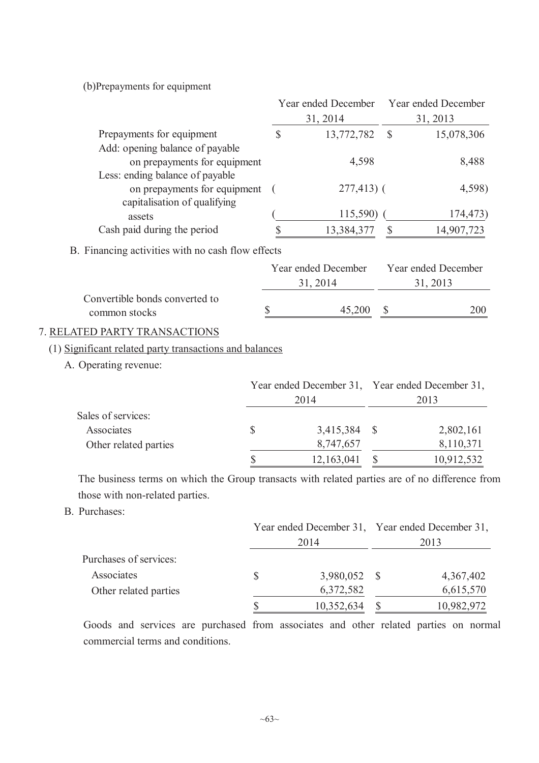(b)Prepayments for equipment

|                                                         |              | Year ended December |               | Year ended December                             |
|---------------------------------------------------------|--------------|---------------------|---------------|-------------------------------------------------|
|                                                         |              | 31, 2014            |               | 31, 2013                                        |
| Prepayments for equipment                               | $\mathbb{S}$ | 13,772,782          | $\mathcal{S}$ | 15,078,306                                      |
| Add: opening balance of payable                         |              |                     |               |                                                 |
| on prepayments for equipment                            |              | 4,598               |               | 8,488                                           |
| Less: ending balance of payable                         |              |                     |               |                                                 |
| on prepayments for equipment                            |              | $277,413$ (         |               | 4,598)                                          |
| capitalisation of qualifying                            |              | 115,590)            |               | 174,473)                                        |
| assets<br>Cash paid during the period                   | \$           |                     |               |                                                 |
|                                                         |              | 13,384,377          | $\mathcal{S}$ | 14,907,723                                      |
| B. Financing activities with no cash flow effects       |              |                     |               |                                                 |
|                                                         |              | Year ended December |               | Year ended December                             |
|                                                         |              | 31, 2014            |               | 31, 2013                                        |
| Convertible bonds converted to                          |              |                     |               |                                                 |
| common stocks                                           | \$           | 45,200              | $\mathbb{S}$  | 200                                             |
| 7. RELATED PARTY TRANSACTIONS                           |              |                     |               |                                                 |
| (1) Significant related party transactions and balances |              |                     |               |                                                 |
| A. Operating revenue:                                   |              |                     |               |                                                 |
|                                                         |              |                     |               | Year ended December 31, Year ended December 31, |
|                                                         |              | 2014                |               | 2013                                            |
| Sales of services:                                      |              |                     |               |                                                 |
| Associates                                              | \$           | 3,415,384           | $\mathbb{S}$  | 2,802,161                                       |
| Other related parties                                   |              | 8,747,657           |               | 8,110,371                                       |
|                                                         | \$           | 12,163,041          | \$            | 10,912,532                                      |
|                                                         |              |                     |               |                                                 |

The business terms on which the Group transacts with related parties are of no difference from those with non-related parties.

B. Purchases:

|                        | Year ended December 31, Year ended December 31, |      |            |  |
|------------------------|-------------------------------------------------|------|------------|--|
|                        | 2014                                            | 2013 |            |  |
| Purchases of services: |                                                 |      |            |  |
| Associates             | 3,980,052 \$                                    |      | 4,367,402  |  |
| Other related parties  | 6,372,582                                       |      | 6,615,570  |  |
|                        | 10,352,634                                      |      | 10,982,972 |  |

Goods and services are purchased from associates and other related parties on normal commercial terms and conditions.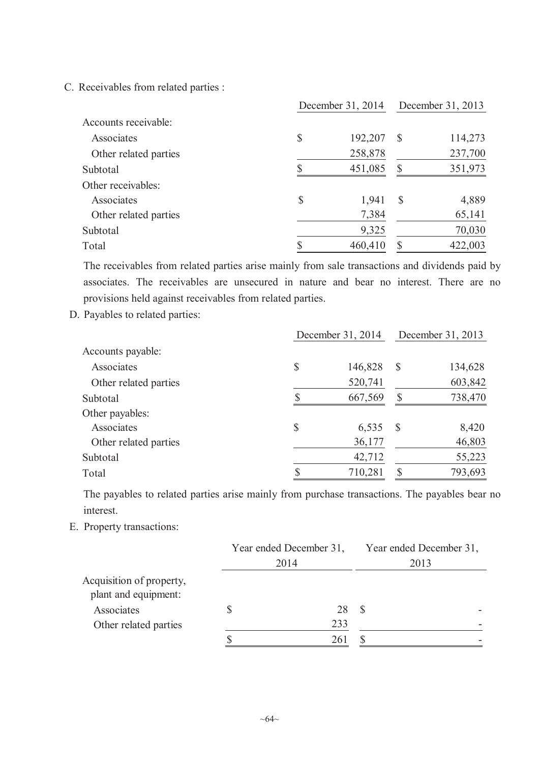C. Receivables from related parties :

|                       | December 31, 2014 | December 31, 2013 |              |         |
|-----------------------|-------------------|-------------------|--------------|---------|
| Accounts receivable:  |                   |                   |              |         |
| Associates            | \$                | 192,207           | <sup>S</sup> | 114,273 |
| Other related parties |                   | 258,878           |              | 237,700 |
| Subtotal              |                   | 451,085           | S            | 351,973 |
| Other receivables:    |                   |                   |              |         |
| Associates            | \$                | 1,941             | <sup>S</sup> | 4,889   |
| Other related parties |                   | 7,384             |              | 65,141  |
| Subtotal              |                   | 9,325             |              | 70,030  |
| Total                 |                   | 460,410           | S            | 422,003 |

The receivables from related parties arise mainly from sale transactions and dividends paid by associates. The receivables are unsecured in nature and bear no interest. There are no provisions held against receivables from related parties.

D. Payables to related parties:

|                       | December 31, 2014 | December 31, 2013 |               |         |
|-----------------------|-------------------|-------------------|---------------|---------|
| Accounts payable:     |                   |                   |               |         |
| Associates            | \$                | 146,828           | $\mathcal{S}$ | 134,628 |
| Other related parties |                   | 520,741           |               | 603,842 |
| Subtotal              |                   | 667,569           | \$            | 738,470 |
| Other payables:       |                   |                   |               |         |
| Associates            | \$                | 6,535             | $\mathcal{S}$ | 8,420   |
| Other related parties |                   | 36,177            |               | 46,803  |
| Subtotal              |                   | 42,712            |               | 55,223  |
| Total                 |                   | 710,281           | \$            | 793,693 |

The payables to related parties arise mainly from purchase transactions. The payables bear no interest.

E. Property transactions:

|                                                  | Year ended December 31, | Year ended December 31, |
|--------------------------------------------------|-------------------------|-------------------------|
|                                                  | 2014                    | 2013                    |
| Acquisition of property,<br>plant and equipment: |                         |                         |
| Associates                                       | 28                      |                         |
| Other related parties                            | 233                     |                         |
|                                                  | 261                     |                         |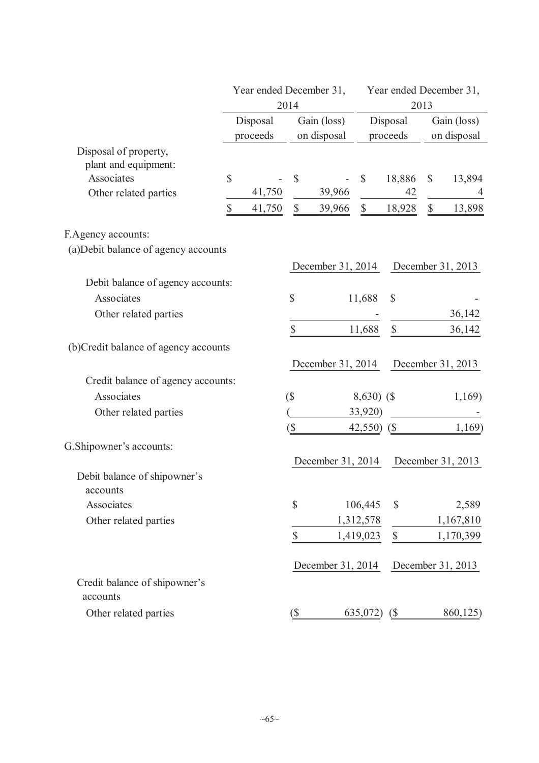|                                               |             | Year ended December 31,                            | 2014                        |                      |                           | Year ended December 31,<br>2013 |                            |                   |  |
|-----------------------------------------------|-------------|----------------------------------------------------|-----------------------------|----------------------|---------------------------|---------------------------------|----------------------------|-------------------|--|
|                                               |             | Disposal<br>Gain (loss)<br>proceeds<br>on disposal |                             | Disposal<br>proceeds |                           |                                 | Gain (loss)<br>on disposal |                   |  |
| Disposal of property,<br>plant and equipment: |             |                                                    |                             |                      |                           |                                 |                            |                   |  |
| Associates                                    | \$          |                                                    | \$                          |                      | $\boldsymbol{\mathsf{S}}$ | 18,886                          | $\mathbb{S}$               | 13,894            |  |
| Other related parties                         |             | 41,750                                             |                             | 39,966               |                           | 42                              |                            |                   |  |
|                                               | $\mathbb S$ | 41,750                                             | $\boldsymbol{\mathsf{S}}$   | 39,966               | $\boldsymbol{\mathsf{S}}$ | 18,928                          | $\boldsymbol{\mathsf{S}}$  | 13,898            |  |
| F.Agency accounts:                            |             |                                                    |                             |                      |                           |                                 |                            |                   |  |
| (a) Debit balance of agency accounts          |             |                                                    |                             |                      |                           |                                 |                            |                   |  |
|                                               |             |                                                    |                             | December 31, 2014    |                           |                                 |                            | December 31, 2013 |  |
| Debit balance of agency accounts:             |             |                                                    |                             |                      |                           |                                 |                            |                   |  |
| Associates                                    |             |                                                    | \$                          |                      | 11,688                    | $\mathcal{S}$                   |                            |                   |  |
| Other related parties                         |             |                                                    |                             |                      |                           |                                 |                            | 36,142            |  |
|                                               |             |                                                    | \$                          |                      | 11,688                    | $\mathbb{S}$                    |                            | 36,142            |  |
| (b) Credit balance of agency accounts         |             |                                                    |                             |                      |                           |                                 |                            |                   |  |
|                                               |             |                                                    |                             | December 31, 2014    |                           |                                 |                            | December 31, 2013 |  |
| Credit balance of agency accounts:            |             |                                                    |                             |                      |                           |                                 |                            |                   |  |
| Associates                                    |             |                                                    | $($ \$                      |                      | $8,630)$ (\$              |                                 |                            | 1,169)            |  |
| Other related parties                         |             |                                                    |                             |                      | 33,920)                   |                                 |                            |                   |  |
|                                               |             |                                                    | (\$                         |                      | 42,550) (\$               |                                 |                            | 1,169             |  |
| G. Shipowner's accounts:                      |             |                                                    |                             |                      |                           |                                 |                            |                   |  |
|                                               |             |                                                    |                             | December 31, 2014    |                           |                                 |                            | December 31, 2013 |  |
| Debit balance of shipowner's<br>accounts      |             |                                                    |                             |                      |                           |                                 |                            |                   |  |
| Associates                                    |             |                                                    | \$                          |                      | 106,445                   | \$                              |                            | 2,589             |  |
| Other related parties                         |             |                                                    |                             |                      | 1,312,578                 |                                 |                            | 1,167,810         |  |
|                                               |             |                                                    | \$                          |                      | 1,419,023                 | $\mathcal{S}$                   |                            | 1,170,399         |  |
|                                               |             |                                                    |                             | December 31, 2014    |                           |                                 |                            | December 31, 2013 |  |
| Credit balance of shipowner's<br>accounts     |             |                                                    |                             |                      |                           |                                 |                            |                   |  |
| Other related parties                         |             |                                                    | $\left( \mathcal{S}\right)$ |                      | 635,072                   | $\binom{S}{ }$                  |                            | 860,125)          |  |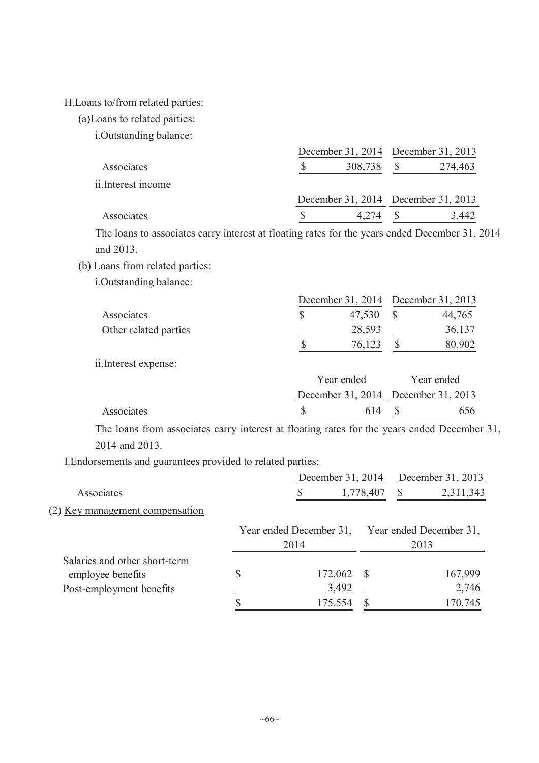#### H.Loans to/from related parties:

(a)Loans to related parties:

i.Outstanding balance:

|                     |         | December 31, 2014 December 31, 2013 |
|---------------------|---------|-------------------------------------|
| Associates          | 308,738 | 274,463                             |
| ii. Interest income |         |                                     |
|                     |         | December 31, 2014 December 31, 2013 |
| Associates          | 4 274   | 3,442                               |

The loans to associates carry interest at floating rates for the years ended December 31, 2014 and 2013.

- (b) Loans from related parties:
	- i.Outstanding balance:

|                       | December 31, 2014 December 31, 2013 |  |        |  |
|-----------------------|-------------------------------------|--|--------|--|
| Associates            | 47,530                              |  | 44,765 |  |
| Other related parties | 28,593                              |  | 36,137 |  |
|                       | 76,123                              |  | 80,902 |  |

ii.Interest expense:

|            | Year ended | Year ended                          |
|------------|------------|-------------------------------------|
|            |            | December 31, 2014 December 31, 2013 |
| Associates |            | 614 S<br>656                        |

The loans from associates carry interest at floating rates for the years ended December 31, 2014 and 2013.

I.Endorsements and guarantees provided to related parties:

|                                   | December 31, 2014       |              | December 31, 2013 |                         |  |
|-----------------------------------|-------------------------|--------------|-------------------|-------------------------|--|
| Associates                        |                         | 1,778,407    | S                 | 2,311,343               |  |
| $(2)$ Key management compensation |                         |              |                   |                         |  |
|                                   | Year ended December 31, |              |                   | Year ended December 31, |  |
|                                   | 2014                    |              | 2013              |                         |  |
| Salaries and other short-term     |                         |              |                   |                         |  |
| employee benefits                 | \$<br>172,062           | <sup>S</sup> |                   | 167,999                 |  |
| Post-employment benefits          | 3,492                   |              |                   | 2,746                   |  |
|                                   | 175,554                 |              |                   | 170,745                 |  |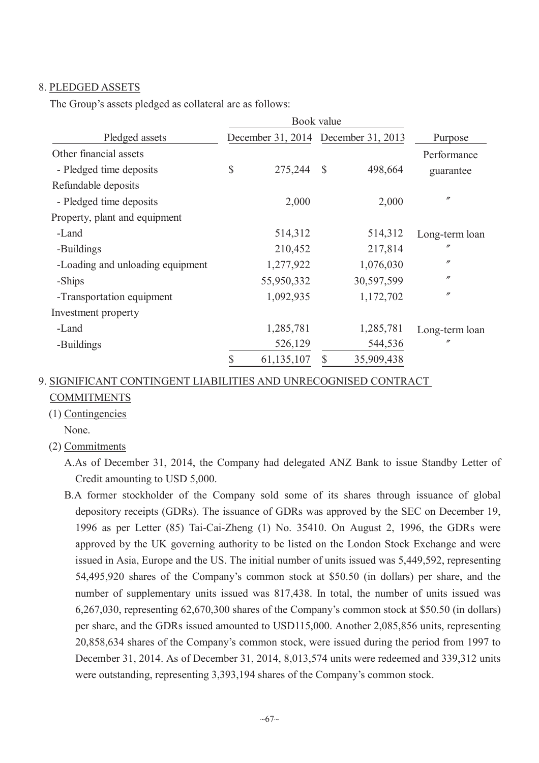# 8. PLEDGED ASSETS

The Group's assets pledged as collateral are as follows:

|                                  |              | Book value                          |              |            |                   |  |
|----------------------------------|--------------|-------------------------------------|--------------|------------|-------------------|--|
| Pledged assets                   |              | December 31, 2014 December 31, 2013 |              |            | Purpose           |  |
| Other financial assets           |              |                                     |              |            | Performance       |  |
| - Pledged time deposits          | $\mathbb{S}$ | 275,244                             | $\mathbb{S}$ | 498,664    | guarantee         |  |
| Refundable deposits              |              |                                     |              |            |                   |  |
| - Pledged time deposits          |              | 2,000                               |              | 2,000      | $^{\prime\prime}$ |  |
| Property, plant and equipment    |              |                                     |              |            |                   |  |
| -Land                            |              | 514,312                             |              | 514,312    | Long-term loan    |  |
| -Buildings                       |              | 210,452                             |              | 217,814    | $^{\prime\prime}$ |  |
| -Loading and unloading equipment |              | 1,277,922                           |              | 1,076,030  | $^{\prime\prime}$ |  |
| -Ships                           |              | 55,950,332                          |              | 30,597,599 | $^{\prime\prime}$ |  |
| -Transportation equipment        |              | 1,092,935                           |              | 1,172,702  | $^{\prime\prime}$ |  |
| Investment property              |              |                                     |              |            |                   |  |
| -Land                            |              | 1,285,781                           |              | 1,285,781  | Long-term loan    |  |
| -Buildings                       |              | 526,129                             |              | 544,536    | $^{\prime\prime}$ |  |
|                                  |              | 61,135,107                          | S            | 35,909,438 |                   |  |

# 9. SIGNIFICANT CONTINGENT LIABILITIES AND UNRECOGNISED CONTRACT COMMITMENTS

- (1) Contingencies
	- None.

(2) Commitments

A.As of December 31, 2014, the Company had delegated ANZ Bank to issue Standby Letter of Credit amounting to USD 5,000.

B.A former stockholder of the Company sold some of its shares through issuance of global depository receipts (GDRs). The issuance of GDRs was approved by the SEC on December 19, 1996 as per Letter (85) Tai-Cai-Zheng (1) No. 35410. On August 2, 1996, the GDRs were approved by the UK governing authority to be listed on the London Stock Exchange and were issued in Asia, Europe and the US. The initial number of units issued was 5,449,592, representing 54,495,920 shares of the Company's common stock at \$50.50 (in dollars) per share, and the number of supplementary units issued was 817,438. In total, the number of units issued was 6,267,030, representing 62,670,300 shares of the Company's common stock at \$50.50 (in dollars) per share, and the GDRs issued amounted to USD115,000. Another 2,085,856 units, representing 20,858,634 shares of the Company's common stock, were issued during the period from 1997 to December 31, 2014. As of December 31, 2014, 8,013,574 units were redeemed and 339,312 units were outstanding, representing 3,393,194 shares of the Company's common stock.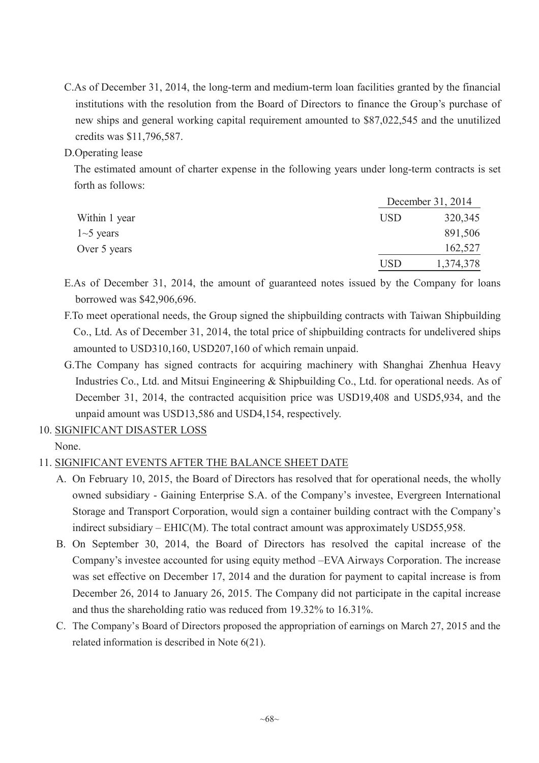C.As of December 31, 2014, the long-term and medium-term loan facilities granted by the financial institutions with the resolution from the Board of Directors to finance the Group's purchase of new ships and general working capital requirement amounted to \$87,022,545 and the unutilized credits was \$11,796,587.

### D.Operating lease

The estimated amount of charter expense in the following years under long-term contracts is set forth as follows:

|               |     | December 31, 2014 |  |  |  |
|---------------|-----|-------------------|--|--|--|
| Within 1 year | USD | 320,345           |  |  |  |
| $1-5$ years   |     | 891,506           |  |  |  |
| Over 5 years  |     | 162,527           |  |  |  |
|               | USD | 1,374,378         |  |  |  |

E.As of December 31, 2014, the amount of guaranteed notes issued by the Company for loans borrowed was \$42,906,696.

- F.To meet operational needs, the Group signed the shipbuilding contracts with Taiwan Shipbuilding Co., Ltd. As of December 31, 2014, the total price of shipbuilding contracts for undelivered ships amounted to USD310,160, USD207,160 of which remain unpaid.
- G.The Company has signed contracts for acquiring machinery with Shanghai Zhenhua Heavy Industries Co., Ltd. and Mitsui Engineering & Shipbuilding Co., Ltd. for operational needs. As of December 31, 2014, the contracted acquisition price was USD19,408 and USD5,934, and the unpaid amount was USD13,586 and USD4,154, respectively.
- 10. SIGNIFICANT DISASTER LOSS

None.

# 11. SIGNIFICANT EVENTS AFTER THE BALANCE SHEET DATE

- A. On February 10, 2015, the Board of Directors has resolved that for operational needs, the wholly owned subsidiary - Gaining Enterprise S.A. of the Company's investee, Evergreen International Storage and Transport Corporation, would sign a container building contract with the Company's indirect subsidiary – EHIC(M). The total contract amount was approximately USD55,958.
- B. On September 30, 2014, the Board of Directors has resolved the capital increase of the Company's investee accounted for using equity method –EVA Airways Corporation. The increase was set effective on December 17, 2014 and the duration for payment to capital increase is from December 26, 2014 to January 26, 2015. The Company did not participate in the capital increase and thus the shareholding ratio was reduced from 19.32% to 16.31%.
- C. The Company's Board of Directors proposed the appropriation of earnings on March 27, 2015 and the related information is described in Note 6(21).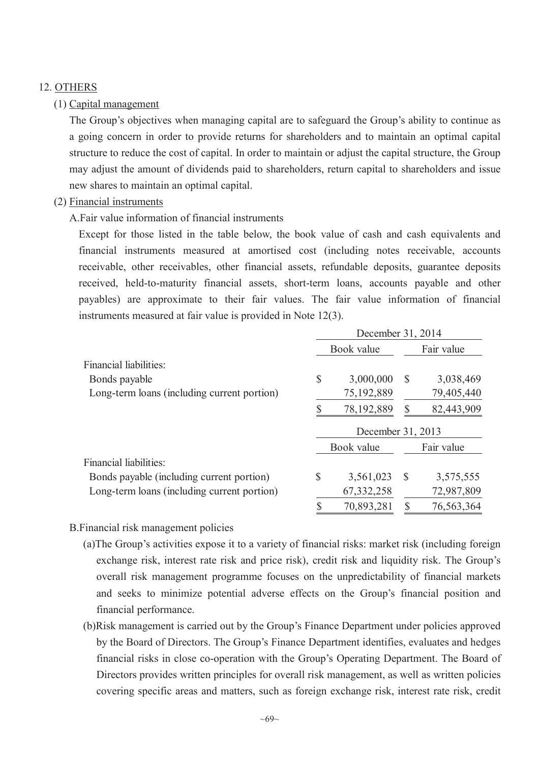# 12. OTHERS

# (1) Capital management

The Group's objectives when managing capital are to safeguard the Group's ability to continue as a going concern in order to provide returns for shareholders and to maintain an optimal capital structure to reduce the cost of capital. In order to maintain or adjust the capital structure, the Group may adjust the amount of dividends paid to shareholders, return capital to shareholders and issue new shares to maintain an optimal capital.

# (2) Financial instruments

# A.Fair value information of financial instruments

Except for those listed in the table below, the book value of cash and cash equivalents and financial instruments measured at amortised cost (including notes receivable, accounts receivable, other receivables, other financial assets, refundable deposits, guarantee deposits received, held-to-maturity financial assets, short-term loans, accounts payable and other payables) are approximate to their fair values. The fair value information of financial instruments measured at fair value is provided in Note 12(3).

|                                             | December 31, 2014 |                   |              |            |  |  |
|---------------------------------------------|-------------------|-------------------|--------------|------------|--|--|
|                                             | Book value        |                   |              | Fair value |  |  |
| Financial liabilities:                      |                   |                   |              |            |  |  |
| Bonds payable                               | \$                | 3,000,000         | -S           | 3,038,469  |  |  |
| Long-term loans (including current portion) |                   | 75,192,889        |              | 79,405,440 |  |  |
|                                             |                   | 78,192,889        | S            | 82,443,909 |  |  |
|                                             |                   | December 31, 2013 |              |            |  |  |
|                                             |                   | Book value        |              | Fair value |  |  |
| Financial liabilities:                      |                   |                   |              |            |  |  |
| Bonds payable (including current portion)   | $\mathcal{S}$     | 3,561,023         | <sup>S</sup> | 3,575,555  |  |  |
| Long-term loans (including current portion) |                   | 67, 332, 258      |              | 72,987,809 |  |  |
|                                             |                   |                   |              |            |  |  |

# B.Financial risk management policies

- (a)The Group's activities expose it to a variety of financial risks: market risk (including foreign exchange risk, interest rate risk and price risk), credit risk and liquidity risk. The Group's overall risk management programme focuses on the unpredictability of financial markets and seeks to minimize potential adverse effects on the Group's financial position and financial performance.
- (b)Risk management is carried out by the Group's Finance Department under policies approved by the Board of Directors. The Group's Finance Department identifies, evaluates and hedges financial risks in close co-operation with the Group's Operating Department. The Board of Directors provides written principles for overall risk management, as well as written policies covering specific areas and matters, such as foreign exchange risk, interest rate risk, credit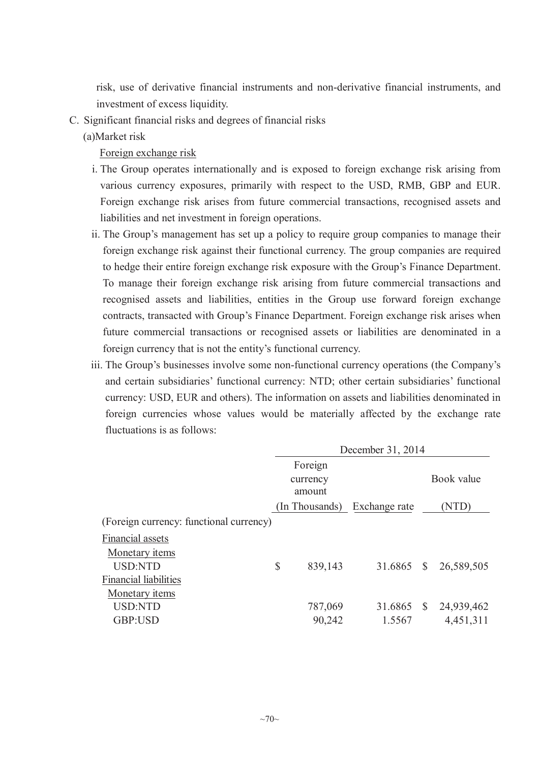risk, use of derivative financial instruments and non-derivative financial instruments, and investment of excess liquidity.

- C. Significant financial risks and degrees of financial risks
	- (a)Market risk

Foreign exchange risk

- i. The Group operates internationally and is exposed to foreign exchange risk arising from various currency exposures, primarily with respect to the USD, RMB, GBP and EUR. Foreign exchange risk arises from future commercial transactions, recognised assets and liabilities and net investment in foreign operations.
- ii. The Group's management has set up a policy to require group companies to manage their foreign exchange risk against their functional currency. The group companies are required to hedge their entire foreign exchange risk exposure with the Group's Finance Department. To manage their foreign exchange risk arising from future commercial transactions and recognised assets and liabilities, entities in the Group use forward foreign exchange contracts, transacted with Group's Finance Department. Foreign exchange risk arises when future commercial transactions or recognised assets or liabilities are denominated in a foreign currency that is not the entity's functional currency.
- iii. The Group's businesses involve some non-functional currency operations (the Company's and certain subsidiaries' functional currency: NTD; other certain subsidiaries' functional currency: USD, EUR and others). The information on assets and liabilities denominated in foreign currencies whose values would be materially affected by the exchange rate fluctuations is as follows:

| December 31, 2014  |         |                |              |                         |  |  |
|--------------------|---------|----------------|--------------|-------------------------|--|--|
|                    | Foreign |                |              |                         |  |  |
| currency<br>amount |         |                |              | Book value              |  |  |
|                    |         | Exchange rate  |              | (NTD)                   |  |  |
|                    |         |                |              |                         |  |  |
|                    |         |                |              |                         |  |  |
|                    |         |                |              |                         |  |  |
| \$                 | 839,143 | 31.6865        | $\mathbb{S}$ | 26,589,505              |  |  |
|                    |         |                |              |                         |  |  |
|                    |         |                |              |                         |  |  |
|                    | 787,069 |                |              | 24,939,462              |  |  |
|                    | 90,242  | 1.5567         |              | 4,451,311               |  |  |
|                    |         | (In Thousands) |              | 31.6865<br>$\mathbb{S}$ |  |  |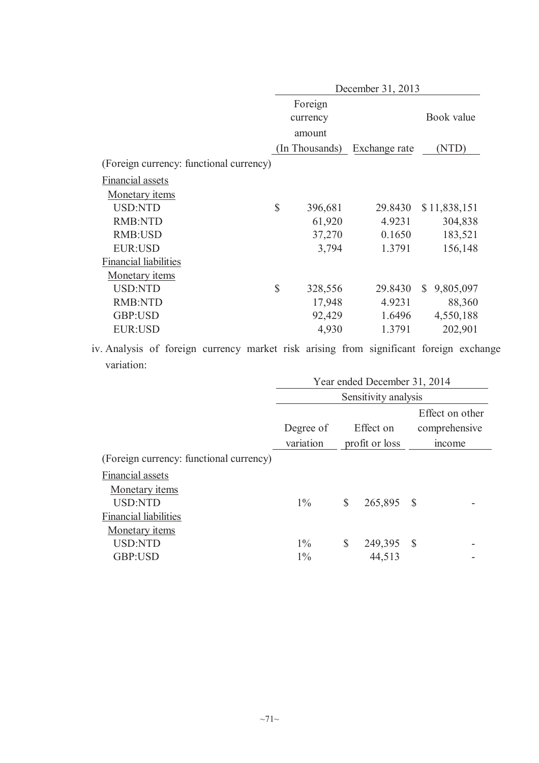|                                         | December 31, 2013 |                |               |                           |  |  |
|-----------------------------------------|-------------------|----------------|---------------|---------------------------|--|--|
|                                         |                   | Foreign        |               |                           |  |  |
|                                         |                   | currency       |               | Book value                |  |  |
|                                         |                   | amount         |               |                           |  |  |
|                                         |                   | (In Thousands) | Exchange rate | (NTD)                     |  |  |
| (Foreign currency: functional currency) |                   |                |               |                           |  |  |
| Financial assets                        |                   |                |               |                           |  |  |
| <b>Monetary items</b>                   |                   |                |               |                           |  |  |
| <b>USD:NTD</b>                          | $\mathsf{\$}$     | 396,681        | 29.8430       | \$11,838,151              |  |  |
| <b>RMB:NTD</b>                          |                   | 61,920         | 4.9231        | 304,838                   |  |  |
| <b>RMB:USD</b>                          |                   | 37,270         | 0.1650        | 183,521                   |  |  |
| EUR:USD                                 |                   | 3,794          | 1.3791        | 156,148                   |  |  |
| <b>Financial liabilities</b>            |                   |                |               |                           |  |  |
| Monetary <i>items</i>                   |                   |                |               |                           |  |  |
| <b>USD:NTD</b>                          | $\mathsf{\$}$     | 328,556        | 29.8430       | $\mathbb{S}$<br>9,805,097 |  |  |
| <b>RMB:NTD</b>                          |                   | 17,948         | 4.9231        | 88,360                    |  |  |
| GBP:USD                                 |                   | 92,429         | 1.6496        | 4,550,188                 |  |  |
| <b>EUR:USD</b>                          |                   | 4,930          | 1.3791        | 202,901                   |  |  |

iv. Analysis of foreign currency market risk arising from significant foreign exchange variation:

|                                         | Year ended December 31, 2014 |              |                |              |               |  |  |  |
|-----------------------------------------|------------------------------|--------------|----------------|--------------|---------------|--|--|--|
|                                         | Sensitivity analysis         |              |                |              |               |  |  |  |
|                                         | Effect on other              |              |                |              |               |  |  |  |
|                                         | Degree of                    |              | Effect on      |              | comprehensive |  |  |  |
|                                         | variation                    |              | profit or loss |              | mcome         |  |  |  |
| (Foreign currency: functional currency) |                              |              |                |              |               |  |  |  |
| Financial assets                        |                              |              |                |              |               |  |  |  |
| Monetary <i>items</i>                   |                              |              |                |              |               |  |  |  |
| <b>USD:NTD</b>                          | $1\%$                        | <sup>S</sup> | 265,895        | -S           |               |  |  |  |
| <b>Financial liabilities</b>            |                              |              |                |              |               |  |  |  |
| Monetary <i>items</i>                   |                              |              |                |              |               |  |  |  |
| <b>USD:NTD</b>                          | $1\%$                        | <sup>S</sup> | 249,395        | <sup>S</sup> |               |  |  |  |
| GBP:USD                                 | $1\%$                        |              | 44,513         |              |               |  |  |  |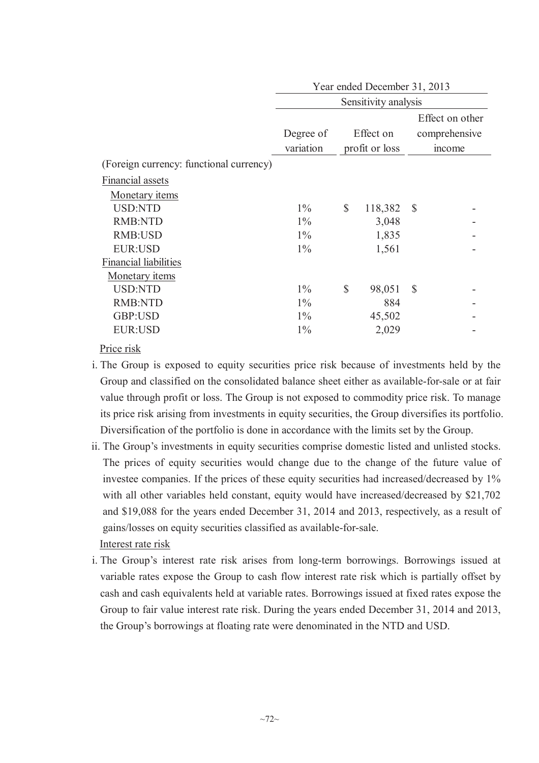|                                         | Year ended December 31, 2013 |                |                      |          |               |  |  |  |  |  |  |  |
|-----------------------------------------|------------------------------|----------------|----------------------|----------|---------------|--|--|--|--|--|--|--|
|                                         |                              |                | Sensitivity analysis |          |               |  |  |  |  |  |  |  |
|                                         |                              |                | Effect on other      |          |               |  |  |  |  |  |  |  |
|                                         | Degree of                    |                | Effect on            |          | comprehensive |  |  |  |  |  |  |  |
|                                         | variation                    | profit or loss |                      |          | mcome         |  |  |  |  |  |  |  |
| (Foreign currency: functional currency) |                              |                |                      |          |               |  |  |  |  |  |  |  |
| Financial assets                        |                              |                |                      |          |               |  |  |  |  |  |  |  |
| <b>Monetary items</b>                   |                              |                |                      |          |               |  |  |  |  |  |  |  |
| <b>USD:NTD</b>                          | $1\%$                        | $\mathbb{S}$   | 118,382              | <b>S</b> |               |  |  |  |  |  |  |  |
| <b>RMB:NTD</b>                          | $1\%$                        |                | 3,048                |          |               |  |  |  |  |  |  |  |
| RMB:USD                                 | $1\%$                        |                | 1,835                |          |               |  |  |  |  |  |  |  |
| <b>EUR:USD</b>                          | $1\%$                        |                | 1,561                |          |               |  |  |  |  |  |  |  |
| <b>Financial liabilities</b>            |                              |                |                      |          |               |  |  |  |  |  |  |  |
| Monetary <i>items</i>                   |                              |                |                      |          |               |  |  |  |  |  |  |  |
| <b>USD:NTD</b>                          | $1\%$                        | \$             | 98,051               | -S       |               |  |  |  |  |  |  |  |
| <b>RMB:NTD</b>                          | $1\%$                        |                | 884                  |          |               |  |  |  |  |  |  |  |
| GBP:USD                                 | $1\%$                        |                | 45,502               |          |               |  |  |  |  |  |  |  |
| <b>EUR:USD</b>                          | $1\%$                        |                | 2,029                |          |               |  |  |  |  |  |  |  |
|                                         |                              |                |                      |          |               |  |  |  |  |  |  |  |

Price risk

- i. The Group is exposed to equity securities price risk because of investments held by the Group and classified on the consolidated balance sheet either as available-for-sale or at fair value through profit or loss. The Group is not exposed to commodity price risk. To manage its price risk arising from investments in equity securities, the Group diversifies its portfolio. Diversification of the portfolio is done in accordance with the limits set by the Group.
- ii. The Group's investments in equity securities comprise domestic listed and unlisted stocks. The prices of equity securities would change due to the change of the future value of investee companies. If the prices of these equity securities had increased/decreased by 1% with all other variables held constant, equity would have increased/decreased by \$21,702 and \$19,088 for the years ended December 31, 2014 and 2013, respectively, as a result of gains/losses on equity securities classified as available-for-sale. Interest rate risk
- i. The Group's interest rate risk arises from long-term borrowings. Borrowings issued at variable rates expose the Group to cash flow interest rate risk which is partially offset by cash and cash equivalents held at variable rates. Borrowings issued at fixed rates expose the Group to fair value interest rate risk. During the years ended December 31, 2014 and 2013, the Group's borrowings at floating rate were denominated in the NTD and USD.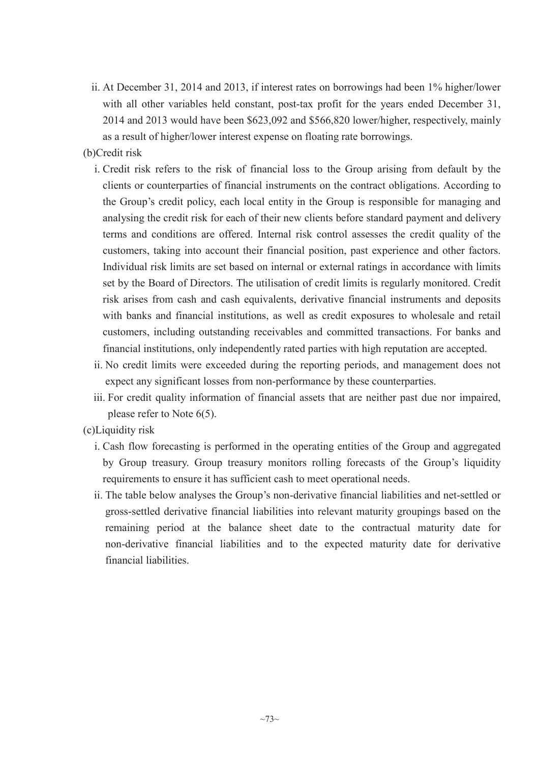ii. At December 31, 2014 and 2013, if interest rates on borrowings had been 1% higher/lower with all other variables held constant, post-tax profit for the years ended December 31, 2014 and 2013 would have been \$623,092 and \$566,820 lower/higher, respectively, mainly as a result of higher/lower interest expense on floating rate borrowings.

### (b)Credit risk

- i. Credit risk refers to the risk of financial loss to the Group arising from default by the clients or counterparties of financial instruments on the contract obligations. According to the Group's credit policy, each local entity in the Group is responsible for managing and analysing the credit risk for each of their new clients before standard payment and delivery terms and conditions are offered. Internal risk control assesses the credit quality of the customers, taking into account their financial position, past experience and other factors. Individual risk limits are set based on internal or external ratings in accordance with limits set by the Board of Directors. The utilisation of credit limits is regularly monitored. Credit risk arises from cash and cash equivalents, derivative financial instruments and deposits with banks and financial institutions, as well as credit exposures to wholesale and retail customers, including outstanding receivables and committed transactions. For banks and financial institutions, only independently rated parties with high reputation are accepted.
- ii. No credit limits were exceeded during the reporting periods, and management does not expect any significant losses from non-performance by these counterparties.
- iii. For credit quality information of financial assets that are neither past due nor impaired, please refer to Note 6(5).
- (c)Liquidity risk
	- i. Cash flow forecasting is performed in the operating entities of the Group and aggregated by Group treasury. Group treasury monitors rolling forecasts of the Group's liquidity requirements to ensure it has sufficient cash to meet operational needs.
	- ii. The table below analyses the Group's non-derivative financial liabilities and net-settled or gross-settled derivative financial liabilities into relevant maturity groupings based on the remaining period at the balance sheet date to the contractual maturity date for non-derivative financial liabilities and to the expected maturity date for derivative financial liabilities.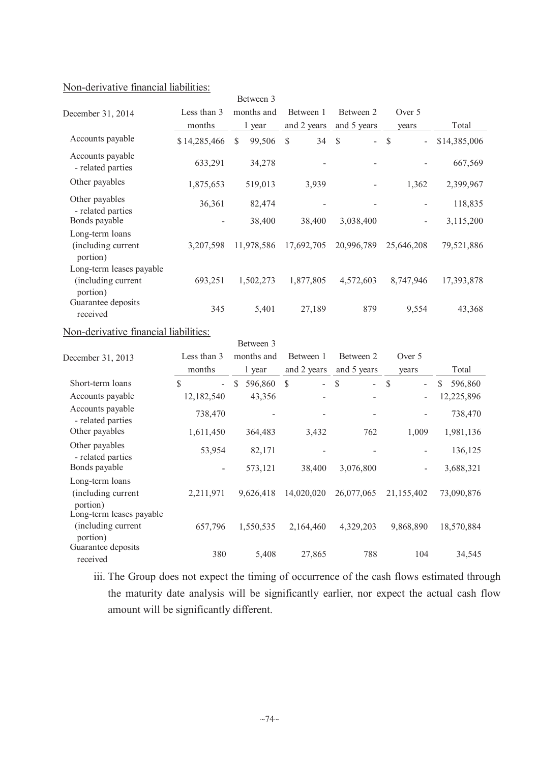# Non-derivative financial liabilities:

|                                                            |              | Between 3               |             |                         |               |              |
|------------------------------------------------------------|--------------|-------------------------|-------------|-------------------------|---------------|--------------|
| December 31, 2014                                          | Less than 3  | months and              | Between 1   | Between 2               | Over 5        |              |
|                                                            | months       | 1 year                  | and 2 years | and 5 years             | years         | Total        |
| Accounts payable                                           | \$14,285,466 | 99,506<br><sup>\$</sup> | 34<br>S     | $\mathcal{S}$<br>$\sim$ | <sup>\$</sup> | \$14,385,006 |
| Accounts payable<br>- related parties                      | 633,291      | 34,278                  |             |                         |               | 667,569      |
| Other payables                                             | 1,875,653    | 519,013                 | 3,939       |                         | 1,362         | 2,399,967    |
| Other payables<br>- related parties                        | 36,361       | 82,474                  |             |                         |               | 118,835      |
| Bonds payable                                              |              | 38,400                  | 38,400      | 3,038,400               | -             | 3,115,200    |
| Long-term loans<br>(including current<br>portion)          | 3,207,598    | 11,978,586              | 17,692,705  | 20,996,789              | 25,646,208    | 79,521,886   |
| Long-term leases payable<br>(including current<br>portion) | 693,251      | 1,502,273               | 1,877,805   | 4,572,603               | 8,747,946     | 17,393,878   |
| Guarantee deposits<br>received                             | 345          | 5,401                   | 27,189      | 879                     | 9,554         | 43,368       |

### Non-derivative financial liabilities:

|                                                             |                                          | Between 3                |              |                         |                                           |                         |
|-------------------------------------------------------------|------------------------------------------|--------------------------|--------------|-------------------------|-------------------------------------------|-------------------------|
| December 31, 2013                                           | Less than 3                              | months and               | Between 1    | Between 2               | Over 5                                    |                         |
|                                                             | months                                   | 1 year                   | and 2 years  | and 5 years             | years                                     | Total                   |
| Short-term loans                                            | $\mathbb{S}$<br>$\overline{\phantom{0}}$ | $\mathcal{S}$<br>596,860 | \$<br>$\sim$ | $\mathcal{S}$<br>$\sim$ | $\mathcal{S}$<br>$\overline{\phantom{a}}$ | $\mathbb{S}$<br>596,860 |
| Accounts payable                                            | 12,182,540                               | 43,356                   |              |                         | Ξ.                                        | 12,225,896              |
| Accounts payable<br>- related parties                       | 738,470                                  |                          |              |                         |                                           | 738,470                 |
| Other payables                                              | 1,611,450                                | 364,483                  | 3,432        | 762                     | 1,009                                     | 1,981,136               |
| Other payables<br>- related parties                         | 53,954                                   | 82,171                   |              |                         |                                           | 136,125                 |
| Bonds payable                                               | $\overline{\phantom{a}}$                 | 573,121                  | 38,400       | 3,076,800               | -                                         | 3,688,321               |
| Long-term loans<br>(including current<br>portion)           | 2,211,971                                | 9,626,418                | 14,020,020   | 26,077,065              | 21,155,402                                | 73,090,876              |
| Long-term leases payable<br>(including current)<br>portion) | 657,796                                  | 1,550,535                | 2,164,460    | 4,329,203               | 9,868,890                                 | 18,570,884              |
| Guarantee deposits<br>received                              | 380                                      | 5,408                    | 27,865       | 788                     | 104                                       | 34,545                  |

iii. The Group does not expect the timing of occurrence of the cash flows estimated through the maturity date analysis will be significantly earlier, nor expect the actual cash flow amount will be significantly different.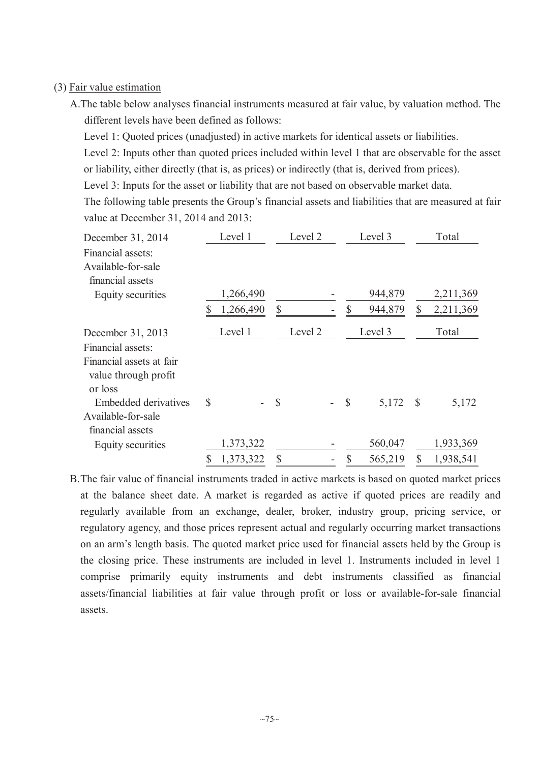### (3) Fair value estimation

A.The table below analyses financial instruments measured at fair value, by valuation method. The different levels have been defined as follows:

Level 1: Quoted prices (unadjusted) in active markets for identical assets or liabilities.

Level 2: Inputs other than quoted prices included within level 1 that are observable for the asset or liability, either directly (that is, as prices) or indirectly (that is, derived from prices).

Level 3: Inputs for the asset or liability that are not based on observable market data.

The following table presents the Group's financial assets and liabilities that are measured at fair value at December 31, 2014 and 2013:

| Level 1<br>December 31, 2014 |    |           |               | Level 2 |               | Level 3 |               | Total     |
|------------------------------|----|-----------|---------------|---------|---------------|---------|---------------|-----------|
| Financial assets:            |    |           |               |         |               |         |               |           |
| Available-for-sale           |    |           |               |         |               |         |               |           |
| financial assets             |    |           |               |         |               |         |               |           |
| Equity securities            |    | 1,266,490 |               |         |               | 944,879 |               | 2,211,369 |
|                              | \$ | 1,266,490 | \$            |         | $\mathbb{S}$  | 944,879 | S             | 2,211,369 |
| December 31, 2013            |    | Level 1   |               | Level 2 |               | Level 3 |               | Total     |
| Financial assets:            |    |           |               |         |               |         |               |           |
| Financial assets at fair     |    |           |               |         |               |         |               |           |
| value through profit         |    |           |               |         |               |         |               |           |
| or loss                      |    |           |               |         |               |         |               |           |
| Embedded derivatives         | \$ |           | $\mathcal{S}$ |         | $\mathcal{S}$ | 5,172   | $\mathcal{S}$ | 5,172     |
| Available-for-sale           |    |           |               |         |               |         |               |           |
| financial assets             |    |           |               |         |               |         |               |           |
| Equity securities            |    | 1,373,322 |               |         |               | 560,047 |               | 1,933,369 |
|                              | \$ | 1,373,322 | $\mathcal{S}$ |         | \$            | 565,219 |               | 1,938,541 |

B.The fair value of financial instruments traded in active markets is based on quoted market prices at the balance sheet date. A market is regarded as active if quoted prices are readily and regularly available from an exchange, dealer, broker, industry group, pricing service, or regulatory agency, and those prices represent actual and regularly occurring market transactions on an arm's length basis. The quoted market price used for financial assets held by the Group is the closing price. These instruments are included in level 1. Instruments included in level 1 comprise primarily equity instruments and debt instruments classified as financial assets/financial liabilities at fair value through profit or loss or available-for-sale financial assets.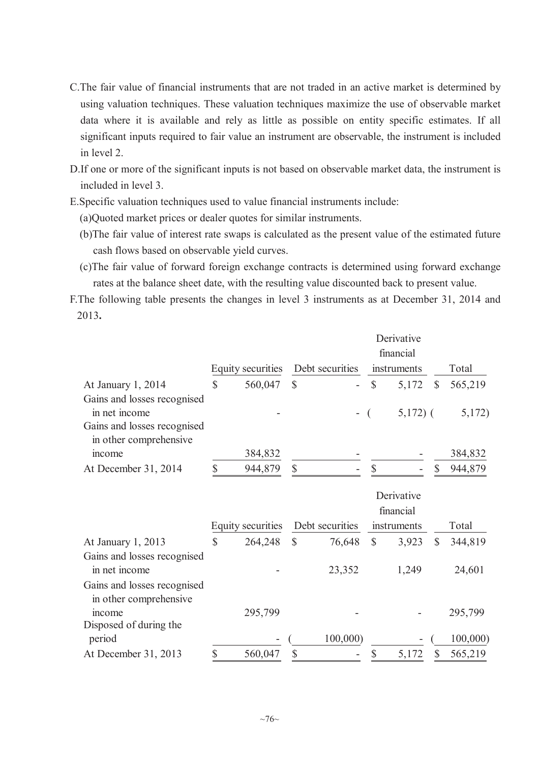- C.The fair value of financial instruments that are not traded in an active market is determined by using valuation techniques. These valuation techniques maximize the use of observable market data where it is available and rely as little as possible on entity specific estimates. If all significant inputs required to fair value an instrument are observable, the instrument is included in level 2.
- D.If one or more of the significant inputs is not based on observable market data, the instrument is included in level 3.
- E.Specific valuation techniques used to value financial instruments include:
	- (a)Quoted market prices or dealer quotes for similar instruments.
	- (b)The fair value of interest rate swaps is calculated as the present value of the estimated future cash flows based on observable yield curves.
	- (c)The fair value of forward foreign exchange contracts is determined using forward exchange rates at the balance sheet date, with the resulting value discounted back to present value.
- F.The following table presents the changes in level 3 instruments as at December 31, 2014 and 2013**.**

|                             | Equity securities | Debt securities |                |               | Derivative<br>financial<br>instruments |               | Total   |
|-----------------------------|-------------------|-----------------|----------------|---------------|----------------------------------------|---------------|---------|
|                             |                   |                 |                |               |                                        |               |         |
| At January 1, 2014          | \$<br>560,047     | $\mathcal{S}$   | $\blacksquare$ | $\mathcal{S}$ | 5,172                                  | $\mathcal{S}$ | 565,219 |
| Gains and losses recognised |                   |                 |                |               |                                        |               |         |
| in net income               |                   |                 | $-$ (          |               | $5,172$ ) (                            |               | 5,172)  |
| Gains and losses recognised |                   |                 |                |               |                                        |               |         |
| in other comprehensive      |                   |                 |                |               |                                        |               |         |
| mcome                       | 384,832           |                 |                |               |                                        |               | 384,832 |
| At December 31, 2014        | 944,879           |                 | ۰              |               |                                        |               | 944,879 |

|                             |                   |   |                 |   | Derivative  |   |         |
|-----------------------------|-------------------|---|-----------------|---|-------------|---|---------|
|                             |                   |   |                 |   | financial   |   |         |
|                             | Equity securities |   | Debt securities |   | instruments |   | Total   |
| At January 1, 2013          | \$<br>264,248     | S | 76,648          | S | 3,923       | S | 344,819 |
| Gains and losses recognised |                   |   |                 |   |             |   |         |
| in net income               |                   |   | 23,352          |   | 1,249       |   | 24,601  |
| Gains and losses recognised |                   |   |                 |   |             |   |         |
| in other comprehensive      |                   |   |                 |   |             |   |         |
| mcome                       | 295,799           |   |                 |   |             |   | 295,799 |
| Disposed of during the      |                   |   |                 |   |             |   |         |
| period                      |                   |   | 100,000         |   |             |   | 100,000 |
| At December 31, 2013        | 560,047           |   | ۰               |   | 5,172       |   | 565,219 |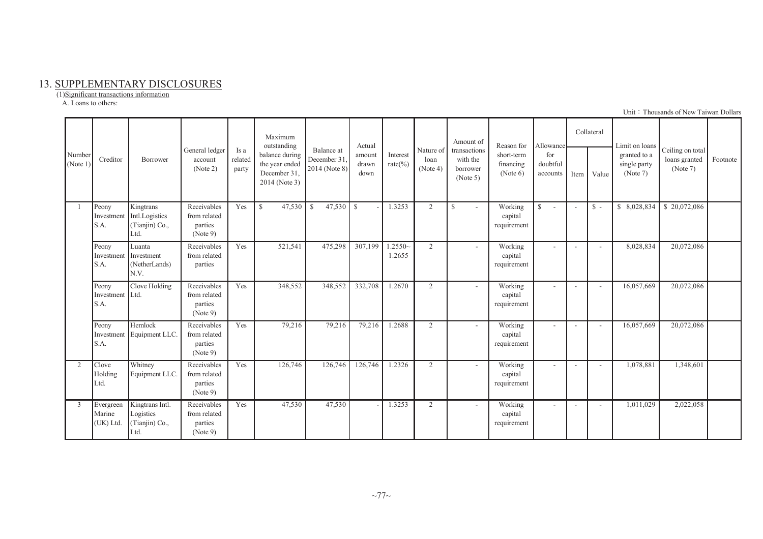### 13. SUPPLEMENTARY DISCLOSURES

 $(1)$ Significant transactions information

A. Loans to others:

| Number   |                                        |                                                                  |                                                    |                          | Maximum<br>outstanding                                            |                                            | Actual                  |                          |                               | Amount of                                        | Reason for                          | Allowance                   |                          | Collateral               | Limit on loans                           |                                               |          |
|----------|----------------------------------------|------------------------------------------------------------------|----------------------------------------------------|--------------------------|-------------------------------------------------------------------|--------------------------------------------|-------------------------|--------------------------|-------------------------------|--------------------------------------------------|-------------------------------------|-----------------------------|--------------------------|--------------------------|------------------------------------------|-----------------------------------------------|----------|
| (Note 1) | Creditor                               | <b>Borrower</b>                                                  | General ledger<br>account<br>(Note 2)              | Is a<br>related<br>party | balance during<br>the year ended<br>December 31,<br>2014 (Note 3) | Balance at<br>December 31<br>2014 (Note 8) | amount<br>drawn<br>down | Interest<br>rate $(\% )$ | Nature of<br>loan<br>(Note 4) | transactions<br>with the<br>borrower<br>(Note 5) | short-term<br>financing<br>(Note 6) | for<br>doubtful<br>accounts | Item                     | Value                    | granted to a<br>single party<br>(Note 7) | Ceiling on total<br>loans granted<br>(Note 7) | Footnote |
|          | Peony<br>S.A.                          | Kingtrans<br>Investment Intl.Logistics<br>(Tianjin) Co.,<br>Ltd. | Receivables<br>from related<br>parties<br>(Note 9) | Yes                      | 47,530<br>$\mathbb{S}$                                            | 47,530<br>-\$                              | $\mathbb{S}$            | 1.3253                   | 2                             | $\mathcal{S}$<br>$\sim$                          | Working<br>capital<br>requirement   | $\mathcal{S}$<br>$\sim$     | $\overline{\phantom{a}}$ | $S -$                    | \$ 8,028,834                             | \$20,072,086                                  |          |
|          | Peony<br>Investment Investment<br>S.A. | Luanta<br>(NetherLands)<br>N.V.                                  | Receivables<br>from related<br>parties             | Yes                      | 521,541                                                           | 475,298                                    | 307,199                 | $.2550-$<br>1.2655       | $\overline{2}$                |                                                  | Working<br>capital<br>requirement   | $\sim$                      | ÷                        | $\sim$                   | 8,028,834                                | 20,072,086                                    |          |
|          | Peony<br>Investment Ltd.<br>S.A.       | Clove Holding                                                    | Receivables<br>from related<br>parties<br>(Note 9) | Yes                      | 348,552                                                           | 348,552                                    | 332,708                 | 1.2670                   | 2                             |                                                  | Working<br>capital<br>requirement   | $\tilde{\phantom{a}}$       | $\blacksquare$           | $\blacksquare$           | 16,057,669                               | 20,072,086                                    |          |
|          | Peony<br>S.A.                          | Hemlock<br>Investment Equipment LLC.                             | Receivables<br>from related<br>parties<br>(Note 9) | Yes                      | 79,216                                                            | 79,216                                     | 79,216                  | 1.2688                   | 2                             |                                                  | Working<br>capital<br>requirement   | $\sim$                      | $\overline{\phantom{a}}$ | $\sim$                   | 16,057,669                               | 20,072,086                                    |          |
| 2        | Clove<br>Holding<br>Ltd.               | Whitney<br>Equipment LLC.                                        | Receivables<br>from related<br>parties<br>(Note 9) | Yes                      | 126,746                                                           | 126,746                                    | 126,746                 | 1.2326                   | 2                             | $\overline{\phantom{a}}$                         | Working<br>capital<br>requirement   | $\sim$                      | ٠                        | $\overline{\phantom{a}}$ | 1,078,881                                | 1,348,601                                     |          |
| 3        | Evergreen<br>Marine<br>(UK) Ltd.       | Kingtrans Intl.<br>Logistics<br>(Tianjin) Co.,<br>Ltd.           | Receivables<br>from related<br>parties<br>(Note 9) | Yes                      | 47,530                                                            | 47,530                                     |                         | 1.3253                   | 2                             |                                                  | Working<br>capital<br>requirement   | $\sim$                      | $\overline{\phantom{a}}$ | $\sim$                   | 1,011,029                                | 2,022,058                                     |          |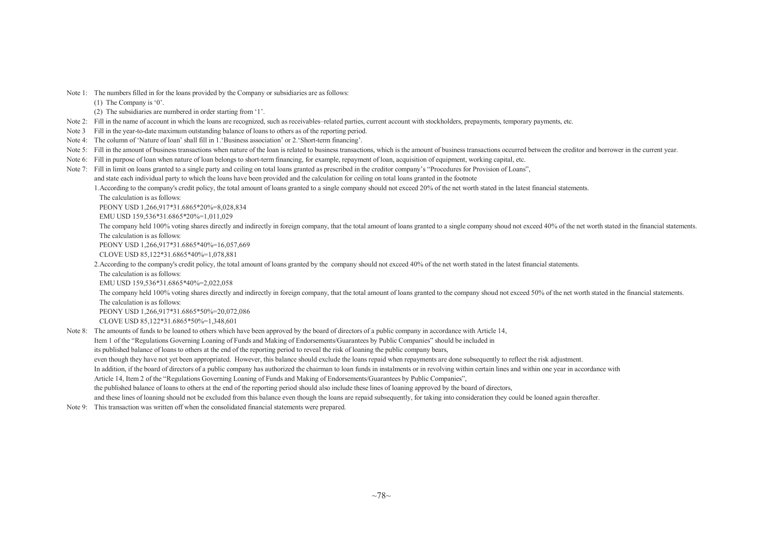Note 1: The numbers filled in for the loans provided by the Company or subsidiaries are as follows: (1) The Company is '0'. (2) The subsidiaries are numbered in order starting from '1'. Note 2: Fill in the name of account in which the loans are recognized, such as receivables–related parties, current account with stockholders, prepayments, temporary payments, etc. Note 3 Fill in the year-to-date maximum outstanding balance of loans to others as of the reporting period. Note 4: The column of 'Nature of loan' shall fill in 1.'Business association' or 2.'Short-term financing'. Note 5: Fill in the amount of business transactions when nature of the loan is related to business transactions, which is the amount of business transactions occurred between the creditor and borrower in the current year. Note 6: Fill in purpose of loan when nature of loan belongs to short-term financing, for example, repaymen<sup>t</sup> of loan, acquisition of equipment, working capital, etc. Note 7: Fill in limit on loans granted to a single party and ceiling on total loans granted as prescribed in the creditor company's "Procedures for Provision of Loans", and state each individual party to which the loans have been provided and the calculation for ceiling on total loans granted in the footnote 1.According to the company's credit policy, the total amount of loans granted to <sup>a</sup> single company should not exceed 20% of the net worth stated in the latest financial statements. The calculation is as follows: PEONY USD 1,266,917\*31.6865\*20%=8,028,834 EMU USD 159,536\*31.6865\*20%=1,011,029 The company held 100% voting shares directly and indirectly in foreign company, that the total amount of loans granted to a single company shoud not exceed 40% of the net worth stated in the financial statements. The calculation is as follows: PEONY USD 1,266,917\*31.6865\*40%=16,057,669 CLOVE USD 85,122\*31.6865\*40%=1,078,881 2. According to the company's credit policy, the total amount of loans granted by the company should not exceed 40% of the net worth stated in the latest financial statements. The calculation is as follows: EMU USD 159,536\*31.6865\*40%=2,022,058 The company held 100% voting shares directly and indirectly in foreign company, that the total amount of loans granted to the company shoud not exceed 50% of the net worth stated in the financial statements. The calculation is as follows: PEONY USD 1,266,917\*31.6865\*50%=20,072,086 CLOVE USD 85,122\*31.6865\*50%=1,348,601 Note 8: The amounts of funds to be loaned to others which have been approved by the board of directors of <sup>a</sup> public company in accordance with Article 14, Item <sup>1</sup> of the "Regulations Governing Loaning of Funds and Making of Endorsements/Guarantees by Public Companies" should be included in its published balance of loans to others at the end of the reporting period to reveal the risk of loaning the public company bears, even though they have not ye<sup>t</sup> been appropriated. However, this balance should exclude the loans repaid when repayments are done subsequently to reflect the risk adjustment. In addition, if the board of directors of a public company has authorized the chairman to loan funds in instalments or in revolving within certain lines and within one year in accordance with Article 14, Item <sup>2</sup> of the "Regulations Governing Loaning of Funds and Making of Endorsements/Guarantees by Public Companies", the published balance of loans to others at the end of the reporting period should also include these lines of loaning approved by the board of directors, and these lines of loaning should not be excluded from this balance even though the loans are repaid subsequently, for taking into consideration they could be loaned again thereafter. Note 9: This transaction was written off when the consolidated financial statements were prepared.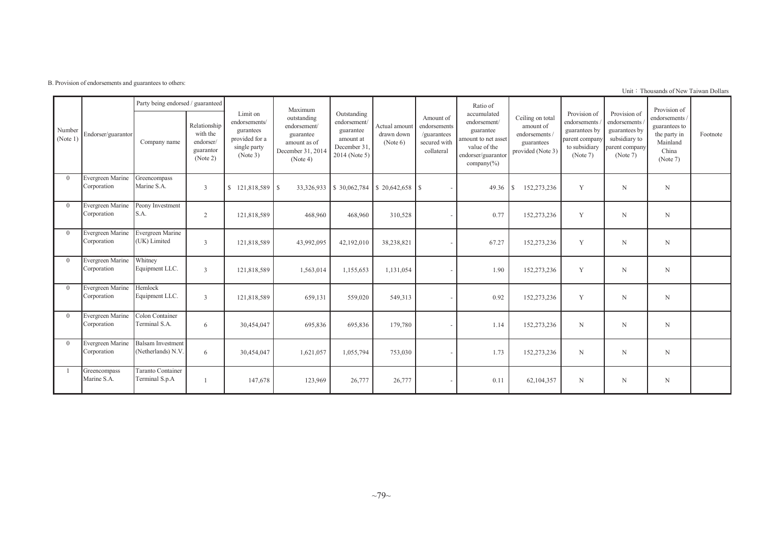B. Provision of endorsements and guarantees to others:

|                    |                                 | Party being endorsed / guaranteed              |                                                                |                                                                                      | Maximum                                                                                   |                                                                                       |                                         |                                                                        | Ratio of                                                                                                                 |                                                                                  |                                                                                              |                                                                                              | Provision of                                                                   |          |
|--------------------|---------------------------------|------------------------------------------------|----------------------------------------------------------------|--------------------------------------------------------------------------------------|-------------------------------------------------------------------------------------------|---------------------------------------------------------------------------------------|-----------------------------------------|------------------------------------------------------------------------|--------------------------------------------------------------------------------------------------------------------------|----------------------------------------------------------------------------------|----------------------------------------------------------------------------------------------|----------------------------------------------------------------------------------------------|--------------------------------------------------------------------------------|----------|
| Number<br>(Note 1) | Endorser/guarantor              | Company name                                   | Relationship<br>with the<br>endorser/<br>guarantor<br>(Note 2) | Limit on<br>endorsements/<br>gurantees<br>provided for a<br>single party<br>(Note 3) | outstanding<br>endorsement/<br>guarantee<br>amount as of<br>December 31, 2014<br>(Note 4) | Outstanding<br>endorsement/<br>guarantee<br>amount at<br>December 31<br>2014 (Note 5) | Actual amount<br>drawn down<br>(Note 6) | Amount of<br>endorsements<br>/guarantees<br>secured with<br>collateral | accumulated<br>endorsement/<br>guarantee<br>amount to net asset<br>value of the<br>endorser/guarantor<br>company $(\% )$ | Ceiling on total<br>amount of<br>endorsements<br>guarantees<br>provided (Note 3) | Provision of<br>endorsements<br>guarantees by<br>parent company<br>to subsidiary<br>(Note 7) | Provision of<br>endorsements<br>guarantees by<br>subsidiary to<br>parent company<br>(Note 7) | endorsements<br>guarantees to<br>the party in<br>Mainland<br>China<br>(Note 7) | Footnote |
| $\theta$           | Evergreen Marine<br>Corporation | Greencompass<br>Marine S.A.                    | $\overline{3}$                                                 | $\mathbb{S}$<br>121,818,589 \$                                                       |                                                                                           | 33,326,933 \$ 30,062,784                                                              |                                         |                                                                        | 49.36                                                                                                                    | 152,273,236<br>l S                                                               | Y                                                                                            | N                                                                                            | N                                                                              |          |
| $\theta$           | Evergreen Marine<br>Corporation | Peony Investment<br>S.A.                       | $\overline{2}$                                                 | 121,818,589                                                                          | 468,960                                                                                   | 468,960                                                                               | 310,528                                 |                                                                        | 0.77                                                                                                                     | 152,273,236                                                                      | Y                                                                                            | N                                                                                            | N                                                                              |          |
| $\theta$           | Evergreen Marine<br>Corporation | Evergreen Marine<br>(UK) Limited               | 3                                                              | 121,818,589                                                                          | 43,992,095                                                                                | 42,192,010                                                                            | 38,238,821                              |                                                                        | 67.27                                                                                                                    | 152,273,236                                                                      | Y                                                                                            | N                                                                                            | N                                                                              |          |
| $\Omega$           | Evergreen Marine<br>Corporation | Whitney<br>Equipment LLC.                      | 3                                                              | 121,818,589                                                                          | 1,563,014                                                                                 | 1,155,653                                                                             | 1,131,054                               |                                                                        | 1.90                                                                                                                     | 152,273,236                                                                      | Y                                                                                            | N                                                                                            | N                                                                              |          |
| $\theta$           | Evergreen Marine<br>Corporation | Hemlock<br>Equipment LLC.                      | 3                                                              | 121,818,589                                                                          | 659,131                                                                                   | 559,020                                                                               | 549,313                                 |                                                                        | 0.92                                                                                                                     | 152,273,236                                                                      | Y                                                                                            | N                                                                                            | N                                                                              |          |
| $\theta$           | Evergreen Marine<br>Corporation | Colon Container<br>Terminal S.A.               | 6                                                              | 30,454,047                                                                           | 695,836                                                                                   | 695,836                                                                               | 179,780                                 |                                                                        | 1.14                                                                                                                     | 152,273,236                                                                      | N                                                                                            | N                                                                                            | N                                                                              |          |
| $\Omega$           | Evergreen Marine<br>Corporation | <b>Balsam</b> Investment<br>(Netherlands) N.V. | 6                                                              | 30,454,047                                                                           | 1,621,057                                                                                 | 1,055,794                                                                             | 753,030                                 |                                                                        | 1.73                                                                                                                     | 152,273,236                                                                      | N                                                                                            | N                                                                                            | N                                                                              |          |
|                    | Greencompass<br>Marine S.A.     | <b>Taranto Container</b><br>Terminal S.p.A     |                                                                | 147,678                                                                              | 123,969                                                                                   | 26,777                                                                                | 26,777                                  |                                                                        | 0.11                                                                                                                     | 62,104,357                                                                       | N                                                                                            | N                                                                                            | N                                                                              |          |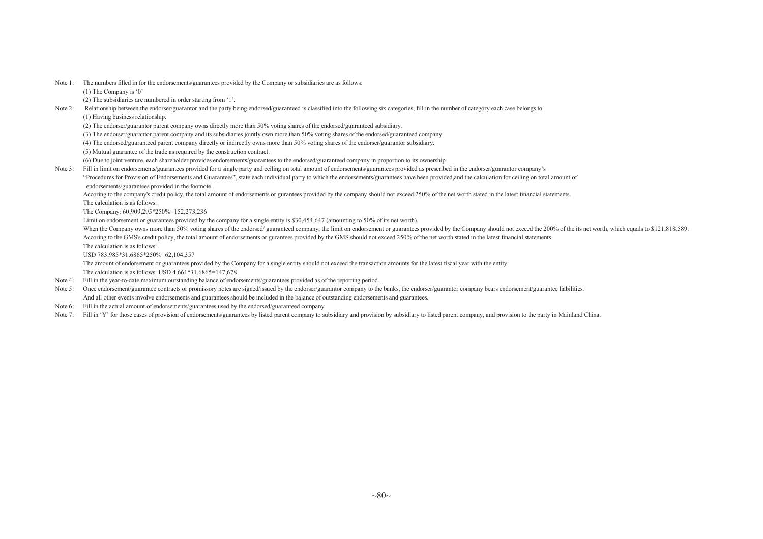- Note 1: The numbers filled in for the endorsements/guarantees provided by the Company or subsidiaries are as follows:
	- (1) The Company is '0'
	- (2) The subsidiaries are numbered in order starting from '1'.
- Note 2: Relationship between the endorser/guarantor and the party being endorsed/guaranteed is classified into the following six categories; fill in the number of category each case belongs to
	- (1) Having business relationship.
	- (2) The endorser/guarantor parent company owns directly more than 50% voting shares of the endorsed/guaranteed subsidiary.
	- (3) The endorser/guarantor parent company and its subsidiaries jointly own more than 50% voting shares of the endorsed/guaranteed company.
	- (4) The endorsed/guaranteed paren<sup>t</sup> company directly or indirectly owns more than 50% voting shares of the endorser/guarantor subsidiary.
	- (5) Mutual guarantee of the trade as required by the construction contract.
	- (6) Due to joint venture, each shareholder provides endorsements/guarantees to the endorsed/guaranteed company in proportion to its ownership.
- Note 3: Fill in limit on endorsements/guarantees provided for a single party and ceiling on total amount of endorsements/guarantees provided as prescribed in the endorser/guarantor company's
	- "Procedures for Provision of Endorsements and Guarantees", state each individual party to which the endorsements/guarantees have been provided,and the calculation for ceiling on total amount of endorsements/guarantees provided in the footnote.

Accoring to the company's credit policy, the total amount of endorsements or gurantees provided by the company should not exceed 250% of the net worth stated in the latest financial statements. The calculation is as follows:

The Company: 60,909,295\*250%=152,273,236

Limit on endorsement or guarantees provided by the company for a single entity is \$30,454,647 (amounting to 50% of its net worth).

When the Company owns more than 50% voting shares of the endorsed/ guaranteed company, the limit on endorsement or guarantees provided by the Company should not exceed the 200% of the its net worth, which equals to \$121,81 Accoring to the GMS's credit policy, the total amount of endorsements or gurantees provided by the GMS should not exceed 250% of the net worth stated in the latest financial statements.

The calculation is as follows:

USD 783,985\*31.6865\*250%=62,104,357

The amount of endorsement or guarantees provided by the Company for <sup>a</sup> single entity should not exceed the transaction amounts for the latest fiscal year with the entity.

The calculation is as follows: USD 4,661\*31.6865=147,678.

- Note 4: Fill in the year-to-date maximum outstanding balance of endorsements/guarantees provided as of the reporting period.
- Note 5: Once endorsement/guarantee contracts or promissory notes are signed/issued by the endorser/guarantor company to the banks, the endorser/guarantor company bears endorsement/guarantee liabilities. And all other events involve endorsements and guarantees should be included in the balance of outstanding endorsements and guarantees.
- Note 6: Fill in the actual amount of endorsements/guarantees used by the endorsed/guaranteed company.
- Note 7: Fill in 'Y' for those cases of provision of endorsements/guarantees by listed parent company to subsidiary and provision by subsidiary to listed parent company, and provision to the party in Mainland China.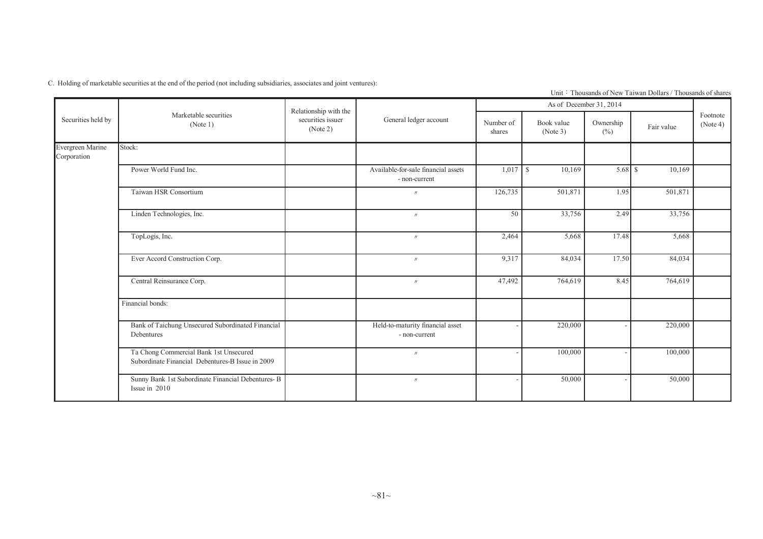C. Holding of marketable securities at the end of the period (not including subsidiaries, associates and joint ventures):

|  |                                                         |  |  | Unit: Thousands of New Taiwan Dollars / Thousands of shares |  |
|--|---------------------------------------------------------|--|--|-------------------------------------------------------------|--|
|  | $\sim$ $\sim$ $\sim$ $\sim$ $\sim$ $\sim$ $\sim$ $\sim$ |  |  |                                                             |  |

|                                        |                                                                                            | Relationship with the         |                                                      |                     |                        | As of December 31, 2014 |            |                      |
|----------------------------------------|--------------------------------------------------------------------------------------------|-------------------------------|------------------------------------------------------|---------------------|------------------------|-------------------------|------------|----------------------|
| Securities held by<br>Evergreen Marine | Marketable securities<br>(Note 1)                                                          | securities issuer<br>(Note 2) | General ledger account                               | Number of<br>shares | Book value<br>(Note 3) | Ownership<br>(%)        | Fair value | Footnote<br>(Note 4) |
| Corporation                            | Stock:                                                                                     |                               |                                                      |                     |                        |                         |            |                      |
|                                        | Power World Fund Inc.                                                                      |                               | Available-for-sale financial assets<br>- non-current | $1,017$ \$          | 10,169                 |                         | 10,169     |                      |
|                                        | Taiwan HSR Consortium                                                                      |                               | $\prime\prime$                                       | 126,735             | 501,871                | 1.95                    | 501,871    |                      |
|                                        | Linden Technologies, Inc.                                                                  |                               | $\prime\prime$                                       | 50                  | 33,756                 | 2.49                    | 33,756     |                      |
|                                        | TopLogis, Inc.                                                                             |                               | $\prime\prime$                                       | 2,464               | 5,668                  | 17.48                   | 5,668      |                      |
|                                        | Ever Accord Construction Corp.                                                             |                               | $\prime\prime$                                       | 9,317               | 84,034                 | 17.50                   | 84,034     |                      |
|                                        | Central Reinsurance Corp.                                                                  |                               | $\prime\prime$                                       | 47,492              | 764,619                | 8.45                    | 764,619    |                      |
|                                        | Financial bonds:                                                                           |                               |                                                      |                     |                        |                         |            |                      |
|                                        | Bank of Taichung Unsecured Subordinated Financial<br>Debentures                            |                               | Held-to-maturity financial asset<br>- non-current    |                     | 220,000                |                         | 220,000    |                      |
|                                        | Ta Chong Commercial Bank 1st Unsecured<br>Subordinate Financial Debentures-B Issue in 2009 |                               | $\prime\prime$                                       |                     | 100,000                |                         | 100,000    |                      |
|                                        | Sunny Bank 1st Subordinate Financial Debentures-B<br>Issue in 2010                         |                               | $\prime\prime$                                       |                     | 50,000                 |                         | 50,000     |                      |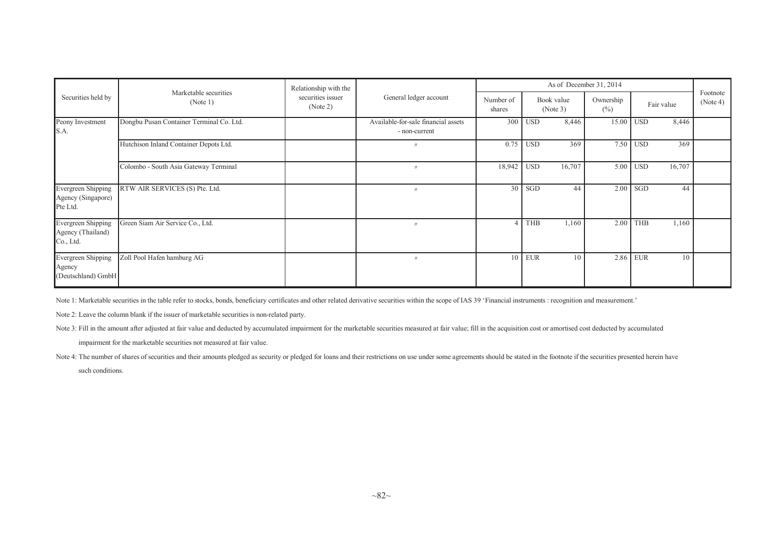| Securities held by                                   |                                          | Relationship with the         |                                                      |                     | As of December 31, 2014      |                        |                     |            |            |                      |  |
|------------------------------------------------------|------------------------------------------|-------------------------------|------------------------------------------------------|---------------------|------------------------------|------------------------|---------------------|------------|------------|----------------------|--|
|                                                      | Marketable securities<br>(Note 1)        | securities issuer<br>(Note 2) | General ledger account                               | Number of<br>shares |                              | Book value<br>(Note 3) | Ownership<br>$(\%)$ |            | Fair value | Footnote<br>(Note 4) |  |
| Peony Investment<br>S.A.                             | Dongbu Pusan Container Terminal Co. Ltd. |                               | Available-for-sale financial assets<br>- non-current | 300                 | $\overline{\phantom{a}}$ USD | 8,446                  | $15.00$ USD         |            | 8,446      |                      |  |
|                                                      | Hutchison Inland Container Depots Ltd.   |                               | $^{\prime\prime}$                                    | 0.75                | <b>USD</b>                   | 369                    |                     | $7.50$ USD | 369        |                      |  |
|                                                      | Colombo - South Asia Gateway Terminal    |                               | $^{\prime\prime}$                                    | 18,942              | <b>USD</b>                   | 16,707                 | 5.00                | <b>USD</b> | 16,707     |                      |  |
| Evergreen Shipping<br>Agency (Singapore)<br>Pte Ltd. | RTW AIR SERVICES (S) Pte. Ltd.           |                               | $^{\prime\prime}$                                    | 30                  | SGD                          | 44                     | 2.00                | SGD        | 44         |                      |  |
| Evergreen Shipping<br>Agency (Thailand)<br>Co., Ltd. | Green Siam Air Service Co., Ltd.         |                               | $^{\prime\prime}$                                    |                     | <b>THB</b>                   | 1,160                  | 2.00                | <b>THB</b> | 1,160      |                      |  |
| Evergreen Shipping<br>Agency<br>(Deutschland) GmbH   | Zoll Pool Hafen hamburg AG               |                               | $^{\prime\prime}$                                    | 10                  | <b>EUR</b>                   | 10                     |                     | 2.86 EUR   | 10         |                      |  |

Note 1: Marketable securities in the table refer to stocks, bonds, beneficiary certificates and other related derivative securities within the scope of IAS 39 'Financial instruments : recognition and measurement.'

Note 2: Leave the column blank if the issuer of marketable securities is non-related party.

Note 3: Fill in the amount after adjusted at fair value and deducted by accumulated impairment for the marketable securities measured at fair value; fill in the acquisition cost or amortised cost deducted by accumulated

impairment for the marketable securities not measured at fair value.

Note 4: The number of shares of securities and their amounts pledged as security or pledged for loans and their restrictions on use under some agreements should be stated in the footnote if the securities presented herein

such conditions.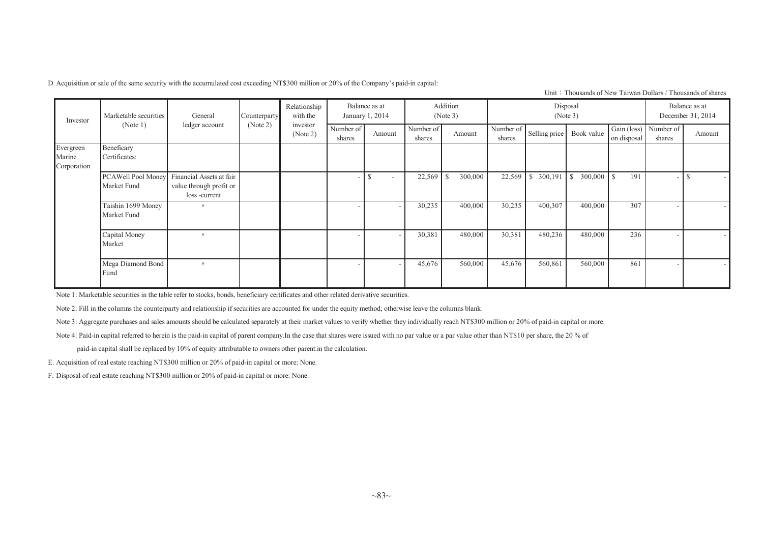D.Acquisition or sale of the same security with the accumulated cost exceeding NT\$300 million or 20% of the Company's paid-in capital:

Unit: Thousands of New Taiwan Dollars / Thousands of shares

| Investor                           | Marketable securities             | General                                                             | Counterparty | Relationship<br>with the |                     | Balance as at<br>January 1, 2014 |                     | Addition<br>(Note 3) |                     | Disposal      | (Note 3)       |                            |                     | Balance as at<br>December 31, 2014 |
|------------------------------------|-----------------------------------|---------------------------------------------------------------------|--------------|--------------------------|---------------------|----------------------------------|---------------------|----------------------|---------------------|---------------|----------------|----------------------------|---------------------|------------------------------------|
|                                    | (Note 1)                          | ledger account                                                      | (Note 2)     | investor<br>(Note 2)     | Number of<br>shares | Amount                           | Number of<br>shares | Amount               | Number of<br>shares | Selling price | Book value     | Gain (loss)<br>on disposal | Number of<br>shares | Amount                             |
| Evergreen<br>Marine<br>Corporation | Beneficary<br>Certificates:       |                                                                     |              |                          |                     |                                  |                     |                      |                     |               |                |                            |                     |                                    |
|                                    | PCAWell Pool Money<br>Market Fund | Financial Assets at fair<br>value through profit or<br>loss-current |              |                          |                     | S                                | 22,569              | 300,000              | 22,569              | 300,191       | 300,000<br>l s | $\mathcal{S}$<br>191       |                     |                                    |
|                                    | Taishin 1699 Money<br>Market Fund | $^{\prime\prime}$                                                   |              |                          |                     | ۰                                | 30,235              | 400,000              | 30,235              | 400,307       | 400,000        | 307                        |                     | $\sim$                             |
|                                    | Capital Money<br>Market           | $^{\prime\prime}$                                                   |              |                          |                     | $\overline{\phantom{a}}$         | 30,381              | 480,000              | 30,381              | 480,236       | 480,000        | 236                        |                     | $\sim$                             |
|                                    | Mega Diamond Bond<br>Fund         | $^{\prime\prime}$                                                   |              |                          |                     |                                  | 45,676              | 560,000              | 45,676              | 560,861       | 560,000        | 861                        |                     |                                    |

Note 1: Marketable securities in the table refer to stocks, bonds, beneficiary certificates and other related derivative securities.

Note 2: Fill in the columns the counterparty and relationship if securities are accounted for under the equity method; otherwise leave the columns blank.

Note 3: Aggregate purchases and sales amounts should be calculated separately at their market values to verify whether they individually reach NT\$300 million or 20% of paid-in capital or more.

Note 4: Paid-in capital referred to herein is the paid-in capital of parent company.In the case that shares were issued with no par value or a par value other than NT\$10 per share, the 20 % of

paid-in capital shall be replaced by 10% of equity attributable to owners other parent.in the calculation.

E. Acquisition of real estate reaching NT\$300 million or 20% of paid-in capital or more: None.

F. Disposal of real estate reaching NT\$300 million or 20% of paid-in capital or more: None.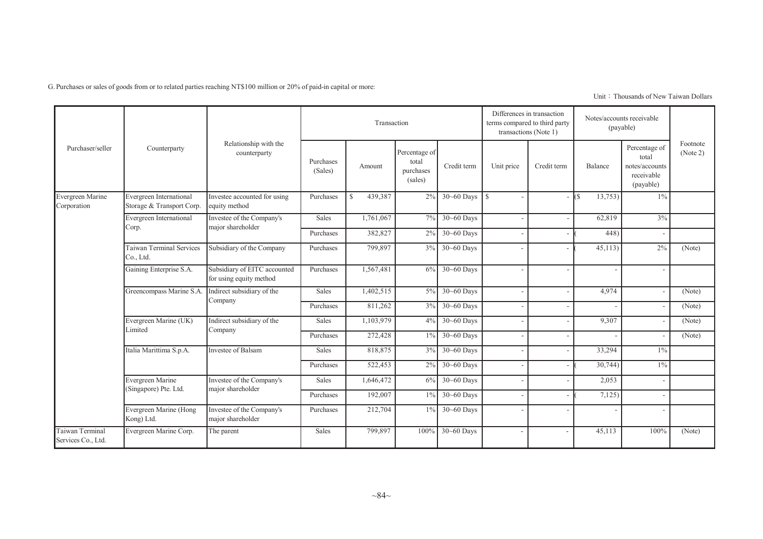G. Purchases or sales of goods from or to related parties reaching NT\$100 million or 20% of paid-in capital or more:

|                                       |                                                      |                                                         |                      | Transaction              |                                                |                  | terms compared to third party | Differences in transaction<br>transactions (Note 1) |               | Notes/accounts receivable<br>(payable)                              |                      |
|---------------------------------------|------------------------------------------------------|---------------------------------------------------------|----------------------|--------------------------|------------------------------------------------|------------------|-------------------------------|-----------------------------------------------------|---------------|---------------------------------------------------------------------|----------------------|
| Purchaser/seller                      | Counterparty                                         | Relationship with the<br>counterparty                   | Purchases<br>(Sales) | Amount                   | Percentage of<br>total<br>purchases<br>(sales) | Credit term      | Unit price                    | Credit term                                         | Balance       | Percentage of<br>total<br>notes/accounts<br>receivable<br>(payable) | Footnote<br>(Note 2) |
| Evergreen Marine<br>Corporation       | Evergreen International<br>Storage & Transport Corp. | Investee accounted for using<br>equity method           | Purchases            | 439,387<br>$\mathcal{S}$ | 2%                                             | $30 - 60$ Days   | l s                           |                                                     | 13,753)<br>(S | $1\%$                                                               |                      |
|                                       | Evergreen International                              | Investee of the Company's                               | Sales                | 1,761,067                | 7%                                             | $30 - 60$ Days   |                               | $\overline{\phantom{a}}$                            | 62,819        | 3%                                                                  |                      |
|                                       | Corp.                                                | major shareholder                                       | Purchases            | 382,827                  | 2%                                             | 30~60 Days       |                               | $\overline{\phantom{a}}$                            | 448)          |                                                                     |                      |
|                                       | <b>Taiwan Terminal Services</b><br>Co., Ltd.         | Subsidiary of the Company                               | Purchases            | 799,897                  | 3%                                             | $30 - 60$ Days   |                               |                                                     | 45,113        | 2%                                                                  | (Note)               |
|                                       | Gaining Enterprise S.A.                              | Subsidiary of EITC accounted<br>for using equity method | Purchases            | 1,567,481                | 6%                                             | $30 - 60$ Days   |                               |                                                     |               |                                                                     |                      |
|                                       | Greencompass Marine S.A.                             | Indirect subsidiary of the                              | Sales                | 1,402,515                | $5\%$                                          | $30 - 60$ Days   |                               | $\overline{\phantom{a}}$                            | 4,974         |                                                                     | (Note)               |
|                                       |                                                      | Company                                                 | Purchases            | 811,262                  | $3\%$                                          | 30~60 Days       |                               |                                                     |               |                                                                     | (Note)               |
|                                       | Evergreen Marine (UK)                                | Indirect subsidiary of the                              | Sales                | 1,103,979                |                                                | $4\%$ 30~60 Days |                               |                                                     | 9,307         |                                                                     | (Note)               |
|                                       | Limited                                              | Company                                                 | Purchases            | 272,428                  | $1\%$                                          | 30~60 Days       |                               |                                                     |               |                                                                     | (Note)               |
|                                       | Italia Marittima S.p.A.                              | Investee of Balsam                                      | Sales                | 818,875                  | 3%                                             | 30~60 Days       |                               | ٠                                                   | 33,294        | $1\%$                                                               |                      |
|                                       |                                                      |                                                         | Purchases            | 522,453                  | 2%                                             | 30~60 Days       |                               |                                                     | 30,744        | $1\%$                                                               |                      |
|                                       | Evergreen Marine                                     | Investee of the Company's                               | Sales                | 1,646,472                | 6%                                             | 30~60 Days       |                               |                                                     | 2,053         |                                                                     |                      |
|                                       | (Singapore) Pte. Ltd.                                | major shareholder                                       | Purchases            | 192,007                  | $1\%$                                          | $30 - 60$ Days   |                               |                                                     | 7,125         |                                                                     |                      |
|                                       | Evergreen Marine (Hong<br>Kong) Ltd.                 | Investee of the Company's<br>major shareholder          | Purchases            | 212,704                  | $1\%$                                          | $30 - 60$ Days   |                               |                                                     |               |                                                                     |                      |
| Taiwan Terminal<br>Services Co., Ltd. | Evergreen Marine Corp.                               | The parent                                              | Sales                | 799,897                  | 100%                                           | $30 - 60$ Days   |                               |                                                     | 45,113        | 100%                                                                | (Note)               |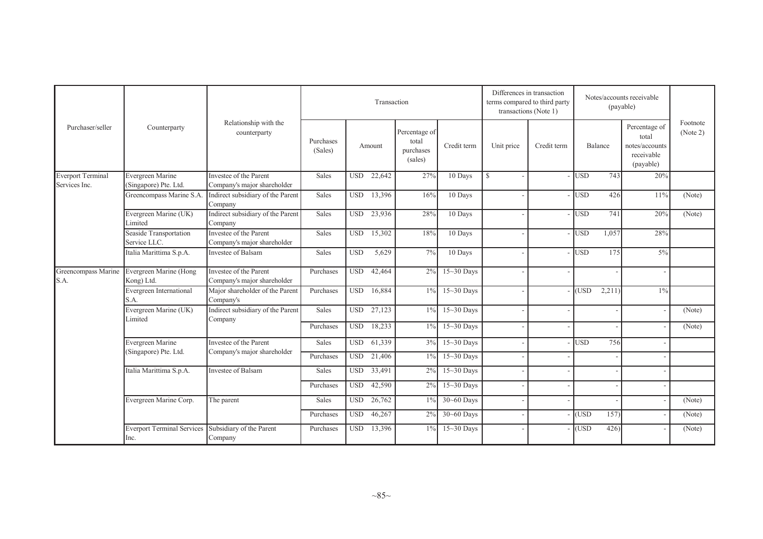|                             |                                           |                                                       | Transaction          |            |        |                                                |                | Differences in transaction<br>terms compared to third party<br>transactions (Note 1) |             |            |         | Notes/accounts receivable<br>(payable)                              |                      |
|-----------------------------|-------------------------------------------|-------------------------------------------------------|----------------------|------------|--------|------------------------------------------------|----------------|--------------------------------------------------------------------------------------|-------------|------------|---------|---------------------------------------------------------------------|----------------------|
| Purchaser/seller            | Counterparty                              | Relationship with the<br>counterparty                 | Purchases<br>(Sales) |            | Amount | Percentage of<br>total<br>purchases<br>(sales) | Credit term    | Unit price                                                                           | Credit term |            | Balance | Percentage of<br>total<br>notes/accounts<br>receivable<br>(payable) | Footnote<br>(Note 2) |
| <b>Everport Terminal</b>    | Evergreen Marine                          | Investee of the Parent                                | Sales                | <b>USD</b> | 22,642 | 27%                                            | 10 Days        | $\mathbf S$                                                                          |             | <b>USD</b> | 743     | 20%                                                                 |                      |
| Services Inc.               | (Singapore) Pte. Ltd.                     | Company's major shareholder                           |                      |            |        |                                                |                |                                                                                      |             |            |         |                                                                     |                      |
|                             | Greencompass Marine S.A.                  | Indirect subsidiary of the Parent<br>Company          | Sales                | <b>USD</b> | 13,396 | 16%                                            | 10 Days        |                                                                                      |             | <b>USD</b> | 426     | 11%                                                                 | (Note)               |
|                             | Evergreen Marine (UK)<br>Limited          | Indirect subsidiary of the Parent<br>Company          | Sales                | <b>USD</b> | 23,936 | 28%                                            | 10 Days        |                                                                                      |             | <b>USD</b> | 741     | 20%                                                                 | (Note)               |
|                             | Seaside Transportation<br>Service LLC.    | Investee of the Parent<br>Company's major shareholder | Sales                | <b>USD</b> | 15,302 | 18%                                            | 10 Days        |                                                                                      |             | $-$ USD    | 1,057   | 28%                                                                 |                      |
|                             | Italia Marittima S.p.A.                   | Investee of Balsam                                    | Sales                | <b>USD</b> | 5,629  | 7%                                             | 10 Days        |                                                                                      |             | - IUSD     | 175     | $5\%$                                                               |                      |
| Greencompass Marine<br>S.A. | Evergreen Marine (Hong<br>Kong) Ltd.      | Investee of the Parent<br>Company's major shareholder | Purchases            | <b>USD</b> | 42,464 | 2%                                             | $15~30$ Days   |                                                                                      |             |            |         |                                                                     |                      |
|                             | Evergreen International<br>S.A.           | Major shareholder of the Parent<br>Company's          | Purchases            | <b>USD</b> | 16,884 | 1%                                             | $15-30$ Days   |                                                                                      |             | $-$ (USD   | 2,211   | $1\%$                                                               |                      |
|                             | Evergreen Marine (UK)<br>Limited          | Indirect subsidiary of the Parent<br>Company          | Sales                | <b>USD</b> | 27,123 | $1\%$                                          | $15-30$ Days   |                                                                                      |             |            |         |                                                                     | (Note)               |
|                             |                                           |                                                       | Purchases            | <b>USD</b> | 18,233 | 1%                                             | $15-30$ Days   |                                                                                      |             |            |         |                                                                     | (Note)               |
|                             | Evergreen Marine                          | Investee of the Parent                                | Sales                | <b>USD</b> | 61,339 | 3%                                             | $15~30$ Days   |                                                                                      |             | - Iusd     | 756     |                                                                     |                      |
|                             | (Singapore) Pte. Ltd.                     | Company's major shareholder                           | Purchases            | <b>USD</b> | 21,406 | 1%                                             | $15~30$ Days   |                                                                                      |             |            |         |                                                                     |                      |
|                             | Italia Marittima S.p.A.                   | Investee of Balsam                                    | Sales                | <b>USD</b> | 33,491 | 2%                                             | $15~30$ Days   |                                                                                      |             |            |         |                                                                     |                      |
|                             |                                           |                                                       | Purchases            | <b>USD</b> | 42,590 | 2%                                             | $15~30$ Days   |                                                                                      |             |            |         |                                                                     |                      |
|                             | Evergreen Marine Corp.                    | The parent                                            | Sales                | <b>USD</b> | 26,762 | $1\%$                                          | $30 - 60$ Days |                                                                                      |             |            |         |                                                                     | (Note)               |
|                             |                                           |                                                       | Purchases            | <b>USD</b> | 46,267 | 2%                                             | $30 - 60$ Days |                                                                                      |             | (USD)      | 157)    |                                                                     | (Note)               |
|                             | <b>Everport Terminal Services</b><br>Inc. | Subsidiary of the Parent<br>Company                   | Purchases            | <b>USD</b> | 13,396 | $1\%$                                          | $15~30$ Days   |                                                                                      |             | (USD)      | 426     |                                                                     | (Note)               |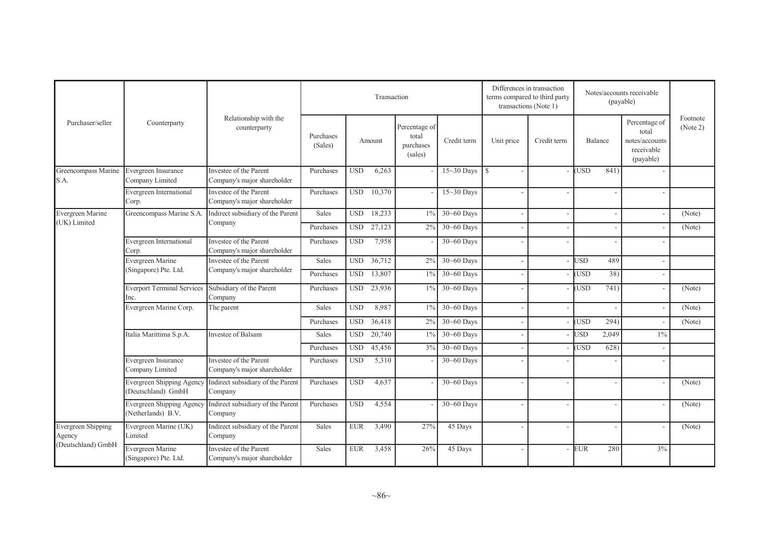|                              |                                                 |                                                       |                      |             | Transaction |                                                |                | Differences in transaction<br>transactions (Note 1) | terms compared to third party |            |         | Notes/accounts receivable<br>(payable)                              |                      |
|------------------------------|-------------------------------------------------|-------------------------------------------------------|----------------------|-------------|-------------|------------------------------------------------|----------------|-----------------------------------------------------|-------------------------------|------------|---------|---------------------------------------------------------------------|----------------------|
| Purchaser/seller             | Counterparty                                    | Relationship with the<br>counterparty                 | Purchases<br>(Sales) |             | Amount      | Percentage of<br>total<br>purchases<br>(sales) | Credit term    | Unit price                                          | Credit term                   |            | Balance | Percentage of<br>total<br>notes/accounts<br>receivable<br>(payable) | Footnote<br>(Note 2) |
| Greencompass Marine<br>S.A.  | Evergreen Insurance<br>Company Limited          | Investee of the Parent<br>Company's major shareholder | Purchases            | <b>USD</b>  | 6,263       |                                                | $15-30$ Days   | <sup>\$</sup>                                       |                               | <b>USD</b> | 841)    |                                                                     |                      |
|                              | Evergreen International<br>Corp.                | Investee of the Parent<br>Company's major shareholder | Purchases            | <b>USD</b>  | 10,370      |                                                | 15~30 Days     |                                                     |                               |            |         |                                                                     |                      |
| Evergreen Marine             | Greencompass Marine S.A.                        | Indirect subsidiary of the Parent                     | Sales                | <b>USD</b>  | 18,233      | $1\%$                                          | $30 - 60$ Days |                                                     |                               |            |         |                                                                     | (Note)               |
| (UK) Limited                 |                                                 | Company                                               | Purchases            | <b>USD</b>  | 27,123      | 2%                                             | 30~60 Days     |                                                     |                               |            |         |                                                                     | (Note)               |
|                              | Evergreen International<br>Corp.                | Investee of the Parent<br>Company's major shareholder | Purchases            | <b>USD</b>  | 7,958       |                                                | 30~60 Days     |                                                     |                               |            |         |                                                                     |                      |
|                              | Evergreen Marine                                | Investee of the Parent                                | Sales                | <b>USD</b>  | 36,712      | 2%                                             | 30~60 Days     |                                                     |                               | <b>USD</b> | 489     |                                                                     |                      |
|                              | (Singapore) Pte. Ltd.                           | Company's major shareholder                           | Purchases            | <b>USD</b>  | 13,807      | $1\%$                                          | $30 - 60$ Days |                                                     |                               | <b>USD</b> | 38)     |                                                                     |                      |
|                              | <b>Everport Terminal Services</b><br>Inc.       | Subsidiary of the Parent<br>Company                   | Purchases            | <b>USD</b>  | 23,936      | $1\%$                                          | 30~60 Days     |                                                     |                               | <b>USD</b> | 741)    |                                                                     | (Note)               |
|                              | Evergreen Marine Corp.                          | The parent                                            | Sales                | <b>USD</b>  | 8,987       | $1\%$                                          | $30 - 60$ Days |                                                     |                               |            |         |                                                                     | (Note)               |
|                              |                                                 |                                                       | Purchases            | <b>USD</b>  | 36,418      | 2%                                             | 30~60 Days     |                                                     |                               | <b>USD</b> | 294)    |                                                                     | (Note)               |
|                              | Italia Marittima S.p.A.                         | <b>Investee of Balsam</b>                             | Sales                | <b>USD</b>  | 20,740      | $1\%$                                          | $30 - 60$ Days |                                                     |                               | <b>JSD</b> | 2,049   | $1\%$                                                               |                      |
|                              |                                                 |                                                       | Purchases            | <b>USD</b>  | 45,456      | 3%                                             | 30~60 Days     |                                                     |                               | <b>USD</b> | 628)    |                                                                     |                      |
|                              | Evergreen Insurance<br>Company Limited          | Investee of the Parent<br>Company's major shareholder | Purchases            | <b>USD</b>  | 5,310       |                                                | $30 - 60$ Days |                                                     |                               |            |         |                                                                     |                      |
|                              | Evergreen Shipping Agency<br>(Deutschland) GmbH | Indirect subsidiary of the Parent<br>Company          | Purchases            | <b>USD</b>  | 4,637       |                                                | $30 - 60$ Days |                                                     |                               |            |         |                                                                     | (Note)               |
|                              | Evergreen Shipping Agency<br>(Netherlands) B.V. | Indirect subsidiary of the Parent<br>Company          | Purchases            | <b>USD</b>  | 4,554       |                                                | $30 - 60$ Days |                                                     |                               |            |         |                                                                     | (Note)               |
| Evergreen Shipping<br>Agency | Evergreen Marine (UK)<br>Limited                | Indirect subsidiary of the Parent<br>Company          | Sales                | <b>EUR</b>  | 3,490       | 27%                                            | 45 Days        |                                                     |                               |            |         |                                                                     | (Note)               |
| (Deutschland) GmbH           | Evergreen Marine<br>(Singapore) Pte. Ltd.       | Investee of the Parent<br>Company's major shareholder | Sales                | ${\rm EUR}$ | 3,458       | 26%                                            | 45 Days        |                                                     |                               | <b>EUR</b> | 280     | 3%                                                                  |                      |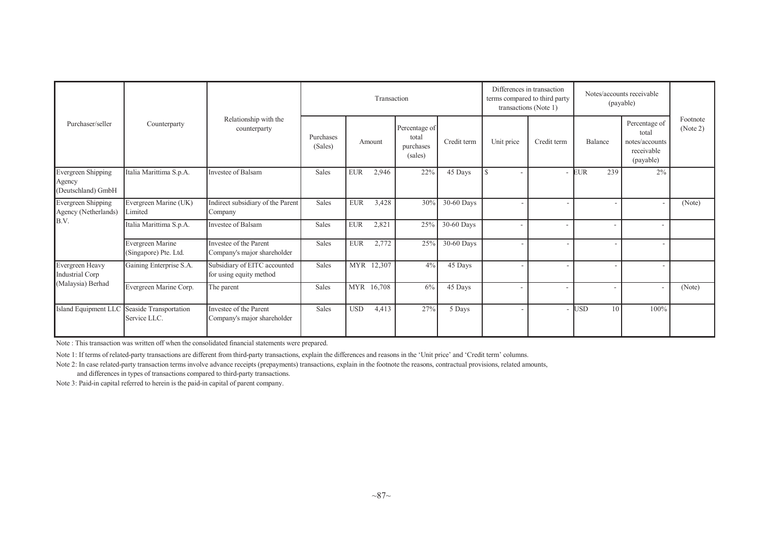|                                                           |                                                             |                                                         |                      |            | Transaction |                                                |             | Differences in transaction<br>terms compared to third party<br>transactions (Note 1) |                          | Notes/accounts receivable<br>(payable) |                                                                     |                      |
|-----------------------------------------------------------|-------------------------------------------------------------|---------------------------------------------------------|----------------------|------------|-------------|------------------------------------------------|-------------|--------------------------------------------------------------------------------------|--------------------------|----------------------------------------|---------------------------------------------------------------------|----------------------|
| Purchaser/seller                                          | Counterparty                                                | Relationship with the<br>counterparty                   | Purchases<br>(Sales) |            | Amount      | Percentage of<br>total<br>purchases<br>(sales) | Credit term | Unit price                                                                           | Credit term              | Balance                                | Percentage of<br>total<br>notes/accounts<br>receivable<br>(payable) | Footnote<br>(Note 2) |
| <b>Evergreen Shipping</b><br>Agency<br>(Deutschland) GmbH | Italia Marittima S.p.A.                                     | Investee of Balsam                                      | Sales                | <b>EUR</b> | 2,946       | 22%                                            | 45 Days     | S                                                                                    |                          | EUR                                    | 239<br>2%                                                           |                      |
| Evergreen Shipping<br>Agency (Netherlands)                | Evergreen Marine (UK)<br>Limited                            | Indirect subsidiary of the Parent<br>Company            | Sales                | <b>EUR</b> | 3,428       | 30%                                            | 30-60 Days  |                                                                                      |                          |                                        |                                                                     | (Note)               |
| B.V.                                                      | Italia Marittima S.p.A.                                     | Investee of Balsam                                      | Sales                | <b>EUR</b> | 2,821       | 25%                                            | 30-60 Days  |                                                                                      |                          |                                        |                                                                     |                      |
|                                                           | Evergreen Marine<br>(Singapore) Pte. Ltd.                   | Investee of the Parent<br>Company's major shareholder   | Sales                | <b>EUR</b> | 2,772       | 25%                                            | 30-60 Days  |                                                                                      | $\overline{\phantom{a}}$ |                                        |                                                                     |                      |
| Evergreen Heavy<br>Industrial Corp                        | Gaining Enterprise S.A.                                     | Subsidiary of EITC accounted<br>for using equity method | Sales                |            | MYR 12,307  | 4%                                             | 45 Days     |                                                                                      |                          |                                        |                                                                     |                      |
| Malaysia) Berhad                                          | Evergreen Marine Corp.                                      | The parent                                              | Sales                |            | MYR 16,708  | 6%                                             | 45 Days     |                                                                                      | ٠                        |                                        | $\overline{\phantom{a}}$                                            | (Note)               |
|                                                           | Island Equipment LLC Seaside Transportation<br>Service LLC. | Investee of the Parent<br>Company's major shareholder   | Sales                | <b>USD</b> | 4,413       | 27%                                            | 5 Days      |                                                                                      |                          | <b>USD</b>                             | 100%<br>10                                                          |                      |

Note : This transaction was written off when the consolidated financial statements were prepared.

Note 1: If terms of related-party transactions are different from third-party transactions, explain the differences and reasons in the 'Unit price' and 'Credit term' columns.

Note 2: In case related-party transaction terms involve advance receipts (prepayments) transactions, explain in the footnote the reasons, contractual provisions, related amounts,

and differences in types of transactions compared to third-party transactions.

Note 3: Paid-in capital referred to herein is the paid-in capital of parent company.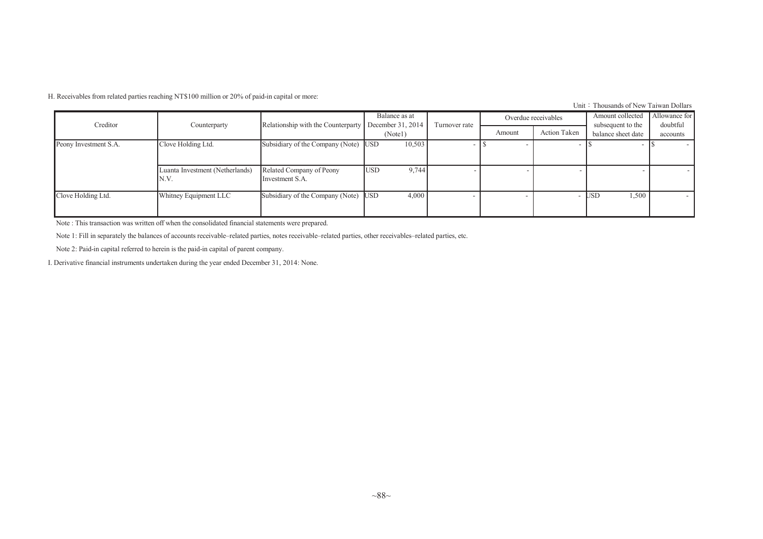H. Receivables from related parties reaching NT\$100 million or 20% of paid-in capital or more:

Unit: Thousands of New Taiwan Dollars

| Creditor              |                                          |                                             | Balance as at<br>December 31, 2014 |               |        | Overdue receivables | Amount collected                        | Allowance for<br>doubtful |
|-----------------------|------------------------------------------|---------------------------------------------|------------------------------------|---------------|--------|---------------------|-----------------------------------------|---------------------------|
|                       | Counterparty                             | Relationship with the Counterparty          | (Note1)                            | Turnover rate | Amount | Action Taken        | subsequent to the<br>balance sheet date | accounts                  |
| Peony Investment S.A. | Clove Holding Ltd.                       | Subsidiary of the Company (Note) USD        | 10,503                             |               |        |                     |                                         |                           |
|                       | Luanta Investment (Netherlands)<br>IN.V. | Related Company of Peony<br>Investment S.A. | 9,744<br><b>USD</b>                |               |        |                     |                                         | $\overline{\phantom{a}}$  |
| Clove Holding Ltd.    | Whitney Equipment LLC                    | Subsidiary of the Company (Note) USD        | 4,000                              |               |        |                     | 1,500<br><b>JSD</b>                     | $\sim$                    |

Note : This transaction was written off when the consolidated financial statements were prepared.

Note 1: Fill in separately the balances of accounts receivable–related parties, notes receivable–related parties, other receivables–related parties, etc.

Note 2: Paid-in capital referred to herein is the paid-in capital of parent company.

I. Derivative financial instruments undertaken during the year ended December 31, 2014: None.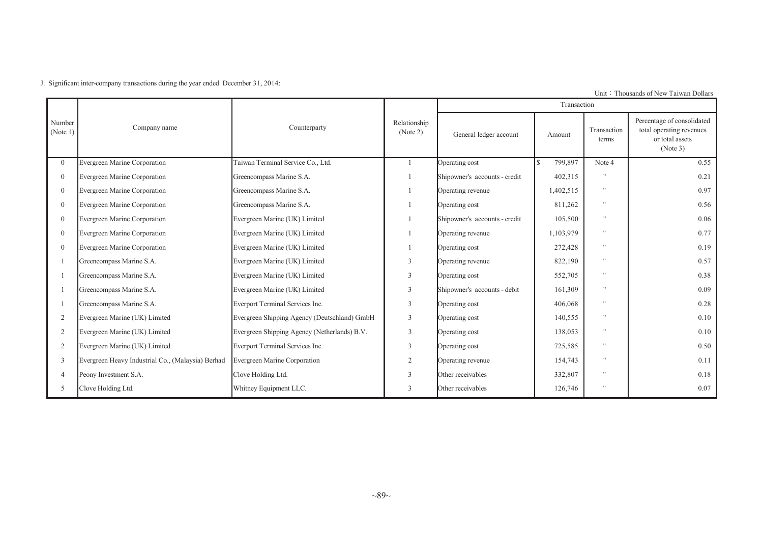J. Significant inter-company transactions during the year ended December 31, 2014:

|                                   |                                                   |                                              |                          |                               | Transaction |                      |                                                                                       |
|-----------------------------------|---------------------------------------------------|----------------------------------------------|--------------------------|-------------------------------|-------------|----------------------|---------------------------------------------------------------------------------------|
| Number<br>$\sqrt{\text{Note } 1}$ | Company name                                      | Counterparty                                 | Relationship<br>(Note 2) | General ledger account        | Amount      | Transaction<br>terms | Percentage of consolidated<br>total operating revenues<br>or total assets<br>(Note 3) |
| $\Omega$                          | Evergreen Marine Corporation                      | Taiwan Terminal Service Co., Ltd.            |                          | Operating cost                | 799,897     | Note 4               | 0.55                                                                                  |
| $\theta$                          | Evergreen Marine Corporation                      | Greencompass Marine S.A.                     |                          | Shipowner's accounts - credit | 402,315     | $^{\dagger}$         | 0.21                                                                                  |
| $\Omega$                          | Evergreen Marine Corporation                      | Greencompass Marine S.A.                     |                          | Operating revenue             | 1,402,515   | $^{\dagger}$         | 0.97                                                                                  |
|                                   | Evergreen Marine Corporation                      | Greencompass Marine S.A.                     |                          | Operating cost                | 811,262     | $^{\dagger}$         | 0.56                                                                                  |
| $\Omega$                          | Evergreen Marine Corporation                      | Evergreen Marine (UK) Limited                |                          | Shipowner's accounts - credit | 105,500     | $^{\dagger}$         | 0.06                                                                                  |
| $\Omega$                          | Evergreen Marine Corporation                      | Evergreen Marine (UK) Limited                |                          | Operating revenue             | 1,103,979   | $^{\dagger}$         | 0.77                                                                                  |
| $\theta$                          | Evergreen Marine Corporation                      | Evergreen Marine (UK) Limited                |                          | Operating cost                | 272,428     | $^{\dagger}$         | 0.19                                                                                  |
|                                   | Greencompass Marine S.A.                          | Evergreen Marine (UK) Limited                | $\mathfrak{Z}$           | Operating revenue             | 822,190     | $^{\dagger}$         | 0.57                                                                                  |
|                                   | Greencompass Marine S.A.                          | Evergreen Marine (UK) Limited                | 3                        | Operating cost                | 552,705     | $^{\dagger}$         | 0.38                                                                                  |
|                                   | Greencompass Marine S.A.                          | Evergreen Marine (UK) Limited                | 3                        | Shipowner's accounts - debit  | 161,309     | $^{\dagger}$         | 0.09                                                                                  |
|                                   | Greencompass Marine S.A.                          | Everport Terminal Services Inc.              | 3                        | Operating cost                | 406,068     | $^{\dagger}$         | 0.28                                                                                  |
| 2                                 | Evergreen Marine (UK) Limited                     | Evergreen Shipping Agency (Deutschland) GmbH | $\mathfrak{Z}$           | Operating cost                | 140,555     | $^{\dagger}$         | 0.10                                                                                  |
| $\overline{2}$                    | Evergreen Marine (UK) Limited                     | Evergreen Shipping Agency (Netherlands) B.V. | 3                        | Operating cost                | 138,053     | $^{\dagger}$         | 0.10                                                                                  |
| 2                                 | Evergreen Marine (UK) Limited                     | Everport Terminal Services Inc.              | 3                        | Operating cost                | 725,585     | $^{\dagger}$         | 0.50                                                                                  |
| 3                                 | Evergreen Heavy Industrial Co., (Malaysia) Berhad | Evergreen Marine Corporation                 | $\mathfrak{2}$           | Operating revenue             | 154,743     | $\mathbf{H}$         | 0.11                                                                                  |
| 4                                 | Peony Investment S.A.                             | Clove Holding Ltd.                           | 3                        | Other receivables             | 332,807     | $^{\dagger}$         | 0.18                                                                                  |
| 5                                 | Clove Holding Ltd.                                | Whitney Equipment LLC.                       | 3                        | Other receivables             | 126,746     | $^{\dagger}$         | 0.07                                                                                  |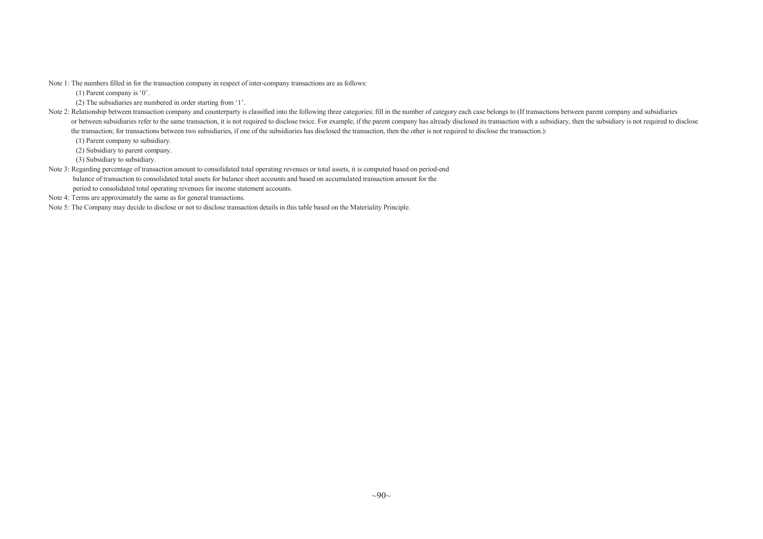Note 1: The numbers filled in for the transaction company in respec<sup>t</sup> of inter-company transactions are as follows:

(1) Parent company is '0'.

(2) The subsidiaries are numbered in order starting from '1'.

Note 2: Relationship between transaction company and counterparty is classified into the following three categories; fill in the number of category each case belongs to (If transactions between parent company and subsidiar or between subsidiaries refer to the same transaction, it is not required to disclose twice. For example, if the parent company has already disclosed its transaction with a subsidiary, then the subsidiary is not required t the transaction; for transactions between two subsidiaries, if one of the subsidiaries has disclosed the transaction, then the other is not required to disclose the transaction.):

(1) Parent company to subsidiary.

(2) Subsidiary to parent company.

(3) Subsidiary to subsidiary.

Note 3: Regarding percentage of transaction amount to consolidated total operating revenues or total assets, it is computed based on period-end balance of transaction to consolidated total assets for balance sheet accounts and based on accumulated transaction amount for the period to consolidated total operating revenues for income statement accounts.

Note 4: Terms are approximately the same as for genera<sup>l</sup> transactions.

Note 5: The Company may decide to disclose or not to disclose transaction details in this table based on the Materiality Principle.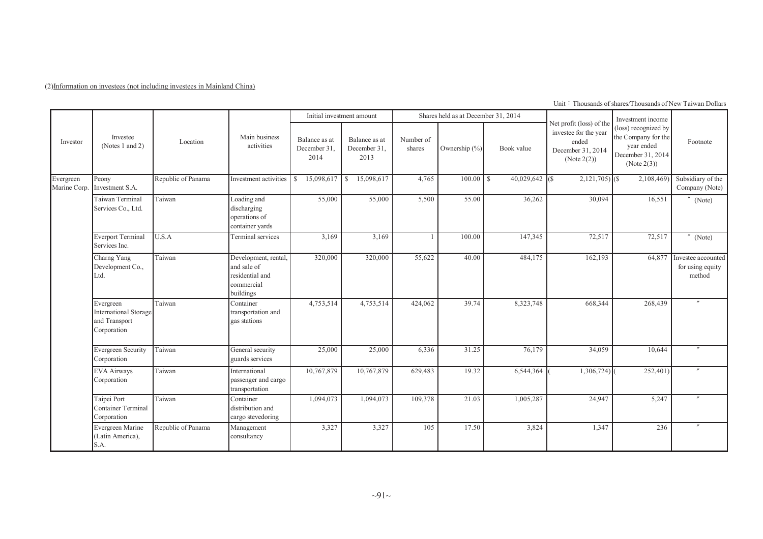(2)Information on investees (not including investees in Mainland China)

Unit: Thousands of shares/Thousands of New Taiwan Dollars

|                           |                                                                           |                    |                                                                                   |                                       | Initial investment amount             |                     | Shares held as at December 31, 2014 |                   |                                                                                                   | Investment income                                                                             |                                                  |
|---------------------------|---------------------------------------------------------------------------|--------------------|-----------------------------------------------------------------------------------|---------------------------------------|---------------------------------------|---------------------|-------------------------------------|-------------------|---------------------------------------------------------------------------------------------------|-----------------------------------------------------------------------------------------------|--------------------------------------------------|
| Investor                  | Investee<br>(Notes 1 and 2)                                               | Location           | Main business<br>activities                                                       | Balance as at<br>December 31.<br>2014 | Balance as at<br>December 31.<br>2013 | Number of<br>shares | Ownership (%)                       | Book value        | Net profit (loss) of the<br>investee for the year<br>ended<br>December 31, 2014<br>(Note $2(2)$ ) | (loss) recognized by<br>the Company for the<br>year ended<br>December 31, 2014<br>(Note 2(3)) | Footnote                                         |
| Evergreen<br>Marine Corp. | Peony<br>Investment S.A.                                                  | Republic of Panama | Investment activities                                                             | 15,098,617<br><sup>S</sup>            | 15,098,617<br><sup>S</sup>            | 4,765               |                                     | $40,029,642$ (\$) | $2,121,705$ (\$)                                                                                  | 2,108,469                                                                                     | Subsidiary of the<br>Company (Note)              |
|                           | Taiwan Terminal<br>Services Co., Ltd.                                     | Taiwan             | Loading and<br>discharging<br>operations of<br>container yards                    | 55,000                                | 55,000                                | 5,500               | 55.00                               | 36,262            | 30,094                                                                                            | 16,551                                                                                        | (Note)                                           |
|                           | <b>Everport Terminal</b><br>Services Inc.                                 | U.S.A              | Terminal services                                                                 | 3,169                                 | 3,169                                 |                     | 100.00                              | 147,345           | 72,517                                                                                            | 72,517                                                                                        | $^{\prime\prime}$<br>(Note)                      |
|                           | Charng Yang<br>Development Co.,<br>Ltd.                                   | Taiwan             | Development, rental,<br>and sale of<br>residential and<br>commercial<br>buildings | 320,000                               | 320,000                               | 55,622              | 40.00                               | 484,175           | 162,193                                                                                           | 64,877                                                                                        | Investee accounted<br>for using equity<br>method |
|                           | Evergreen<br><b>International Storage</b><br>and Transport<br>Corporation | Taiwan             | Container<br>transportation and<br>gas stations                                   | 4,753,514                             | 4,753,514                             | 424,062             | 39.74                               | 8,323,748         | 668,344                                                                                           | 268,439                                                                                       |                                                  |
|                           | <b>Evergreen Security</b><br>Corporation                                  | Taiwan             | General security<br>guards services                                               | 25,000                                | 25,000                                | 6,336               | 31.25                               | 76,179            | 34,059                                                                                            | 10,644                                                                                        |                                                  |
|                           | <b>EVA Airways</b><br>Corporation                                         | Taiwan             | International<br>passenger and cargo<br>transportation                            | 10,767,879                            | 10,767,879                            | 629,483             | 19.32                               | 6,544,364         | 1,306,724)                                                                                        | 252,401)                                                                                      |                                                  |
|                           | Taipei Port<br><b>Container Terminal</b><br>Corporation                   | Taiwan             | Container<br>distribution and<br>cargo stevedoring                                | 1,094,073                             | 1,094,073                             | 109,378             | 21.03                               | 1,005,287         | 24,947                                                                                            | 5,247                                                                                         |                                                  |
|                           | Evergreen Marine<br>(Latin America),<br>S.A.                              | Republic of Panama | Management<br>consultancy                                                         | 3,327                                 | 3,327                                 | 105                 | 17.50                               | 3,824             | 1,347                                                                                             | 236                                                                                           |                                                  |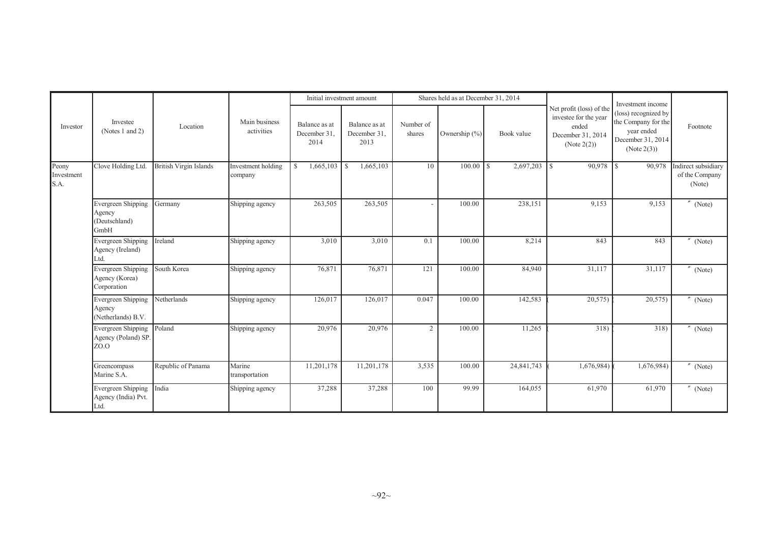|                             |                                                            |                               |                               |                                       | Initial investment amount             |                     | Shares held as at December 31, 2014 |            |                                                                                                |                                                                                                                    |                                                 |
|-----------------------------|------------------------------------------------------------|-------------------------------|-------------------------------|---------------------------------------|---------------------------------------|---------------------|-------------------------------------|------------|------------------------------------------------------------------------------------------------|--------------------------------------------------------------------------------------------------------------------|-------------------------------------------------|
| Investor                    | Investee<br>(Notes 1 and 2)                                | Location                      | Main business<br>activities   | Balance as at<br>December 31.<br>2014 | Balance as at<br>December 31,<br>2013 | Number of<br>shares | Ownership $(\% )$                   | Book value | Net profit (loss) of the<br>investee for the year<br>ended<br>December 31, 2014<br>(Note 2(2)) | Investment income<br>(loss) recognized by<br>the Company for the<br>year ended<br>December 31, 2014<br>(Note 2(3)) | Footnote                                        |
| Peony<br>Investment<br>S.A. | Clove Holding Ltd.                                         | <b>British Virgin Islands</b> | Investment holding<br>company | 1,665,103<br>$\mathbb{S}$             | 1,665,103<br>l S                      | 10                  |                                     | 2,697,203  | -LS                                                                                            | 90,978                                                                                                             | Indirect subsidiary<br>of the Company<br>(Note) |
|                             | Evergreen Shipping<br>Agency<br>(Deutschland)<br>GmbH      | Germany                       | Shipping agency               | 263,505                               | 263,505                               |                     | 100.00                              | 238,151    | 9,153                                                                                          | 9,153                                                                                                              | $''$ (Note)                                     |
|                             | Evergreen Shipping<br>Agency (Ireland)<br>Ltd.             | Ireland                       | Shipping agency               | 3,010                                 | 3,010                                 | 0.1                 | 100.00                              | 8,214      | 843                                                                                            | 843                                                                                                                | $''$ (Note)                                     |
|                             | <b>Evergreen Shipping</b><br>Agency (Korea)<br>Corporation | South Korea                   | Shipping agency               | 76,871                                | 76,871                                | 121                 | 100.00                              | 84,940     | 31,117                                                                                         | 31,117                                                                                                             | $^{\prime\prime}$ (Note)                        |
|                             | Evergreen Shipping<br>Agency<br>(Netherlands) B.V.         | Netherlands                   | Shipping agency               | 126,017                               | 126,017                               | 0.047               | 100.00                              | 142,583    | 20,575                                                                                         | 20,575                                                                                                             | (Note)                                          |
|                             | <b>Evergreen Shipping</b><br>Agency (Poland) SP.<br>ZO.O   | Poland                        | Shipping agency               | 20,976                                | 20,976                                | $\overline{2}$      | 100.00                              | 11,265     | 318)                                                                                           | 318)                                                                                                               | $''$ (Note)                                     |
|                             | Greencompass<br>Marine S.A.                                | Republic of Panama            | Marine<br>transportation      | 11,201,178                            | 11,201,178                            | 3,535               | 100.00                              | 24,841,743 | 1,676,984)                                                                                     | 1,676,984)                                                                                                         | $^{\prime\prime}$ (Note)                        |
|                             | Evergreen Shipping<br>Agency (India) Pvt.<br>Ltd.          | India                         | Shipping agency               | 37,288                                | 37,288                                | 100                 | 99.99                               | 164,055    | 61,970                                                                                         | 61,970                                                                                                             | $''$ (Note)                                     |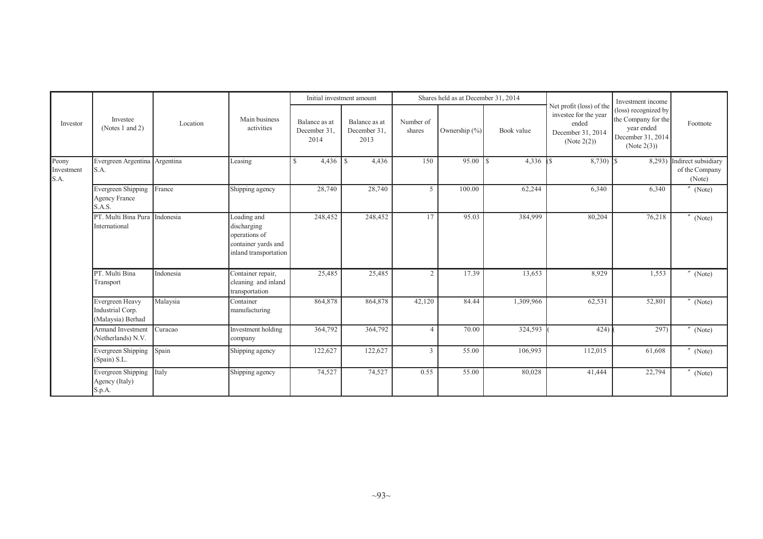|                             |                                                             |           |                                                                                             |                                       | Initial investment amount             |                     | Shares held as at December 31, 2014 |            |                                                                                                | Investment income                                                                             |                                                 |
|-----------------------------|-------------------------------------------------------------|-----------|---------------------------------------------------------------------------------------------|---------------------------------------|---------------------------------------|---------------------|-------------------------------------|------------|------------------------------------------------------------------------------------------------|-----------------------------------------------------------------------------------------------|-------------------------------------------------|
| Investor                    | Investee<br>(Notes 1 and 2)                                 | Location  | Main business<br>activities                                                                 | Balance as at<br>December 31.<br>2014 | Balance as at<br>December 31,<br>2013 | Number of<br>shares | Ownership (%)                       | Book value | Net profit (loss) of the<br>investee for the year<br>ended<br>December 31, 2014<br>(Note 2(2)) | (loss) recognized by<br>the Company for the<br>year ended<br>December 31, 2014<br>(Note 2(3)) | Footnote                                        |
| Peony<br>Investment<br>S.A. | Evergreen Argentina Argentina<br>S.A.                       |           | Leasing                                                                                     | 4,436<br>$\mathbb{S}$                 | $\mathbf S$<br>4,436                  | 150                 |                                     | 4,336      | $8,730$ $\sqrt{\$}$<br><b>IS</b>                                                               | 8,293)                                                                                        | Indirect subsidiary<br>of the Company<br>(Note) |
|                             | <b>Evergreen Shipping</b><br><b>Agency France</b><br>S.A.S. | France    | Shipping agency                                                                             | 28,740                                | 28,740                                | 5                   | 100.00                              | 62,244     | 6,340                                                                                          | 6,340                                                                                         | $^{\prime\prime}$<br>(Note)                     |
|                             | PT. Multi Bina Pura<br>International                        | Indonesia | Loading and<br>discharging<br>operations of<br>container yards and<br>inland transportation | 248,452                               | 248,452                               | 17                  | 95.03                               | 384,999    | 80,204                                                                                         | 76,218                                                                                        | (Note)                                          |
|                             | PT. Multi Bina<br>Transport                                 | Indonesia | Container repair,<br>cleaning and inland<br>transportation                                  | 25,485                                | 25,485                                | $\overline{2}$      | 17.39                               | 13,653     | 8,929                                                                                          | 1,553                                                                                         | (Note)                                          |
|                             | Evergreen Heavy<br>Industrial Corp.<br>(Malaysia) Berhad    | Malaysia  | Container<br>manufacturing                                                                  | 864,878                               | 864,878                               | 42,120              | 84.44                               | 1,309,966  | 62,531                                                                                         | 52,801                                                                                        | (Note)                                          |
|                             | Armand Investment<br>(Netherlands) N.V.                     | Curacao   | <b>Investment</b> holding<br>company                                                        | 364,792                               | 364,792                               | Δ                   | 70.00                               | 324,593    | 424)                                                                                           | 297)                                                                                          | (Note)                                          |
|                             | Evergreen Shipping<br>(Spain) S.L.                          | Spain     | Shipping agency                                                                             | 122,627                               | 122,627                               | 3                   | 55.00                               | 106,993    | 112,015                                                                                        | 61,608                                                                                        | (Note)                                          |
|                             | Evergreen Shipping<br>Agency (Italy)<br>S.p.A.              | Italy     | Shipping agency                                                                             | 74,527                                | 74,527                                | 0.55                | 55.00                               | 80,028     | 41,444                                                                                         | 22,794                                                                                        | $^{\prime\prime}$<br>(Note)                     |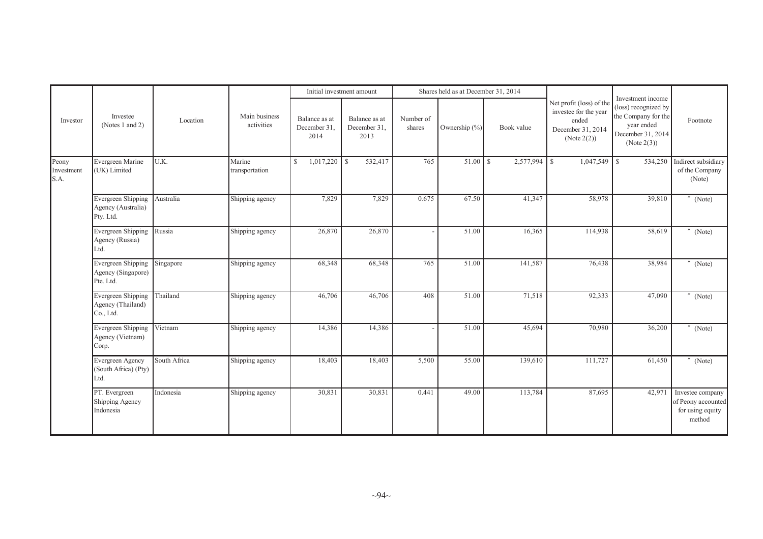|                             |                                                              |              |                             |                                       | Initial investment amount             |                     | Shares held as at December 31, 2014 |            |                                                                                                   |                                                                                                                    |                                                                      |
|-----------------------------|--------------------------------------------------------------|--------------|-----------------------------|---------------------------------------|---------------------------------------|---------------------|-------------------------------------|------------|---------------------------------------------------------------------------------------------------|--------------------------------------------------------------------------------------------------------------------|----------------------------------------------------------------------|
| Investor                    | Investee<br>(Notes 1 and 2)                                  | Location     | Main business<br>activities | Balance as at<br>December 31.<br>2014 | Balance as at<br>December 31.<br>2013 | Number of<br>shares | Ownership $(\% )$                   | Book value | Net profit (loss) of the<br>investee for the year<br>ended<br>December 31, 2014<br>(Note $2(2)$ ) | Investment income<br>(loss) recognized by<br>the Company for the<br>year ended<br>December 31, 2014<br>(Note 2(3)) | Footnote                                                             |
| Peony<br>Investment<br>S.A. | Evergreen Marine<br>(UK) Limited                             | U.K.         | Marine<br>transportation    | $1,017,220$ \$<br><sup>S</sup>        | 532,417                               | 765                 |                                     | 2,577,994  | $1,047,549$ \$<br>l s                                                                             | 534,250                                                                                                            | Indirect subsidiary<br>of the Company<br>(Note)                      |
|                             | <b>Evergreen Shipping</b><br>Agency (Australia)<br>Pty. Ltd. | Australia    | Shipping agency             | 7,829                                 | 7,829                                 | 0.675               | 67.50                               | 41,347     | 58,978                                                                                            | 39,810                                                                                                             | $"$ (Note)                                                           |
|                             | Evergreen Shipping<br>Agency (Russia)<br>Ltd.                | Russia       | Shipping agency             | 26,870                                | 26,870                                |                     | 51.00                               | 16,365     | 114,938                                                                                           | 58,619                                                                                                             | (Note)                                                               |
|                             | Evergreen Shipping<br>Agency (Singapore)<br>Pte. Ltd.        | Singapore    | Shipping agency             | 68,348                                | 68,348                                | 765                 | 51.00                               | 141,587    | 76,438                                                                                            | 38,984                                                                                                             | (Note)                                                               |
|                             | Evergreen Shipping<br>Agency (Thailand)<br>Co., Ltd.         | Thailand     | Shipping agency             | 46,706                                | 46,706                                | 408                 | 51.00                               | 71,518     | 92,333                                                                                            | 47,090                                                                                                             | (Note)                                                               |
|                             | <b>Evergreen Shipping</b><br>Agency (Vietnam)<br>Corp.       | Vietnam      | Shipping agency             | 14,386                                | 14,386                                |                     | 51.00                               | 45,694     | 70,980                                                                                            | 36,200                                                                                                             | (Note)                                                               |
|                             | Evergreen Agency<br>(South Africa) (Pty)<br>Ltd.             | South Africa | Shipping agency             | 18,403                                | 18,403                                | 5,500               | 55.00                               | 139,610    | 111,727                                                                                           | 61,450                                                                                                             | $^{\prime\prime}$ (Note)                                             |
|                             | PT. Evergreen<br>Shipping Agency<br>Indonesia                | Indonesia    | Shipping agency             | 30,831                                | 30,831                                | 0.441               | 49.00                               | 113,784    | 87,695                                                                                            | 42,971                                                                                                             | Investee company<br>of Peony accounted<br>for using equity<br>method |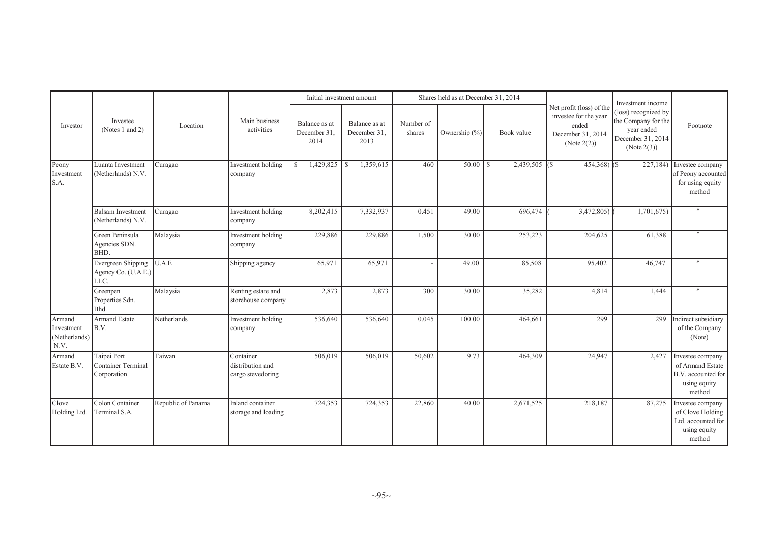|                                                          |                                                         |                    |                                                    | Initial investment amount             |                                       |                     | Shares held as at December 31, 2014 |                  |                                                                                                   |                                                                                                                    |                                                                                      |
|----------------------------------------------------------|---------------------------------------------------------|--------------------|----------------------------------------------------|---------------------------------------|---------------------------------------|---------------------|-------------------------------------|------------------|---------------------------------------------------------------------------------------------------|--------------------------------------------------------------------------------------------------------------------|--------------------------------------------------------------------------------------|
| Investor                                                 | Investee<br>(Notes 1 and 2)                             | Location           | Main business<br>activities                        | Balance as at<br>December 31.<br>2014 | Balance as at<br>December 31,<br>2013 | Number of<br>shares | Ownership (%)                       | Book value       | Net profit (loss) of the<br>investee for the year<br>ended<br>December 31, 2014<br>(Note $2(2)$ ) | Investment income<br>(loss) recognized by<br>the Company for the<br>year ended<br>December 31, 2014<br>(Note 2(3)) | Footnote                                                                             |
| Peony<br>Investment<br>S.A.                              | Luanta Investment<br>(Netherlands) N.V.                 | Curagao            | Investment holding<br>company                      | 1,429,825<br>$\mathbb{S}$             | 1,359,615<br><sup>S</sup>             | 460                 | 50.00                               | 2,439,505<br>l s | $454,368$ ) (\$<br>IGS.                                                                           | 227,184)                                                                                                           | Investee company<br>of Peony accounted<br>for using equity<br>method                 |
|                                                          | <b>Balsam Investment</b><br>(Netherlands) N.V.          | Curagao            | Investment holding<br>company                      | 8,202,415                             | 7,332,937                             | 0.451               | 49.00                               | 696,474          | 3,472,805)                                                                                        | 1,701,675)                                                                                                         |                                                                                      |
|                                                          | Green Peninsula<br>Agencies SDN.<br>BHD.                | Malaysia           | Investment holding<br>company                      | 229,886                               | 229,886                               | 1,500               | 30.00                               | 253,223          | 204,625                                                                                           | 61,388                                                                                                             |                                                                                      |
|                                                          | Evergreen Shipping<br>Agency Co. (U.A.E.)<br>LLC.       | U.A.E              | Shipping agency                                    | 65,971                                | 65,971                                |                     | 49.00                               | 85,508           | 95,402                                                                                            | 46,747                                                                                                             |                                                                                      |
|                                                          | Greenpen<br>Properties Sdn.<br>Bhd.                     | Malaysia           | Renting estate and<br>storehouse company           | 2,873                                 | 2,873                                 | 300                 | 30.00                               | 35,282           | 4,814                                                                                             | 1,444                                                                                                              |                                                                                      |
| Armand<br>Investment<br>(Netherlands)<br>$\mathrm{N.V.}$ | <b>Armand Estate</b><br>B.V.                            | Netherlands        | Investment holding<br>company                      | 536,640                               | 536,640                               | 0.045               | 100.00                              | 464,661          | 299                                                                                               | 299                                                                                                                | Indirect subsidiary<br>of the Company<br>(Note)                                      |
| Armand<br>Estate B.V.                                    | Taipei Port<br><b>Container Terminal</b><br>Corporation | Taiwan             | Container<br>distribution and<br>cargo stevedoring | 506,019                               | 506,019                               | 50,602              | 9.73                                | 464,309          | 24,947                                                                                            | 2,427                                                                                                              | Investee company<br>of Armand Estate<br>B.V. accounted for<br>using equity<br>method |
| Clove<br>Holding Ltd.                                    | Colon Container<br>Terminal S.A.                        | Republic of Panama | Inland container<br>storage and loading            | 724,353                               | 724,353                               | 22,860              | 40.00                               | 2,671,525        | 218,187                                                                                           | 87,275                                                                                                             | Investee company<br>of Clove Holding<br>Ltd. accounted for<br>using equity<br>method |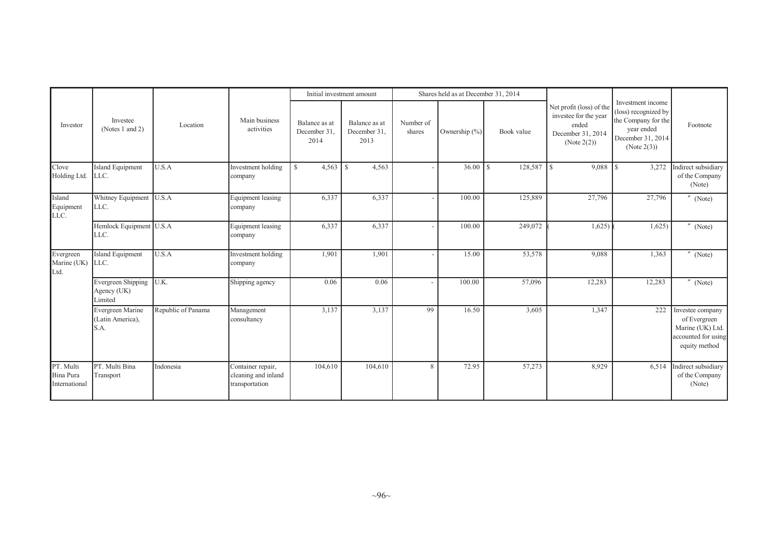|                                         |                                              |                    |                                                            |                                       | Initial investment amount             |                     | Shares held as at December 31, 2014 |                          |                                                                                                |                                                                                                                    |                                                                                              |
|-----------------------------------------|----------------------------------------------|--------------------|------------------------------------------------------------|---------------------------------------|---------------------------------------|---------------------|-------------------------------------|--------------------------|------------------------------------------------------------------------------------------------|--------------------------------------------------------------------------------------------------------------------|----------------------------------------------------------------------------------------------|
| Investor                                | Investee<br>(Notes 1 and 2)                  | Location           | Main business<br>activities                                | Balance as at<br>December 31.<br>2014 | Balance as at<br>December 31,<br>2013 | Number of<br>shares | Ownership (%)                       | Book value               | Net profit (loss) of the<br>investee for the year<br>ended<br>December 31, 2014<br>(Note 2(2)) | Investment income<br>(loss) recognized by<br>the Company for the<br>year ended<br>December 31, 2014<br>(Note 2(3)) | Footnote                                                                                     |
| Clove<br>Holding Ltd.                   | Island Equipment<br>LLC.                     | U.S.A              | Investment holding<br>company                              | $\mathbb{S}$                          | 4,563                                 |                     | 36.00                               | 128,587<br>$\mathcal{S}$ | l S                                                                                            | 3,272                                                                                                              | Indirect subsidiary<br>of the Company<br>(Note)                                              |
| Island<br>Equipment<br>LLC.             | Whitney Equipment U.S.A<br>LLC.              |                    | Equipment leasing<br>company                               | 6,337                                 | 6,337                                 |                     | 100.00                              | 125,889                  | 27,796                                                                                         | 27,796                                                                                                             | (Note)                                                                                       |
|                                         | Hemlock Equipment U.S.A<br>LLC.              |                    | <b>Equipment leasing</b><br>company                        | 6,337                                 | 6,337                                 |                     | 100.00                              | 249,072                  | 1,625)                                                                                         | 1,625                                                                                                              | $^{\prime\prime}$ (Note)                                                                     |
| Evergreen<br>Marine (UK)<br>Ltd.        | Island Equipment<br>LLC.                     | U.S.A              | Investment holding<br>company                              | 1,901                                 | 1,901                                 |                     | 15.00                               | 53,578                   | 9,088                                                                                          | 1,363                                                                                                              | (Note)                                                                                       |
|                                         | Evergreen Shipping<br>Agency (UK)<br>Limited | U.K.               | Shipping agency                                            | 0.06                                  | 0.06                                  |                     | 100.00                              | 57,096                   | 12,283                                                                                         | 12,283                                                                                                             | (Note)                                                                                       |
|                                         | Evergreen Marine<br>(Latin America),<br>S.A. | Republic of Panama | Management<br>consultancy                                  | 3,137                                 | 3,137                                 | 99                  | 16.50                               | 3,605                    | 1,347                                                                                          | 222                                                                                                                | Investee company<br>of Evergreen<br>Marine (UK) Ltd.<br>accounted for using<br>equity method |
| PT. Multi<br>Bina Pura<br>International | PT. Multi Bina<br>Transport                  | Indonesia          | Container repair,<br>cleaning and inland<br>transportation | 104,610                               | 104,610                               | 8                   | 72.95                               | 57,273                   | 8,929                                                                                          | 6,514                                                                                                              | Indirect subsidiary<br>of the Company<br>(Note)                                              |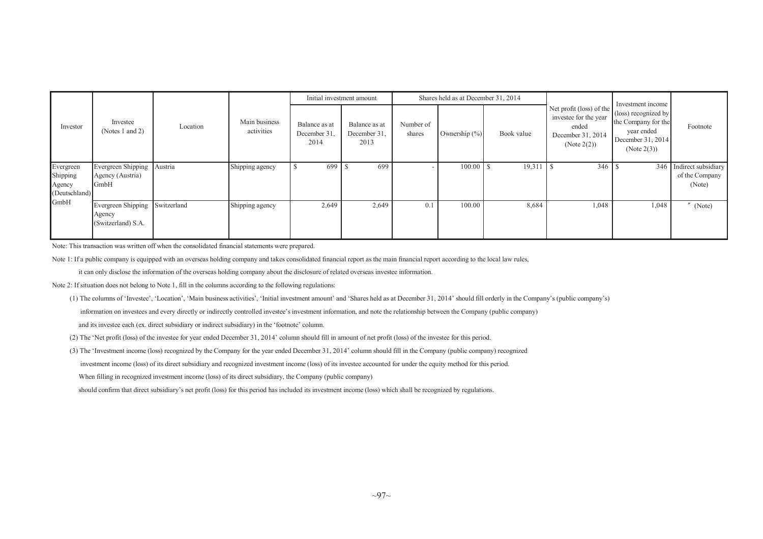|                                                  |                                                       |             |                             |                                       | Initial investment amount             |                     | Shares held as at December 31, 2014 |            |                                                                                                | Investment income                                                                             |                                                     |
|--------------------------------------------------|-------------------------------------------------------|-------------|-----------------------------|---------------------------------------|---------------------------------------|---------------------|-------------------------------------|------------|------------------------------------------------------------------------------------------------|-----------------------------------------------------------------------------------------------|-----------------------------------------------------|
| Investor                                         | Investee<br>(Notes 1 and 2)                           | Location    | Main business<br>activities | Balance as at<br>December 31.<br>2014 | Balance as at<br>December 31.<br>2013 | Number of<br>shares | Ownership $(\% )$                   | Book value | Net profit (loss) of the<br>investee for the year<br>ended<br>December 31, 2014<br>(Note 2(2)) | (loss) recognized by<br>the Company for the<br>year ended<br>December 31, 2014<br>(Note 2(3)) | Footnote                                            |
| Evergreen<br>Shipping<br>Agency<br>(Deutschland) | Evergreen Shipping<br>Agency (Austria)<br><b>GmbH</b> | Austria     | Shipping agency             | 699                                   | 699                                   |                     | 100.00                              | 19,311     | - IS                                                                                           |                                                                                               | 346 Indirect subsidiary<br>of the Company<br>(Note) |
| GmbH                                             | Evergreen Shipping<br>Agency<br>(Switzerland) S.A.    | Switzerland | Shipping agency             | 2,649                                 | 2,649                                 | 0.1                 | 100.00                              | 8,684      | 1,048                                                                                          | 1,048                                                                                         | (Note)                                              |

Note: This transaction was written off when the consolidated financial statements were prepared.

Note 1: If a public company is equipped with an overseas holding company and takes consolidated financial report as the main financial report according to the local law rules,

it can only disclose the information of the overseas holding company about the disclosure of related overseas investee information.

Note 2: If situation does not belong to Note 1, fill in the columns according to the following regulations:

(1) The columns of 'Investee', 'Location', 'Main business activities', 'Initial investment amount' and 'Shares held as at December 31, 2014' should fill orderly in the Company's (public company's) information on investees and every directly or indirectly controlled investee's investment information, and note the relationship between the Company (public company) and its investee each (ex. direct subsidiary or indirect subsidiary) in the 'footnote' column.

(2) The 'Net profit (loss) of the investee for year ended December 31, 2014' column should fill in amount of net profit (loss) of the investee for this period.

(3) The 'Investment income (loss) recognized by the Company for the year ended December 31, 2014' column should fill in the Company (public company) recognized investment income (loss) of its direct subsidiary and recognized investment income (loss) of its investee accounted for under the equity method for this period.

When filling in recognized investment income (loss) of its direct subsidiary, the Company (public company)

should confirm that direct subsidiary's net profit (loss) for this period has included its investment income (loss) which shall be recognized by regulations.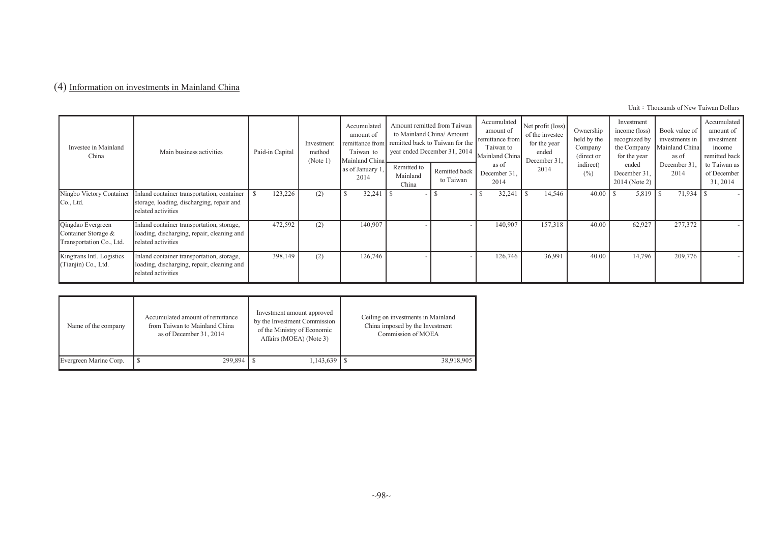# (4) Information on investments in Mainland China

| Investee in Mainland<br>China                                        | Main business activities                                                                                      | Paid-in Capital | Investment<br>method<br>(Note $1^{\circ}$ | Accumulated<br>amount of<br>remittance from<br>Taiwan to<br>Mainland China<br>as of January 1<br>2014 | Remitted to<br>Mainland<br>China | Amount remitted from Taiwan<br>to Mainland China/ Amount<br>remitted back to Taiwan for the<br>year ended December 31, 2014<br>Remitted back<br>to Taiwan | Accumulated<br>amount of<br>remittance from<br>Taiwan to<br>Mainland China<br>as of<br>December 31.<br>2014 | Net profit (loss)<br>of the investee<br>for the year<br>ended<br>December 31.<br>2014 | Ownership<br>held by the<br>Company<br>(direct or<br>indirect)<br>$(\%)$ | Investment<br>income (loss)<br>recognized by<br>the Company<br>for the year<br>ended<br>December 31,<br>2014 (Note 2) | Book value of<br>investments in<br>Mainland China<br>as of<br>December 31<br>2014 | Accumulated<br>amount of<br>investment<br>income<br>remitted back<br>to Taiwan as<br>of December<br>31, 2014 |
|----------------------------------------------------------------------|---------------------------------------------------------------------------------------------------------------|-----------------|-------------------------------------------|-------------------------------------------------------------------------------------------------------|----------------------------------|-----------------------------------------------------------------------------------------------------------------------------------------------------------|-------------------------------------------------------------------------------------------------------------|---------------------------------------------------------------------------------------|--------------------------------------------------------------------------|-----------------------------------------------------------------------------------------------------------------------|-----------------------------------------------------------------------------------|--------------------------------------------------------------------------------------------------------------|
| Ningbo Victory Container<br>Co., Ltd.                                | Inland container transportation, container<br>storage, loading, discharging, repair and<br>related activities | 123,226         | (2)                                       | 32,241                                                                                                |                                  |                                                                                                                                                           | 32,241                                                                                                      | 14,546                                                                                | $40.00$ S                                                                |                                                                                                                       |                                                                                   |                                                                                                              |
| Qingdao Evergreen<br>Container Storage &<br>Transportation Co., Ltd. | Inland container transportation, storage,<br>loading, discharging, repair, cleaning and<br>related activities | 472,592         | (2)                                       | 140,907                                                                                               |                                  |                                                                                                                                                           | 140,907                                                                                                     | 157,318                                                                               | 40.00                                                                    | 62,927                                                                                                                | 277,372                                                                           |                                                                                                              |
| Kingtrans Intl. Logistics<br>(Tianjin) Co., Ltd.                     | Inland container transportation, storage,<br>loading, discharging, repair, cleaning and<br>related activities | 398,149         | (2)                                       | 126,746                                                                                               |                                  |                                                                                                                                                           | 126,746                                                                                                     | 36,991                                                                                | 40.00                                                                    | 14,796                                                                                                                | 209,776                                                                           |                                                                                                              |

| Name of the company    | Accumulated amount of remittance<br>from Taiwan to Mainland China<br>as of December 31, 2014 | Investment amount approved<br>by the Investment Commission<br>of the Ministry of Economic<br>Affairs (MOEA) (Note 3) | Ceiling on investments in Mainland<br>China imposed by the Investment<br>Commission of MOEA |
|------------------------|----------------------------------------------------------------------------------------------|----------------------------------------------------------------------------------------------------------------------|---------------------------------------------------------------------------------------------|
| Evergreen Marine Corp. | 299.894                                                                                      | $1,143,639$ S                                                                                                        | 38,918,905                                                                                  |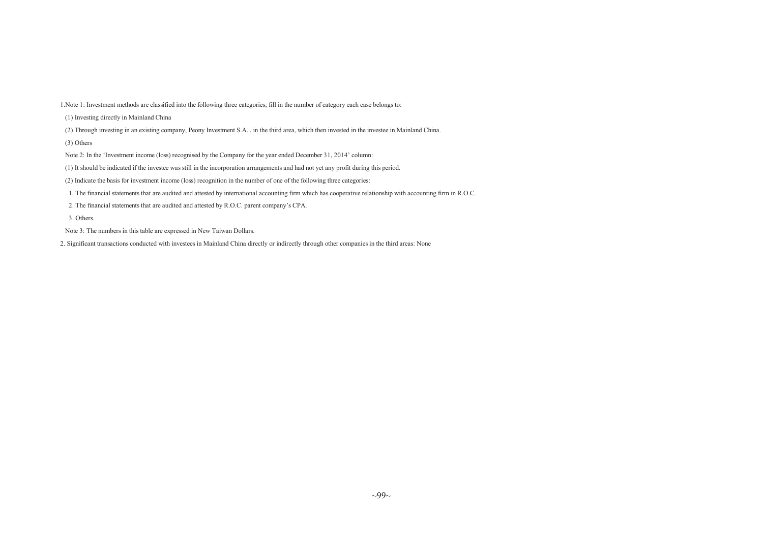1.Note 1: Investment methods are classified into the following three categories; fill in the number of category each case belongs to:

- (1) Investing directly in Mainland China
- (2) Through investing in an existing company, Peony Investment S.A. , in the third area, which then invested in the investee in Mainland China.
- (3) Others
- Note 2: In the 'Investment income (loss) recognised by the Company for the year ended December 31, 2014' column:
- (1) It should be indicated if the investee was still in the incorporation arrangements and had not ye<sup>t</sup> any profit during this period.
- (2) Indicate the basis for investment income (loss) recognition in the number of one of the following three categories:
- 1. The financial statements that are audited and attested by international accounting firm which has cooperative relationship with accounting firm in R.O.C.
- 2. The financial statements that are audited and attested by R.O.C. parent company's CPA.
- 3. Others.
- Note 3: The numbers in this table are expressed in New Taiwan Dollars.
- 2. Significant transactions conducted with investees in Mainland China directly or indirectly through other companies in the third areas: None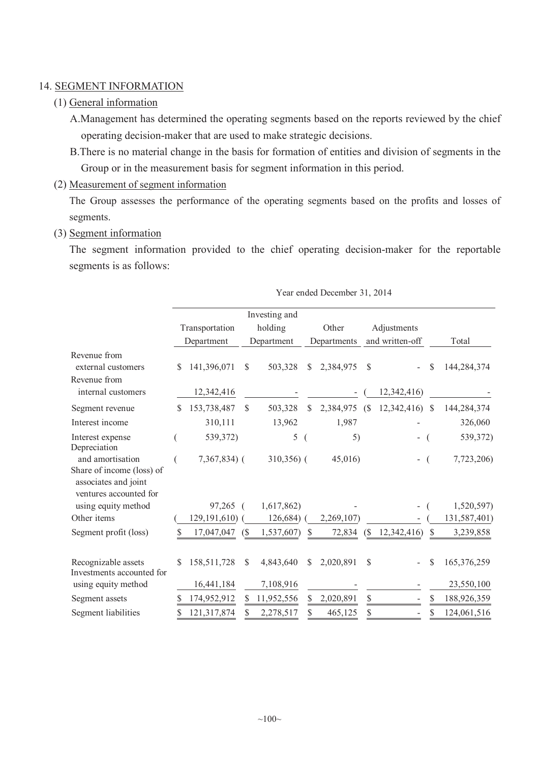#### 14. SEGMENT INFORMATION

#### (1) General information

A.Management has determined the operating segments based on the reports reviewed by the chief operating decision-maker that are used to make strategic decisions.

B.There is no material change in the basis for formation of entities and division of segments in the Group or in the measurement basis for segment information in this period.

#### (2) Measurement of segment information

The Group assesses the performance of the operating segments based on the profits and losses of segments.

#### (3) Segment information

The segment information provided to the chief operating decision-maker for the reportable segments is as follows:

|                                                                                                 |                |                |            | Investing and |               |             |                              |                 |    |              |
|-------------------------------------------------------------------------------------------------|----------------|----------------|------------|---------------|---------------|-------------|------------------------------|-----------------|----|--------------|
|                                                                                                 | Transportation |                |            | holding       |               | Other       |                              | Adjustments     |    |              |
|                                                                                                 | Department     |                | Department |               |               | Departments |                              | and written-off |    | Total        |
| Revenue from<br>external customers<br>Revenue from                                              | \$             | 141,396,071    | \$         | 503,328       | $\mathbb{S}$  | 2,384,975   | $\mathcal{S}$                |                 | \$ | 144,284,374  |
| internal customers                                                                              |                | 12,342,416     |            |               |               |             |                              | 12,342,416)     |    |              |
| Segment revenue                                                                                 | S              | 153,738,487    | S          | 503,328       | $\mathbb{S}$  | 2,384,975   | (S                           | $12,342,416$ \$ |    | 144,284,374  |
| Interest income                                                                                 |                | 310,111        |            | 13,962        |               | 1,987       |                              |                 |    | 326,060      |
| Interest expense<br>Depreciation                                                                |                | 539,372)       |            | 5             |               | 5)          |                              | -               |    | 539,372)     |
| and amortisation<br>Share of income (loss) of<br>associates and joint<br>ventures accounted for |                | $7,367,834$ (  |            | $310,356$ (   |               | 45,016      |                              |                 |    | 7,723,206)   |
| using equity method                                                                             |                | 97,265         |            | 1,617,862)    |               |             |                              |                 |    | 1,520,597)   |
| Other items                                                                                     |                | 129, 191, 610) |            | 126,684)      |               | 2,269,107)  |                              |                 |    | 131,587,401) |
| Segment profit (loss)                                                                           |                | 17,047,047     | (S         | 1,537,607)    | -S            | 72,834      | $\left( \mathcal{S} \right)$ | 12,342,416)     | \$ | 3,239,858    |
| Recognizable assets<br>Investments accounted for                                                | \$             | 158,511,728    | S.         | 4,843,640     | <sup>\$</sup> | 2,020,891   | \$                           |                 | \$ | 165,376,259  |
| using equity method                                                                             |                | 16,441,184     |            | 7,108,916     |               |             |                              |                 |    | 23,550,100   |
| Segment assets                                                                                  |                | 174,952,912    | S          | 11,952,556    | S             | 2,020,891   | \$                           |                 | \$ | 188,926,359  |
| Segment liabilities                                                                             |                | 121,317,874    |            | 2,278,517     | \$            | 465,125     | S                            |                 | \$ | 124,061,516  |

Year ended December 31, 2014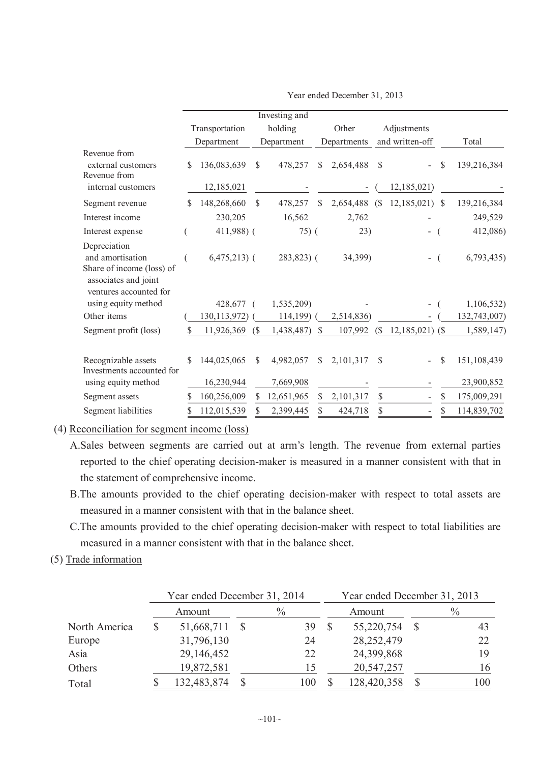|                                                                                                                 |     |                |                            | Investing and |                 |                              |                   |               |              |
|-----------------------------------------------------------------------------------------------------------------|-----|----------------|----------------------------|---------------|-----------------|------------------------------|-------------------|---------------|--------------|
|                                                                                                                 |     | Transportation |                            | holding       | Other           |                              | Adjustments       |               |              |
|                                                                                                                 |     | Department     |                            | Department    | Departments     |                              | and written-off   |               | Total        |
| Revenue from<br>external customers<br>Revenue from                                                              | S   | 136,083,639    | \$                         | 478,257       | \$<br>2,654,488 | \$                           |                   | \$            | 139,216,384  |
| internal customers                                                                                              |     | 12,185,021     |                            |               |                 |                              | 12,185,021)       |               |              |
| Segment revenue                                                                                                 | \$. | 148,268,660    | \$.                        | 478,257       | \$<br>2,654,488 | (S)                          | 12,185,021        | <sup>\$</sup> | 139,216,384  |
| Interest income                                                                                                 |     | 230,205        |                            | 16,562        | 2,762           |                              |                   |               | 249,529      |
| Interest expense                                                                                                |     | 411,988) (     |                            | $75)$ (       | 23)             |                              |                   |               | 412,086)     |
| Depreciation<br>and amortisation<br>Share of income (loss) of<br>associates and joint<br>ventures accounted for |     | $6,475,213$ (  |                            | $283,823$ (   | 34,399)         |                              |                   |               | 6,793,435    |
| using equity method                                                                                             |     | 428,677        |                            | 1,535,209)    |                 |                              |                   |               | 1,106,532)   |
| Other items                                                                                                     |     | 130, 113, 972) |                            | $114,199$ (   | 2,514,836)      |                              |                   |               | 132,743,007) |
| Segment profit (loss)                                                                                           | S   | 11,926,369     | $\left( \text{\$} \right)$ | 1,438,487)    | \$<br>107,992   | $\left( \mathcal{S} \right)$ | $12,185,021$ (\$) |               | 1,589,147)   |
| Recognizable assets<br>Investments accounted for                                                                | \$  | 144,025,065    | \$                         | 4,982,057     | \$<br>2,101,317 | \$                           |                   | \$            | 151,108,439  |
| using equity method                                                                                             |     | 16,230,944     |                            | 7,669,908     |                 |                              |                   |               | 23,900,852   |
| Segment assets                                                                                                  | S   | 160,256,009    | S                          | 12,651,965    | \$<br>2,101,317 | $\mathbb{S}$                 |                   | <sup>S</sup>  | 175,009,291  |
| Segment liabilities                                                                                             | \$  | 112,015,539    |                            | 2,399,445     | \$<br>424,718   | \$                           |                   | \$            | 114,839,702  |

Year ended December 31, 2013

(4) Reconciliation for segment income (loss)

- A.Sales between segments are carried out at arm's length. The revenue from external parties reported to the chief operating decision-maker is measured in a manner consistent with that in the statement of comprehensive income.
- B.The amounts provided to the chief operating decision-maker with respect to total assets are measured in a manner consistent with that in the balance sheet.
- C.The amounts provided to the chief operating decision-maker with respect to total liabilities are measured in a manner consistent with that in the balance sheet.

# (5) Trade information

|               | Year ended December 31, 2014 |               | Year ended December 31, 2013 |              |               |     |  |  |
|---------------|------------------------------|---------------|------------------------------|--------------|---------------|-----|--|--|
|               | Amount                       | $\frac{0}{0}$ |                              | Amount       | $\frac{0}{0}$ |     |  |  |
| North America | 51,668,711                   | 39            |                              | 55,220,754   |               | 43  |  |  |
| Europe        | 31,796,130                   | 24            |                              | 28, 252, 479 |               | 22  |  |  |
| Asia          | 29,146,452                   | 22            |                              | 24,399,868   |               | 19  |  |  |
| Others        | 19,872,581                   | 15            |                              | 20,547,257   |               | 16  |  |  |
| Total         | 132,483,874                  | 100           |                              | 128,420,358  |               | 100 |  |  |